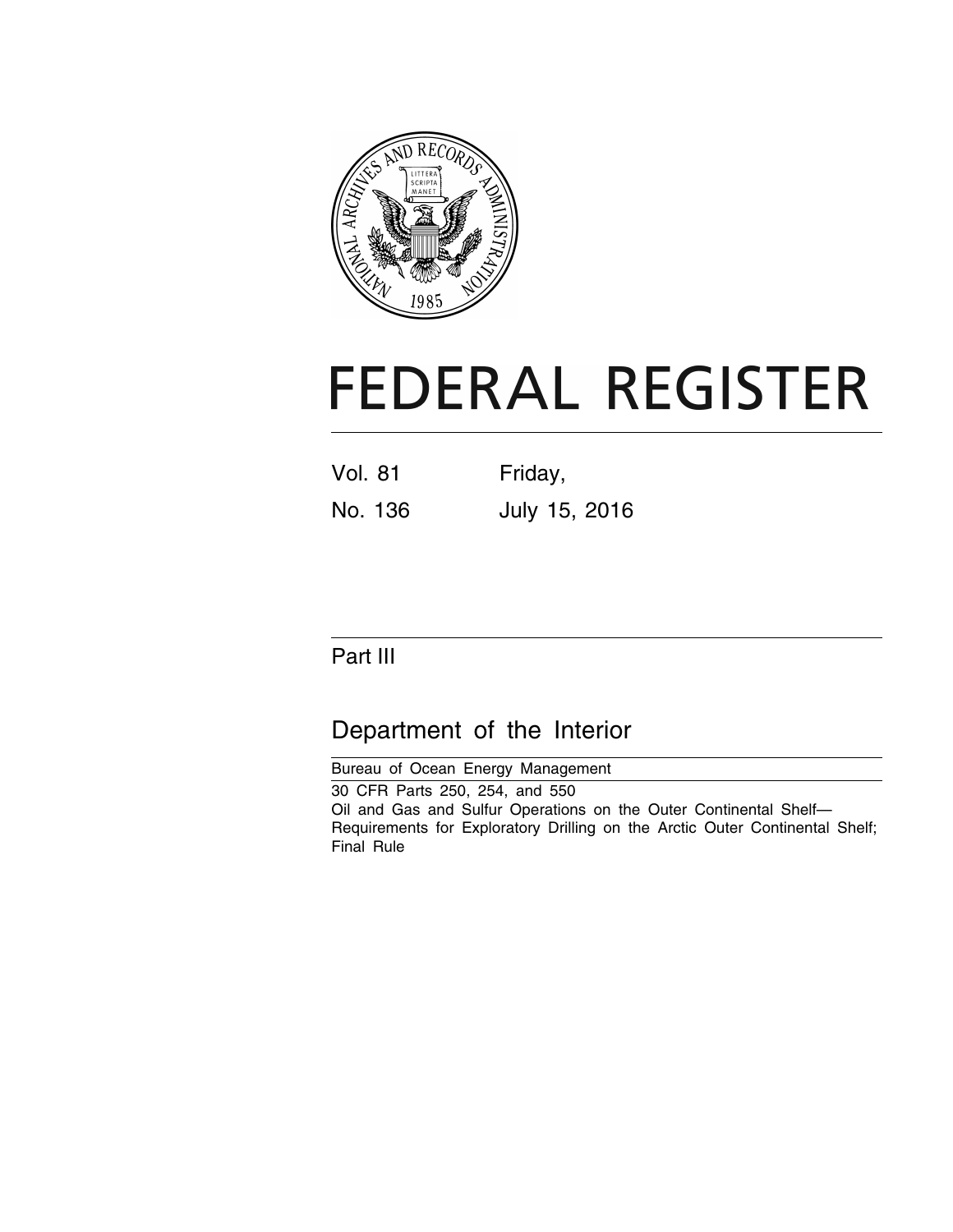

# **FEDERAL REGISTER**

| Vol. 81 | Friday, |  |               |
|---------|---------|--|---------------|
| No. 136 |         |  | July 15, 2016 |

# Part III

# Department of the Interior

Bureau of Ocean Energy Management 30 CFR Parts 250, 254, and 550 Oil and Gas and Sulfur Operations on the Outer Continental Shelf— Requirements for Exploratory Drilling on the Arctic Outer Continental Shelf; Final Rule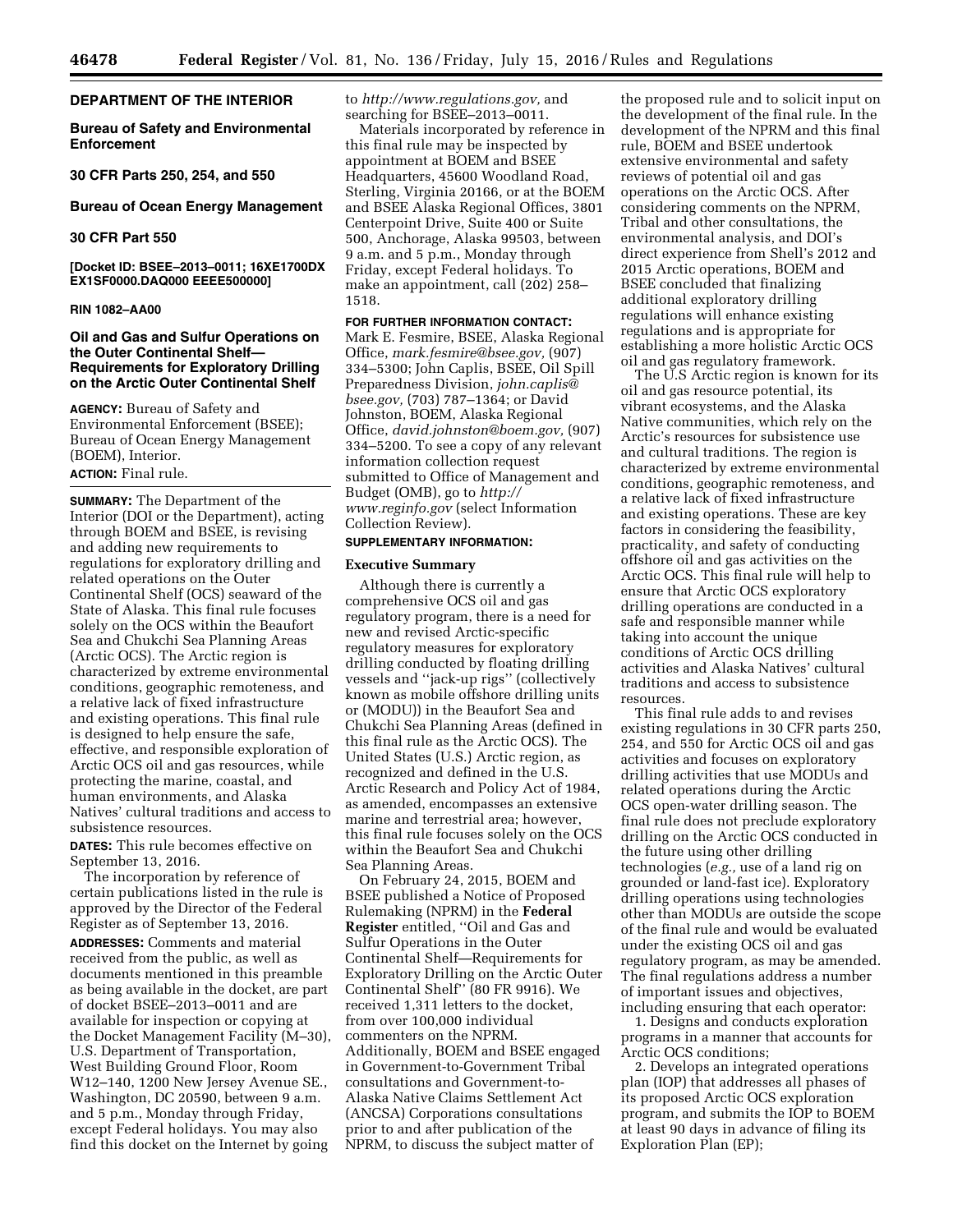# **DEPARTMENT OF THE INTERIOR**

**Bureau of Safety and Environmental Enforcement** 

**30 CFR Parts 250, 254, and 550** 

**Bureau of Ocean Energy Management** 

# **30 CFR Part 550**

**[Docket ID: BSEE–2013–0011; 16XE1700DX EX1SF0000.DAQ000 EEEE500000]** 

#### **RIN 1082–AA00**

# **Oil and Gas and Sulfur Operations on the Outer Continental Shelf— Requirements for Exploratory Drilling on the Arctic Outer Continental Shelf**

**AGENCY:** Bureau of Safety and Environmental Enforcement (BSEE); Bureau of Ocean Energy Management (BOEM), Interior.

#### **ACTION:** Final rule.

**SUMMARY:** The Department of the Interior (DOI or the Department), acting through BOEM and BSEE, is revising and adding new requirements to regulations for exploratory drilling and related operations on the Outer Continental Shelf (OCS) seaward of the State of Alaska. This final rule focuses solely on the OCS within the Beaufort Sea and Chukchi Sea Planning Areas (Arctic OCS). The Arctic region is characterized by extreme environmental conditions, geographic remoteness, and a relative lack of fixed infrastructure and existing operations. This final rule is designed to help ensure the safe, effective, and responsible exploration of Arctic OCS oil and gas resources, while protecting the marine, coastal, and human environments, and Alaska Natives' cultural traditions and access to subsistence resources.

**DATES:** This rule becomes effective on September 13, 2016.

The incorporation by reference of certain publications listed in the rule is approved by the Director of the Federal Register as of September 13, 2016.

**ADDRESSES:** Comments and material received from the public, as well as documents mentioned in this preamble as being available in the docket, are part of docket BSEE–2013–0011 and are available for inspection or copying at the Docket Management Facility (M–30), U.S. Department of Transportation, West Building Ground Floor, Room W12–140, 1200 New Jersey Avenue SE., Washington, DC 20590, between 9 a.m. and 5 p.m., Monday through Friday, except Federal holidays. You may also find this docket on the Internet by going

to *[http://www.regulations.gov,](http://www.regulations.gov)* and searching for BSEE–2013–0011.

Materials incorporated by reference in this final rule may be inspected by appointment at BOEM and BSEE Headquarters, 45600 Woodland Road, Sterling, Virginia 20166, or at the BOEM and BSEE Alaska Regional Offices, 3801 Centerpoint Drive, Suite 400 or Suite 500, Anchorage, Alaska 99503, between 9 a.m. and 5 p.m., Monday through Friday, except Federal holidays. To make an appointment, call (202) 258– 1518.

**FOR FURTHER INFORMATION CONTACT:**  Mark E. Fesmire, BSEE, Alaska Regional Office, *[mark.fesmire@bsee.gov,](mailto:mark.fesmire@bsee.gov)* (907) 334–5300; John Caplis, BSEE, Oil Spill Preparedness Division, *[john.caplis@](mailto:john.caplis@bsee.gov) [bsee.gov,](mailto:john.caplis@bsee.gov)* (703) 787–1364; or David Johnston, BOEM, Alaska Regional Office, *[david.johnston@boem.gov,](mailto:david.johnston@boem.gov)* (907) 334–5200. To see a copy of any relevant information collection request submitted to Office of Management and Budget (OMB), go to *[http://](http://www.reginfo.gov) [www.reginfo.gov](http://www.reginfo.gov)* (select Information Collection Review).

#### **SUPPLEMENTARY INFORMATION:**

#### **Executive Summary**

Although there is currently a comprehensive OCS oil and gas regulatory program, there is a need for new and revised Arctic-specific regulatory measures for exploratory drilling conducted by floating drilling vessels and ''jack-up rigs'' (collectively known as mobile offshore drilling units or (MODU)) in the Beaufort Sea and Chukchi Sea Planning Areas (defined in this final rule as the Arctic OCS). The United States (U.S.) Arctic region, as recognized and defined in the U.S. Arctic Research and Policy Act of 1984, as amended, encompasses an extensive marine and terrestrial area; however, this final rule focuses solely on the OCS within the Beaufort Sea and Chukchi Sea Planning Areas.

On February 24, 2015, BOEM and BSEE published a Notice of Proposed Rulemaking (NPRM) in the **Federal Register** entitled, ''Oil and Gas and Sulfur Operations in the Outer Continental Shelf—Requirements for Exploratory Drilling on the Arctic Outer Continental Shelf'' (80 FR 9916). We received 1,311 letters to the docket, from over 100,000 individual commenters on the NPRM. Additionally, BOEM and BSEE engaged in Government-to-Government Tribal consultations and Government-to-Alaska Native Claims Settlement Act (ANCSA) Corporations consultations prior to and after publication of the NPRM, to discuss the subject matter of

the proposed rule and to solicit input on the development of the final rule. In the development of the NPRM and this final rule, BOEM and BSEE undertook extensive environmental and safety reviews of potential oil and gas operations on the Arctic OCS. After considering comments on the NPRM, Tribal and other consultations, the environmental analysis, and DOI's direct experience from Shell's 2012 and 2015 Arctic operations, BOEM and BSEE concluded that finalizing additional exploratory drilling regulations will enhance existing regulations and is appropriate for establishing a more holistic Arctic OCS oil and gas regulatory framework.

The U.S Arctic region is known for its oil and gas resource potential, its vibrant ecosystems, and the Alaska Native communities, which rely on the Arctic's resources for subsistence use and cultural traditions. The region is characterized by extreme environmental conditions, geographic remoteness, and a relative lack of fixed infrastructure and existing operations. These are key factors in considering the feasibility, practicality, and safety of conducting offshore oil and gas activities on the Arctic OCS. This final rule will help to ensure that Arctic OCS exploratory drilling operations are conducted in a safe and responsible manner while taking into account the unique conditions of Arctic OCS drilling activities and Alaska Natives' cultural traditions and access to subsistence resources.

This final rule adds to and revises existing regulations in 30 CFR parts 250, 254, and 550 for Arctic OCS oil and gas activities and focuses on exploratory drilling activities that use MODUs and related operations during the Arctic OCS open-water drilling season. The final rule does not preclude exploratory drilling on the Arctic OCS conducted in the future using other drilling technologies (*e.g.,* use of a land rig on grounded or land-fast ice). Exploratory drilling operations using technologies other than MODUs are outside the scope of the final rule and would be evaluated under the existing OCS oil and gas regulatory program, as may be amended. The final regulations address a number of important issues and objectives, including ensuring that each operator:

1. Designs and conducts exploration programs in a manner that accounts for Arctic OCS conditions;

2. Develops an integrated operations plan (IOP) that addresses all phases of its proposed Arctic OCS exploration program, and submits the IOP to BOEM at least 90 days in advance of filing its Exploration Plan (EP);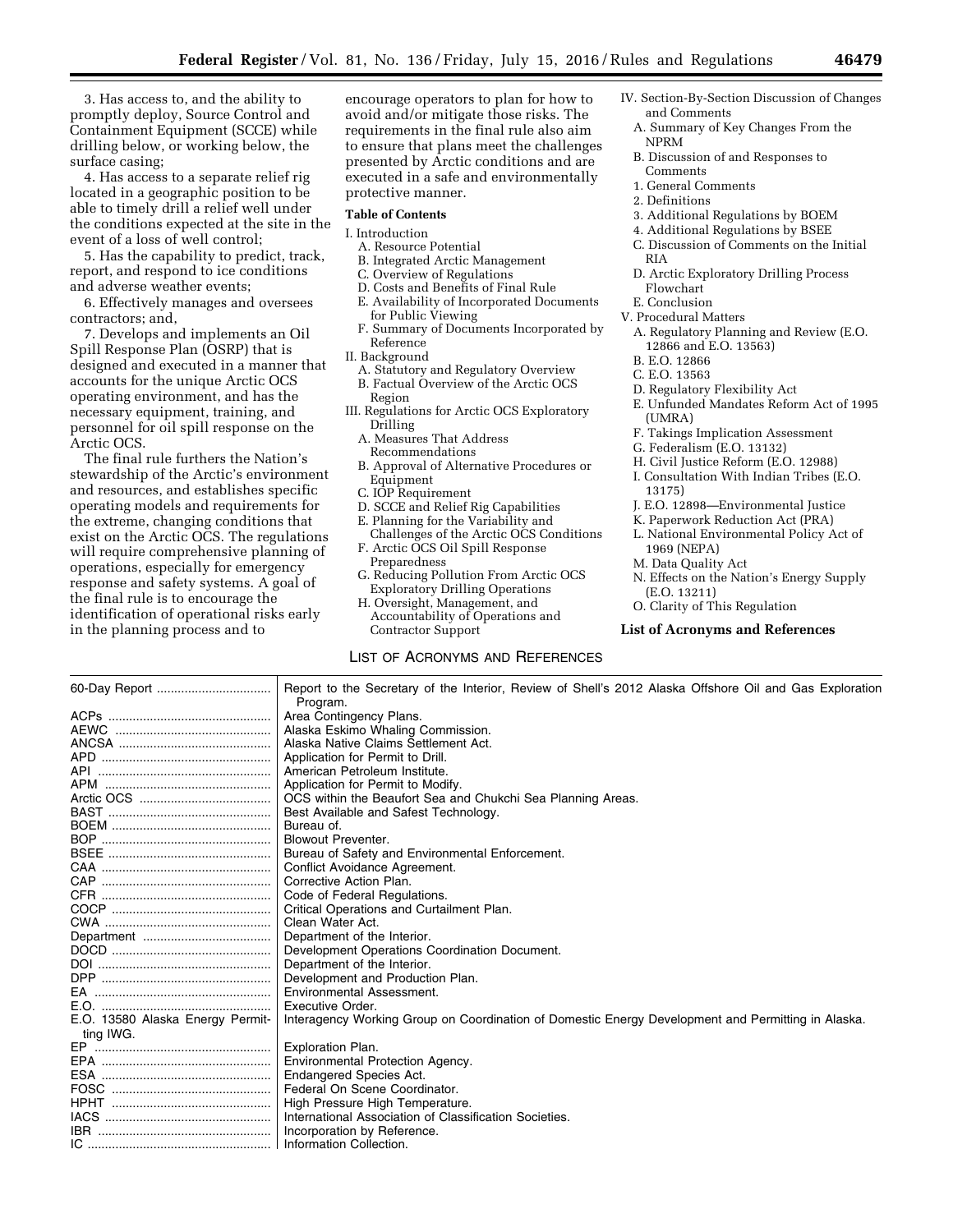3. Has access to, and the ability to promptly deploy, Source Control and Containment Equipment (SCCE) while drilling below, or working below, the surface casing;

4. Has access to a separate relief rig located in a geographic position to be able to timely drill a relief well under the conditions expected at the site in the event of a loss of well control;

5. Has the capability to predict, track, report, and respond to ice conditions and adverse weather events;

6. Effectively manages and oversees contractors; and,

7. Develops and implements an Oil Spill Response Plan (OSRP) that is designed and executed in a manner that accounts for the unique Arctic OCS operating environment, and has the necessary equipment, training, and personnel for oil spill response on the Arctic OCS.

The final rule furthers the Nation's stewardship of the Arctic's environment and resources, and establishes specific operating models and requirements for the extreme, changing conditions that exist on the Arctic OCS. The regulations will require comprehensive planning of operations, especially for emergency response and safety systems. A goal of the final rule is to encourage the identification of operational risks early in the planning process and to

encourage operators to plan for how to avoid and/or mitigate those risks. The requirements in the final rule also aim to ensure that plans meet the challenges presented by Arctic conditions and are executed in a safe and environmentally protective manner.

#### **Table of Contents**

# I. Introduction

- A. Resource Potential
- B. Integrated Arctic Management
- C. Overview of Regulations
- D. Costs and Benefits of Final Rule E. Availability of Incorporated Documents for Public Viewing
- F. Summary of Documents Incorporated by Reference
- II. Background
- A. Statutory and Regulatory Overview B. Factual Overview of the Arctic OCS Region
- III. Regulations for Arctic OCS Exploratory Drilling
	- A. Measures That Address Recommendations
	- B. Approval of Alternative Procedures or Equipment
	- C. IOP Requirement
	- D. SCCE and Relief Rig Capabilities
	- E. Planning for the Variability and Challenges of the Arctic OCS Conditions
	- F. Arctic OCS Oil Spill Response Preparedness
	- G. Reducing Pollution From Arctic OCS Exploratory Drilling Operations
	- H. Oversight, Management, and Accountability of Operations and
	- Contractor Support

# LIST OF ACRONYMS AND REFERENCES

- IV. Section-By-Section Discussion of Changes and Comments
	- A. Summary of Key Changes From the NPRM
	- B. Discussion of and Responses to Comments
	- 1. General Comments
	- 2. Definitions
	- 3. Additional Regulations by BOEM
	- 4. Additional Regulations by BSEE
	- C. Discussion of Comments on the Initial RIA
	- D. Arctic Exploratory Drilling Process Flowchart
	- E. Conclusion
- V. Procedural Matters
	- A. Regulatory Planning and Review (E.O. 12866 and E.O. 13563)
	- B. E.O. 12866
	- C. E.O. 13563
	- D. Regulatory Flexibility Act
	- E. Unfunded Mandates Reform Act of 1995 (UMRA)
	- F. Takings Implication Assessment
	- G. Federalism (E.O. 13132)
	- H. Civil Justice Reform (E.O. 12988)
	- I. Consultation With Indian Tribes (E.O. 13175)
	- J. E.O. 12898—Environmental Justice
	- K. Paperwork Reduction Act (PRA)
	- L. National Environmental Policy Act of 1969 (NEPA)
	- M. Data Quality Act
	- N. Effects on the Nation's Energy Supply (E.O. 13211)
	- O. Clarity of This Regulation

#### **List of Acronyms and References**

60-Day Report ................................. Report to the Secretary of the Interior, Review of Shell's 2012 Alaska Offshore Oil and Gas Exploration Program.<br>Area Contingency Plans. ACPs ............................................... Area Contingency Plans. AEWC ............................................. Alaska Eskimo Whaling Commission. Alaska Native Claims Settlement Act.<br>Application for Permit to Drill. APD ................................................. Application for Permit to Drill. API .................................................. American Petroleum Institute. APM ................................................ Application for Permit to Modify. Arctic OCS ...................................... OCS within the Beaufort Sea and Chukchi Sea Planning Areas. Best Available and Safest Technology.<br>Bureau of. BOEM .............................................. Bureau of. BOP ................................................. Blowout Preventer. Bureau of Safety and Environmental Enforcement.<br>Conflict Avoidance Agreement. CAA ................................................. Conflict Avoidance Agreement. CAP ................................................. Corrective Action Plan. CFR ................................................. Code of Federal Regulations. Critical Operations and Curtailment Plan.<br>Clean Water Act. CWA ................................................ Clean Water Act. Department ..................................... Department of the Interior. DOCD .............................................. Development Operations Coordination Document. DOI .................................................. Department of the Interior. DPP ................................................. Development and Production Plan. EA ................................................... Environmental Assessment. E.O. ................................................. Executive Order. E.O. 13580 Alaska Energy Permitting IWG. Interagency Working Group on Coordination of Domestic Energy Development and Permitting in Alaska. EP ................................................... Exploration Plan. EPA ................................................. Environmental Protection Agency. ESA ................................................. Endangered Species Act. FOSC .............................................. Federal On Scene Coordinator. HPHT .............................................. High Pressure High Temperature. International Association of Classification Societies.<br>Incorporation by Reference. IBR .................................................. Incorporation by Reference. IC ..................................................... Information Collection.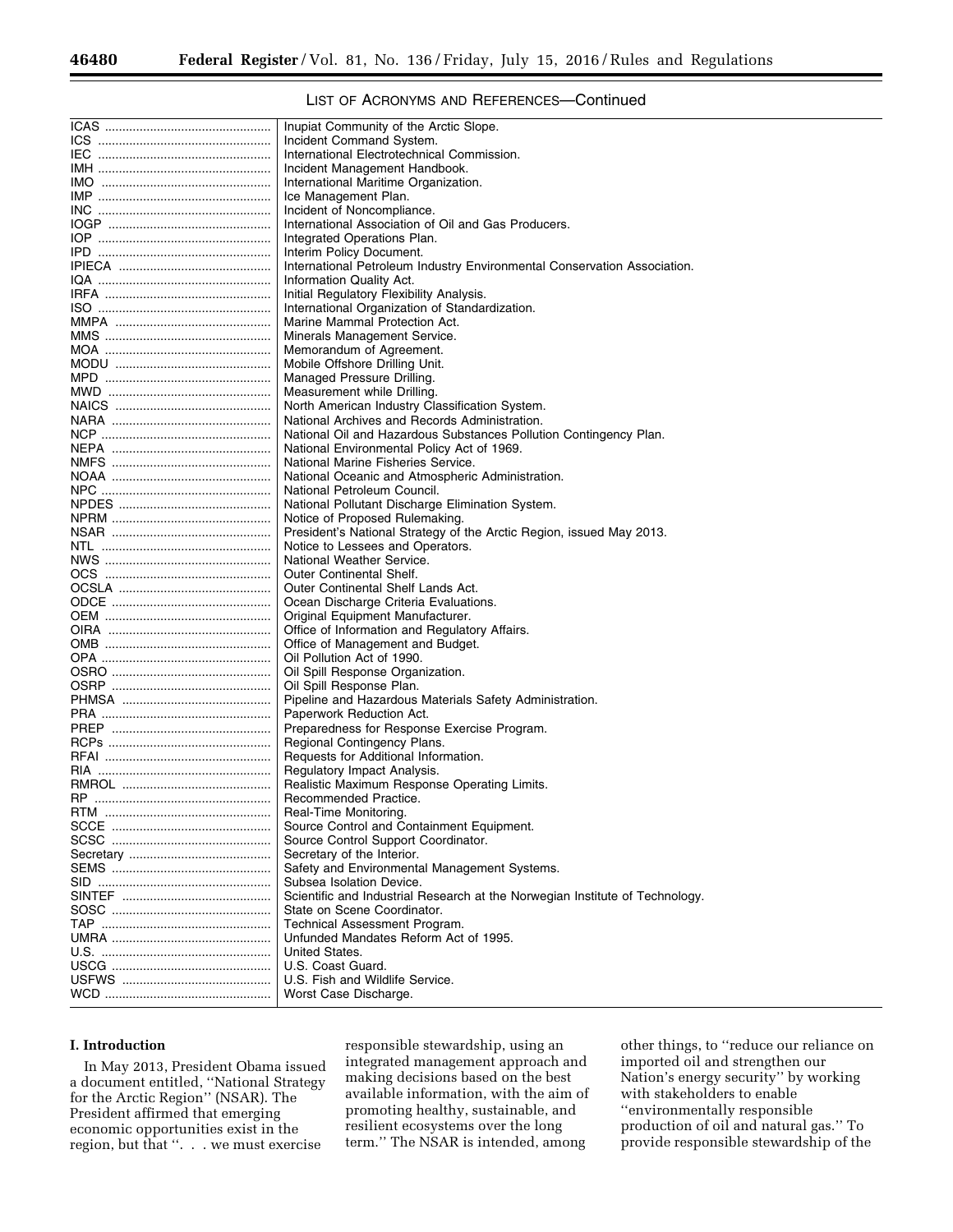# LIST OF ACRONYMS AND REFERENCES—Continued

| Inupiat Community of the Arctic Slope.                                             |
|------------------------------------------------------------------------------------|
| Incident Command System.                                                           |
| International Electrotechnical Commission.                                         |
| Incident Management Handbook.                                                      |
| International Maritime Organization.                                               |
| Ice Management Plan.                                                               |
| Incident of Noncompliance.                                                         |
| International Association of Oil and Gas Producers.                                |
| Integrated Operations Plan.                                                        |
| Interim Policy Document.                                                           |
| International Petroleum Industry Environmental Conservation Association.           |
| Information Quality Act.                                                           |
| Initial Regulatory Flexibility Analysis.                                           |
| International Organization of Standardization.                                     |
| Marine Mammal Protection Act.                                                      |
| Minerals Management Service.                                                       |
| Memorandum of Agreement.                                                           |
| Mobile Offshore Drilling Unit.                                                     |
| Managed Pressure Drilling.                                                         |
| Measurement while Drilling.                                                        |
| North American Industry Classification System.                                     |
| National Archives and Records Administration.                                      |
| National Oil and Hazardous Substances Pollution Contingency Plan.                  |
| National Environmental Policy Act of 1969.                                         |
| National Marine Fisheries Service.                                                 |
| National Oceanic and Atmospheric Administration.                                   |
| National Petroleum Council.                                                        |
| National Pollutant Discharge Elimination System.<br>Notice of Proposed Rulemaking. |
| President's National Strategy of the Arctic Region, issued May 2013.               |
| Notice to Lessees and Operators.                                                   |
| National Weather Service.                                                          |
| <b>Outer Continental Shelf.</b>                                                    |
| Outer Continental Shelf Lands Act.                                                 |
| Ocean Discharge Criteria Evaluations.                                              |
| Original Equipment Manufacturer.                                                   |
| Office of Information and Regulatory Affairs.                                      |
| Office of Management and Budget.                                                   |
| Oil Pollution Act of 1990.                                                         |
| Oil Spill Response Organization.                                                   |
| Oil Spill Response Plan.                                                           |
| Pipeline and Hazardous Materials Safety Administration.                            |
| Paperwork Reduction Act.                                                           |
| Preparedness for Response Exercise Program.                                        |
| Regional Contingency Plans.                                                        |
| Requests for Additional Information.                                               |
| Regulatory Impact Analysis.                                                        |
| Realistic Maximum Response Operating Limits.                                       |
| Recommended Practice.                                                              |
| Real-Time Monitoring.                                                              |
| Source Control and Containment Equipment.                                          |
| Source Control Support Coordinator.                                                |
| Secretary of the Interior.                                                         |
| Safety and Environmental Management Systems.                                       |
| Subsea Isolation Device.                                                           |
| Scientific and Industrial Research at the Norwegian Institute of Technology.       |
| State on Scene Coordinator.                                                        |
| <b>Technical Assessment Program.</b>                                               |
| Unfunded Mandates Reform Act of 1995.                                              |
| United States.                                                                     |
| U.S. Coast Guard.                                                                  |
| U.S. Fish and Wildlife Service.                                                    |
| Worst Case Discharge.                                                              |
|                                                                                    |

# **I. Introduction**

In May 2013, President Obama issued a document entitled, ''National Strategy for the Arctic Region'' (NSAR). The President affirmed that emerging economic opportunities exist in the region, but that ''. . . we must exercise

responsible stewardship, using an integrated management approach and making decisions based on the best available information, with the aim of promoting healthy, sustainable, and resilient ecosystems over the long term.'' The NSAR is intended, among

other things, to ''reduce our reliance on imported oil and strengthen our Nation's energy security'' by working with stakeholders to enable ''environmentally responsible production of oil and natural gas.'' To provide responsible stewardship of the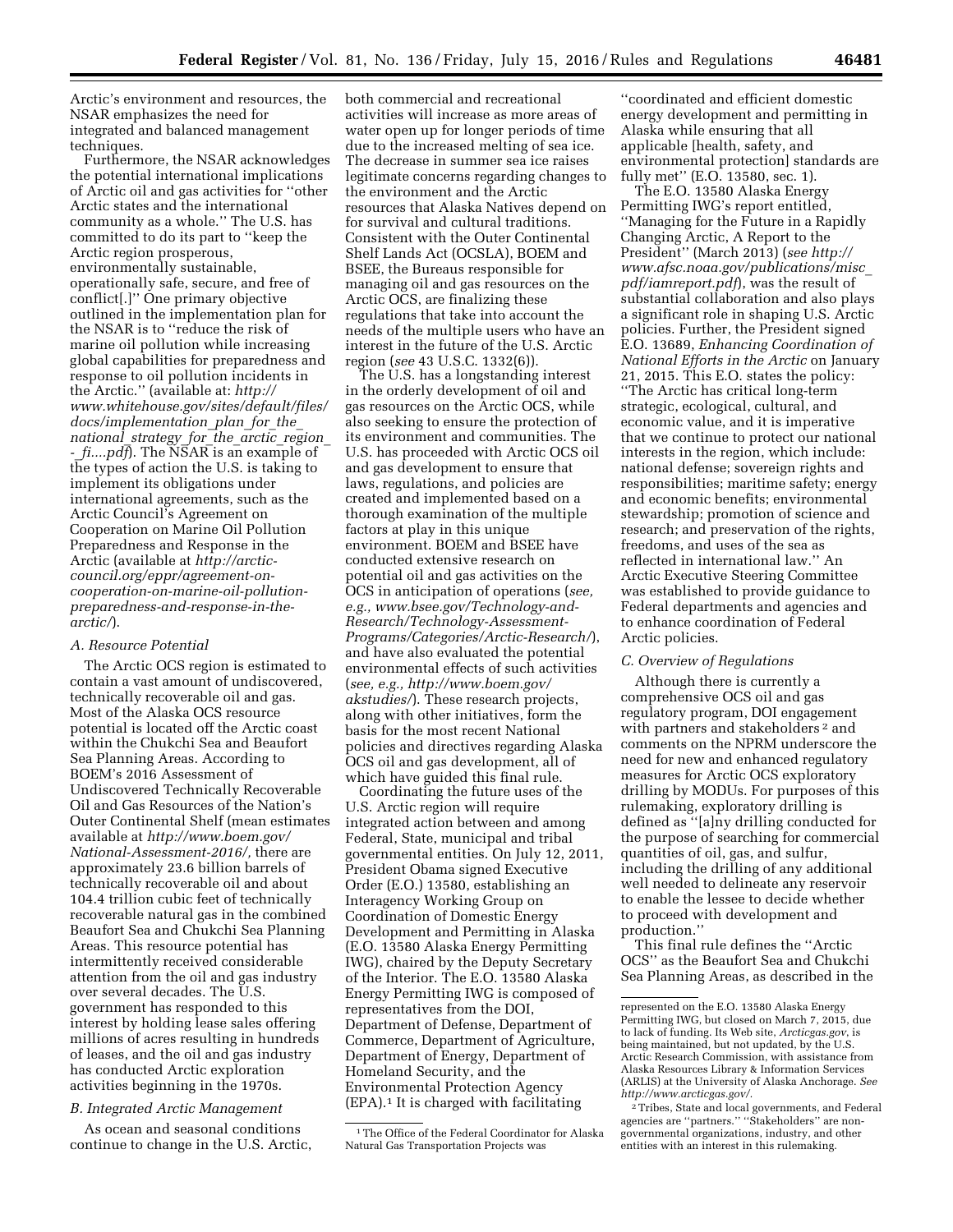Arctic's environment and resources, the NSAR emphasizes the need for integrated and balanced management techniques.

Furthermore, the NSAR acknowledges the potential international implications of Arctic oil and gas activities for ''other Arctic states and the international community as a whole.'' The U.S. has committed to do its part to ''keep the Arctic region prosperous, environmentally sustainable, operationally safe, secure, and free of conflict[.]'' One primary objective outlined in the implementation plan for the NSAR is to ''reduce the risk of marine oil pollution while increasing global capabilities for preparedness and response to oil pollution incidents in the Arctic.'' (available at: *[http://](http://www.whitehouse.gov/sites/default/files/docs/implementation_plan_for_the_national_strategy_for_the_arctic_region_-_fi....pdf) [www.whitehouse.gov/sites/default/files/](http://www.whitehouse.gov/sites/default/files/docs/implementation_plan_for_the_national_strategy_for_the_arctic_region_-_fi....pdf) [docs/implementation](http://www.whitehouse.gov/sites/default/files/docs/implementation_plan_for_the_national_strategy_for_the_arctic_region_-_fi....pdf)*\_*plan*\_*for*\_*the*\_ *[national](http://www.whitehouse.gov/sites/default/files/docs/implementation_plan_for_the_national_strategy_for_the_arctic_region_-_fi....pdf)*\_*strategy*\_*for*\_*the*\_*arctic*\_*region*\_ *-*\_*[fi....pdf](http://www.whitehouse.gov/sites/default/files/docs/implementation_plan_for_the_national_strategy_for_the_arctic_region_-_fi....pdf)*). The NSAR is an example of the types of action the U.S. is taking to implement its obligations under international agreements, such as the Arctic Council's Agreement on Cooperation on Marine Oil Pollution Preparedness and Response in the Arctic (available at *[http://arctic](http://arctic-council.org/eppr/agreement-on-cooperation-on-marine-oil-pollution-preparedness-and-response-in-the-arctic/)[council.org/eppr/agreement-on](http://arctic-council.org/eppr/agreement-on-cooperation-on-marine-oil-pollution-preparedness-and-response-in-the-arctic/)[cooperation-on-marine-oil-pollution](http://arctic-council.org/eppr/agreement-on-cooperation-on-marine-oil-pollution-preparedness-and-response-in-the-arctic/)[preparedness-and-response-in-the](http://arctic-council.org/eppr/agreement-on-cooperation-on-marine-oil-pollution-preparedness-and-response-in-the-arctic/)[arctic/](http://arctic-council.org/eppr/agreement-on-cooperation-on-marine-oil-pollution-preparedness-and-response-in-the-arctic/)*).

#### *A. Resource Potential*

The Arctic OCS region is estimated to contain a vast amount of undiscovered, technically recoverable oil and gas. Most of the Alaska OCS resource potential is located off the Arctic coast within the Chukchi Sea and Beaufort Sea Planning Areas. According to BOEM's 2016 Assessment of Undiscovered Technically Recoverable Oil and Gas Resources of the Nation's Outer Continental Shelf (mean estimates available at *[http://www.boem.gov/](http://www.boem.gov/National-Assessment-2016/) [National-Assessment-2016/,](http://www.boem.gov/National-Assessment-2016/)* there are approximately 23.6 billion barrels of technically recoverable oil and about 104.4 trillion cubic feet of technically recoverable natural gas in the combined Beaufort Sea and Chukchi Sea Planning Areas. This resource potential has intermittently received considerable attention from the oil and gas industry over several decades. The U.S. government has responded to this interest by holding lease sales offering millions of acres resulting in hundreds of leases, and the oil and gas industry has conducted Arctic exploration activities beginning in the 1970s.

# *B. Integrated Arctic Management*

As ocean and seasonal conditions continue to change in the U.S. Arctic, both commercial and recreational activities will increase as more areas of water open up for longer periods of time due to the increased melting of sea ice. The decrease in summer sea ice raises legitimate concerns regarding changes to the environment and the Arctic resources that Alaska Natives depend on for survival and cultural traditions. Consistent with the Outer Continental Shelf Lands Act (OCSLA), BOEM and BSEE, the Bureaus responsible for managing oil and gas resources on the Arctic OCS, are finalizing these regulations that take into account the needs of the multiple users who have an interest in the future of the U.S. Arctic region (*see* 43 U.S.C. 1332(6)).

The U.S. has a longstanding interest in the orderly development of oil and gas resources on the Arctic OCS, while also seeking to ensure the protection of its environment and communities. The U.S. has proceeded with Arctic OCS oil and gas development to ensure that laws, regulations, and policies are created and implemented based on a thorough examination of the multiple factors at play in this unique environment. BOEM and BSEE have conducted extensive research on potential oil and gas activities on the OCS in anticipation of operations (*see, e.g., [www.bsee.gov/Technology-and-](http://www.bsee.gov/Technology-and-Research/Technology-Assessment-Programs/Categories/Arctic-Research/)[Research/Technology-Assessment-](http://www.bsee.gov/Technology-and-Research/Technology-Assessment-Programs/Categories/Arctic-Research/)[Programs/Categories/Arctic-Research/](http://www.bsee.gov/Technology-and-Research/Technology-Assessment-Programs/Categories/Arctic-Research/)*), and have also evaluated the potential environmental effects of such activities (*see, e.g., [http://www.boem.gov/](http://www.boem.gov/akstudies/) [akstudies/](http://www.boem.gov/akstudies/)*). These research projects, along with other initiatives, form the basis for the most recent National policies and directives regarding Alaska OCS oil and gas development, all of which have guided this final rule.

Coordinating the future uses of the U.S. Arctic region will require integrated action between and among Federal, State, municipal and tribal governmental entities. On July 12, 2011, President Obama signed Executive Order (E.O.) 13580, establishing an Interagency Working Group on Coordination of Domestic Energy Development and Permitting in Alaska (E.O. 13580 Alaska Energy Permitting IWG), chaired by the Deputy Secretary of the Interior. The E.O. 13580 Alaska Energy Permitting IWG is composed of representatives from the DOI, Department of Defense, Department of Commerce, Department of Agriculture, Department of Energy, Department of Homeland Security, and the Environmental Protection Agency (EPA).1 It is charged with facilitating

<sup>1</sup>The Office of the Federal Coordinator for Alaska Natural Gas Transportation Projects was

''coordinated and efficient domestic energy development and permitting in Alaska while ensuring that all applicable [health, safety, and environmental protection] standards are fully met'' (E.O. 13580, sec. 1).

The E.O. 13580 Alaska Energy Permitting IWG's report entitled, ''Managing for the Future in a Rapidly Changing Arctic, A Report to the President'' (March 2013) (*see [http://](http://www.afsc.noaa.gov/publications/misc_pdf/iamreport.pdf) [www.afsc.noaa.gov/publications/misc](http://www.afsc.noaa.gov/publications/misc_pdf/iamreport.pdf)*\_ *[pdf/iamreport.pdf](http://www.afsc.noaa.gov/publications/misc_pdf/iamreport.pdf)*), was the result of substantial collaboration and also plays a significant role in shaping U.S. Arctic policies. Further, the President signed E.O. 13689, *Enhancing Coordination of National Efforts in the Arctic* on January 21, 2015. This E.O. states the policy: ''The Arctic has critical long-term strategic, ecological, cultural, and economic value, and it is imperative that we continue to protect our national interests in the region, which include: national defense; sovereign rights and responsibilities; maritime safety; energy and economic benefits; environmental stewardship; promotion of science and research; and preservation of the rights, freedoms, and uses of the sea as reflected in international law.'' An Arctic Executive Steering Committee was established to provide guidance to Federal departments and agencies and to enhance coordination of Federal Arctic policies.

#### *C. Overview of Regulations*

Although there is currently a comprehensive OCS oil and gas regulatory program, DOI engagement with partners and stakeholders<sup>2</sup> and comments on the NPRM underscore the need for new and enhanced regulatory measures for Arctic OCS exploratory drilling by MODUs. For purposes of this rulemaking, exploratory drilling is defined as ''[a]ny drilling conducted for the purpose of searching for commercial quantities of oil, gas, and sulfur, including the drilling of any additional well needed to delineate any reservoir to enable the lessee to decide whether to proceed with development and production.''

This final rule defines the ''Arctic OCS'' as the Beaufort Sea and Chukchi Sea Planning Areas, as described in the

represented on the E.O. 13580 Alaska Energy Permitting IWG, but closed on March 7, 2015, due to lack of funding. Its Web site, *Arcticgas.gov*, is being maintained, but not updated, by the U.S. Arctic Research Commission, with assistance from Alaska Resources Library & Information Services (ARLIS) at the University of Alaska Anchorage. *See [http://www.arcticgas.gov/.](http://www.arcticgas.gov/)* 

<sup>2</sup>Tribes, State and local governments, and Federal agencies are ''partners.'' ''Stakeholders'' are nongovernmental organizations, industry, and other entities with an interest in this rulemaking.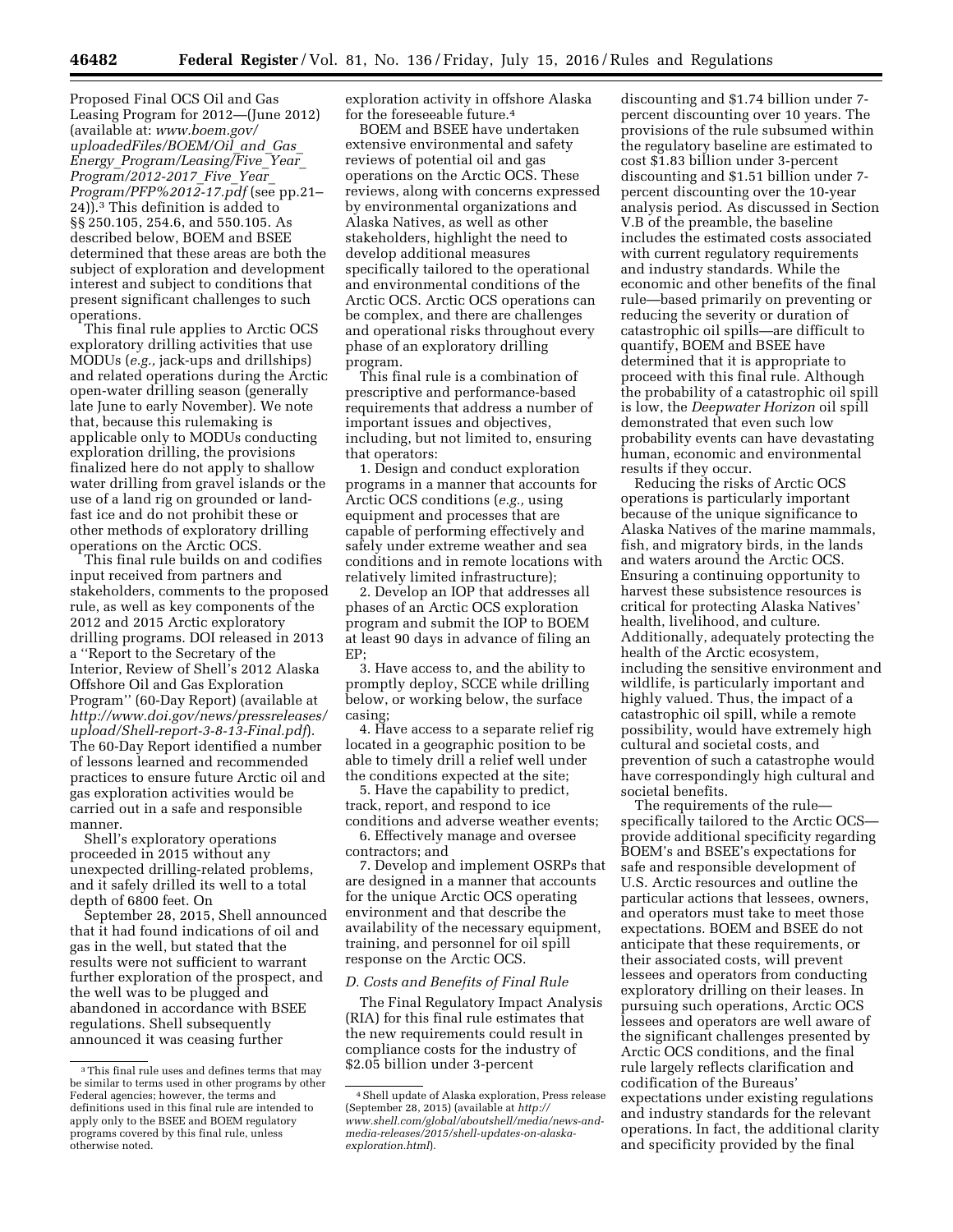Proposed Final OCS Oil and Gas Leasing Program for 2012—(June 2012) (available at: *[www.boem.gov/](http://www.boem.gov/uploadedFiles/BOEM/Oil_and_Gas_Energy_Program/Leasing/Five_Year_Program/2012-2017_Five_Year_Program/PFP%2012-17.pdf) [uploadedFiles/BOEM/Oil](http://www.boem.gov/uploadedFiles/BOEM/Oil_and_Gas_Energy_Program/Leasing/Five_Year_Program/2012-2017_Five_Year_Program/PFP%2012-17.pdf)*\_*and*\_*Gas*\_ *Energy*\_*[Program/Leasing/Five](http://www.boem.gov/uploadedFiles/BOEM/Oil_and_Gas_Energy_Program/Leasing/Five_Year_Program/2012-2017_Five_Year_Program/PFP%2012-17.pdf)*\_*Year*\_ *[Program/2012-2017](http://www.boem.gov/uploadedFiles/BOEM/Oil_and_Gas_Energy_Program/Leasing/Five_Year_Program/2012-2017_Five_Year_Program/PFP%2012-17.pdf)*\_*Five*\_*Year*\_ *[Program/PFP%2012-17.pdf](http://www.boem.gov/uploadedFiles/BOEM/Oil_and_Gas_Energy_Program/Leasing/Five_Year_Program/2012-2017_Five_Year_Program/PFP%2012-17.pdf)* (see pp.21– 24)).3 This definition is added to §§ 250.105, 254.6, and 550.105. As described below, BOEM and BSEE determined that these areas are both the subject of exploration and development interest and subject to conditions that present significant challenges to such operations.

This final rule applies to Arctic OCS exploratory drilling activities that use MODUs (*e.g.,* jack-ups and drillships) and related operations during the Arctic open-water drilling season (generally late June to early November). We note that, because this rulemaking is applicable only to MODUs conducting exploration drilling, the provisions finalized here do not apply to shallow water drilling from gravel islands or the use of a land rig on grounded or landfast ice and do not prohibit these or other methods of exploratory drilling operations on the Arctic OCS.

This final rule builds on and codifies input received from partners and stakeholders, comments to the proposed rule, as well as key components of the 2012 and 2015 Arctic exploratory drilling programs. DOI released in 2013 a ''Report to the Secretary of the Interior, Review of Shell's 2012 Alaska Offshore Oil and Gas Exploration Program'' (60-Day Report) (available at *[http://www.doi.gov/news/pressreleases/](http://www.doi.gov/news/pressreleases/upload/Shell-report-3-8-13-Final.pdf) [upload/Shell-report-3-8-13-Final.pdf](http://www.doi.gov/news/pressreleases/upload/Shell-report-3-8-13-Final.pdf)*). The 60-Day Report identified a number of lessons learned and recommended practices to ensure future Arctic oil and gas exploration activities would be carried out in a safe and responsible manner.

Shell's exploratory operations proceeded in 2015 without any unexpected drilling-related problems, and it safely drilled its well to a total depth of 6800 feet. On

September 28, 2015, Shell announced that it had found indications of oil and gas in the well, but stated that the results were not sufficient to warrant further exploration of the prospect, and the well was to be plugged and abandoned in accordance with BSEE regulations. Shell subsequently announced it was ceasing further

exploration activity in offshore Alaska for the foreseeable future.4

BOEM and BSEE have undertaken extensive environmental and safety reviews of potential oil and gas operations on the Arctic OCS. These reviews, along with concerns expressed by environmental organizations and Alaska Natives, as well as other stakeholders, highlight the need to develop additional measures specifically tailored to the operational and environmental conditions of the Arctic OCS. Arctic OCS operations can be complex, and there are challenges and operational risks throughout every phase of an exploratory drilling program.

This final rule is a combination of prescriptive and performance-based requirements that address a number of important issues and objectives, including, but not limited to, ensuring that operators:

1. Design and conduct exploration programs in a manner that accounts for Arctic OCS conditions (*e.g.,* using equipment and processes that are capable of performing effectively and safely under extreme weather and sea conditions and in remote locations with relatively limited infrastructure);

2. Develop an IOP that addresses all phases of an Arctic OCS exploration program and submit the IOP to BOEM at least 90 days in advance of filing an EP;

3. Have access to, and the ability to promptly deploy, SCCE while drilling below, or working below, the surface casing;

4. Have access to a separate relief rig located in a geographic position to be able to timely drill a relief well under the conditions expected at the site;

5. Have the capability to predict, track, report, and respond to ice conditions and adverse weather events;

6. Effectively manage and oversee contractors; and

7. Develop and implement OSRPs that are designed in a manner that accounts for the unique Arctic OCS operating environment and that describe the availability of the necessary equipment, training, and personnel for oil spill response on the Arctic OCS.

#### *D. Costs and Benefits of Final Rule*

The Final Regulatory Impact Analysis (RIA) for this final rule estimates that the new requirements could result in compliance costs for the industry of \$2.05 billion under 3-percent

discounting and \$1.74 billion under 7 percent discounting over 10 years. The provisions of the rule subsumed within the regulatory baseline are estimated to cost \$1.83 billion under 3-percent discounting and \$1.51 billion under 7 percent discounting over the 10-year analysis period. As discussed in Section V.B of the preamble, the baseline includes the estimated costs associated with current regulatory requirements and industry standards. While the economic and other benefits of the final rule—based primarily on preventing or reducing the severity or duration of catastrophic oil spills—are difficult to quantify, BOEM and BSEE have determined that it is appropriate to proceed with this final rule. Although the probability of a catastrophic oil spill is low, the *Deepwater Horizon* oil spill demonstrated that even such low probability events can have devastating human, economic and environmental results if they occur.

Reducing the risks of Arctic OCS operations is particularly important because of the unique significance to Alaska Natives of the marine mammals, fish, and migratory birds, in the lands and waters around the Arctic OCS. Ensuring a continuing opportunity to harvest these subsistence resources is critical for protecting Alaska Natives' health, livelihood, and culture. Additionally, adequately protecting the health of the Arctic ecosystem, including the sensitive environment and wildlife, is particularly important and highly valued. Thus, the impact of a catastrophic oil spill, while a remote possibility, would have extremely high cultural and societal costs, and prevention of such a catastrophe would have correspondingly high cultural and societal benefits.

The requirements of the rule specifically tailored to the Arctic OCS provide additional specificity regarding BOEM's and BSEE's expectations for safe and responsible development of U.S. Arctic resources and outline the particular actions that lessees, owners, and operators must take to meet those expectations. BOEM and BSEE do not anticipate that these requirements, or their associated costs, will prevent lessees and operators from conducting exploratory drilling on their leases. In pursuing such operations, Arctic OCS lessees and operators are well aware of the significant challenges presented by Arctic OCS conditions, and the final rule largely reflects clarification and codification of the Bureaus' expectations under existing regulations and industry standards for the relevant operations. In fact, the additional clarity and specificity provided by the final

<sup>3</sup>This final rule uses and defines terms that may be similar to terms used in other programs by other Federal agencies; however, the terms and definitions used in this final rule are intended to apply only to the BSEE and BOEM regulatory programs covered by this final rule, unless otherwise noted.

<sup>4</sup>Shell update of Alaska exploration, Press release (September 28, 2015) (available at *[http://](http://www.shell.com/global/aboutshell/media/news-and-media-releases/2015/shell-updates-on-alaska-exploration.html) [www.shell.com/global/aboutshell/media/news-and](http://www.shell.com/global/aboutshell/media/news-and-media-releases/2015/shell-updates-on-alaska-exploration.html)[media-releases/2015/shell-updates-on-alaska](http://www.shell.com/global/aboutshell/media/news-and-media-releases/2015/shell-updates-on-alaska-exploration.html)[exploration.html](http://www.shell.com/global/aboutshell/media/news-and-media-releases/2015/shell-updates-on-alaska-exploration.html)*).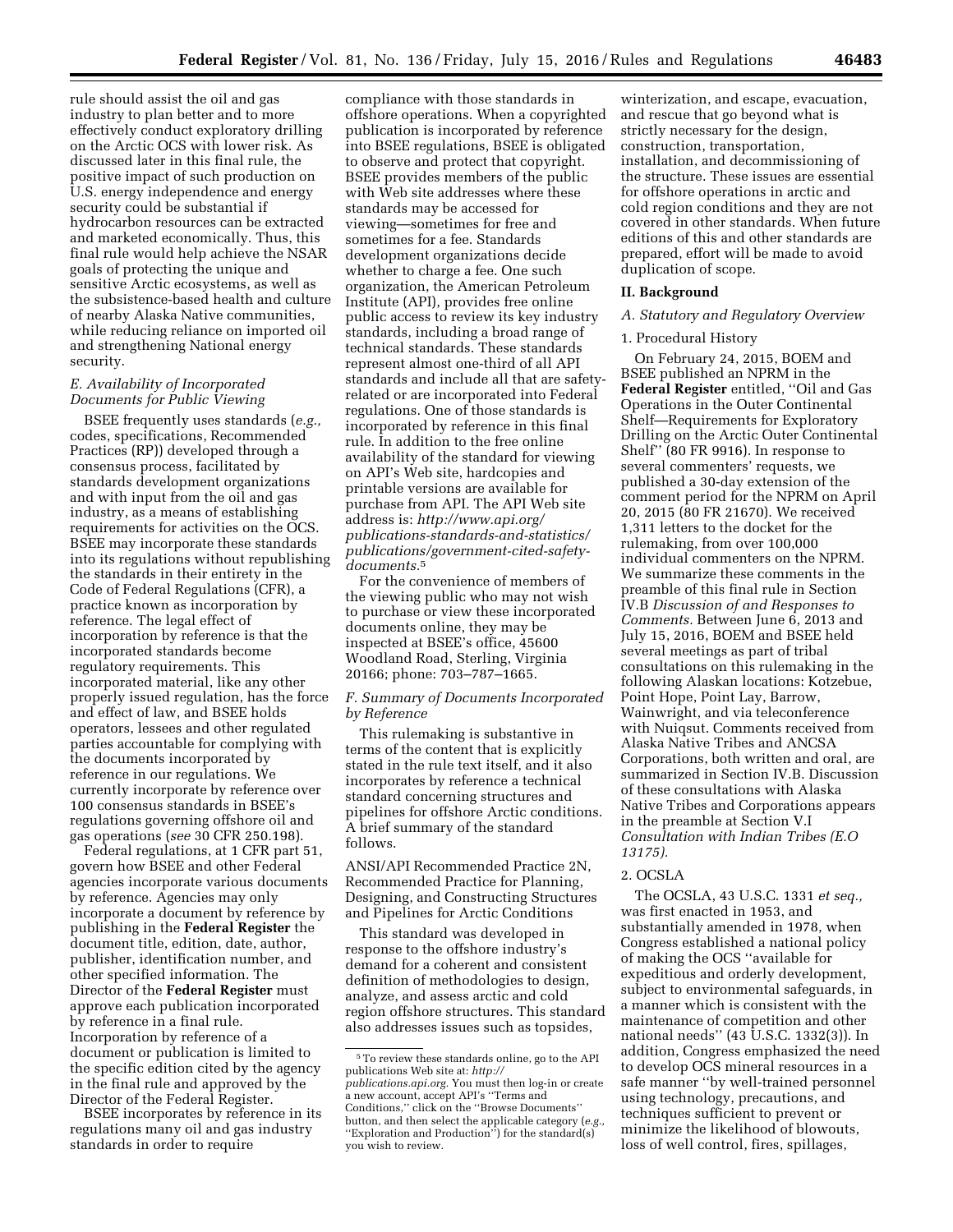rule should assist the oil and gas industry to plan better and to more effectively conduct exploratory drilling on the Arctic OCS with lower risk. As discussed later in this final rule, the positive impact of such production on U.S. energy independence and energy security could be substantial if hydrocarbon resources can be extracted and marketed economically. Thus, this final rule would help achieve the NSAR goals of protecting the unique and sensitive Arctic ecosystems, as well as the subsistence-based health and culture of nearby Alaska Native communities, while reducing reliance on imported oil and strengthening National energy security.

# *E. Availability of Incorporated Documents for Public Viewing*

BSEE frequently uses standards (*e.g.,*  codes, specifications, Recommended Practices (RP)) developed through a consensus process, facilitated by standards development organizations and with input from the oil and gas industry, as a means of establishing requirements for activities on the OCS. BSEE may incorporate these standards into its regulations without republishing the standards in their entirety in the Code of Federal Regulations (CFR), a practice known as incorporation by reference. The legal effect of incorporation by reference is that the incorporated standards become regulatory requirements. This incorporated material, like any other properly issued regulation, has the force and effect of law, and BSEE holds operators, lessees and other regulated parties accountable for complying with the documents incorporated by reference in our regulations. We currently incorporate by reference over 100 consensus standards in BSEE's regulations governing offshore oil and gas operations (*see* 30 CFR 250.198).

Federal regulations, at 1 CFR part 51, govern how BSEE and other Federal agencies incorporate various documents by reference. Agencies may only incorporate a document by reference by publishing in the **Federal Register** the document title, edition, date, author, publisher, identification number, and other specified information. The Director of the **Federal Register** must approve each publication incorporated by reference in a final rule. Incorporation by reference of a document or publication is limited to the specific edition cited by the agency in the final rule and approved by the Director of the Federal Register.

BSEE incorporates by reference in its regulations many oil and gas industry standards in order to require

compliance with those standards in offshore operations. When a copyrighted publication is incorporated by reference into BSEE regulations, BSEE is obligated to observe and protect that copyright. BSEE provides members of the public with Web site addresses where these standards may be accessed for viewing—sometimes for free and sometimes for a fee. Standards development organizations decide whether to charge a fee. One such organization, the American Petroleum Institute (API), provides free online public access to review its key industry standards, including a broad range of technical standards. These standards represent almost one-third of all API standards and include all that are safetyrelated or are incorporated into Federal regulations. One of those standards is incorporated by reference in this final rule. In addition to the free online availability of the standard for viewing on API's Web site, hardcopies and printable versions are available for purchase from API. The API Web site address is: *[http://www.api.org/](http://www.api.org/publications-standards-and-statistics/publications/government-cited-safety-documents) [publications-standards-and-statistics/](http://www.api.org/publications-standards-and-statistics/publications/government-cited-safety-documents) [publications/government-cited-safety](http://www.api.org/publications-standards-and-statistics/publications/government-cited-safety-documents)[documents.](http://www.api.org/publications-standards-and-statistics/publications/government-cited-safety-documents)*5

For the convenience of members of the viewing public who may not wish to purchase or view these incorporated documents online, they may be inspected at BSEE's office, 45600 Woodland Road, Sterling, Virginia 20166; phone: 703–787–1665.

# *F. Summary of Documents Incorporated by Reference*

This rulemaking is substantive in terms of the content that is explicitly stated in the rule text itself, and it also incorporates by reference a technical standard concerning structures and pipelines for offshore Arctic conditions. A brief summary of the standard follows.

ANSI/API Recommended Practice 2N, Recommended Practice for Planning, Designing, and Constructing Structures and Pipelines for Arctic Conditions

This standard was developed in response to the offshore industry's demand for a coherent and consistent definition of methodologies to design, analyze, and assess arctic and cold region offshore structures. This standard also addresses issues such as topsides,

winterization, and escape, evacuation, and rescue that go beyond what is strictly necessary for the design, construction, transportation, installation, and decommissioning of the structure. These issues are essential for offshore operations in arctic and cold region conditions and they are not covered in other standards. When future editions of this and other standards are prepared, effort will be made to avoid duplication of scope.

#### **II. Background**

#### *A. Statutory and Regulatory Overview*

#### 1. Procedural History

On February 24, 2015, BOEM and BSEE published an NPRM in the **Federal Register** entitled, ''Oil and Gas Operations in the Outer Continental Shelf—Requirements for Exploratory Drilling on the Arctic Outer Continental Shelf'' (80 FR 9916). In response to several commenters' requests, we published a 30-day extension of the comment period for the NPRM on April 20, 2015 (80 FR 21670). We received 1,311 letters to the docket for the rulemaking, from over 100,000 individual commenters on the NPRM. We summarize these comments in the preamble of this final rule in Section IV.B *Discussion of and Responses to Comments.* Between June 6, 2013 and July 15, 2016, BOEM and BSEE held several meetings as part of tribal consultations on this rulemaking in the following Alaskan locations: Kotzebue, Point Hope, Point Lay, Barrow, Wainwright, and via teleconference with Nuiqsut. Comments received from Alaska Native Tribes and ANCSA Corporations, both written and oral, are summarized in Section IV.B. Discussion of these consultations with Alaska Native Tribes and Corporations appears in the preamble at Section V.I *Consultation with Indian Tribes (E.O 13175).* 

#### 2. OCSLA

The OCSLA, 43 U.S.C. 1331 *et seq.,*  was first enacted in 1953, and substantially amended in 1978, when Congress established a national policy of making the OCS ''available for expeditious and orderly development, subject to environmental safeguards, in a manner which is consistent with the maintenance of competition and other national needs'' (43 U.S.C. 1332(3)). In addition, Congress emphasized the need to develop OCS mineral resources in a safe manner ''by well-trained personnel using technology, precautions, and techniques sufficient to prevent or minimize the likelihood of blowouts, loss of well control, fires, spillages,

<sup>5</sup>To review these standards online, go to the API publications Web site at: *[http://](http://publications.api.org) [publications.api.org.](http://publications.api.org)* You must then log-in or create a new account, accept API's ''Terms and Conditions,'' click on the ''Browse Documents'' button, and then select the applicable category (*e.g.,*  "Exploration and Production") for the standard(s) you wish to review.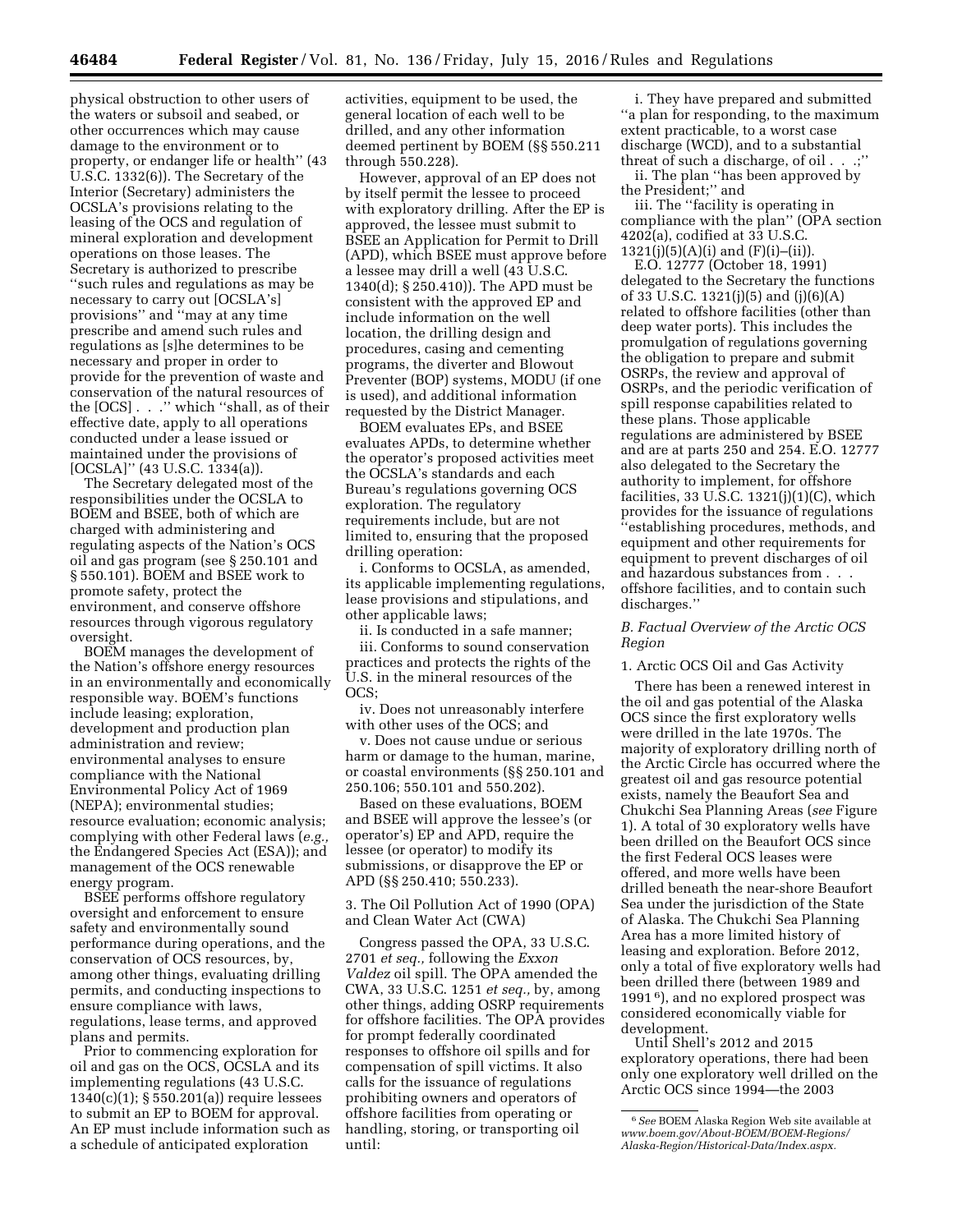physical obstruction to other users of the waters or subsoil and seabed, or other occurrences which may cause damage to the environment or to property, or endanger life or health'' (43 U.S.C. 1332(6)). The Secretary of the Interior (Secretary) administers the OCSLA's provisions relating to the leasing of the OCS and regulation of mineral exploration and development operations on those leases. The Secretary is authorized to prescribe ''such rules and regulations as may be necessary to carry out [OCSLA's] provisions'' and ''may at any time prescribe and amend such rules and regulations as [s]he determines to be necessary and proper in order to provide for the prevention of waste and conservation of the natural resources of the [OCS] . . .'' which ''shall, as of their effective date, apply to all operations conducted under a lease issued or maintained under the provisions of [OCSLA]" (43 U.S.C. 1334(a)).

The Secretary delegated most of the responsibilities under the OCSLA to BOEM and BSEE, both of which are charged with administering and regulating aspects of the Nation's OCS oil and gas program (see § 250.101 and § 550.101). BOEM and BSEE work to promote safety, protect the environment, and conserve offshore resources through vigorous regulatory oversight.

BOEM manages the development of the Nation's offshore energy resources in an environmentally and economically responsible way. BOEM's functions include leasing; exploration, development and production plan administration and review; environmental analyses to ensure compliance with the National Environmental Policy Act of 1969 (NEPA); environmental studies; resource evaluation; economic analysis; complying with other Federal laws (*e.g.,*  the Endangered Species Act (ESA)); and management of the OCS renewable energy program.

BSEE performs offshore regulatory oversight and enforcement to ensure safety and environmentally sound performance during operations, and the conservation of OCS resources, by, among other things, evaluating drilling permits, and conducting inspections to ensure compliance with laws, regulations, lease terms, and approved plans and permits.

Prior to commencing exploration for oil and gas on the OCS, OCSLA and its implementing regulations (43 U.S.C. 1340(c)(1); § 550.201(a)) require lessees to submit an EP to BOEM for approval. An EP must include information such as a schedule of anticipated exploration

activities, equipment to be used, the general location of each well to be drilled, and any other information deemed pertinent by BOEM (§§ 550.211 through 550.228).

However, approval of an EP does not by itself permit the lessee to proceed with exploratory drilling. After the EP is approved, the lessee must submit to BSEE an Application for Permit to Drill (APD), which BSEE must approve before a lessee may drill a well (43 U.S.C. 1340(d); § 250.410)). The APD must be consistent with the approved EP and include information on the well location, the drilling design and procedures, casing and cementing programs, the diverter and Blowout Preventer (BOP) systems, MODU (if one is used), and additional information requested by the District Manager.

BOEM evaluates EPs, and BSEE evaluates APDs, to determine whether the operator's proposed activities meet the OCSLA's standards and each Bureau's regulations governing OCS exploration. The regulatory requirements include, but are not limited to, ensuring that the proposed drilling operation:

i. Conforms to OCSLA, as amended, its applicable implementing regulations, lease provisions and stipulations, and other applicable laws;

ii. Is conducted in a safe manner; iii. Conforms to sound conservation practices and protects the rights of the U.S. in the mineral resources of the OCS;

iv. Does not unreasonably interfere with other uses of the OCS; and

v. Does not cause undue or serious harm or damage to the human, marine, or coastal environments (§§ 250.101 and 250.106; 550.101 and 550.202).

Based on these evaluations, BOEM and BSEE will approve the lessee's (or operator's) EP and APD, require the lessee (or operator) to modify its submissions, or disapprove the EP or APD (§§ 250.410; 550.233).

3. The Oil Pollution Act of 1990 (OPA) and Clean Water Act (CWA)

Congress passed the OPA, 33 U.S.C. 2701 *et seq.,* following the *Exxon Valdez* oil spill. The OPA amended the CWA, 33 U.S.C. 1251 *et seq.,* by, among other things, adding OSRP requirements for offshore facilities. The OPA provides for prompt federally coordinated responses to offshore oil spills and for compensation of spill victims. It also calls for the issuance of regulations prohibiting owners and operators of offshore facilities from operating or handling, storing, or transporting oil until:

i. They have prepared and submitted ''a plan for responding, to the maximum extent practicable, to a worst case discharge (WCD), and to a substantial threat of such a discharge, of oil . . .;''

ii. The plan ''has been approved by the President;'' and

iii. The ''facility is operating in compliance with the plan'' (OPA section 4202(a), codified at 33 U.S.C.  $1321(i)(5)(A)(i)$  and  $(F)(i)$ –(ii)).

E.O. 12777 (October 18, 1991) delegated to the Secretary the functions of 33 U.S.C. 1321(j)(5) and (j)(6)(A) related to offshore facilities (other than deep water ports). This includes the promulgation of regulations governing the obligation to prepare and submit OSRPs, the review and approval of OSRPs, and the periodic verification of spill response capabilities related to these plans. Those applicable regulations are administered by BSEE and are at parts 250 and 254. E.O. 12777 also delegated to the Secretary the authority to implement, for offshore facilities, 33 U.S.C.  $1321(j)(1)(C)$ , which provides for the issuance of regulations ''establishing procedures, methods, and equipment and other requirements for equipment to prevent discharges of oil and hazardous substances from . . . offshore facilities, and to contain such discharges.''

# *B. Factual Overview of the Arctic OCS Region*

# 1. Arctic OCS Oil and Gas Activity

There has been a renewed interest in the oil and gas potential of the Alaska OCS since the first exploratory wells were drilled in the late 1970s. The majority of exploratory drilling north of the Arctic Circle has occurred where the greatest oil and gas resource potential exists, namely the Beaufort Sea and Chukchi Sea Planning Areas (*see* Figure 1). A total of 30 exploratory wells have been drilled on the Beaufort OCS since the first Federal OCS leases were offered, and more wells have been drilled beneath the near-shore Beaufort Sea under the jurisdiction of the State of Alaska. The Chukchi Sea Planning Area has a more limited history of leasing and exploration. Before 2012, only a total of five exploratory wells had been drilled there (between 1989 and 1991 6), and no explored prospect was considered economically viable for development.

Until Shell's 2012 and 2015 exploratory operations, there had been only one exploratory well drilled on the Arctic OCS since 1994—the 2003

<sup>6</sup>*See* BOEM Alaska Region Web site available at *[www.boem.gov/About-BOEM/BOEM-Regions/](http://www.boem.gov/About-BOEM/BOEM-Regions/Alaska-Region/Historical-Data/Index.aspx) [Alaska-Region/Historical-Data/Index.aspx.](http://www.boem.gov/About-BOEM/BOEM-Regions/Alaska-Region/Historical-Data/Index.aspx)*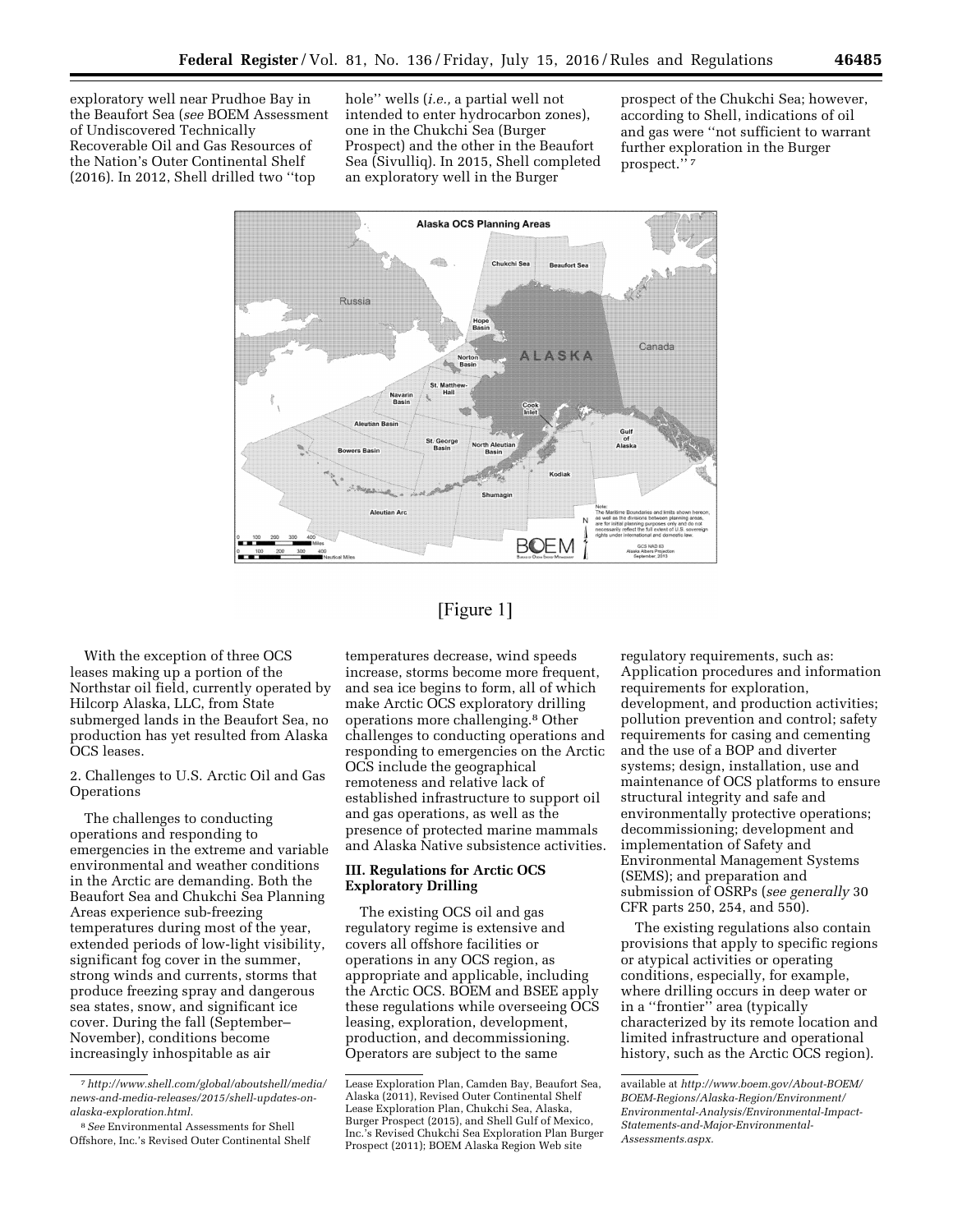exploratory well near Prudhoe Bay in the Beaufort Sea (*see* BOEM Assessment of Undiscovered Technically Recoverable Oil and Gas Resources of the Nation's Outer Continental Shelf (2016). In 2012, Shell drilled two ''top

hole'' wells (*i.e.,* a partial well not intended to enter hydrocarbon zones), one in the Chukchi Sea (Burger Prospect) and the other in the Beaufort Sea (Sivulliq). In 2015, Shell completed an exploratory well in the Burger

prospect of the Chukchi Sea; however, according to Shell, indications of oil and gas were ''not sufficient to warrant further exploration in the Burger prospect.'' 7



# [Figure 1]

With the exception of three OCS leases making up a portion of the Northstar oil field, currently operated by Hilcorp Alaska, LLC, from State submerged lands in the Beaufort Sea, no production has yet resulted from Alaska OCS leases.

2. Challenges to U.S. Arctic Oil and Gas **Operations** 

The challenges to conducting operations and responding to emergencies in the extreme and variable environmental and weather conditions in the Arctic are demanding. Both the Beaufort Sea and Chukchi Sea Planning Areas experience sub-freezing temperatures during most of the year, extended periods of low-light visibility, significant fog cover in the summer, strong winds and currents, storms that produce freezing spray and dangerous sea states, snow, and significant ice cover. During the fall (September– November), conditions become increasingly inhospitable as air

temperatures decrease, wind speeds increase, storms become more frequent, and sea ice begins to form, all of which make Arctic OCS exploratory drilling operations more challenging.8 Other challenges to conducting operations and responding to emergencies on the Arctic OCS include the geographical remoteness and relative lack of established infrastructure to support oil and gas operations, as well as the presence of protected marine mammals and Alaska Native subsistence activities.

# **III. Regulations for Arctic OCS Exploratory Drilling**

The existing OCS oil and gas regulatory regime is extensive and covers all offshore facilities or operations in any OCS region, as appropriate and applicable, including the Arctic OCS. BOEM and BSEE apply these regulations while overseeing OCS leasing, exploration, development, production, and decommissioning. Operators are subject to the same

regulatory requirements, such as: Application procedures and information requirements for exploration, development, and production activities; pollution prevention and control; safety requirements for casing and cementing and the use of a BOP and diverter systems; design, installation, use and maintenance of OCS platforms to ensure structural integrity and safe and environmentally protective operations; decommissioning; development and implementation of Safety and Environmental Management Systems (SEMS); and preparation and submission of OSRPs (*see generally* 30 CFR parts 250, 254, and 550).

The existing regulations also contain provisions that apply to specific regions or atypical activities or operating conditions, especially, for example, where drilling occurs in deep water or in a ''frontier'' area (typically characterized by its remote location and limited infrastructure and operational history, such as the Arctic OCS region).

<sup>7</sup>*[http://www.shell.com/global/aboutshell/media/](http://www.shell.com/global/aboutshell/media/news-and-media-releases/2015/shell-updates-on-alaska-exploration.html) [news-and-media-releases/2015/shell-updates-on](http://www.shell.com/global/aboutshell/media/news-and-media-releases/2015/shell-updates-on-alaska-exploration.html)[alaska-exploration.html.](http://www.shell.com/global/aboutshell/media/news-and-media-releases/2015/shell-updates-on-alaska-exploration.html)* 

<sup>8</sup>*See* Environmental Assessments for Shell Offshore, Inc.'s Revised Outer Continental Shelf

Lease Exploration Plan, Camden Bay, Beaufort Sea, Alaska (2011), Revised Outer Continental Shelf Lease Exploration Plan, Chukchi Sea, Alaska, Burger Prospect (2015), and Shell Gulf of Mexico, Inc.'s Revised Chukchi Sea Exploration Plan Burger Prospect (2011); BOEM Alaska Region Web site

available at *[http://www.boem.gov/About-BOEM/](http://www.boem.gov/About-BOEM/BOEM-Regions/Alaska-Region/Environment/Environmental-Analysis/Environmental-Impact-Statements-and-Major-Environmental-Assessments.aspx) [BOEM-Regions/Alaska-Region/Environment/](http://www.boem.gov/About-BOEM/BOEM-Regions/Alaska-Region/Environment/Environmental-Analysis/Environmental-Impact-Statements-and-Major-Environmental-Assessments.aspx) [Environmental-Analysis/Environmental-Impact-](http://www.boem.gov/About-BOEM/BOEM-Regions/Alaska-Region/Environment/Environmental-Analysis/Environmental-Impact-Statements-and-Major-Environmental-Assessments.aspx)[Statements-and-Major-Environmental-](http://www.boem.gov/About-BOEM/BOEM-Regions/Alaska-Region/Environment/Environmental-Analysis/Environmental-Impact-Statements-and-Major-Environmental-Assessments.aspx)[Assessments.aspx.](http://www.boem.gov/About-BOEM/BOEM-Regions/Alaska-Region/Environment/Environmental-Analysis/Environmental-Impact-Statements-and-Major-Environmental-Assessments.aspx)*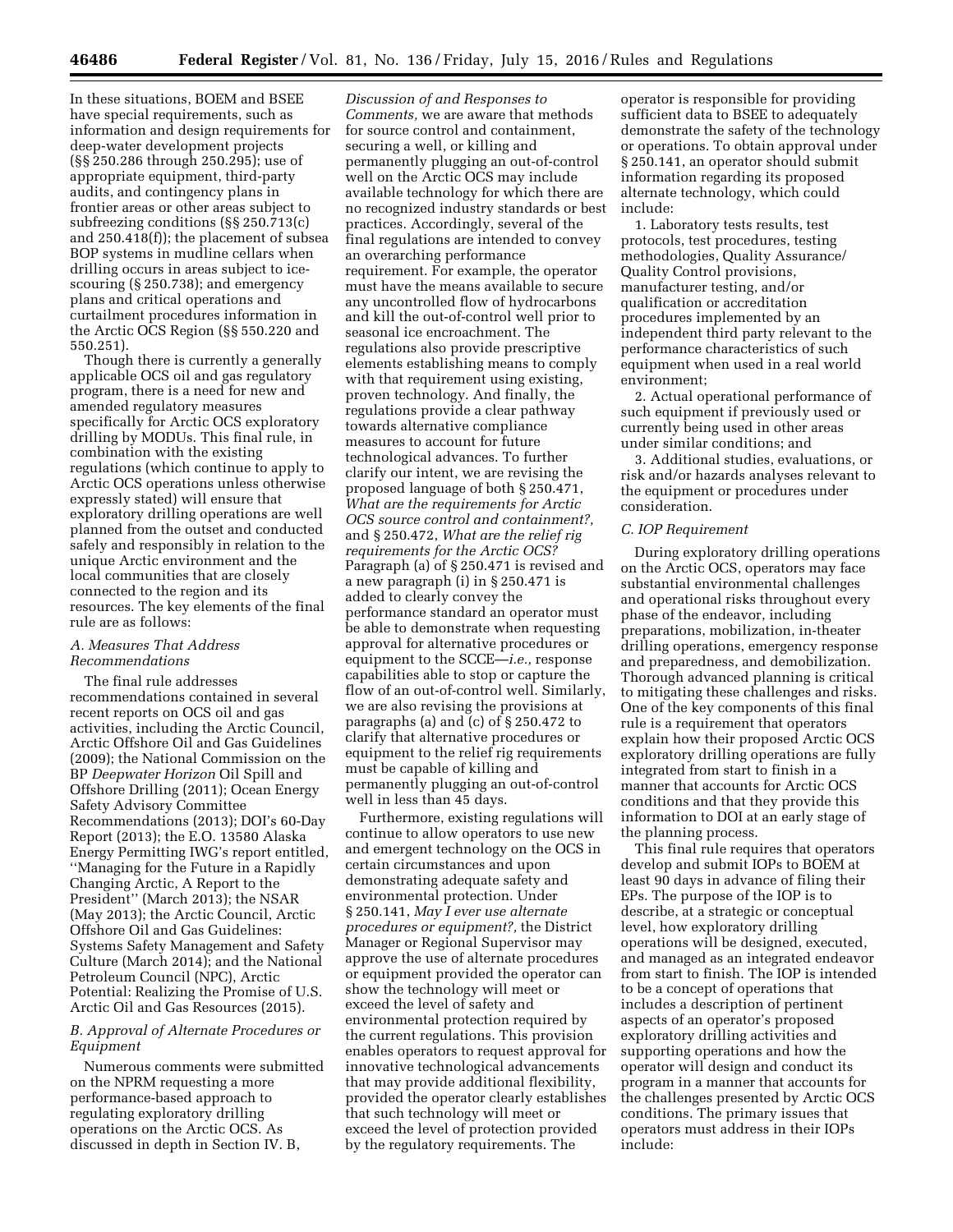In these situations, BOEM and BSEE have special requirements, such as information and design requirements for deep-water development projects (§§ 250.286 through 250.295); use of appropriate equipment, third-party audits, and contingency plans in frontier areas or other areas subject to subfreezing conditions (§§ 250.713(c) and 250.418(f)); the placement of subsea BOP systems in mudline cellars when drilling occurs in areas subject to icescouring (§ 250.738); and emergency plans and critical operations and curtailment procedures information in the Arctic OCS Region (§§ 550.220 and 550.251).

Though there is currently a generally applicable OCS oil and gas regulatory program, there is a need for new and amended regulatory measures specifically for Arctic OCS exploratory drilling by MODUs. This final rule, in combination with the existing regulations (which continue to apply to Arctic OCS operations unless otherwise expressly stated) will ensure that exploratory drilling operations are well planned from the outset and conducted safely and responsibly in relation to the unique Arctic environment and the local communities that are closely connected to the region and its resources. The key elements of the final rule are as follows:

#### *A. Measures That Address Recommendations*

The final rule addresses recommendations contained in several recent reports on OCS oil and gas activities, including the Arctic Council, Arctic Offshore Oil and Gas Guidelines (2009); the National Commission on the BP *Deepwater Horizon* Oil Spill and Offshore Drilling (2011); Ocean Energy Safety Advisory Committee Recommendations (2013); DOI's 60-Day Report (2013); the E.O. 13580 Alaska Energy Permitting IWG's report entitled, ''Managing for the Future in a Rapidly Changing Arctic, A Report to the President'' (March 2013); the NSAR (May 2013); the Arctic Council, Arctic Offshore Oil and Gas Guidelines: Systems Safety Management and Safety Culture (March 2014); and the National Petroleum Council (NPC), Arctic Potential: Realizing the Promise of U.S. Arctic Oil and Gas Resources (2015).

# *B. Approval of Alternate Procedures or Equipment*

Numerous comments were submitted on the NPRM requesting a more performance-based approach to regulating exploratory drilling operations on the Arctic OCS. As discussed in depth in Section IV. B,

*Discussion of and Responses to Comments,* we are aware that methods for source control and containment, securing a well, or killing and permanently plugging an out-of-control well on the Arctic OCS may include available technology for which there are no recognized industry standards or best practices. Accordingly, several of the final regulations are intended to convey an overarching performance requirement. For example, the operator must have the means available to secure any uncontrolled flow of hydrocarbons and kill the out-of-control well prior to seasonal ice encroachment. The regulations also provide prescriptive elements establishing means to comply with that requirement using existing, proven technology. And finally, the regulations provide a clear pathway towards alternative compliance measures to account for future technological advances. To further clarify our intent, we are revising the proposed language of both § 250.471, *What are the requirements for Arctic OCS source control and containment?,*  and § 250.472, *What are the relief rig requirements for the Arctic OCS?*  Paragraph (a) of § 250.471 is revised and a new paragraph (i) in § 250.471 is added to clearly convey the performance standard an operator must be able to demonstrate when requesting approval for alternative procedures or equipment to the SCCE—*i.e.,* response capabilities able to stop or capture the flow of an out-of-control well. Similarly, we are also revising the provisions at paragraphs (a) and (c) of § 250.472 to clarify that alternative procedures or equipment to the relief rig requirements must be capable of killing and permanently plugging an out-of-control well in less than 45 days.

Furthermore, existing regulations will continue to allow operators to use new and emergent technology on the OCS in certain circumstances and upon demonstrating adequate safety and environmental protection. Under § 250.141, *May I ever use alternate procedures or equipment?,* the District Manager or Regional Supervisor may approve the use of alternate procedures or equipment provided the operator can show the technology will meet or exceed the level of safety and environmental protection required by the current regulations. This provision enables operators to request approval for innovative technological advancements that may provide additional flexibility, provided the operator clearly establishes that such technology will meet or exceed the level of protection provided by the regulatory requirements. The

operator is responsible for providing sufficient data to BSEE to adequately demonstrate the safety of the technology or operations. To obtain approval under § 250.141, an operator should submit information regarding its proposed alternate technology, which could include:

1. Laboratory tests results, test protocols, test procedures, testing methodologies, Quality Assurance/ Quality Control provisions, manufacturer testing, and/or qualification or accreditation procedures implemented by an independent third party relevant to the performance characteristics of such equipment when used in a real world environment;

2. Actual operational performance of such equipment if previously used or currently being used in other areas under similar conditions; and

3. Additional studies, evaluations, or risk and/or hazards analyses relevant to the equipment or procedures under consideration.

# *C. IOP Requirement*

During exploratory drilling operations on the Arctic OCS, operators may face substantial environmental challenges and operational risks throughout every phase of the endeavor, including preparations, mobilization, in-theater drilling operations, emergency response and preparedness, and demobilization. Thorough advanced planning is critical to mitigating these challenges and risks. One of the key components of this final rule is a requirement that operators explain how their proposed Arctic OCS exploratory drilling operations are fully integrated from start to finish in a manner that accounts for Arctic OCS conditions and that they provide this information to DOI at an early stage of the planning process.

This final rule requires that operators develop and submit IOPs to BOEM at least 90 days in advance of filing their EPs. The purpose of the IOP is to describe, at a strategic or conceptual level, how exploratory drilling operations will be designed, executed, and managed as an integrated endeavor from start to finish. The IOP is intended to be a concept of operations that includes a description of pertinent aspects of an operator's proposed exploratory drilling activities and supporting operations and how the operator will design and conduct its program in a manner that accounts for the challenges presented by Arctic OCS conditions. The primary issues that operators must address in their IOPs include: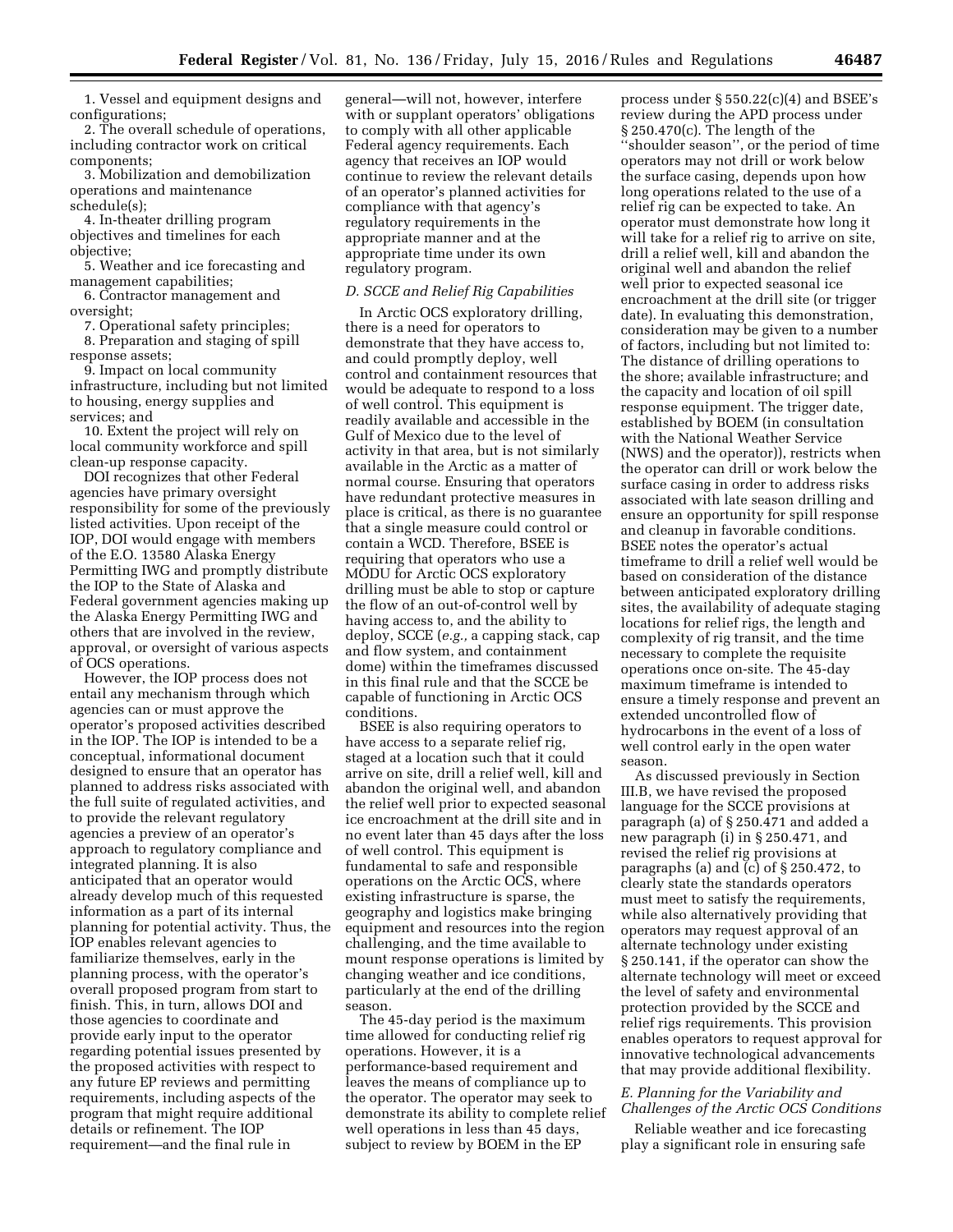1. Vessel and equipment designs and configurations;

2. The overall schedule of operations, including contractor work on critical components;

3. Mobilization and demobilization operations and maintenance schedule(s);

4. In-theater drilling program objectives and timelines for each objective;

5. Weather and ice forecasting and management capabilities;

6. Contractor management and oversight;

7. Operational safety principles; 8. Preparation and staging of spill

response assets; 9. Impact on local community

infrastructure, including but not limited to housing, energy supplies and services; and

10. Extent the project will rely on local community workforce and spill clean-up response capacity.

DOI recognizes that other Federal agencies have primary oversight responsibility for some of the previously listed activities. Upon receipt of the IOP, DOI would engage with members of the E.O. 13580 Alaska Energy Permitting IWG and promptly distribute the IOP to the State of Alaska and Federal government agencies making up the Alaska Energy Permitting IWG and others that are involved in the review, approval, or oversight of various aspects of OCS operations.

However, the IOP process does not entail any mechanism through which agencies can or must approve the operator's proposed activities described in the IOP. The IOP is intended to be a conceptual, informational document designed to ensure that an operator has planned to address risks associated with the full suite of regulated activities, and to provide the relevant regulatory agencies a preview of an operator's approach to regulatory compliance and integrated planning. It is also anticipated that an operator would already develop much of this requested information as a part of its internal planning for potential activity. Thus, the IOP enables relevant agencies to familiarize themselves, early in the planning process, with the operator's overall proposed program from start to finish. This, in turn, allows DOI and those agencies to coordinate and provide early input to the operator regarding potential issues presented by the proposed activities with respect to any future EP reviews and permitting requirements, including aspects of the program that might require additional details or refinement. The IOP requirement—and the final rule in

general—will not, however, interfere with or supplant operators' obligations to comply with all other applicable Federal agency requirements. Each agency that receives an IOP would continue to review the relevant details of an operator's planned activities for compliance with that agency's regulatory requirements in the appropriate manner and at the appropriate time under its own regulatory program.

# *D. SCCE and Relief Rig Capabilities*

In Arctic OCS exploratory drilling, there is a need for operators to demonstrate that they have access to, and could promptly deploy, well control and containment resources that would be adequate to respond to a loss of well control. This equipment is readily available and accessible in the Gulf of Mexico due to the level of activity in that area, but is not similarly available in the Arctic as a matter of normal course. Ensuring that operators have redundant protective measures in place is critical, as there is no guarantee that a single measure could control or contain a WCD. Therefore, BSEE is requiring that operators who use a MODU for Arctic OCS exploratory drilling must be able to stop or capture the flow of an out-of-control well by having access to, and the ability to deploy, SCCE (*e.g.,* a capping stack, cap and flow system, and containment dome) within the timeframes discussed in this final rule and that the SCCE be capable of functioning in Arctic OCS conditions.

BSEE is also requiring operators to have access to a separate relief rig, staged at a location such that it could arrive on site, drill a relief well, kill and abandon the original well, and abandon the relief well prior to expected seasonal ice encroachment at the drill site and in no event later than 45 days after the loss of well control. This equipment is fundamental to safe and responsible operations on the Arctic OCS, where existing infrastructure is sparse, the geography and logistics make bringing equipment and resources into the region challenging, and the time available to mount response operations is limited by changing weather and ice conditions, particularly at the end of the drilling season.

The 45-day period is the maximum time allowed for conducting relief rig operations. However, it is a performance-based requirement and leaves the means of compliance up to the operator. The operator may seek to demonstrate its ability to complete relief well operations in less than 45 days, subject to review by BOEM in the EP

process under  $\S 550.22(c)(4)$  and BSEE's review during the APD process under § 250.470(c). The length of the ''shoulder season'', or the period of time operators may not drill or work below the surface casing, depends upon how long operations related to the use of a relief rig can be expected to take. An operator must demonstrate how long it will take for a relief rig to arrive on site, drill a relief well, kill and abandon the original well and abandon the relief well prior to expected seasonal ice encroachment at the drill site (or trigger date). In evaluating this demonstration, consideration may be given to a number of factors, including but not limited to: The distance of drilling operations to the shore; available infrastructure; and the capacity and location of oil spill response equipment. The trigger date, established by BOEM (in consultation with the National Weather Service (NWS) and the operator)), restricts when the operator can drill or work below the surface casing in order to address risks associated with late season drilling and ensure an opportunity for spill response and cleanup in favorable conditions. BSEE notes the operator's actual timeframe to drill a relief well would be based on consideration of the distance between anticipated exploratory drilling sites, the availability of adequate staging locations for relief rigs, the length and complexity of rig transit, and the time necessary to complete the requisite operations once on-site. The 45-day maximum timeframe is intended to ensure a timely response and prevent an extended uncontrolled flow of hydrocarbons in the event of a loss of well control early in the open water season.

As discussed previously in Section III.B, we have revised the proposed language for the SCCE provisions at paragraph (a) of § 250.471 and added a new paragraph (i) in § 250.471, and revised the relief rig provisions at paragraphs (a) and (c) of § 250.472, to clearly state the standards operators must meet to satisfy the requirements, while also alternatively providing that operators may request approval of an alternate technology under existing § 250.141, if the operator can show the alternate technology will meet or exceed the level of safety and environmental protection provided by the SCCE and relief rigs requirements. This provision enables operators to request approval for innovative technological advancements that may provide additional flexibility.

# *E. Planning for the Variability and Challenges of the Arctic OCS Conditions*

Reliable weather and ice forecasting play a significant role in ensuring safe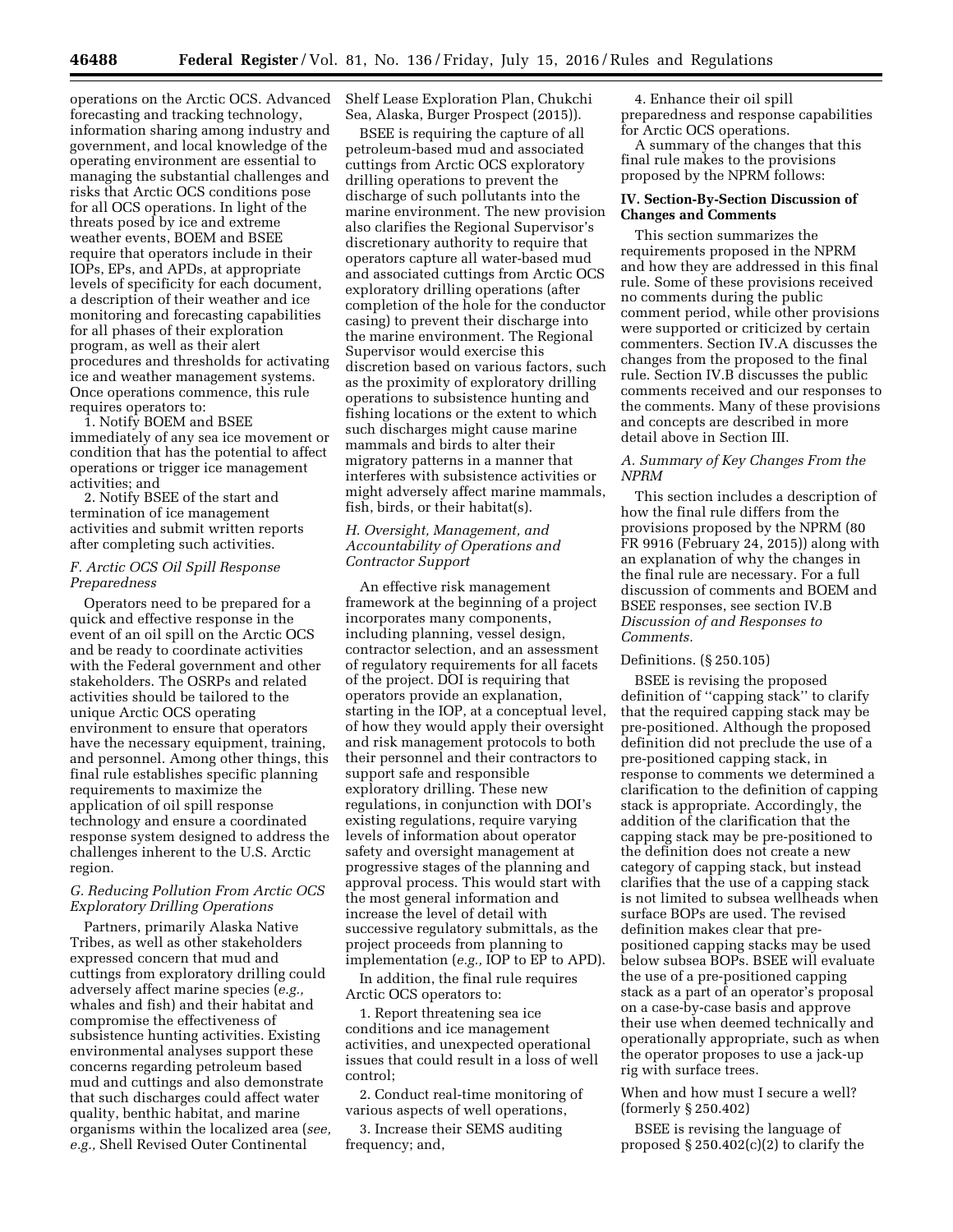operations on the Arctic OCS. Advanced forecasting and tracking technology, information sharing among industry and government, and local knowledge of the operating environment are essential to managing the substantial challenges and risks that Arctic OCS conditions pose for all OCS operations. In light of the threats posed by ice and extreme weather events, BOEM and BSEE require that operators include in their IOPs, EPs, and APDs, at appropriate levels of specificity for each document, a description of their weather and ice monitoring and forecasting capabilities for all phases of their exploration program, as well as their alert procedures and thresholds for activating ice and weather management systems. Once operations commence, this rule requires operators to:

1. Notify BOEM and BSEE immediately of any sea ice movement or condition that has the potential to affect operations or trigger ice management activities; and

2. Notify BSEE of the start and termination of ice management activities and submit written reports after completing such activities.

# *F. Arctic OCS Oil Spill Response Preparedness*

Operators need to be prepared for a quick and effective response in the event of an oil spill on the Arctic OCS and be ready to coordinate activities with the Federal government and other stakeholders. The OSRPs and related activities should be tailored to the unique Arctic OCS operating environment to ensure that operators have the necessary equipment, training, and personnel. Among other things, this final rule establishes specific planning requirements to maximize the application of oil spill response technology and ensure a coordinated response system designed to address the challenges inherent to the U.S. Arctic region.

# *G. Reducing Pollution From Arctic OCS Exploratory Drilling Operations*

Partners, primarily Alaska Native Tribes, as well as other stakeholders expressed concern that mud and cuttings from exploratory drilling could adversely affect marine species (*e.g.,*  whales and fish) and their habitat and compromise the effectiveness of subsistence hunting activities. Existing environmental analyses support these concerns regarding petroleum based mud and cuttings and also demonstrate that such discharges could affect water quality, benthic habitat, and marine organisms within the localized area (*see, e.g.,* Shell Revised Outer Continental

Shelf Lease Exploration Plan, Chukchi Sea, Alaska, Burger Prospect (2015)).

BSEE is requiring the capture of all petroleum-based mud and associated cuttings from Arctic OCS exploratory drilling operations to prevent the discharge of such pollutants into the marine environment. The new provision also clarifies the Regional Supervisor's discretionary authority to require that operators capture all water-based mud and associated cuttings from Arctic OCS exploratory drilling operations (after completion of the hole for the conductor casing) to prevent their discharge into the marine environment. The Regional Supervisor would exercise this discretion based on various factors, such as the proximity of exploratory drilling operations to subsistence hunting and fishing locations or the extent to which such discharges might cause marine mammals and birds to alter their migratory patterns in a manner that interferes with subsistence activities or might adversely affect marine mammals, fish, birds, or their habitat(s).

# *H. Oversight, Management, and Accountability of Operations and Contractor Support*

An effective risk management framework at the beginning of a project incorporates many components, including planning, vessel design, contractor selection, and an assessment of regulatory requirements for all facets of the project. DOI is requiring that operators provide an explanation, starting in the IOP, at a conceptual level, of how they would apply their oversight and risk management protocols to both their personnel and their contractors to support safe and responsible exploratory drilling. These new regulations, in conjunction with DOI's existing regulations, require varying levels of information about operator safety and oversight management at progressive stages of the planning and approval process. This would start with the most general information and increase the level of detail with successive regulatory submittals, as the project proceeds from planning to implementation (*e.g.,* IOP to EP to APD).

In addition, the final rule requires Arctic OCS operators to:

1. Report threatening sea ice conditions and ice management activities, and unexpected operational issues that could result in a loss of well control;

2. Conduct real-time monitoring of various aspects of well operations,

3. Increase their SEMS auditing frequency; and,

4. Enhance their oil spill preparedness and response capabilities for Arctic OCS operations.

A summary of the changes that this final rule makes to the provisions proposed by the NPRM follows:

#### **IV. Section-By-Section Discussion of Changes and Comments**

This section summarizes the requirements proposed in the NPRM and how they are addressed in this final rule. Some of these provisions received no comments during the public comment period, while other provisions were supported or criticized by certain commenters. Section IV.A discusses the changes from the proposed to the final rule. Section IV.B discusses the public comments received and our responses to the comments. Many of these provisions and concepts are described in more detail above in Section III.

# *A. Summary of Key Changes From the NPRM*

This section includes a description of how the final rule differs from the provisions proposed by the NPRM (80 FR 9916 (February 24, 2015)) along with an explanation of why the changes in the final rule are necessary. For a full discussion of comments and BOEM and BSEE responses, see section IV.B *Discussion of and Responses to Comments.* 

# Definitions. (§ 250.105)

BSEE is revising the proposed definition of ''capping stack'' to clarify that the required capping stack may be pre-positioned. Although the proposed definition did not preclude the use of a pre-positioned capping stack, in response to comments we determined a clarification to the definition of capping stack is appropriate. Accordingly, the addition of the clarification that the capping stack may be pre-positioned to the definition does not create a new category of capping stack, but instead clarifies that the use of a capping stack is not limited to subsea wellheads when surface BOPs are used. The revised definition makes clear that prepositioned capping stacks may be used below subsea BOPs. BSEE will evaluate the use of a pre-positioned capping stack as a part of an operator's proposal on a case-by-case basis and approve their use when deemed technically and operationally appropriate, such as when the operator proposes to use a jack-up rig with surface trees.

# When and how must I secure a well? (formerly § 250.402)

BSEE is revising the language of proposed  $\S 250.402(c)(2)$  to clarify the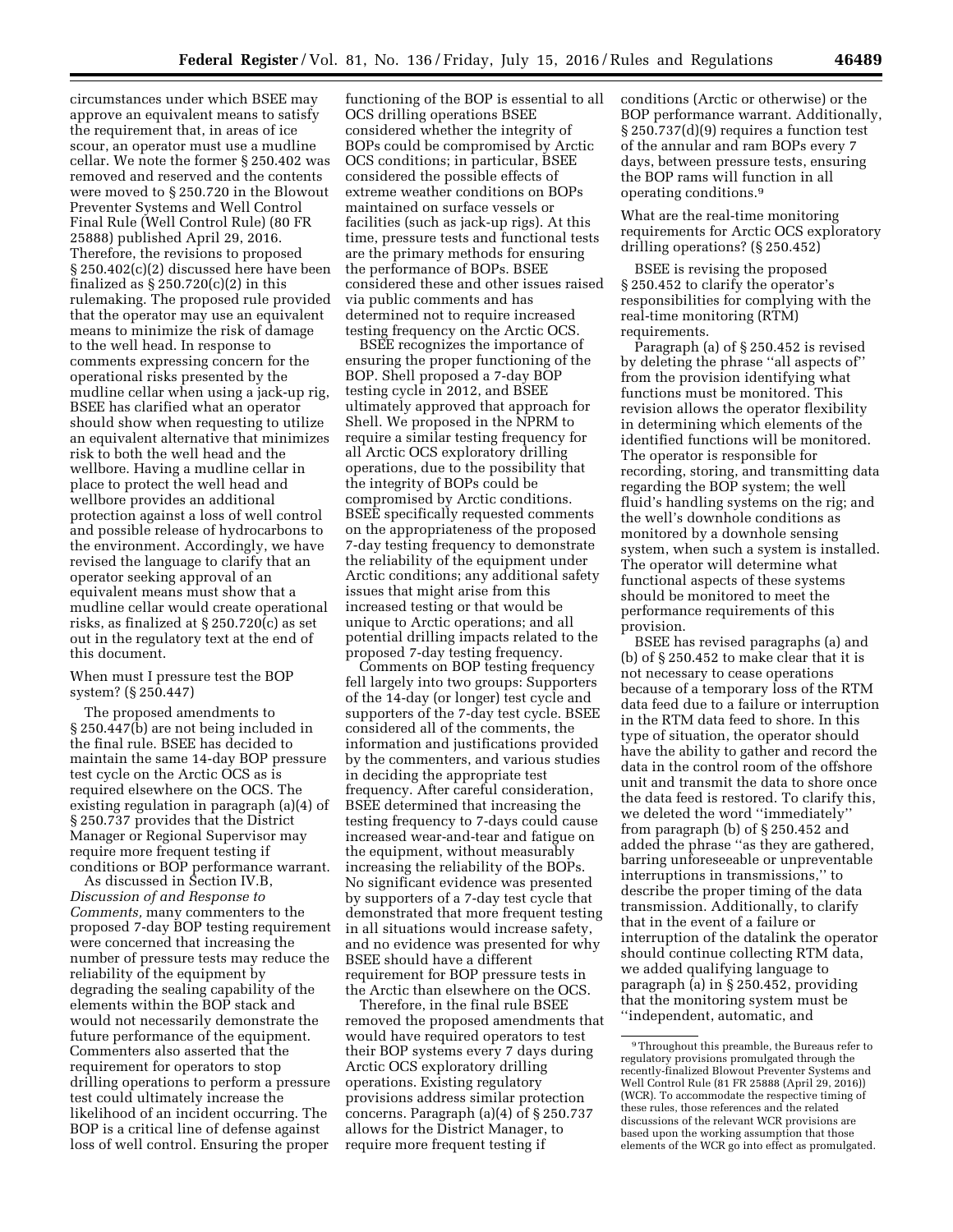circumstances under which BSEE may approve an equivalent means to satisfy the requirement that, in areas of ice scour, an operator must use a mudline cellar. We note the former § 250.402 was removed and reserved and the contents were moved to § 250.720 in the Blowout Preventer Systems and Well Control Final Rule (Well Control Rule) (80 FR 25888) published April 29, 2016. Therefore, the revisions to proposed § 250.402(c)(2) discussed here have been finalized as  $\S 250.720(c)(2)$  in this rulemaking. The proposed rule provided that the operator may use an equivalent means to minimize the risk of damage to the well head. In response to comments expressing concern for the operational risks presented by the mudline cellar when using a jack-up rig, BSEE has clarified what an operator should show when requesting to utilize an equivalent alternative that minimizes risk to both the well head and the wellbore. Having a mudline cellar in place to protect the well head and wellbore provides an additional protection against a loss of well control and possible release of hydrocarbons to the environment. Accordingly, we have revised the language to clarify that an operator seeking approval of an equivalent means must show that a mudline cellar would create operational risks, as finalized at § 250.720(c) as set out in the regulatory text at the end of this document.

When must I pressure test the BOP system? (§ 250.447)

The proposed amendments to § 250.447(b) are not being included in the final rule. BSEE has decided to maintain the same 14-day BOP pressure test cycle on the Arctic OCS as is required elsewhere on the OCS. The existing regulation in paragraph (a)(4) of § 250.737 provides that the District Manager or Regional Supervisor may require more frequent testing if conditions or BOP performance warrant.

As discussed in Section IV.B, *Discussion of and Response to Comments,* many commenters to the proposed 7-day BOP testing requirement were concerned that increasing the number of pressure tests may reduce the reliability of the equipment by degrading the sealing capability of the elements within the BOP stack and would not necessarily demonstrate the future performance of the equipment. Commenters also asserted that the requirement for operators to stop drilling operations to perform a pressure test could ultimately increase the likelihood of an incident occurring. The BOP is a critical line of defense against loss of well control. Ensuring the proper

functioning of the BOP is essential to all OCS drilling operations BSEE considered whether the integrity of BOPs could be compromised by Arctic OCS conditions; in particular, BSEE considered the possible effects of extreme weather conditions on BOPs maintained on surface vessels or facilities (such as jack-up rigs). At this time, pressure tests and functional tests are the primary methods for ensuring the performance of BOPs. BSEE considered these and other issues raised via public comments and has determined not to require increased testing frequency on the Arctic OCS.

BSEE recognizes the importance of ensuring the proper functioning of the BOP. Shell proposed a 7-day BOP testing cycle in 2012, and BSEE ultimately approved that approach for Shell. We proposed in the NPRM to require a similar testing frequency for all Arctic OCS exploratory drilling operations, due to the possibility that the integrity of BOPs could be compromised by Arctic conditions. BSEE specifically requested comments on the appropriateness of the proposed 7-day testing frequency to demonstrate the reliability of the equipment under Arctic conditions; any additional safety issues that might arise from this increased testing or that would be unique to Arctic operations; and all potential drilling impacts related to the proposed 7-day testing frequency.

Comments on BOP testing frequency fell largely into two groups: Supporters of the 14-day (or longer) test cycle and supporters of the 7-day test cycle. BSEE considered all of the comments, the information and justifications provided by the commenters, and various studies in deciding the appropriate test frequency. After careful consideration, BSEE determined that increasing the testing frequency to 7-days could cause increased wear-and-tear and fatigue on the equipment, without measurably increasing the reliability of the BOPs. No significant evidence was presented by supporters of a 7-day test cycle that demonstrated that more frequent testing in all situations would increase safety, and no evidence was presented for why BSEE should have a different requirement for BOP pressure tests in the Arctic than elsewhere on the OCS.

Therefore, in the final rule BSEE removed the proposed amendments that would have required operators to test their BOP systems every 7 days during Arctic OCS exploratory drilling operations. Existing regulatory provisions address similar protection concerns. Paragraph (a)(4) of § 250.737 allows for the District Manager, to require more frequent testing if

conditions (Arctic or otherwise) or the BOP performance warrant. Additionally, § 250.737(d)(9) requires a function test of the annular and ram BOPs every 7 days, between pressure tests, ensuring the BOP rams will function in all operating conditions.9

What are the real-time monitoring requirements for Arctic OCS exploratory drilling operations? (§ 250.452)

BSEE is revising the proposed § 250.452 to clarify the operator's responsibilities for complying with the real-time monitoring (RTM) requirements.

Paragraph (a) of § 250.452 is revised by deleting the phrase ''all aspects of'' from the provision identifying what functions must be monitored. This revision allows the operator flexibility in determining which elements of the identified functions will be monitored. The operator is responsible for recording, storing, and transmitting data regarding the BOP system; the well fluid's handling systems on the rig; and the well's downhole conditions as monitored by a downhole sensing system, when such a system is installed. The operator will determine what functional aspects of these systems should be monitored to meet the performance requirements of this provision.

BSEE has revised paragraphs (a) and (b) of § 250.452 to make clear that it is not necessary to cease operations because of a temporary loss of the RTM data feed due to a failure or interruption in the RTM data feed to shore. In this type of situation, the operator should have the ability to gather and record the data in the control room of the offshore unit and transmit the data to shore once the data feed is restored. To clarify this, we deleted the word ''immediately'' from paragraph (b) of § 250.452 and added the phrase ''as they are gathered, barring unforeseeable or unpreventable interruptions in transmissions,'' to describe the proper timing of the data transmission. Additionally, to clarify that in the event of a failure or interruption of the datalink the operator should continue collecting RTM data, we added qualifying language to paragraph (a) in § 250.452, providing that the monitoring system must be ''independent, automatic, and

<sup>9</sup>Throughout this preamble, the Bureaus refer to regulatory provisions promulgated through the recently-finalized Blowout Preventer Systems and Well Control Rule (81 FR 25888 (April 29, 2016)) (WCR). To accommodate the respective timing of these rules, those references and the related discussions of the relevant WCR provisions are based upon the working assumption that those elements of the WCR go into effect as promulgated.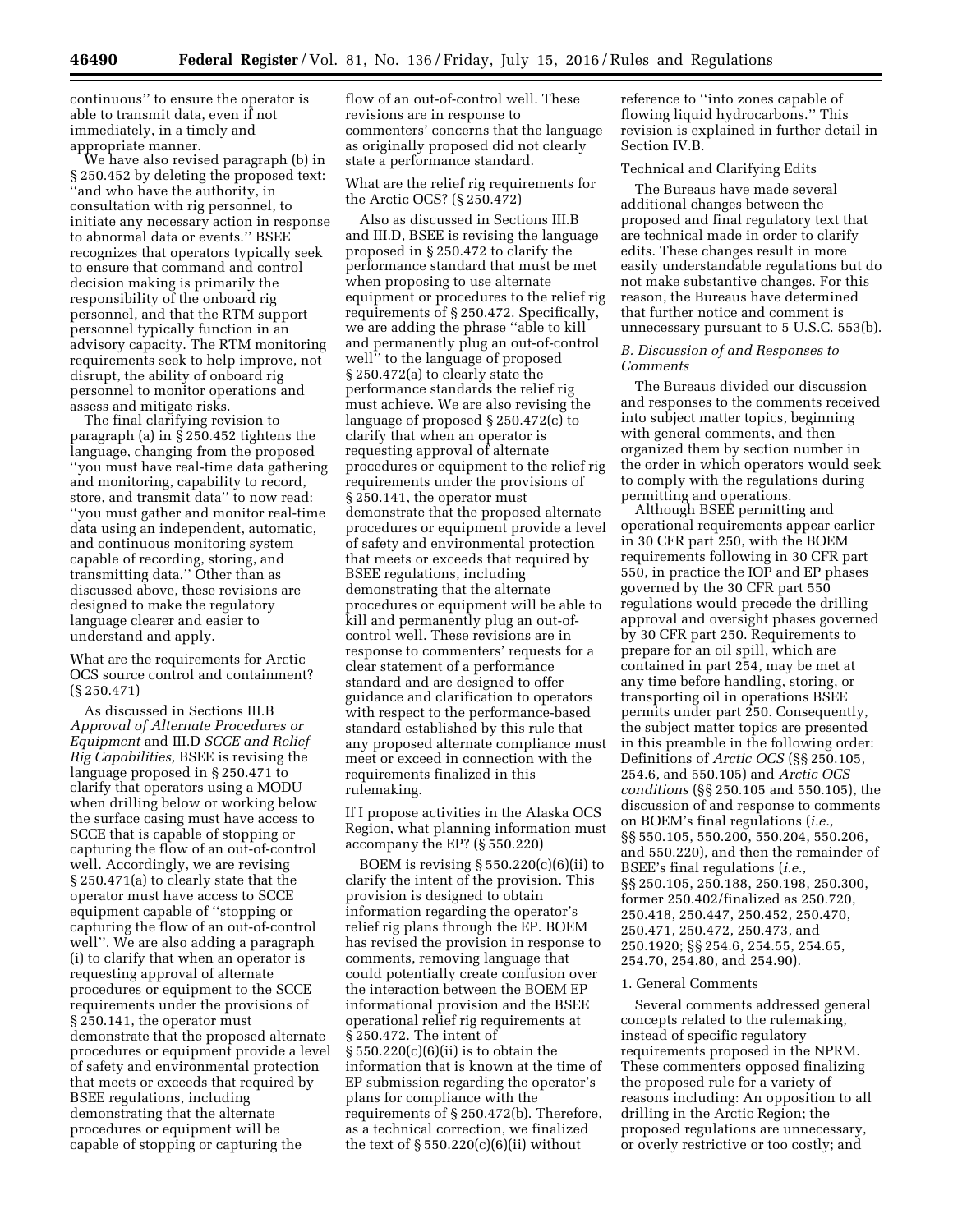continuous'' to ensure the operator is able to transmit data, even if not immediately, in a timely and appropriate manner.

We have also revised paragraph (b) in § 250.452 by deleting the proposed text: ''and who have the authority, in consultation with rig personnel, to initiate any necessary action in response to abnormal data or events.'' BSEE recognizes that operators typically seek to ensure that command and control decision making is primarily the responsibility of the onboard rig personnel, and that the RTM support personnel typically function in an advisory capacity. The RTM monitoring requirements seek to help improve, not disrupt, the ability of onboard rig personnel to monitor operations and assess and mitigate risks.

The final clarifying revision to paragraph (a) in § 250.452 tightens the language, changing from the proposed ''you must have real-time data gathering and monitoring, capability to record, store, and transmit data'' to now read: ''you must gather and monitor real-time data using an independent, automatic, and continuous monitoring system capable of recording, storing, and transmitting data.'' Other than as discussed above, these revisions are designed to make the regulatory language clearer and easier to understand and apply.

What are the requirements for Arctic OCS source control and containment? (§ 250.471)

As discussed in Sections III.B *Approval of Alternate Procedures or Equipment* and III.D *SCCE and Relief Rig Capabilities,* BSEE is revising the language proposed in § 250.471 to clarify that operators using a MODU when drilling below or working below the surface casing must have access to SCCE that is capable of stopping or capturing the flow of an out-of-control well. Accordingly, we are revising § 250.471(a) to clearly state that the operator must have access to SCCE equipment capable of ''stopping or capturing the flow of an out-of-control well''. We are also adding a paragraph (i) to clarify that when an operator is requesting approval of alternate procedures or equipment to the SCCE requirements under the provisions of § 250.141, the operator must demonstrate that the proposed alternate procedures or equipment provide a level of safety and environmental protection that meets or exceeds that required by BSEE regulations, including demonstrating that the alternate procedures or equipment will be capable of stopping or capturing the

flow of an out-of-control well. These revisions are in response to commenters' concerns that the language as originally proposed did not clearly state a performance standard.

What are the relief rig requirements for the Arctic OCS? (§ 250.472)

Also as discussed in Sections III.B and III.D, BSEE is revising the language proposed in § 250.472 to clarify the performance standard that must be met when proposing to use alternate equipment or procedures to the relief rig requirements of § 250.472. Specifically, we are adding the phrase ''able to kill and permanently plug an out-of-control well'' to the language of proposed § 250.472(a) to clearly state the performance standards the relief rig must achieve. We are also revising the language of proposed § 250.472(c) to clarify that when an operator is requesting approval of alternate procedures or equipment to the relief rig requirements under the provisions of § 250.141, the operator must demonstrate that the proposed alternate procedures or equipment provide a level of safety and environmental protection that meets or exceeds that required by BSEE regulations, including demonstrating that the alternate procedures or equipment will be able to kill and permanently plug an out-ofcontrol well. These revisions are in response to commenters' requests for a clear statement of a performance standard and are designed to offer guidance and clarification to operators with respect to the performance-based standard established by this rule that any proposed alternate compliance must meet or exceed in connection with the requirements finalized in this rulemaking.

If I propose activities in the Alaska OCS Region, what planning information must accompany the EP? (§ 550.220)

BOEM is revising  $\S 550.220(c)(6)(ii)$  to clarify the intent of the provision. This provision is designed to obtain information regarding the operator's relief rig plans through the EP. BOEM has revised the provision in response to comments, removing language that could potentially create confusion over the interaction between the BOEM EP informational provision and the BSEE operational relief rig requirements at § 250.472. The intent of  $§ 550.220(c)(6)(ii)$  is to obtain the information that is known at the time of EP submission regarding the operator's plans for compliance with the requirements of § 250.472(b). Therefore, as a technical correction, we finalized the text of  $\S 550.220(c)(6)(ii)$  without

reference to ''into zones capable of flowing liquid hydrocarbons.'' This revision is explained in further detail in Section IV.B.

# Technical and Clarifying Edits

The Bureaus have made several additional changes between the proposed and final regulatory text that are technical made in order to clarify edits. These changes result in more easily understandable regulations but do not make substantive changes. For this reason, the Bureaus have determined that further notice and comment is unnecessary pursuant to 5 U.S.C. 553(b).

#### *B. Discussion of and Responses to Comments*

The Bureaus divided our discussion and responses to the comments received into subject matter topics, beginning with general comments, and then organized them by section number in the order in which operators would seek to comply with the regulations during permitting and operations.

Although BSEE permitting and operational requirements appear earlier in 30 CFR part 250, with the BOEM requirements following in 30 CFR part 550, in practice the IOP and EP phases governed by the 30 CFR part 550 regulations would precede the drilling approval and oversight phases governed by 30 CFR part 250. Requirements to prepare for an oil spill, which are contained in part 254, may be met at any time before handling, storing, or transporting oil in operations BSEE permits under part 250. Consequently, the subject matter topics are presented in this preamble in the following order: Definitions of *Arctic OCS* (§§ 250.105, 254.6, and 550.105) and *Arctic OCS conditions* (§§ 250.105 and 550.105), the discussion of and response to comments on BOEM's final regulations (*i.e.,*  §§ 550.105, 550.200, 550.204, 550.206, and 550.220), and then the remainder of BSEE's final regulations (*i.e.,*  §§ 250.105, 250.188, 250.198, 250.300, former 250.402/finalized as 250.720, 250.418, 250.447, 250.452, 250.470, 250.471, 250.472, 250.473, and 250.1920; §§ 254.6, 254.55, 254.65, 254.70, 254.80, and 254.90).

#### 1. General Comments

Several comments addressed general concepts related to the rulemaking, instead of specific regulatory requirements proposed in the NPRM. These commenters opposed finalizing the proposed rule for a variety of reasons including: An opposition to all drilling in the Arctic Region; the proposed regulations are unnecessary, or overly restrictive or too costly; and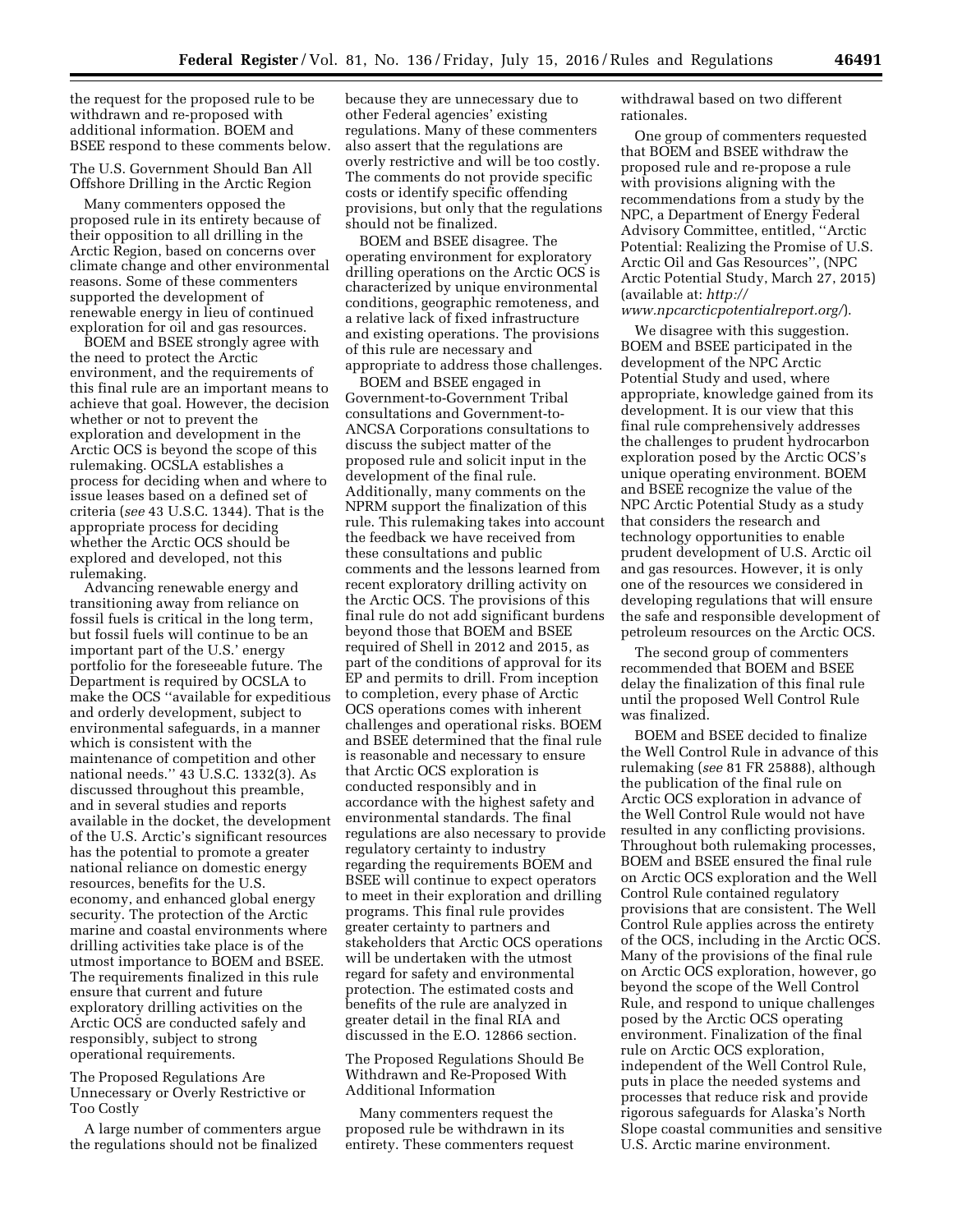the request for the proposed rule to be withdrawn and re-proposed with additional information. BOEM and BSEE respond to these comments below.

The U.S. Government Should Ban All Offshore Drilling in the Arctic Region

Many commenters opposed the proposed rule in its entirety because of their opposition to all drilling in the Arctic Region, based on concerns over climate change and other environmental reasons. Some of these commenters supported the development of renewable energy in lieu of continued exploration for oil and gas resources.

BOEM and BSEE strongly agree with the need to protect the Arctic environment, and the requirements of this final rule are an important means to achieve that goal. However, the decision whether or not to prevent the exploration and development in the Arctic OCS is beyond the scope of this rulemaking. OCSLA establishes a process for deciding when and where to issue leases based on a defined set of criteria (*see* 43 U.S.C. 1344). That is the appropriate process for deciding whether the Arctic OCS should be explored and developed, not this rulemaking.

Advancing renewable energy and transitioning away from reliance on fossil fuels is critical in the long term, but fossil fuels will continue to be an important part of the U.S.' energy portfolio for the foreseeable future. The Department is required by OCSLA to make the OCS ''available for expeditious and orderly development, subject to environmental safeguards, in a manner which is consistent with the maintenance of competition and other national needs.'' 43 U.S.C. 1332(3). As discussed throughout this preamble, and in several studies and reports available in the docket, the development of the U.S. Arctic's significant resources has the potential to promote a greater national reliance on domestic energy resources, benefits for the U.S. economy, and enhanced global energy security. The protection of the Arctic marine and coastal environments where drilling activities take place is of the utmost importance to BOEM and BSEE. The requirements finalized in this rule ensure that current and future exploratory drilling activities on the Arctic OCS are conducted safely and responsibly, subject to strong operational requirements.

The Proposed Regulations Are Unnecessary or Overly Restrictive or Too Costly

A large number of commenters argue the regulations should not be finalized

because they are unnecessary due to other Federal agencies' existing regulations. Many of these commenters also assert that the regulations are overly restrictive and will be too costly. The comments do not provide specific costs or identify specific offending provisions, but only that the regulations should not be finalized.

BOEM and BSEE disagree. The operating environment for exploratory drilling operations on the Arctic OCS is characterized by unique environmental conditions, geographic remoteness, and a relative lack of fixed infrastructure and existing operations. The provisions of this rule are necessary and appropriate to address those challenges.

BOEM and BSEE engaged in Government-to-Government Tribal consultations and Government-to-ANCSA Corporations consultations to discuss the subject matter of the proposed rule and solicit input in the development of the final rule. Additionally, many comments on the NPRM support the finalization of this rule. This rulemaking takes into account the feedback we have received from these consultations and public comments and the lessons learned from recent exploratory drilling activity on the Arctic OCS. The provisions of this final rule do not add significant burdens beyond those that BOEM and BSEE required of Shell in 2012 and 2015, as part of the conditions of approval for its EP and permits to drill. From inception to completion, every phase of Arctic OCS operations comes with inherent challenges and operational risks. BOEM and BSEE determined that the final rule is reasonable and necessary to ensure that Arctic OCS exploration is conducted responsibly and in accordance with the highest safety and environmental standards. The final regulations are also necessary to provide regulatory certainty to industry regarding the requirements BOEM and BSEE will continue to expect operators to meet in their exploration and drilling programs. This final rule provides greater certainty to partners and stakeholders that Arctic OCS operations will be undertaken with the utmost regard for safety and environmental protection. The estimated costs and benefits of the rule are analyzed in greater detail in the final RIA and discussed in the E.O. 12866 section.

The Proposed Regulations Should Be Withdrawn and Re-Proposed With Additional Information

Many commenters request the proposed rule be withdrawn in its entirety. These commenters request withdrawal based on two different rationales.

One group of commenters requested that BOEM and BSEE withdraw the proposed rule and re-propose a rule with provisions aligning with the recommendations from a study by the NPC, a Department of Energy Federal Advisory Committee, entitled, ''Arctic Potential: Realizing the Promise of U.S. Arctic Oil and Gas Resources'', (NPC Arctic Potential Study, March 27, 2015) (available at: *[http://](http://www.npcarcticpotentialreport.org/)*

#### *[www.npcarcticpotentialreport.org/](http://www.npcarcticpotentialreport.org/)*).

We disagree with this suggestion. BOEM and BSEE participated in the development of the NPC Arctic Potential Study and used, where appropriate, knowledge gained from its development. It is our view that this final rule comprehensively addresses the challenges to prudent hydrocarbon exploration posed by the Arctic OCS's unique operating environment. BOEM and BSEE recognize the value of the NPC Arctic Potential Study as a study that considers the research and technology opportunities to enable prudent development of U.S. Arctic oil and gas resources. However, it is only one of the resources we considered in developing regulations that will ensure the safe and responsible development of petroleum resources on the Arctic OCS.

The second group of commenters recommended that BOEM and BSEE delay the finalization of this final rule until the proposed Well Control Rule was finalized.

BOEM and BSEE decided to finalize the Well Control Rule in advance of this rulemaking (*see* 81 FR 25888), although the publication of the final rule on Arctic OCS exploration in advance of the Well Control Rule would not have resulted in any conflicting provisions. Throughout both rulemaking processes, BOEM and BSEE ensured the final rule on Arctic OCS exploration and the Well Control Rule contained regulatory provisions that are consistent. The Well Control Rule applies across the entirety of the OCS, including in the Arctic OCS. Many of the provisions of the final rule on Arctic OCS exploration, however, go beyond the scope of the Well Control Rule, and respond to unique challenges posed by the Arctic OCS operating environment. Finalization of the final rule on Arctic OCS exploration, independent of the Well Control Rule, puts in place the needed systems and processes that reduce risk and provide rigorous safeguards for Alaska's North Slope coastal communities and sensitive U.S. Arctic marine environment.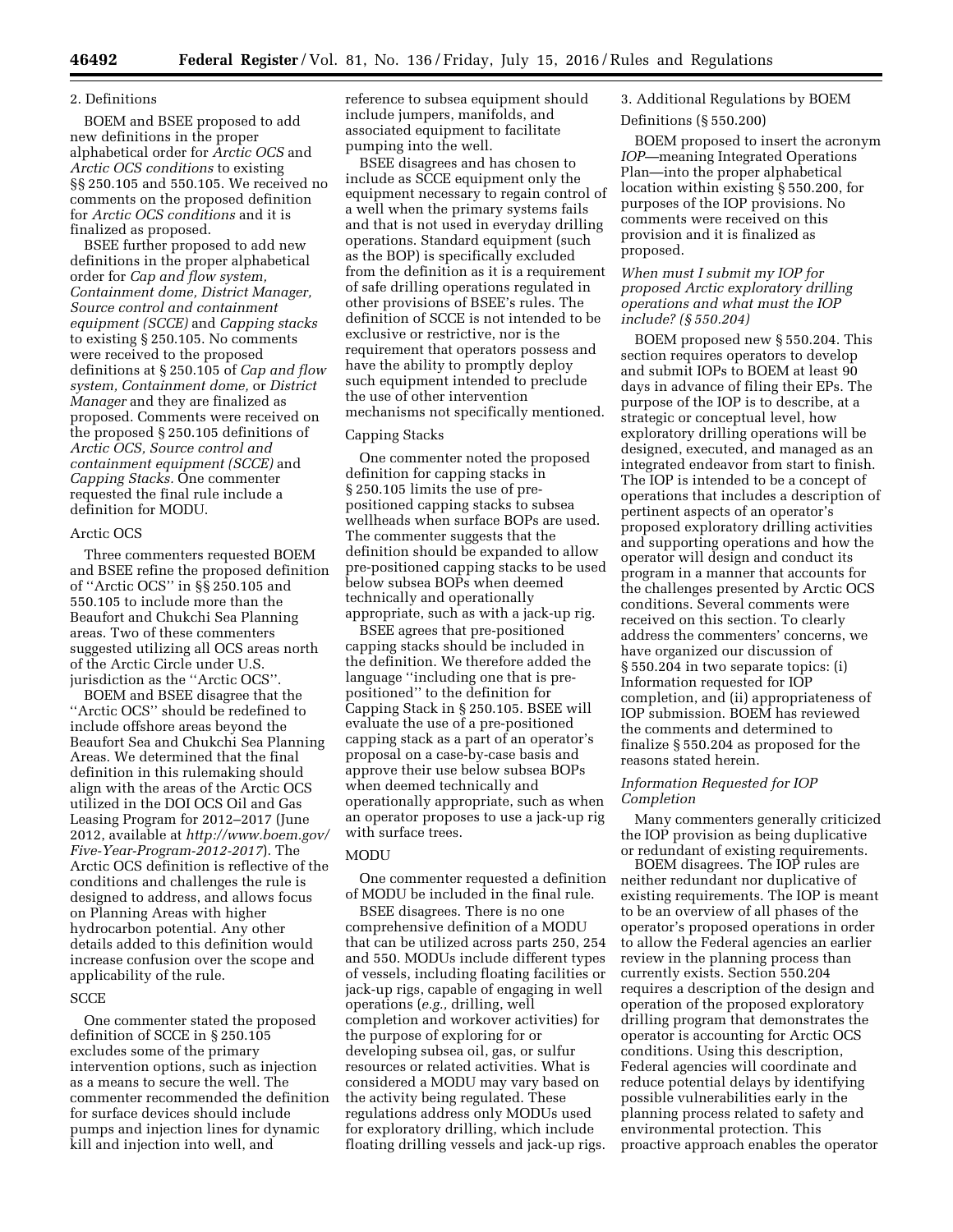#### 2. Definitions

BOEM and BSEE proposed to add new definitions in the proper alphabetical order for *Arctic OCS* and *Arctic OCS conditions* to existing §§ 250.105 and 550.105. We received no comments on the proposed definition for *Arctic OCS conditions* and it is finalized as proposed.

BSEE further proposed to add new definitions in the proper alphabetical order for *Cap and flow system, Containment dome, District Manager, Source control and containment equipment (SCCE)* and *Capping stacks*  to existing § 250.105. No comments were received to the proposed definitions at § 250.105 of *Cap and flow system, Containment dome,* or *District Manager* and they are finalized as proposed. Comments were received on the proposed § 250.105 definitions of *Arctic OCS, Source control and containment equipment (SCCE)* and *Capping Stacks.* One commenter requested the final rule include a definition for MODU.

#### Arctic OCS

Three commenters requested BOEM and BSEE refine the proposed definition of ''Arctic OCS'' in §§ 250.105 and 550.105 to include more than the Beaufort and Chukchi Sea Planning areas. Two of these commenters suggested utilizing all OCS areas north of the Arctic Circle under U.S. jurisdiction as the ''Arctic OCS''.

BOEM and BSEE disagree that the ''Arctic OCS'' should be redefined to include offshore areas beyond the Beaufort Sea and Chukchi Sea Planning Areas. We determined that the final definition in this rulemaking should align with the areas of the Arctic OCS utilized in the DOI OCS Oil and Gas Leasing Program for 2012–2017 (June 2012, available at *[http://www.boem.gov/](http://www.boem.gov/Five-Year-Program-2012-2017)  [Five-Year-Program-2012-2017](http://www.boem.gov/Five-Year-Program-2012-2017)*). The Arctic OCS definition is reflective of the conditions and challenges the rule is designed to address, and allows focus on Planning Areas with higher hydrocarbon potential. Any other details added to this definition would increase confusion over the scope and applicability of the rule.

# **SCCE**

One commenter stated the proposed definition of SCCE in § 250.105 excludes some of the primary intervention options, such as injection as a means to secure the well. The commenter recommended the definition for surface devices should include pumps and injection lines for dynamic kill and injection into well, and

reference to subsea equipment should include jumpers, manifolds, and associated equipment to facilitate pumping into the well.

BSEE disagrees and has chosen to include as SCCE equipment only the equipment necessary to regain control of a well when the primary systems fails and that is not used in everyday drilling operations. Standard equipment (such as the BOP) is specifically excluded from the definition as it is a requirement of safe drilling operations regulated in other provisions of BSEE's rules. The definition of SCCE is not intended to be exclusive or restrictive, nor is the requirement that operators possess and have the ability to promptly deploy such equipment intended to preclude the use of other intervention mechanisms not specifically mentioned.

#### Capping Stacks

One commenter noted the proposed definition for capping stacks in § 250.105 limits the use of prepositioned capping stacks to subsea wellheads when surface BOPs are used. The commenter suggests that the definition should be expanded to allow pre-positioned capping stacks to be used below subsea BOPs when deemed technically and operationally appropriate, such as with a jack-up rig.

BSEE agrees that pre-positioned capping stacks should be included in the definition. We therefore added the language ''including one that is prepositioned'' to the definition for Capping Stack in § 250.105. BSEE will evaluate the use of a pre-positioned capping stack as a part of an operator's proposal on a case-by-case basis and approve their use below subsea BOPs when deemed technically and operationally appropriate, such as when an operator proposes to use a jack-up rig with surface trees.

#### MODU

One commenter requested a definition of MODU be included in the final rule.

BSEE disagrees. There is no one comprehensive definition of a MODU that can be utilized across parts 250, 254 and 550. MODUs include different types of vessels, including floating facilities or jack-up rigs, capable of engaging in well operations (*e.g.,* drilling, well completion and workover activities) for the purpose of exploring for or developing subsea oil, gas, or sulfur resources or related activities. What is considered a MODU may vary based on the activity being regulated. These regulations address only MODUs used for exploratory drilling, which include floating drilling vessels and jack-up rigs.

3. Additional Regulations by BOEM

#### Definitions (§ 550.200)

BOEM proposed to insert the acronym *IOP*—meaning Integrated Operations Plan—into the proper alphabetical location within existing § 550.200, for purposes of the IOP provisions. No comments were received on this provision and it is finalized as proposed.

# *When must I submit my IOP for proposed Arctic exploratory drilling operations and what must the IOP include? (§ 550.204)*

BOEM proposed new § 550.204. This section requires operators to develop and submit IOPs to BOEM at least 90 days in advance of filing their EPs. The purpose of the IOP is to describe, at a strategic or conceptual level, how exploratory drilling operations will be designed, executed, and managed as an integrated endeavor from start to finish. The IOP is intended to be a concept of operations that includes a description of pertinent aspects of an operator's proposed exploratory drilling activities and supporting operations and how the operator will design and conduct its program in a manner that accounts for the challenges presented by Arctic OCS conditions. Several comments were received on this section. To clearly address the commenters' concerns, we have organized our discussion of § 550.204 in two separate topics: (i) Information requested for IOP completion, and (ii) appropriateness of IOP submission. BOEM has reviewed the comments and determined to finalize § 550.204 as proposed for the reasons stated herein.

# *Information Requested for IOP Completion*

Many commenters generally criticized the IOP provision as being duplicative or redundant of existing requirements.

BOEM disagrees. The IOP rules are neither redundant nor duplicative of existing requirements. The IOP is meant to be an overview of all phases of the operator's proposed operations in order to allow the Federal agencies an earlier review in the planning process than currently exists. Section 550.204 requires a description of the design and operation of the proposed exploratory drilling program that demonstrates the operator is accounting for Arctic OCS conditions. Using this description, Federal agencies will coordinate and reduce potential delays by identifying possible vulnerabilities early in the planning process related to safety and environmental protection. This proactive approach enables the operator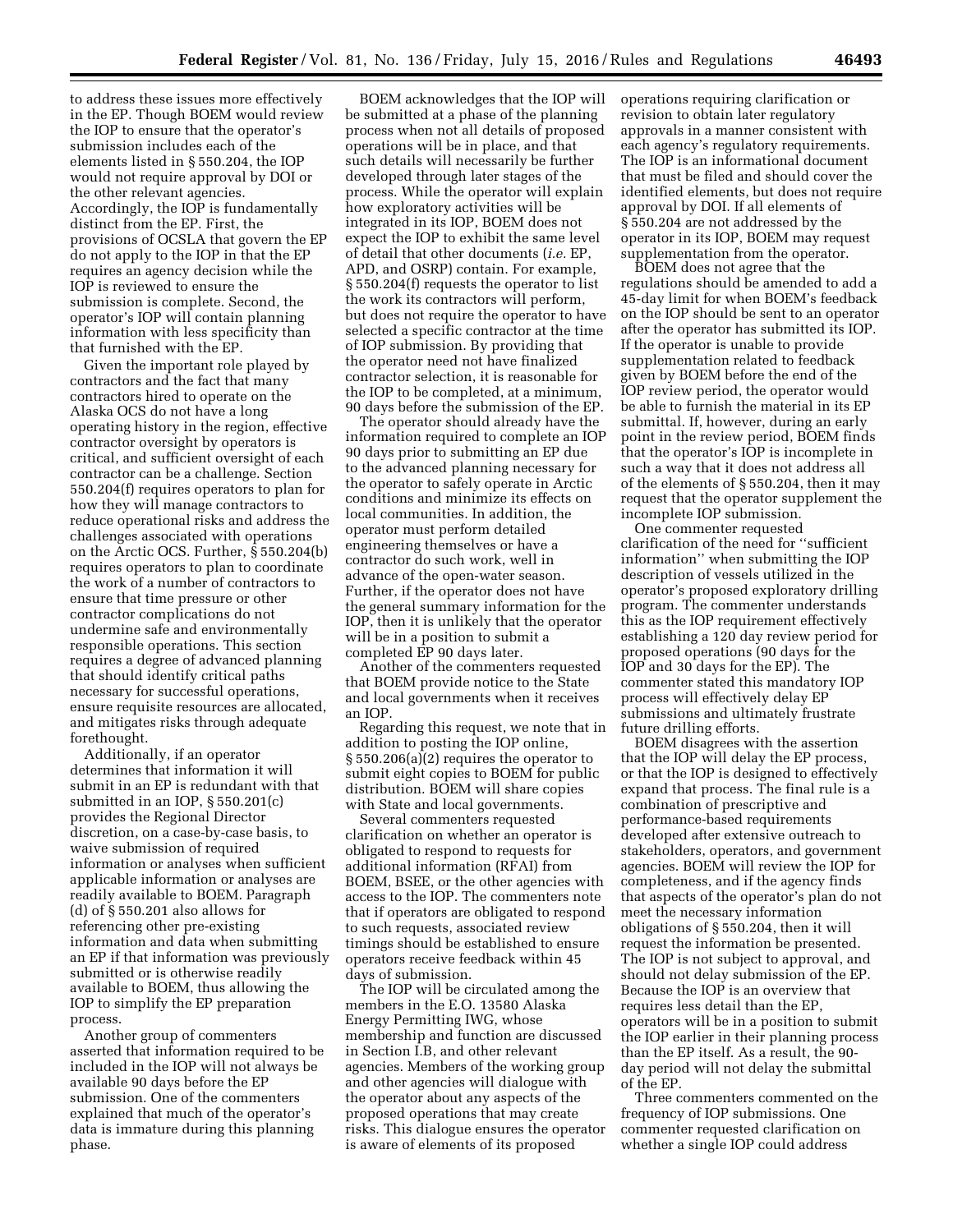to address these issues more effectively in the EP. Though BOEM would review the IOP to ensure that the operator's submission includes each of the elements listed in § 550.204, the IOP would not require approval by DOI or the other relevant agencies. Accordingly, the IOP is fundamentally distinct from the EP. First, the provisions of OCSLA that govern the EP do not apply to the IOP in that the EP requires an agency decision while the IOP is reviewed to ensure the submission is complete. Second, the operator's IOP will contain planning information with less specificity than that furnished with the EP.

Given the important role played by contractors and the fact that many contractors hired to operate on the Alaska OCS do not have a long operating history in the region, effective contractor oversight by operators is critical, and sufficient oversight of each contractor can be a challenge. Section 550.204(f) requires operators to plan for how they will manage contractors to reduce operational risks and address the challenges associated with operations on the Arctic OCS. Further, § 550.204(b) requires operators to plan to coordinate the work of a number of contractors to ensure that time pressure or other contractor complications do not undermine safe and environmentally responsible operations. This section requires a degree of advanced planning that should identify critical paths necessary for successful operations, ensure requisite resources are allocated, and mitigates risks through adequate forethought.

Additionally, if an operator determines that information it will submit in an EP is redundant with that submitted in an IOP, § 550.201(c) provides the Regional Director discretion, on a case-by-case basis, to waive submission of required information or analyses when sufficient applicable information or analyses are readily available to BOEM. Paragraph (d) of § 550.201 also allows for referencing other pre-existing information and data when submitting an EP if that information was previously submitted or is otherwise readily available to BOEM, thus allowing the IOP to simplify the EP preparation process.

Another group of commenters asserted that information required to be included in the IOP will not always be available 90 days before the EP submission. One of the commenters explained that much of the operator's data is immature during this planning phase.

BOEM acknowledges that the IOP will be submitted at a phase of the planning process when not all details of proposed operations will be in place, and that such details will necessarily be further developed through later stages of the process. While the operator will explain how exploratory activities will be integrated in its IOP, BOEM does not expect the IOP to exhibit the same level of detail that other documents (*i.e.* EP, APD, and OSRP) contain. For example, § 550.204(f) requests the operator to list the work its contractors will perform, but does not require the operator to have selected a specific contractor at the time of IOP submission. By providing that the operator need not have finalized contractor selection, it is reasonable for the IOP to be completed, at a minimum, 90 days before the submission of the EP.

The operator should already have the information required to complete an IOP 90 days prior to submitting an EP due to the advanced planning necessary for the operator to safely operate in Arctic conditions and minimize its effects on local communities. In addition, the operator must perform detailed engineering themselves or have a contractor do such work, well in advance of the open-water season. Further, if the operator does not have the general summary information for the IOP, then it is unlikely that the operator will be in a position to submit a completed EP 90 days later.

Another of the commenters requested that BOEM provide notice to the State and local governments when it receives an IOP.

Regarding this request, we note that in addition to posting the IOP online, § 550.206(a)(2) requires the operator to submit eight copies to BOEM for public distribution. BOEM will share copies with State and local governments.

Several commenters requested clarification on whether an operator is obligated to respond to requests for additional information (RFAI) from BOEM, BSEE, or the other agencies with access to the IOP. The commenters note that if operators are obligated to respond to such requests, associated review timings should be established to ensure operators receive feedback within 45 days of submission.

The IOP will be circulated among the members in the E.O. 13580 Alaska Energy Permitting IWG, whose membership and function are discussed in Section I.B, and other relevant agencies. Members of the working group and other agencies will dialogue with the operator about any aspects of the proposed operations that may create risks. This dialogue ensures the operator is aware of elements of its proposed

operations requiring clarification or revision to obtain later regulatory approvals in a manner consistent with each agency's regulatory requirements. The IOP is an informational document that must be filed and should cover the identified elements, but does not require approval by DOI. If all elements of § 550.204 are not addressed by the operator in its IOP, BOEM may request supplementation from the operator.

BOEM does not agree that the regulations should be amended to add a 45-day limit for when BOEM's feedback on the IOP should be sent to an operator after the operator has submitted its IOP. If the operator is unable to provide supplementation related to feedback given by BOEM before the end of the IOP review period, the operator would be able to furnish the material in its EP submittal. If, however, during an early point in the review period, BOEM finds that the operator's IOP is incomplete in such a way that it does not address all of the elements of § 550.204, then it may request that the operator supplement the incomplete IOP submission.

One commenter requested clarification of the need for ''sufficient information'' when submitting the IOP description of vessels utilized in the operator's proposed exploratory drilling program. The commenter understands this as the IOP requirement effectively establishing a 120 day review period for proposed operations (90 days for the IOP and 30 days for the EP). The commenter stated this mandatory IOP process will effectively delay EP submissions and ultimately frustrate future drilling efforts.

BOEM disagrees with the assertion that the IOP will delay the EP process, or that the IOP is designed to effectively expand that process. The final rule is a combination of prescriptive and performance-based requirements developed after extensive outreach to stakeholders, operators, and government agencies. BOEM will review the IOP for completeness, and if the agency finds that aspects of the operator's plan do not meet the necessary information obligations of § 550.204, then it will request the information be presented. The IOP is not subject to approval, and should not delay submission of the EP. Because the IOP is an overview that requires less detail than the EP, operators will be in a position to submit the IOP earlier in their planning process than the EP itself. As a result, the 90 day period will not delay the submittal of the EP.

Three commenters commented on the frequency of IOP submissions. One commenter requested clarification on whether a single IOP could address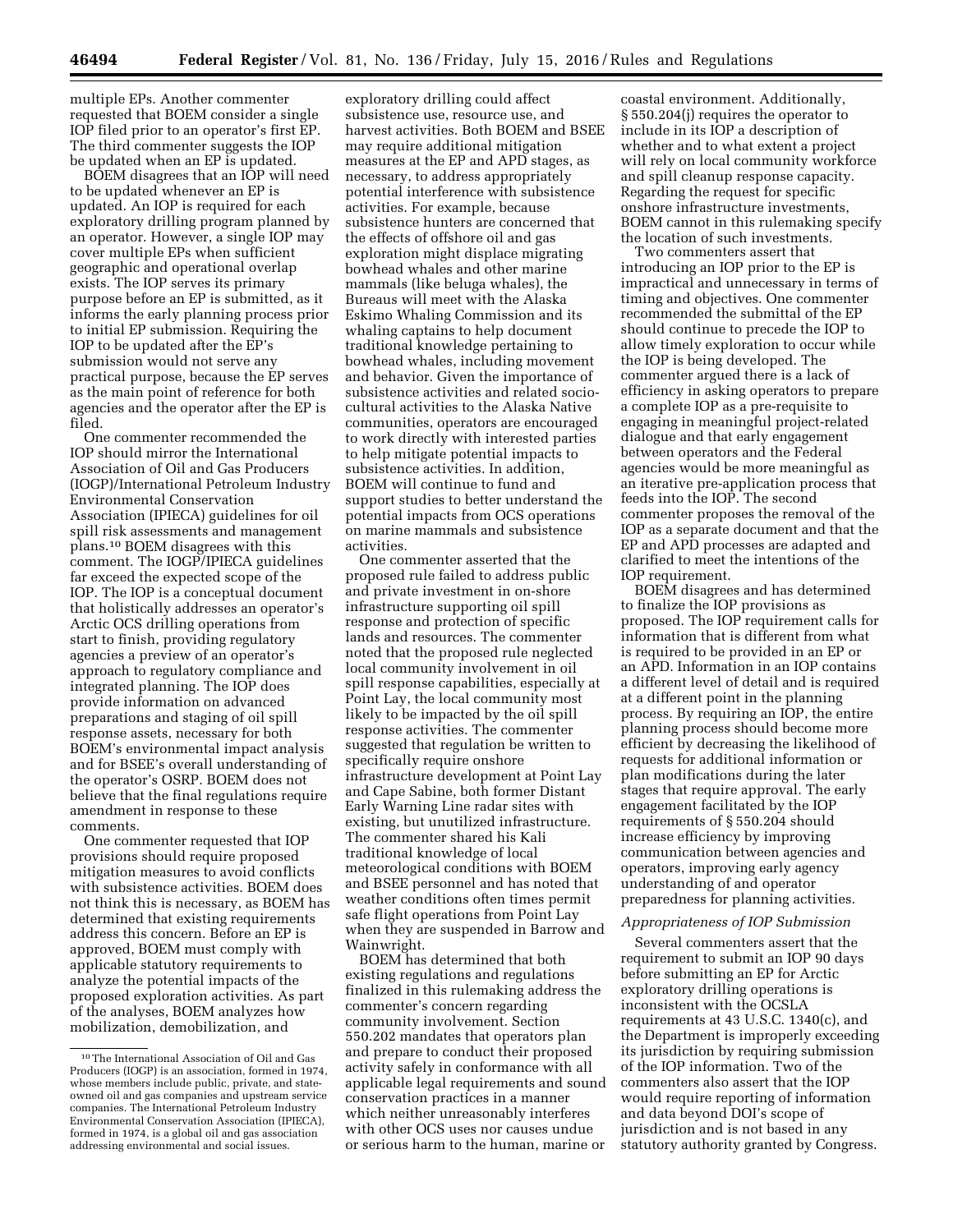multiple EPs. Another commenter requested that BOEM consider a single IOP filed prior to an operator's first EP. The third commenter suggests the IOP be updated when an EP is updated.

BOEM disagrees that an IOP will need to be updated whenever an EP is updated. An IOP is required for each exploratory drilling program planned by an operator. However, a single IOP may cover multiple EPs when sufficient geographic and operational overlap exists. The IOP serves its primary purpose before an EP is submitted, as it informs the early planning process prior to initial EP submission. Requiring the IOP to be updated after the EP's submission would not serve any practical purpose, because the EP serves as the main point of reference for both agencies and the operator after the EP is filed.

One commenter recommended the IOP should mirror the International Association of Oil and Gas Producers (IOGP)/International Petroleum Industry Environmental Conservation Association (IPIECA) guidelines for oil spill risk assessments and management plans.10 BOEM disagrees with this comment. The IOGP/IPIECA guidelines far exceed the expected scope of the IOP. The IOP is a conceptual document that holistically addresses an operator's Arctic OCS drilling operations from start to finish, providing regulatory agencies a preview of an operator's approach to regulatory compliance and integrated planning. The IOP does provide information on advanced preparations and staging of oil spill response assets, necessary for both BOEM's environmental impact analysis and for BSEE's overall understanding of the operator's OSRP. BOEM does not believe that the final regulations require amendment in response to these comments.

One commenter requested that IOP provisions should require proposed mitigation measures to avoid conflicts with subsistence activities. BOEM does not think this is necessary, as BOEM has determined that existing requirements address this concern. Before an EP is approved, BOEM must comply with applicable statutory requirements to analyze the potential impacts of the proposed exploration activities. As part of the analyses, BOEM analyzes how mobilization, demobilization, and

exploratory drilling could affect subsistence use, resource use, and harvest activities. Both BOEM and BSEE may require additional mitigation measures at the EP and APD stages, as necessary, to address appropriately potential interference with subsistence activities. For example, because subsistence hunters are concerned that the effects of offshore oil and gas exploration might displace migrating bowhead whales and other marine mammals (like beluga whales), the Bureaus will meet with the Alaska Eskimo Whaling Commission and its whaling captains to help document traditional knowledge pertaining to bowhead whales, including movement and behavior. Given the importance of subsistence activities and related sociocultural activities to the Alaska Native communities, operators are encouraged to work directly with interested parties to help mitigate potential impacts to subsistence activities. In addition, BOEM will continue to fund and support studies to better understand the potential impacts from OCS operations on marine mammals and subsistence activities.

One commenter asserted that the proposed rule failed to address public and private investment in on-shore infrastructure supporting oil spill response and protection of specific lands and resources. The commenter noted that the proposed rule neglected local community involvement in oil spill response capabilities, especially at Point Lay, the local community most likely to be impacted by the oil spill response activities. The commenter suggested that regulation be written to specifically require onshore infrastructure development at Point Lay and Cape Sabine, both former Distant Early Warning Line radar sites with existing, but unutilized infrastructure. The commenter shared his Kali traditional knowledge of local meteorological conditions with BOEM and BSEE personnel and has noted that weather conditions often times permit safe flight operations from Point Lay when they are suspended in Barrow and Wainwright.

BOEM has determined that both existing regulations and regulations finalized in this rulemaking address the commenter's concern regarding community involvement. Section 550.202 mandates that operators plan and prepare to conduct their proposed activity safely in conformance with all applicable legal requirements and sound conservation practices in a manner which neither unreasonably interferes with other OCS uses nor causes undue or serious harm to the human, marine or

coastal environment. Additionally, § 550.204(j) requires the operator to include in its IOP a description of whether and to what extent a project will rely on local community workforce and spill cleanup response capacity. Regarding the request for specific onshore infrastructure investments, BOEM cannot in this rulemaking specify the location of such investments.

Two commenters assert that introducing an IOP prior to the EP is impractical and unnecessary in terms of timing and objectives. One commenter recommended the submittal of the EP should continue to precede the IOP to allow timely exploration to occur while the IOP is being developed. The commenter argued there is a lack of efficiency in asking operators to prepare a complete IOP as a pre-requisite to engaging in meaningful project-related dialogue and that early engagement between operators and the Federal agencies would be more meaningful as an iterative pre-application process that feeds into the IOP. The second commenter proposes the removal of the IOP as a separate document and that the EP and APD processes are adapted and clarified to meet the intentions of the IOP requirement.

BOEM disagrees and has determined to finalize the IOP provisions as proposed. The IOP requirement calls for information that is different from what is required to be provided in an EP or an APD. Information in an IOP contains a different level of detail and is required at a different point in the planning process. By requiring an IOP, the entire planning process should become more efficient by decreasing the likelihood of requests for additional information or plan modifications during the later stages that require approval. The early engagement facilitated by the IOP requirements of § 550.204 should increase efficiency by improving communication between agencies and operators, improving early agency understanding of and operator preparedness for planning activities.

# *Appropriateness of IOP Submission*

Several commenters assert that the requirement to submit an IOP 90 days before submitting an EP for Arctic exploratory drilling operations is inconsistent with the OCSLA requirements at 43 U.S.C. 1340(c), and the Department is improperly exceeding its jurisdiction by requiring submission of the IOP information. Two of the commenters also assert that the IOP would require reporting of information and data beyond DOI's scope of jurisdiction and is not based in any statutory authority granted by Congress.

<sup>10</sup>The International Association of Oil and Gas Producers (IOGP) is an association, formed in 1974, whose members include public, private, and stateowned oil and gas companies and upstream service companies. The International Petroleum Industry Environmental Conservation Association (IPIECA), formed in 1974, is a global oil and gas association addressing environmental and social issues.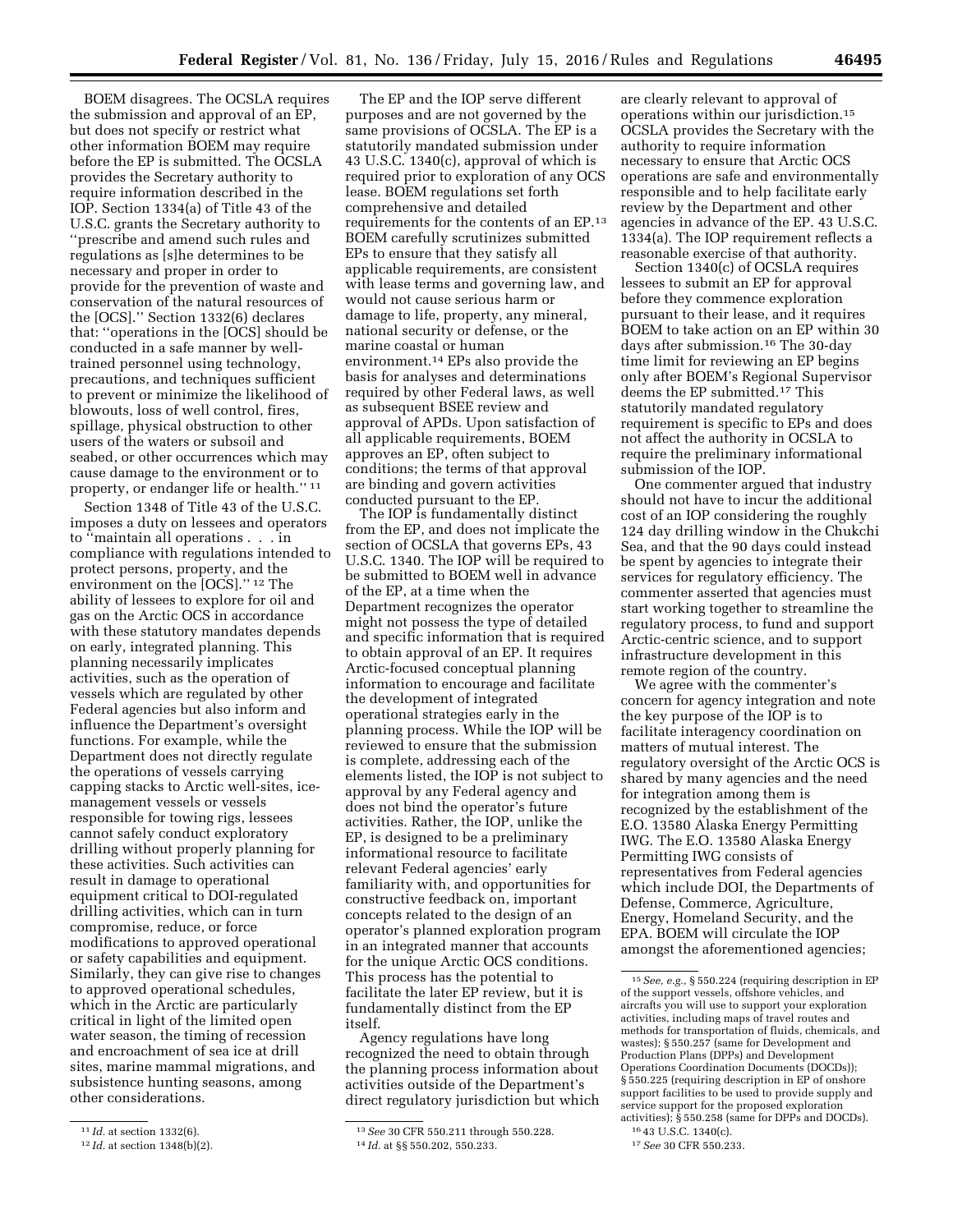BOEM disagrees. The OCSLA requires the submission and approval of an EP, but does not specify or restrict what other information BOEM may require before the EP is submitted. The OCSLA provides the Secretary authority to require information described in the IOP. Section 1334(a) of Title 43 of the U.S.C. grants the Secretary authority to ''prescribe and amend such rules and regulations as [s]he determines to be necessary and proper in order to provide for the prevention of waste and conservation of the natural resources of the [OCS].'' Section 1332(6) declares that: ''operations in the [OCS] should be conducted in a safe manner by welltrained personnel using technology, precautions, and techniques sufficient to prevent or minimize the likelihood of blowouts, loss of well control, fires, spillage, physical obstruction to other users of the waters or subsoil and seabed, or other occurrences which may cause damage to the environment or to property, or endanger life or health.'' 11

Section 1348 of Title 43 of the U.S.C. imposes a duty on lessees and operators to ''maintain all operations . . . in compliance with regulations intended to protect persons, property, and the environment on the [OCS].'' 12 The ability of lessees to explore for oil and gas on the Arctic OCS in accordance with these statutory mandates depends on early, integrated planning. This planning necessarily implicates activities, such as the operation of vessels which are regulated by other Federal agencies but also inform and influence the Department's oversight functions. For example, while the Department does not directly regulate the operations of vessels carrying capping stacks to Arctic well-sites, icemanagement vessels or vessels responsible for towing rigs, lessees cannot safely conduct exploratory drilling without properly planning for these activities. Such activities can result in damage to operational equipment critical to DOI-regulated drilling activities, which can in turn compromise, reduce, or force modifications to approved operational or safety capabilities and equipment. Similarly, they can give rise to changes to approved operational schedules, which in the Arctic are particularly critical in light of the limited open water season, the timing of recession and encroachment of sea ice at drill sites, marine mammal migrations, and subsistence hunting seasons, among other considerations.

The EP and the IOP serve different purposes and are not governed by the same provisions of OCSLA. The EP is a statutorily mandated submission under 43 U.S.C. 1340(c), approval of which is required prior to exploration of any OCS lease. BOEM regulations set forth comprehensive and detailed requirements for the contents of an EP.13 BOEM carefully scrutinizes submitted EPs to ensure that they satisfy all applicable requirements, are consistent with lease terms and governing law, and would not cause serious harm or damage to life, property, any mineral, national security or defense, or the marine coastal or human environment.14 EPs also provide the basis for analyses and determinations required by other Federal laws, as well as subsequent BSEE review and approval of APDs. Upon satisfaction of all applicable requirements, BOEM approves an EP, often subject to conditions; the terms of that approval are binding and govern activities conducted pursuant to the EP.

The IOP is fundamentally distinct from the EP, and does not implicate the section of OCSLA that governs EPs, 43 U.S.C. 1340. The IOP will be required to be submitted to BOEM well in advance of the EP, at a time when the Department recognizes the operator might not possess the type of detailed and specific information that is required to obtain approval of an EP. It requires Arctic-focused conceptual planning information to encourage and facilitate the development of integrated operational strategies early in the planning process. While the IOP will be reviewed to ensure that the submission is complete, addressing each of the elements listed, the IOP is not subject to approval by any Federal agency and does not bind the operator's future activities. Rather, the IOP, unlike the EP, is designed to be a preliminary informational resource to facilitate relevant Federal agencies' early familiarity with, and opportunities for constructive feedback on, important concepts related to the design of an operator's planned exploration program in an integrated manner that accounts for the unique Arctic OCS conditions. This process has the potential to facilitate the later EP review, but it is fundamentally distinct from the EP itself.

Agency regulations have long recognized the need to obtain through the planning process information about activities outside of the Department's direct regulatory jurisdiction but which

are clearly relevant to approval of operations within our jurisdiction.15 OCSLA provides the Secretary with the authority to require information necessary to ensure that Arctic OCS operations are safe and environmentally responsible and to help facilitate early review by the Department and other agencies in advance of the EP. 43 U.S.C. 1334(a). The IOP requirement reflects a reasonable exercise of that authority.

Section 1340(c) of OCSLA requires lessees to submit an EP for approval before they commence exploration pursuant to their lease, and it requires BOEM to take action on an EP within 30 days after submission.16 The 30-day time limit for reviewing an EP begins only after BOEM's Regional Supervisor deems the EP submitted.<sup>17</sup> This statutorily mandated regulatory requirement is specific to EPs and does not affect the authority in OCSLA to require the preliminary informational submission of the IOP.

One commenter argued that industry should not have to incur the additional cost of an IOP considering the roughly 124 day drilling window in the Chukchi Sea, and that the 90 days could instead be spent by agencies to integrate their services for regulatory efficiency. The commenter asserted that agencies must start working together to streamline the regulatory process, to fund and support Arctic-centric science, and to support infrastructure development in this remote region of the country.

We agree with the commenter's concern for agency integration and note the key purpose of the IOP is to facilitate interagency coordination on matters of mutual interest. The regulatory oversight of the Arctic OCS is shared by many agencies and the need for integration among them is recognized by the establishment of the E.O. 13580 Alaska Energy Permitting IWG. The E.O. 13580 Alaska Energy Permitting IWG consists of representatives from Federal agencies which include DOI, the Departments of Defense, Commerce, Agriculture, Energy, Homeland Security, and the EPA. BOEM will circulate the IOP amongst the aforementioned agencies;

<sup>11</sup> *Id.* at section 1332(6).

<sup>12</sup> *Id.* at section 1348(b)(2).

<sup>13</sup>*See* 30 CFR 550.211 through 550.228. 14 *Id.* at §§ 550.202, 550.233.

<sup>15</sup>*See, e.g.,* § 550.224 (requiring description in EP of the support vessels, offshore vehicles, and aircrafts you will use to support your exploration activities, including maps of travel routes and methods for transportation of fluids, chemicals, and wastes); § 550.257 (same for Development and Production Plans (DPPs) and Development Operations Coordination Documents (DOCDs)); § 550.225 (requiring description in EP of onshore support facilities to be used to provide supply and service support for the proposed exploration activities); § 550.258 (same for DPPs and DOCDs). 16 43 U.S.C. 1340(c).

<sup>17</sup>*See* 30 CFR 550.233.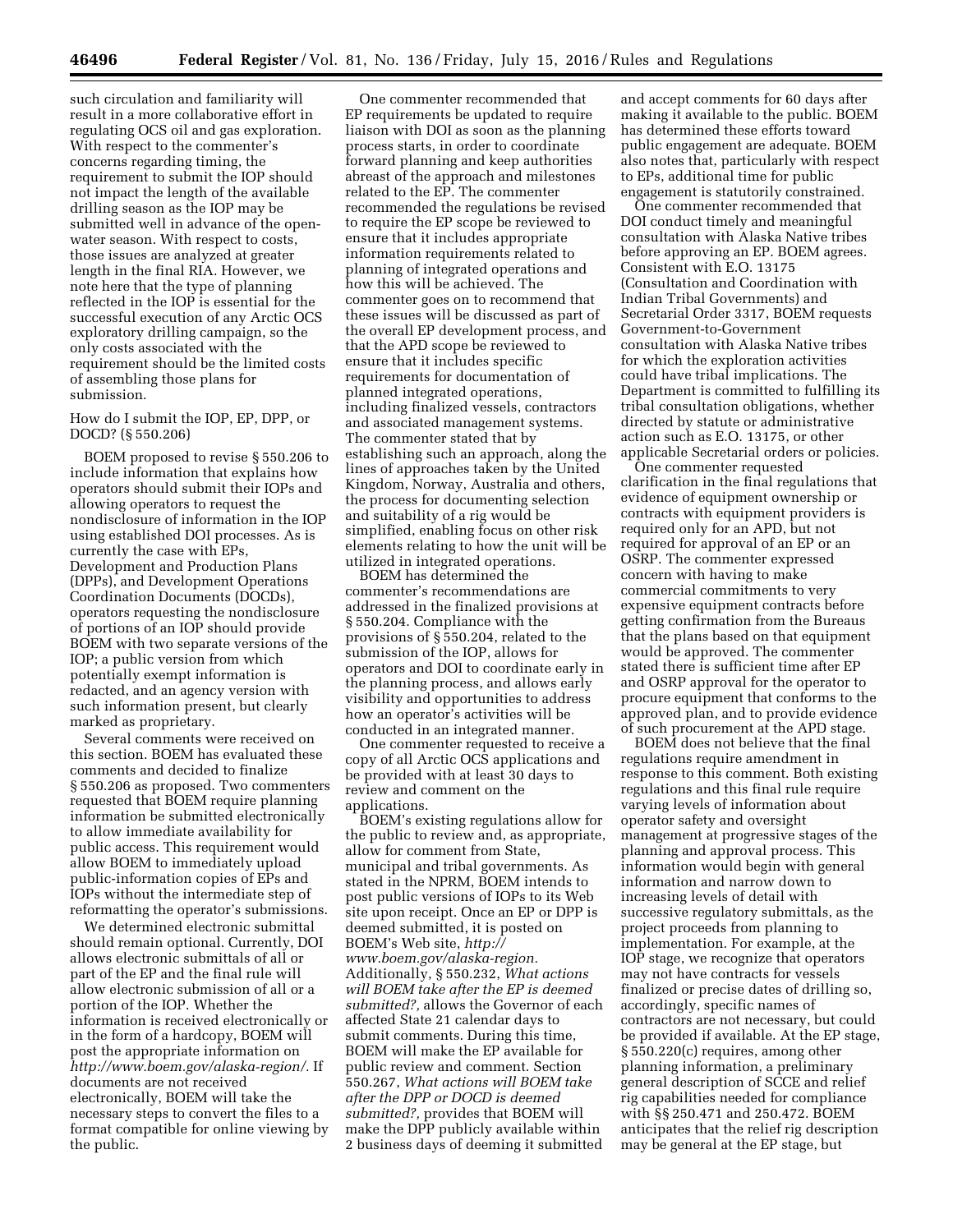such circulation and familiarity will result in a more collaborative effort in regulating OCS oil and gas exploration. With respect to the commenter's concerns regarding timing, the requirement to submit the IOP should not impact the length of the available drilling season as the IOP may be submitted well in advance of the openwater season. With respect to costs, those issues are analyzed at greater length in the final RIA. However, we note here that the type of planning reflected in the IOP is essential for the successful execution of any Arctic OCS exploratory drilling campaign, so the only costs associated with the requirement should be the limited costs of assembling those plans for submission.

How do I submit the IOP, EP, DPP, or DOCD? (§ 550.206)

BOEM proposed to revise § 550.206 to include information that explains how operators should submit their IOPs and allowing operators to request the nondisclosure of information in the IOP using established DOI processes. As is currently the case with EPs, Development and Production Plans (DPPs), and Development Operations Coordination Documents (DOCDs), operators requesting the nondisclosure of portions of an IOP should provide BOEM with two separate versions of the IOP; a public version from which potentially exempt information is redacted, and an agency version with such information present, but clearly marked as proprietary.

Several comments were received on this section. BOEM has evaluated these comments and decided to finalize § 550.206 as proposed. Two commenters requested that BOEM require planning information be submitted electronically to allow immediate availability for public access. This requirement would allow BOEM to immediately upload public-information copies of EPs and IOPs without the intermediate step of reformatting the operator's submissions.

We determined electronic submittal should remain optional. Currently, DOI allows electronic submittals of all or part of the EP and the final rule will allow electronic submission of all or a portion of the IOP. Whether the information is received electronically or in the form of a hardcopy, BOEM will post the appropriate information on *[http://www.boem.gov/alaska-region/.](http://www.boem.gov/alaska-region/)* If documents are not received electronically, BOEM will take the necessary steps to convert the files to a format compatible for online viewing by the public.

One commenter recommended that EP requirements be updated to require liaison with DOI as soon as the planning process starts, in order to coordinate forward planning and keep authorities abreast of the approach and milestones related to the EP. The commenter recommended the regulations be revised to require the EP scope be reviewed to ensure that it includes appropriate information requirements related to planning of integrated operations and how this will be achieved. The commenter goes on to recommend that these issues will be discussed as part of the overall EP development process, and that the APD scope be reviewed to ensure that it includes specific requirements for documentation of planned integrated operations, including finalized vessels, contractors and associated management systems. The commenter stated that by establishing such an approach, along the lines of approaches taken by the United Kingdom, Norway, Australia and others, the process for documenting selection and suitability of a rig would be simplified, enabling focus on other risk elements relating to how the unit will be utilized in integrated operations.

BOEM has determined the commenter's recommendations are addressed in the finalized provisions at § 550.204. Compliance with the provisions of § 550.204, related to the submission of the IOP, allows for operators and DOI to coordinate early in the planning process, and allows early visibility and opportunities to address how an operator's activities will be conducted in an integrated manner.

One commenter requested to receive a copy of all Arctic OCS applications and be provided with at least 30 days to review and comment on the applications.

BOEM's existing regulations allow for the public to review and, as appropriate, allow for comment from State, municipal and tribal governments. As stated in the NPRM, BOEM intends to post public versions of IOPs to its Web site upon receipt. Once an EP or DPP is deemed submitted, it is posted on BOEM's Web site, *[http://](http://www.boem.gov/alaska-region) [www.boem.gov/alaska-region.](http://www.boem.gov/alaska-region)*  Additionally, § 550.232, *What actions will BOEM take after the EP is deemed submitted?,* allows the Governor of each affected State 21 calendar days to submit comments. During this time, BOEM will make the EP available for public review and comment. Section 550.267, *What actions will BOEM take after the DPP or DOCD is deemed submitted?,* provides that BOEM will make the DPP publicly available within 2 business days of deeming it submitted

and accept comments for 60 days after making it available to the public. BOEM has determined these efforts toward public engagement are adequate. BOEM also notes that, particularly with respect to EPs, additional time for public engagement is statutorily constrained.

One commenter recommended that DOI conduct timely and meaningful consultation with Alaska Native tribes before approving an EP. BOEM agrees. Consistent with E.O. 13175 (Consultation and Coordination with Indian Tribal Governments) and Secretarial Order 3317, BOEM requests Government-to-Government consultation with Alaska Native tribes for which the exploration activities could have tribal implications. The Department is committed to fulfilling its tribal consultation obligations, whether directed by statute or administrative action such as E.O. 13175, or other applicable Secretarial orders or policies.

One commenter requested clarification in the final regulations that evidence of equipment ownership or contracts with equipment providers is required only for an APD, but not required for approval of an EP or an OSRP. The commenter expressed concern with having to make commercial commitments to very expensive equipment contracts before getting confirmation from the Bureaus that the plans based on that equipment would be approved. The commenter stated there is sufficient time after EP and OSRP approval for the operator to procure equipment that conforms to the approved plan, and to provide evidence of such procurement at the APD stage.

BOEM does not believe that the final regulations require amendment in response to this comment. Both existing regulations and this final rule require varying levels of information about operator safety and oversight management at progressive stages of the planning and approval process. This information would begin with general information and narrow down to increasing levels of detail with successive regulatory submittals, as the project proceeds from planning to implementation. For example, at the IOP stage, we recognize that operators may not have contracts for vessels finalized or precise dates of drilling so, accordingly, specific names of contractors are not necessary, but could be provided if available. At the EP stage, § 550.220(c) requires, among other planning information, a preliminary general description of SCCE and relief rig capabilities needed for compliance with §§ 250.471 and 250.472. BOEM anticipates that the relief rig description may be general at the EP stage, but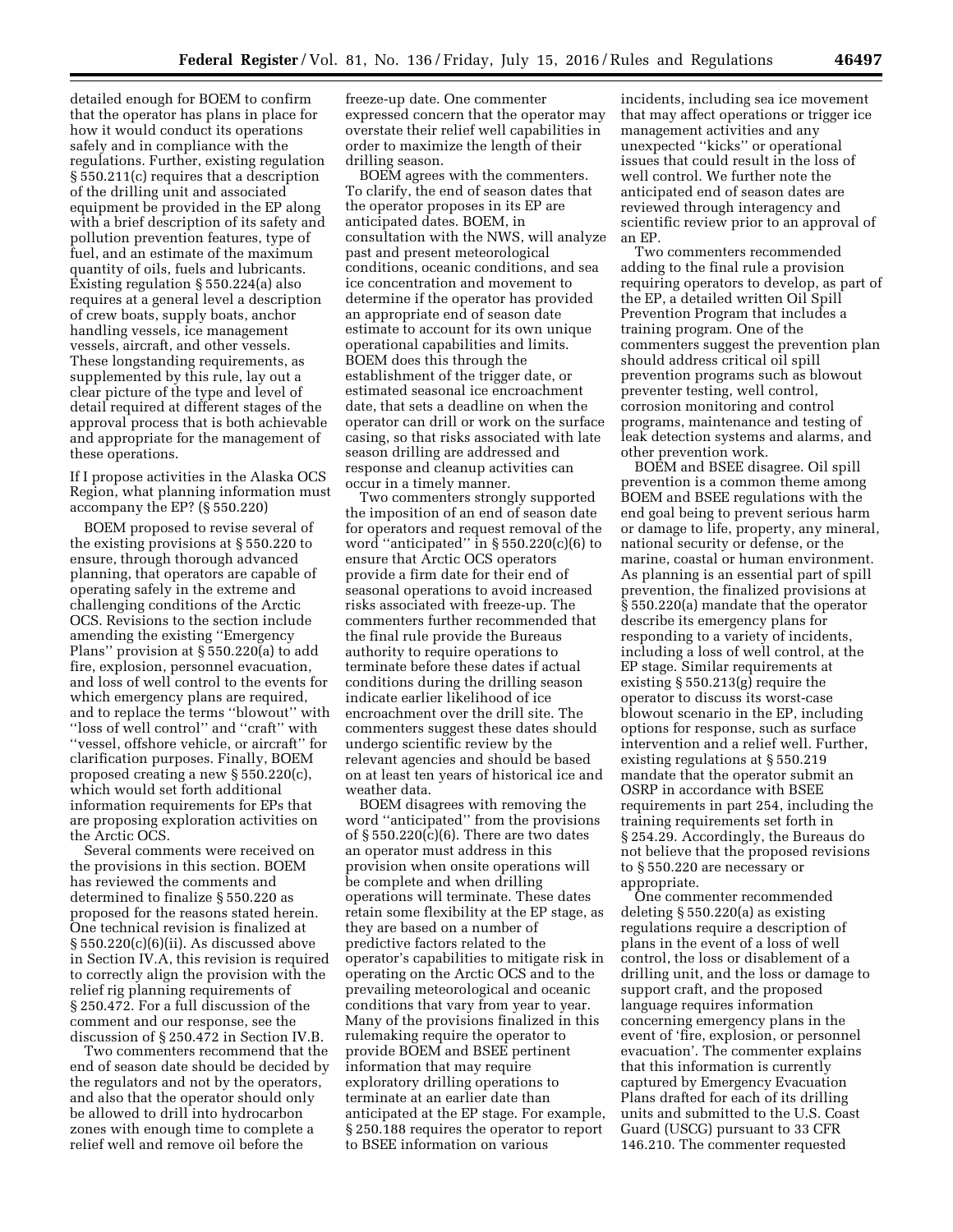detailed enough for BOEM to confirm that the operator has plans in place for how it would conduct its operations safely and in compliance with the regulations. Further, existing regulation § 550.211(c) requires that a description of the drilling unit and associated equipment be provided in the EP along with a brief description of its safety and pollution prevention features, type of fuel, and an estimate of the maximum quantity of oils, fuels and lubricants. Existing regulation § 550.224(a) also requires at a general level a description of crew boats, supply boats, anchor handling vessels, ice management vessels, aircraft, and other vessels. These longstanding requirements, as supplemented by this rule, lay out a clear picture of the type and level of detail required at different stages of the approval process that is both achievable and appropriate for the management of these operations.

If I propose activities in the Alaska OCS Region, what planning information must accompany the EP? (§ 550.220)

BOEM proposed to revise several of the existing provisions at § 550.220 to ensure, through thorough advanced planning, that operators are capable of operating safely in the extreme and challenging conditions of the Arctic OCS. Revisions to the section include amending the existing ''Emergency Plans'' provision at § 550.220(a) to add fire, explosion, personnel evacuation, and loss of well control to the events for which emergency plans are required, and to replace the terms ''blowout'' with "loss of well control" and "craft" with ''vessel, offshore vehicle, or aircraft'' for clarification purposes. Finally, BOEM proposed creating a new § 550.220(c), which would set forth additional information requirements for EPs that are proposing exploration activities on the Arctic OCS.

Several comments were received on the provisions in this section. BOEM has reviewed the comments and determined to finalize § 550.220 as proposed for the reasons stated herein. One technical revision is finalized at § 550.220(c)(6)(ii). As discussed above in Section IV.A, this revision is required to correctly align the provision with the relief rig planning requirements of § 250.472. For a full discussion of the comment and our response, see the discussion of § 250.472 in Section IV.B.

Two commenters recommend that the end of season date should be decided by the regulators and not by the operators, and also that the operator should only be allowed to drill into hydrocarbon zones with enough time to complete a relief well and remove oil before the

freeze-up date. One commenter expressed concern that the operator may overstate their relief well capabilities in order to maximize the length of their drilling season.

BOEM agrees with the commenters. To clarify, the end of season dates that the operator proposes in its EP are anticipated dates. BOEM, in consultation with the NWS, will analyze past and present meteorological conditions, oceanic conditions, and sea ice concentration and movement to determine if the operator has provided an appropriate end of season date estimate to account for its own unique operational capabilities and limits. BOEM does this through the establishment of the trigger date, or estimated seasonal ice encroachment date, that sets a deadline on when the operator can drill or work on the surface casing, so that risks associated with late season drilling are addressed and response and cleanup activities can occur in a timely manner.

Two commenters strongly supported the imposition of an end of season date for operators and request removal of the word "anticipated" in  $\S 550.220(c)(6)$  to ensure that Arctic OCS operators provide a firm date for their end of seasonal operations to avoid increased risks associated with freeze-up. The commenters further recommended that the final rule provide the Bureaus authority to require operations to terminate before these dates if actual conditions during the drilling season indicate earlier likelihood of ice encroachment over the drill site. The commenters suggest these dates should undergo scientific review by the relevant agencies and should be based on at least ten years of historical ice and weather data.

BOEM disagrees with removing the word ''anticipated'' from the provisions of  $\S 550.220(c)(6)$ . There are two dates an operator must address in this provision when onsite operations will be complete and when drilling operations will terminate. These dates retain some flexibility at the EP stage, as they are based on a number of predictive factors related to the operator's capabilities to mitigate risk in operating on the Arctic OCS and to the prevailing meteorological and oceanic conditions that vary from year to year. Many of the provisions finalized in this rulemaking require the operator to provide BOEM and BSEE pertinent information that may require exploratory drilling operations to terminate at an earlier date than anticipated at the EP stage. For example, § 250.188 requires the operator to report to BSEE information on various

incidents, including sea ice movement that may affect operations or trigger ice management activities and any unexpected ''kicks'' or operational issues that could result in the loss of well control. We further note the anticipated end of season dates are reviewed through interagency and scientific review prior to an approval of an EP.

Two commenters recommended adding to the final rule a provision requiring operators to develop, as part of the EP, a detailed written Oil Spill Prevention Program that includes a training program. One of the commenters suggest the prevention plan should address critical oil spill prevention programs such as blowout preventer testing, well control, corrosion monitoring and control programs, maintenance and testing of leak detection systems and alarms, and other prevention work.

BOEM and BSEE disagree. Oil spill prevention is a common theme among BOEM and BSEE regulations with the end goal being to prevent serious harm or damage to life, property, any mineral, national security or defense, or the marine, coastal or human environment. As planning is an essential part of spill prevention, the finalized provisions at § 550.220(a) mandate that the operator describe its emergency plans for responding to a variety of incidents, including a loss of well control, at the EP stage. Similar requirements at existing § 550.213(g) require the operator to discuss its worst-case blowout scenario in the EP, including options for response, such as surface intervention and a relief well. Further, existing regulations at § 550.219 mandate that the operator submit an OSRP in accordance with BSEE requirements in part 254, including the training requirements set forth in § 254.29. Accordingly, the Bureaus do not believe that the proposed revisions to § 550.220 are necessary or appropriate.

One commenter recommended deleting § 550.220(a) as existing regulations require a description of plans in the event of a loss of well control, the loss or disablement of a drilling unit, and the loss or damage to support craft, and the proposed language requires information concerning emergency plans in the event of 'fire, explosion, or personnel evacuation'. The commenter explains that this information is currently captured by Emergency Evacuation Plans drafted for each of its drilling units and submitted to the U.S. Coast Guard (USCG) pursuant to 33 CFR 146.210. The commenter requested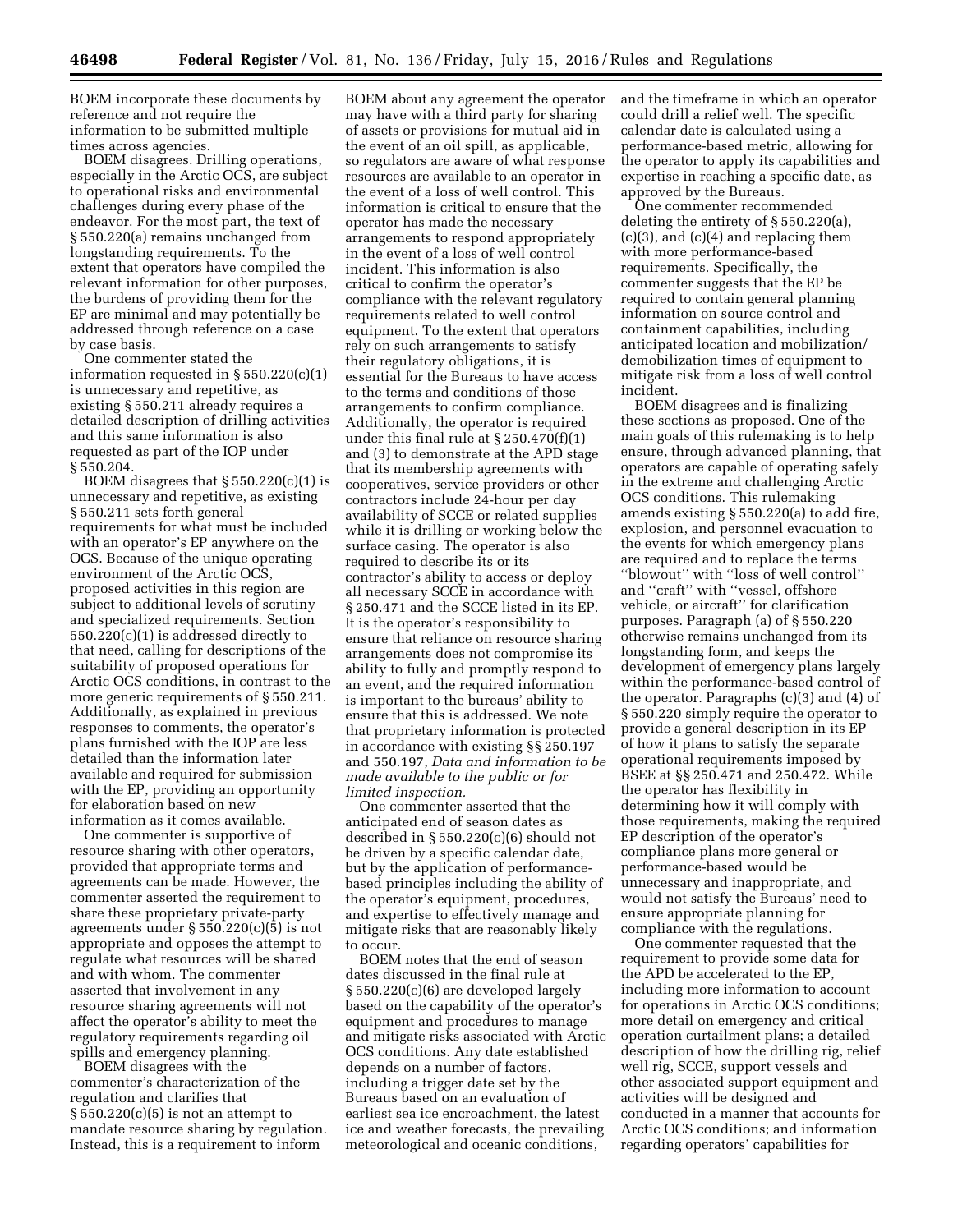BOEM incorporate these documents by reference and not require the information to be submitted multiple times across agencies.

BOEM disagrees. Drilling operations, especially in the Arctic OCS, are subject to operational risks and environmental challenges during every phase of the endeavor. For the most part, the text of § 550.220(a) remains unchanged from longstanding requirements. To the extent that operators have compiled the relevant information for other purposes, the burdens of providing them for the EP are minimal and may potentially be addressed through reference on a case by case basis.

One commenter stated the information requested in § 550.220(c)(1) is unnecessary and repetitive, as existing § 550.211 already requires a detailed description of drilling activities and this same information is also requested as part of the IOP under § 550.204.

BOEM disagrees that § 550.220(c)(1) is unnecessary and repetitive, as existing § 550.211 sets forth general requirements for what must be included with an operator's EP anywhere on the OCS. Because of the unique operating environment of the Arctic OCS, proposed activities in this region are subject to additional levels of scrutiny and specialized requirements. Section 550.220(c)(1) is addressed directly to that need, calling for descriptions of the suitability of proposed operations for Arctic OCS conditions, in contrast to the more generic requirements of § 550.211. Additionally, as explained in previous responses to comments, the operator's plans furnished with the IOP are less detailed than the information later available and required for submission with the EP, providing an opportunity for elaboration based on new information as it comes available.

One commenter is supportive of resource sharing with other operators, provided that appropriate terms and agreements can be made. However, the commenter asserted the requirement to share these proprietary private-party agreements under § 550.220(c)(5) is not appropriate and opposes the attempt to regulate what resources will be shared and with whom. The commenter asserted that involvement in any resource sharing agreements will not affect the operator's ability to meet the regulatory requirements regarding oil spills and emergency planning.

BOEM disagrees with the commenter's characterization of the regulation and clarifies that  $\S 550.220(c)(5)$  is not an attempt to mandate resource sharing by regulation. Instead, this is a requirement to inform

BOEM about any agreement the operator may have with a third party for sharing of assets or provisions for mutual aid in the event of an oil spill, as applicable, so regulators are aware of what response resources are available to an operator in the event of a loss of well control. This information is critical to ensure that the operator has made the necessary arrangements to respond appropriately in the event of a loss of well control incident. This information is also critical to confirm the operator's compliance with the relevant regulatory requirements related to well control equipment. To the extent that operators rely on such arrangements to satisfy their regulatory obligations, it is essential for the Bureaus to have access to the terms and conditions of those arrangements to confirm compliance. Additionally, the operator is required under this final rule at § 250.470(f)(1) and (3) to demonstrate at the APD stage that its membership agreements with cooperatives, service providers or other contractors include 24-hour per day availability of SCCE or related supplies while it is drilling or working below the surface casing. The operator is also required to describe its or its contractor's ability to access or deploy all necessary SCCE in accordance with § 250.471 and the SCCE listed in its EP. It is the operator's responsibility to ensure that reliance on resource sharing arrangements does not compromise its ability to fully and promptly respond to an event, and the required information is important to the bureaus' ability to ensure that this is addressed. We note that proprietary information is protected in accordance with existing §§ 250.197 and 550.197, *Data and information to be made available to the public or for limited inspection.* 

One commenter asserted that the anticipated end of season dates as described in § 550.220(c)(6) should not be driven by a specific calendar date, but by the application of performancebased principles including the ability of the operator's equipment, procedures, and expertise to effectively manage and mitigate risks that are reasonably likely to occur.

BOEM notes that the end of season dates discussed in the final rule at § 550.220(c)(6) are developed largely based on the capability of the operator's equipment and procedures to manage and mitigate risks associated with Arctic OCS conditions. Any date established depends on a number of factors, including a trigger date set by the Bureaus based on an evaluation of earliest sea ice encroachment, the latest ice and weather forecasts, the prevailing meteorological and oceanic conditions,

and the timeframe in which an operator could drill a relief well. The specific calendar date is calculated using a performance-based metric, allowing for the operator to apply its capabilities and expertise in reaching a specific date, as approved by the Bureaus.

One commenter recommended deleting the entirety of § 550.220(a),  $(c)(3)$ , and  $(c)(4)$  and replacing them with more performance-based requirements. Specifically, the commenter suggests that the EP be required to contain general planning information on source control and containment capabilities, including anticipated location and mobilization/ demobilization times of equipment to mitigate risk from a loss of well control incident.

BOEM disagrees and is finalizing these sections as proposed. One of the main goals of this rulemaking is to help ensure, through advanced planning, that operators are capable of operating safely in the extreme and challenging Arctic OCS conditions. This rulemaking amends existing § 550.220(a) to add fire, explosion, and personnel evacuation to the events for which emergency plans are required and to replace the terms ''blowout'' with ''loss of well control'' and ''craft'' with ''vessel, offshore vehicle, or aircraft'' for clarification purposes. Paragraph (a) of § 550.220 otherwise remains unchanged from its longstanding form, and keeps the development of emergency plans largely within the performance-based control of the operator. Paragraphs (c)(3) and (4) of § 550.220 simply require the operator to provide a general description in its EP of how it plans to satisfy the separate operational requirements imposed by BSEE at §§ 250.471 and 250.472. While the operator has flexibility in determining how it will comply with those requirements, making the required EP description of the operator's compliance plans more general or performance-based would be unnecessary and inappropriate, and would not satisfy the Bureaus' need to ensure appropriate planning for compliance with the regulations.

One commenter requested that the requirement to provide some data for the APD be accelerated to the EP, including more information to account for operations in Arctic OCS conditions; more detail on emergency and critical operation curtailment plans; a detailed description of how the drilling rig, relief well rig, SCCE, support vessels and other associated support equipment and activities will be designed and conducted in a manner that accounts for Arctic OCS conditions; and information regarding operators' capabilities for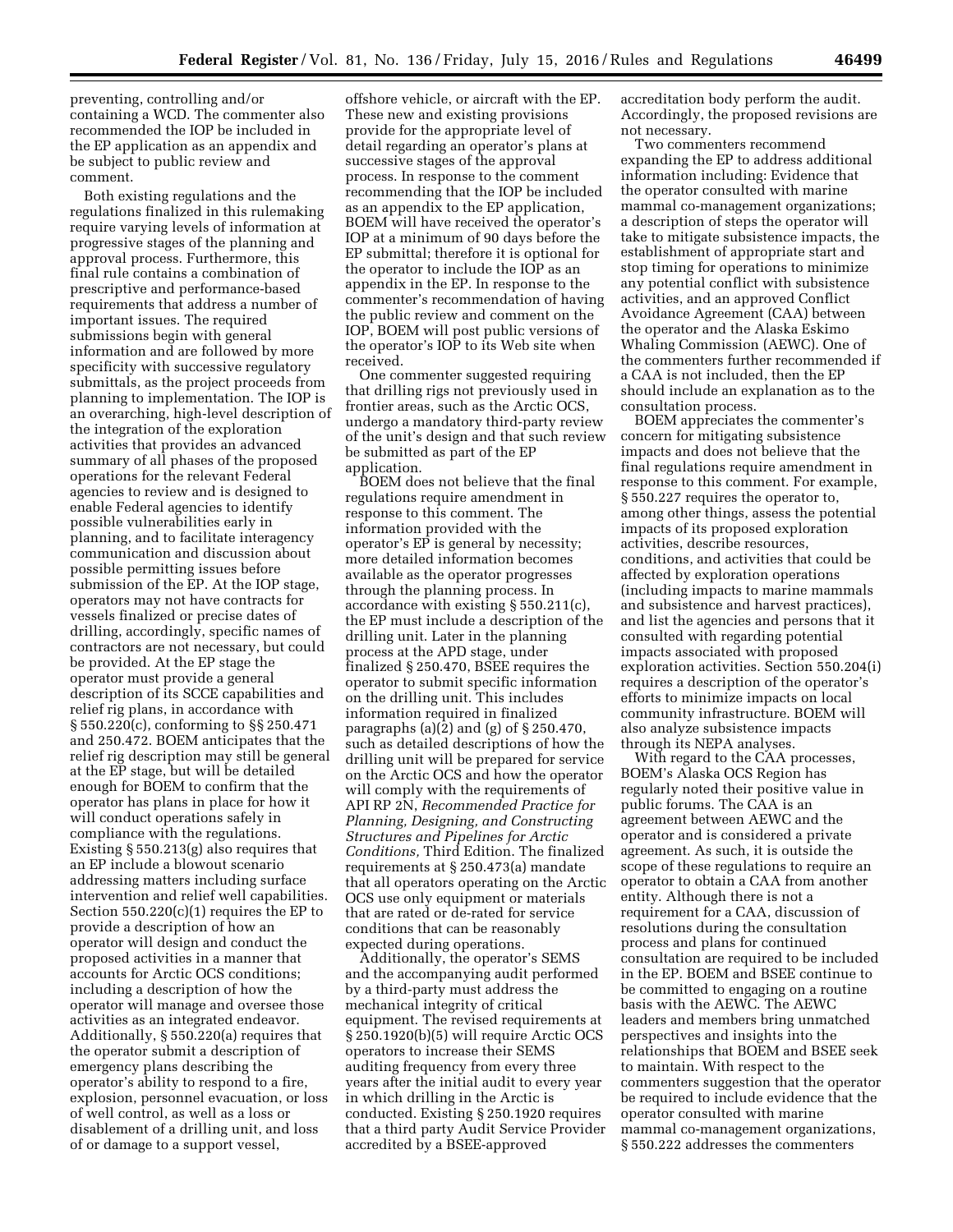preventing, controlling and/or containing a WCD. The commenter also recommended the IOP be included in the EP application as an appendix and be subject to public review and comment.

Both existing regulations and the regulations finalized in this rulemaking require varying levels of information at progressive stages of the planning and approval process. Furthermore, this final rule contains a combination of prescriptive and performance-based requirements that address a number of important issues. The required submissions begin with general information and are followed by more specificity with successive regulatory submittals, as the project proceeds from planning to implementation. The IOP is an overarching, high-level description of the integration of the exploration activities that provides an advanced summary of all phases of the proposed operations for the relevant Federal agencies to review and is designed to enable Federal agencies to identify possible vulnerabilities early in planning, and to facilitate interagency communication and discussion about possible permitting issues before submission of the EP. At the IOP stage, operators may not have contracts for vessels finalized or precise dates of drilling, accordingly, specific names of contractors are not necessary, but could be provided. At the EP stage the operator must provide a general description of its SCCE capabilities and relief rig plans, in accordance with § 550.220(c), conforming to §§ 250.471 and 250.472. BOEM anticipates that the relief rig description may still be general at the EP stage, but will be detailed enough for BOEM to confirm that the operator has plans in place for how it will conduct operations safely in compliance with the regulations. Existing § 550.213(g) also requires that an EP include a blowout scenario addressing matters including surface intervention and relief well capabilities. Section  $550.220(c)(1)$  requires the EP to provide a description of how an operator will design and conduct the proposed activities in a manner that accounts for Arctic OCS conditions; including a description of how the operator will manage and oversee those activities as an integrated endeavor. Additionally, § 550.220(a) requires that the operator submit a description of emergency plans describing the operator's ability to respond to a fire, explosion, personnel evacuation, or loss of well control, as well as a loss or disablement of a drilling unit, and loss of or damage to a support vessel,

offshore vehicle, or aircraft with the EP. These new and existing provisions provide for the appropriate level of detail regarding an operator's plans at successive stages of the approval process. In response to the comment recommending that the IOP be included as an appendix to the EP application, BOEM will have received the operator's IOP at a minimum of 90 days before the EP submittal; therefore it is optional for the operator to include the IOP as an appendix in the EP. In response to the commenter's recommendation of having the public review and comment on the IOP, BOEM will post public versions of the operator's IOP to its Web site when received.

One commenter suggested requiring that drilling rigs not previously used in frontier areas, such as the Arctic OCS, undergo a mandatory third-party review of the unit's design and that such review be submitted as part of the EP application.

BOEM does not believe that the final regulations require amendment in response to this comment. The information provided with the operator's EP is general by necessity; more detailed information becomes available as the operator progresses through the planning process. In accordance with existing § 550.211(c), the EP must include a description of the drilling unit. Later in the planning process at the APD stage, under finalized § 250.470, BSEE requires the operator to submit specific information on the drilling unit. This includes information required in finalized paragraphs (a)(2) and (g) of § 250.470, such as detailed descriptions of how the drilling unit will be prepared for service on the Arctic OCS and how the operator will comply with the requirements of API RP 2N, *Recommended Practice for Planning, Designing, and Constructing Structures and Pipelines for Arctic Conditions,* Third Edition. The finalized requirements at § 250.473(a) mandate that all operators operating on the Arctic OCS use only equipment or materials that are rated or de-rated for service conditions that can be reasonably expected during operations.

Additionally, the operator's SEMS and the accompanying audit performed by a third-party must address the mechanical integrity of critical equipment. The revised requirements at § 250.1920(b)(5) will require Arctic OCS operators to increase their SEMS auditing frequency from every three years after the initial audit to every year in which drilling in the Arctic is conducted. Existing § 250.1920 requires that a third party Audit Service Provider accredited by a BSEE-approved

accreditation body perform the audit. Accordingly, the proposed revisions are not necessary.

Two commenters recommend expanding the EP to address additional information including: Evidence that the operator consulted with marine mammal co-management organizations; a description of steps the operator will take to mitigate subsistence impacts, the establishment of appropriate start and stop timing for operations to minimize any potential conflict with subsistence activities, and an approved Conflict Avoidance Agreement (CAA) between the operator and the Alaska Eskimo Whaling Commission (AEWC). One of the commenters further recommended if a CAA is not included, then the EP should include an explanation as to the consultation process.

BOEM appreciates the commenter's concern for mitigating subsistence impacts and does not believe that the final regulations require amendment in response to this comment. For example, § 550.227 requires the operator to, among other things, assess the potential impacts of its proposed exploration activities, describe resources, conditions, and activities that could be affected by exploration operations (including impacts to marine mammals and subsistence and harvest practices), and list the agencies and persons that it consulted with regarding potential impacts associated with proposed exploration activities. Section 550.204(i) requires a description of the operator's efforts to minimize impacts on local community infrastructure. BOEM will also analyze subsistence impacts through its NEPA analyses.

With regard to the CAA processes, BOEM's Alaska OCS Region has regularly noted their positive value in public forums. The CAA is an agreement between AEWC and the operator and is considered a private agreement. As such, it is outside the scope of these regulations to require an operator to obtain a CAA from another entity. Although there is not a requirement for a CAA, discussion of resolutions during the consultation process and plans for continued consultation are required to be included in the EP. BOEM and BSEE continue to be committed to engaging on a routine basis with the AEWC. The AEWC leaders and members bring unmatched perspectives and insights into the relationships that BOEM and BSEE seek to maintain. With respect to the commenters suggestion that the operator be required to include evidence that the operator consulted with marine mammal co-management organizations, § 550.222 addresses the commenters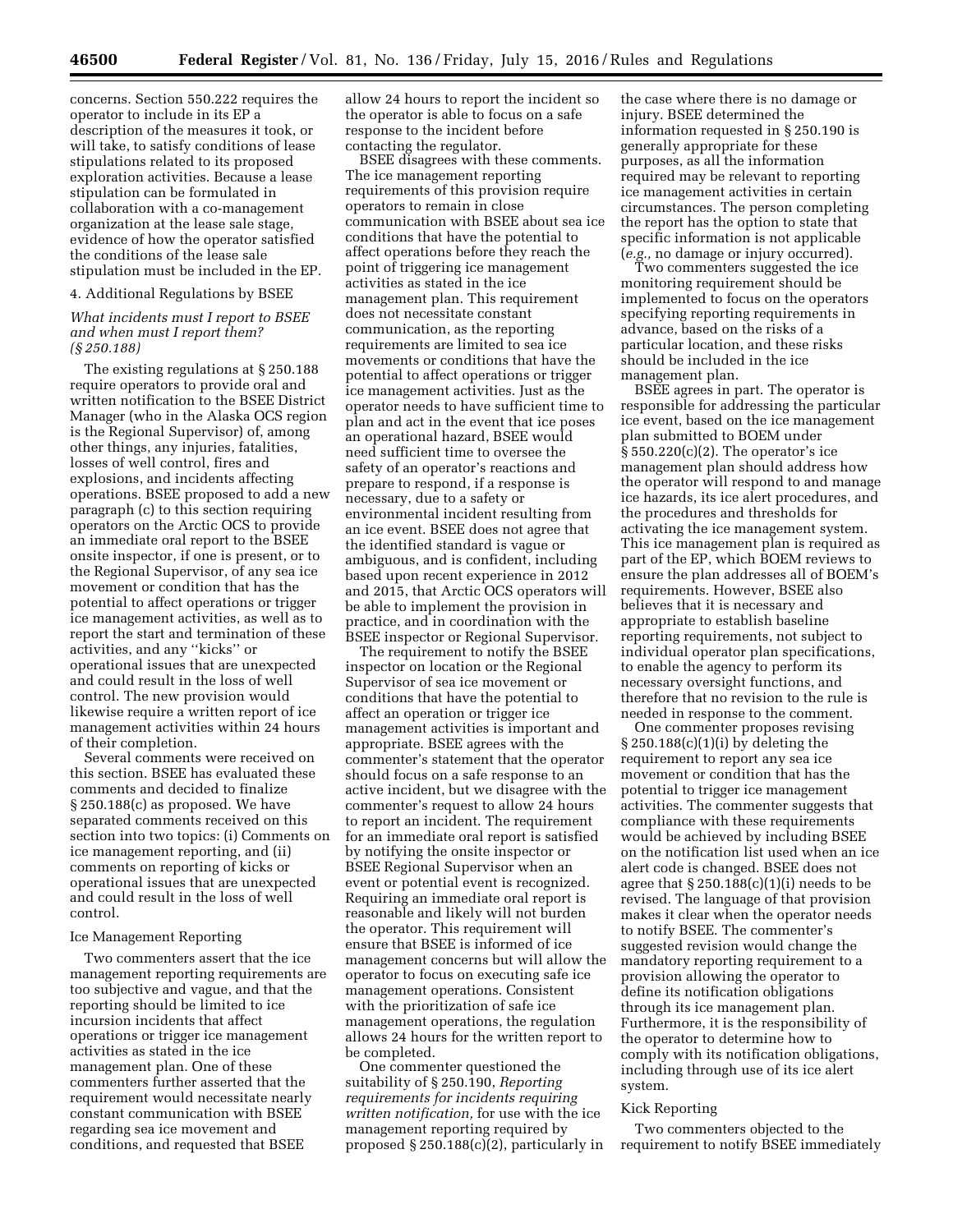concerns. Section 550.222 requires the operator to include in its EP a description of the measures it took, or will take, to satisfy conditions of lease stipulations related to its proposed exploration activities. Because a lease stipulation can be formulated in collaboration with a co-management organization at the lease sale stage, evidence of how the operator satisfied the conditions of the lease sale stipulation must be included in the EP.

4. Additional Regulations by BSEE

#### *What incidents must I report to BSEE and when must I report them? (§ 250.188)*

The existing regulations at § 250.188 require operators to provide oral and written notification to the BSEE District Manager (who in the Alaska OCS region is the Regional Supervisor) of, among other things, any injuries, fatalities, losses of well control, fires and explosions, and incidents affecting operations. BSEE proposed to add a new paragraph (c) to this section requiring operators on the Arctic OCS to provide an immediate oral report to the BSEE onsite inspector, if one is present, or to the Regional Supervisor, of any sea ice movement or condition that has the potential to affect operations or trigger ice management activities, as well as to report the start and termination of these activities, and any ''kicks'' or operational issues that are unexpected and could result in the loss of well control. The new provision would likewise require a written report of ice management activities within 24 hours of their completion.

Several comments were received on this section. BSEE has evaluated these comments and decided to finalize § 250.188(c) as proposed. We have separated comments received on this section into two topics: (i) Comments on ice management reporting, and (ii) comments on reporting of kicks or operational issues that are unexpected and could result in the loss of well control.

#### Ice Management Reporting

Two commenters assert that the ice management reporting requirements are too subjective and vague, and that the reporting should be limited to ice incursion incidents that affect operations or trigger ice management activities as stated in the ice management plan. One of these commenters further asserted that the requirement would necessitate nearly constant communication with BSEE regarding sea ice movement and conditions, and requested that BSEE

allow 24 hours to report the incident so the operator is able to focus on a safe response to the incident before contacting the regulator.

BSEE disagrees with these comments. The ice management reporting requirements of this provision require operators to remain in close communication with BSEE about sea ice conditions that have the potential to affect operations before they reach the point of triggering ice management activities as stated in the ice management plan. This requirement does not necessitate constant communication, as the reporting requirements are limited to sea ice movements or conditions that have the potential to affect operations or trigger ice management activities. Just as the operator needs to have sufficient time to plan and act in the event that ice poses an operational hazard, BSEE would need sufficient time to oversee the safety of an operator's reactions and prepare to respond, if a response is necessary, due to a safety or environmental incident resulting from an ice event. BSEE does not agree that the identified standard is vague or ambiguous, and is confident, including based upon recent experience in 2012 and 2015, that Arctic OCS operators will be able to implement the provision in practice, and in coordination with the BSEE inspector or Regional Supervisor.

The requirement to notify the BSEE inspector on location or the Regional Supervisor of sea ice movement or conditions that have the potential to affect an operation or trigger ice management activities is important and appropriate. BSEE agrees with the commenter's statement that the operator should focus on a safe response to an active incident, but we disagree with the commenter's request to allow 24 hours to report an incident. The requirement for an immediate oral report is satisfied by notifying the onsite inspector or BSEE Regional Supervisor when an event or potential event is recognized. Requiring an immediate oral report is reasonable and likely will not burden the operator. This requirement will ensure that BSEE is informed of ice management concerns but will allow the operator to focus on executing safe ice management operations. Consistent with the prioritization of safe ice management operations, the regulation allows 24 hours for the written report to be completed.

One commenter questioned the suitability of § 250.190, *Reporting requirements for incidents requiring written notification,* for use with the ice management reporting required by proposed § 250.188(c)(2), particularly in

the case where there is no damage or injury. BSEE determined the information requested in § 250.190 is generally appropriate for these purposes, as all the information required may be relevant to reporting ice management activities in certain circumstances. The person completing the report has the option to state that specific information is not applicable (*e.g.,* no damage or injury occurred).

Two commenters suggested the ice monitoring requirement should be implemented to focus on the operators specifying reporting requirements in advance, based on the risks of a particular location, and these risks should be included in the ice management plan.

BSEE agrees in part. The operator is responsible for addressing the particular ice event, based on the ice management plan submitted to BOEM under § 550.220(c)(2). The operator's ice management plan should address how the operator will respond to and manage ice hazards, its ice alert procedures, and the procedures and thresholds for activating the ice management system. This ice management plan is required as part of the EP, which BOEM reviews to ensure the plan addresses all of BOEM's requirements. However, BSEE also believes that it is necessary and appropriate to establish baseline reporting requirements, not subject to individual operator plan specifications, to enable the agency to perform its necessary oversight functions, and therefore that no revision to the rule is needed in response to the comment.

One commenter proposes revising § 250.188(c)(1)(i) by deleting the requirement to report any sea ice movement or condition that has the potential to trigger ice management activities. The commenter suggests that compliance with these requirements would be achieved by including BSEE on the notification list used when an ice alert code is changed. BSEE does not agree that  $\S 250.188(c)(1)(i)$  needs to be revised. The language of that provision makes it clear when the operator needs to notify BSEE. The commenter's suggested revision would change the mandatory reporting requirement to a provision allowing the operator to define its notification obligations through its ice management plan. Furthermore, it is the responsibility of the operator to determine how to comply with its notification obligations, including through use of its ice alert system.

#### Kick Reporting

Two commenters objected to the requirement to notify BSEE immediately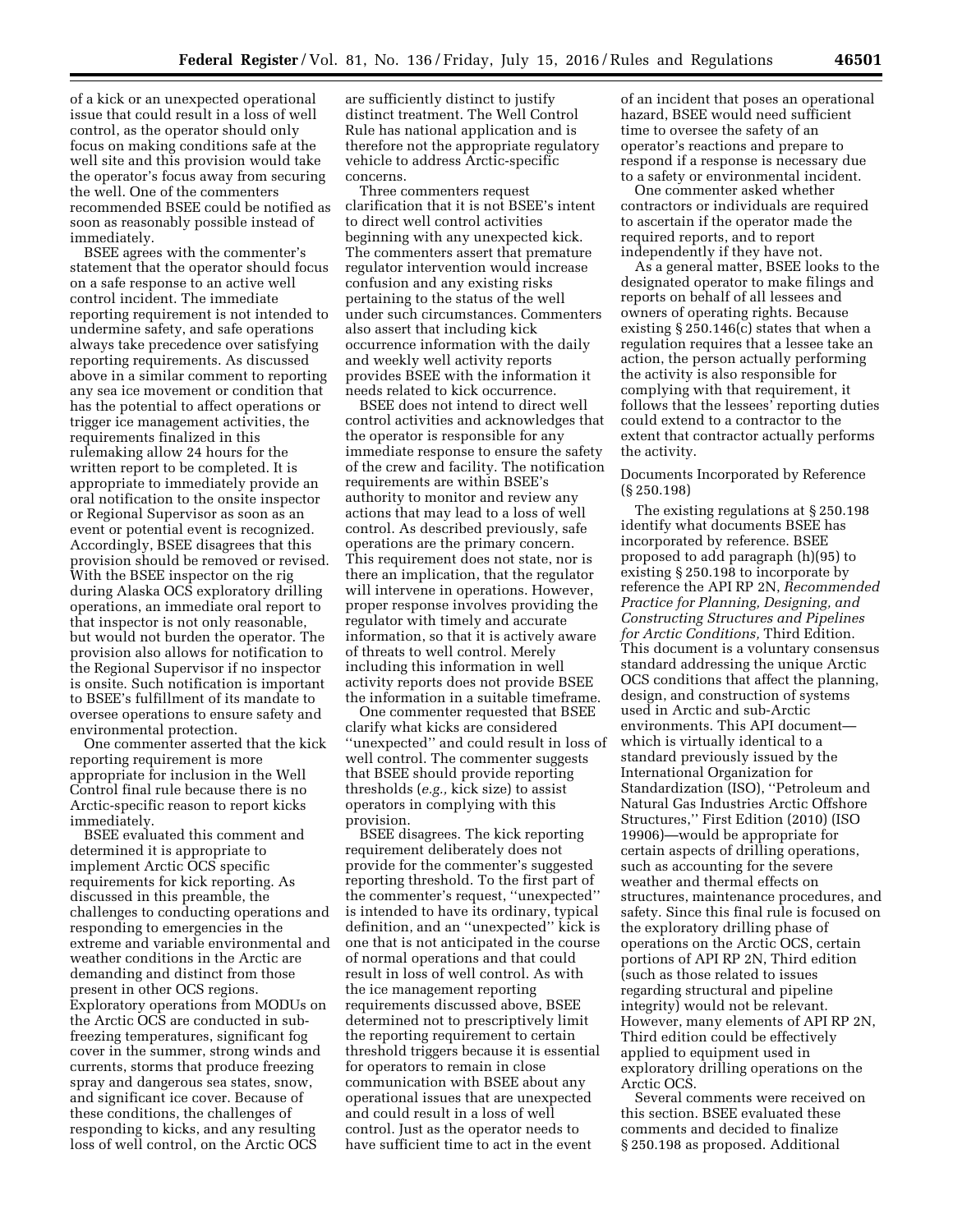of a kick or an unexpected operational issue that could result in a loss of well control, as the operator should only focus on making conditions safe at the well site and this provision would take the operator's focus away from securing the well. One of the commenters recommended BSEE could be notified as soon as reasonably possible instead of immediately.

BSEE agrees with the commenter's statement that the operator should focus on a safe response to an active well control incident. The immediate reporting requirement is not intended to undermine safety, and safe operations always take precedence over satisfying reporting requirements. As discussed above in a similar comment to reporting any sea ice movement or condition that has the potential to affect operations or trigger ice management activities, the requirements finalized in this rulemaking allow 24 hours for the written report to be completed. It is appropriate to immediately provide an oral notification to the onsite inspector or Regional Supervisor as soon as an event or potential event is recognized. Accordingly, BSEE disagrees that this provision should be removed or revised. With the BSEE inspector on the rig during Alaska OCS exploratory drilling operations, an immediate oral report to that inspector is not only reasonable, but would not burden the operator. The provision also allows for notification to the Regional Supervisor if no inspector is onsite. Such notification is important to BSEE's fulfillment of its mandate to oversee operations to ensure safety and environmental protection.

One commenter asserted that the kick reporting requirement is more appropriate for inclusion in the Well Control final rule because there is no Arctic-specific reason to report kicks immediately.

BSEE evaluated this comment and determined it is appropriate to implement Arctic OCS specific requirements for kick reporting. As discussed in this preamble, the challenges to conducting operations and responding to emergencies in the extreme and variable environmental and weather conditions in the Arctic are demanding and distinct from those present in other OCS regions. Exploratory operations from MODUs on the Arctic OCS are conducted in subfreezing temperatures, significant fog cover in the summer, strong winds and currents, storms that produce freezing spray and dangerous sea states, snow, and significant ice cover. Because of these conditions, the challenges of responding to kicks, and any resulting loss of well control, on the Arctic OCS

are sufficiently distinct to justify distinct treatment. The Well Control Rule has national application and is therefore not the appropriate regulatory vehicle to address Arctic-specific concerns.

Three commenters request clarification that it is not BSEE's intent to direct well control activities beginning with any unexpected kick. The commenters assert that premature regulator intervention would increase confusion and any existing risks pertaining to the status of the well under such circumstances. Commenters also assert that including kick occurrence information with the daily and weekly well activity reports provides BSEE with the information it needs related to kick occurrence.

BSEE does not intend to direct well control activities and acknowledges that the operator is responsible for any immediate response to ensure the safety of the crew and facility. The notification requirements are within BSEE's authority to monitor and review any actions that may lead to a loss of well control. As described previously, safe operations are the primary concern. This requirement does not state, nor is there an implication, that the regulator will intervene in operations. However, proper response involves providing the regulator with timely and accurate information, so that it is actively aware of threats to well control. Merely including this information in well activity reports does not provide BSEE the information in a suitable timeframe.

One commenter requested that BSEE clarify what kicks are considered ''unexpected'' and could result in loss of well control. The commenter suggests that BSEE should provide reporting thresholds (*e.g.,* kick size) to assist operators in complying with this provision.

BSEE disagrees. The kick reporting requirement deliberately does not provide for the commenter's suggested reporting threshold. To the first part of the commenter's request, ''unexpected'' is intended to have its ordinary, typical definition, and an ''unexpected'' kick is one that is not anticipated in the course of normal operations and that could result in loss of well control. As with the ice management reporting requirements discussed above, BSEE determined not to prescriptively limit the reporting requirement to certain threshold triggers because it is essential for operators to remain in close communication with BSEE about any operational issues that are unexpected and could result in a loss of well control. Just as the operator needs to have sufficient time to act in the event

of an incident that poses an operational hazard, BSEE would need sufficient time to oversee the safety of an operator's reactions and prepare to respond if a response is necessary due to a safety or environmental incident.

One commenter asked whether contractors or individuals are required to ascertain if the operator made the required reports, and to report independently if they have not.

As a general matter, BSEE looks to the designated operator to make filings and reports on behalf of all lessees and owners of operating rights. Because existing § 250.146(c) states that when a regulation requires that a lessee take an action, the person actually performing the activity is also responsible for complying with that requirement, it follows that the lessees' reporting duties could extend to a contractor to the extent that contractor actually performs the activity.

Documents Incorporated by Reference (§ 250.198)

The existing regulations at § 250.198 identify what documents BSEE has incorporated by reference. BSEE proposed to add paragraph (h)(95) to existing § 250.198 to incorporate by reference the API RP 2N, *Recommended Practice for Planning, Designing, and Constructing Structures and Pipelines for Arctic Conditions,* Third Edition. This document is a voluntary consensus standard addressing the unique Arctic OCS conditions that affect the planning, design, and construction of systems used in Arctic and sub-Arctic environments. This API document which is virtually identical to a standard previously issued by the International Organization for Standardization (ISO), ''Petroleum and Natural Gas Industries Arctic Offshore Structures,'' First Edition (2010) (ISO 19906)—would be appropriate for certain aspects of drilling operations, such as accounting for the severe weather and thermal effects on structures, maintenance procedures, and safety. Since this final rule is focused on the exploratory drilling phase of operations on the Arctic OCS, certain portions of API RP 2N, Third edition (such as those related to issues regarding structural and pipeline integrity) would not be relevant. However, many elements of API RP 2N, Third edition could be effectively applied to equipment used in exploratory drilling operations on the Arctic OCS.

Several comments were received on this section. BSEE evaluated these comments and decided to finalize § 250.198 as proposed. Additional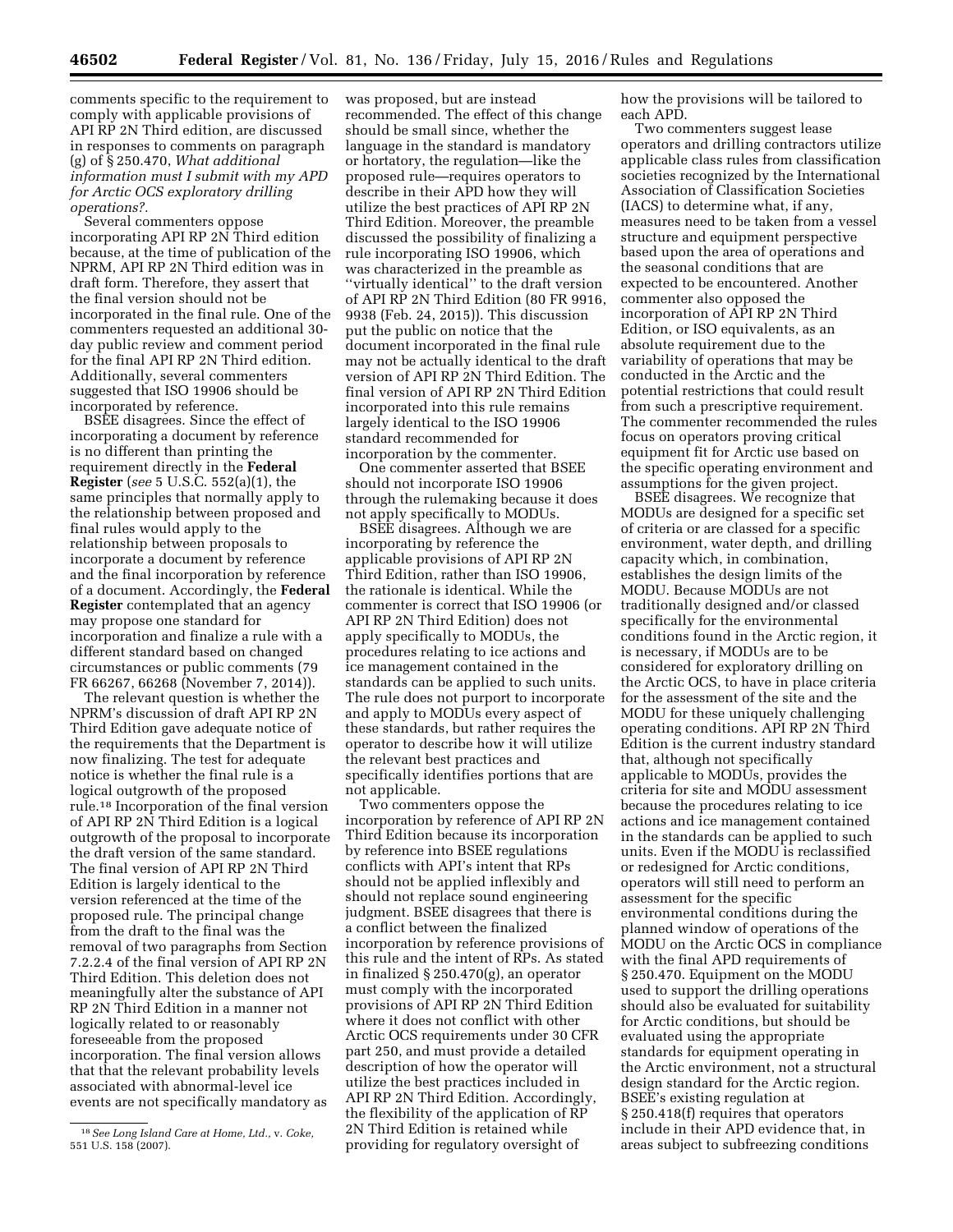comments specific to the requirement to comply with applicable provisions of API RP 2N Third edition, are discussed in responses to comments on paragraph (g) of § 250.470, *What additional information must I submit with my APD for Arctic OCS exploratory drilling operations?.* 

Several commenters oppose incorporating API RP 2N Third edition because, at the time of publication of the NPRM, API RP 2N Third edition was in draft form. Therefore, they assert that the final version should not be incorporated in the final rule. One of the commenters requested an additional 30 day public review and comment period for the final API RP 2N Third edition. Additionally, several commenters suggested that ISO 19906 should be incorporated by reference.

BSEE disagrees. Since the effect of incorporating a document by reference is no different than printing the requirement directly in the **Federal Register** (*see* 5 U.S.C. 552(a)(1), the same principles that normally apply to the relationship between proposed and final rules would apply to the relationship between proposals to incorporate a document by reference and the final incorporation by reference of a document. Accordingly, the **Federal Register** contemplated that an agency may propose one standard for incorporation and finalize a rule with a different standard based on changed circumstances or public comments (79 FR 66267, 66268 (November 7, 2014)).

The relevant question is whether the NPRM's discussion of draft API RP 2N Third Edition gave adequate notice of the requirements that the Department is now finalizing. The test for adequate notice is whether the final rule is a logical outgrowth of the proposed rule.18 Incorporation of the final version of API RP 2N Third Edition is a logical outgrowth of the proposal to incorporate the draft version of the same standard. The final version of API RP 2N Third Edition is largely identical to the version referenced at the time of the proposed rule. The principal change from the draft to the final was the removal of two paragraphs from Section 7.2.2.4 of the final version of API RP 2N Third Edition. This deletion does not meaningfully alter the substance of API RP 2N Third Edition in a manner not logically related to or reasonably foreseeable from the proposed incorporation. The final version allows that that the relevant probability levels associated with abnormal-level ice events are not specifically mandatory as

was proposed, but are instead recommended. The effect of this change should be small since, whether the language in the standard is mandatory or hortatory, the regulation—like the proposed rule—requires operators to describe in their APD how they will utilize the best practices of API RP 2N Third Edition. Moreover, the preamble discussed the possibility of finalizing a rule incorporating ISO 19906, which was characterized in the preamble as ''virtually identical'' to the draft version of API RP 2N Third Edition (80 FR 9916, 9938 (Feb. 24, 2015)). This discussion put the public on notice that the document incorporated in the final rule may not be actually identical to the draft version of API RP 2N Third Edition. The final version of API RP 2N Third Edition incorporated into this rule remains largely identical to the ISO 19906 standard recommended for incorporation by the commenter.

One commenter asserted that BSEE should not incorporate ISO 19906 through the rulemaking because it does not apply specifically to MODUs.

BSEE disagrees. Although we are incorporating by reference the applicable provisions of API RP 2N Third Edition, rather than ISO 19906, the rationale is identical. While the commenter is correct that ISO 19906 (or API RP 2N Third Edition) does not apply specifically to MODUs, the procedures relating to ice actions and ice management contained in the standards can be applied to such units. The rule does not purport to incorporate and apply to MODUs every aspect of these standards, but rather requires the operator to describe how it will utilize the relevant best practices and specifically identifies portions that are not applicable.

Two commenters oppose the incorporation by reference of API RP 2N Third Edition because its incorporation by reference into BSEE regulations conflicts with API's intent that RPs should not be applied inflexibly and should not replace sound engineering judgment. BSEE disagrees that there is a conflict between the finalized incorporation by reference provisions of this rule and the intent of RPs. As stated in finalized § 250.470(g), an operator must comply with the incorporated provisions of API RP 2N Third Edition where it does not conflict with other Arctic OCS requirements under 30 CFR part 250, and must provide a detailed description of how the operator will utilize the best practices included in API RP 2N Third Edition. Accordingly, the flexibility of the application of RP 2N Third Edition is retained while providing for regulatory oversight of

how the provisions will be tailored to each APD.

Two commenters suggest lease operators and drilling contractors utilize applicable class rules from classification societies recognized by the International Association of Classification Societies (IACS) to determine what, if any, measures need to be taken from a vessel structure and equipment perspective based upon the area of operations and the seasonal conditions that are expected to be encountered. Another commenter also opposed the incorporation of API RP 2N Third Edition, or ISO equivalents, as an absolute requirement due to the variability of operations that may be conducted in the Arctic and the potential restrictions that could result from such a prescriptive requirement. The commenter recommended the rules focus on operators proving critical equipment fit for Arctic use based on the specific operating environment and assumptions for the given project.

BSEE disagrees. We recognize that MODUs are designed for a specific set of criteria or are classed for a specific environment, water depth, and drilling capacity which, in combination, establishes the design limits of the MODU. Because MODUs are not traditionally designed and/or classed specifically for the environmental conditions found in the Arctic region, it is necessary, if MODUs are to be considered for exploratory drilling on the Arctic OCS, to have in place criteria for the assessment of the site and the MODU for these uniquely challenging operating conditions. API RP 2N Third Edition is the current industry standard that, although not specifically applicable to MODUs, provides the criteria for site and MODU assessment because the procedures relating to ice actions and ice management contained in the standards can be applied to such units. Even if the MODU is reclassified or redesigned for Arctic conditions, operators will still need to perform an assessment for the specific environmental conditions during the planned window of operations of the MODU on the Arctic OCS in compliance with the final APD requirements of § 250.470. Equipment on the MODU used to support the drilling operations should also be evaluated for suitability for Arctic conditions, but should be evaluated using the appropriate standards for equipment operating in the Arctic environment, not a structural design standard for the Arctic region. BSEE's existing regulation at § 250.418(f) requires that operators include in their APD evidence that, in areas subject to subfreezing conditions

<sup>18</sup>*See Long Island Care at Home, Ltd.,* v. *Coke,*  551 U.S. 158 (2007).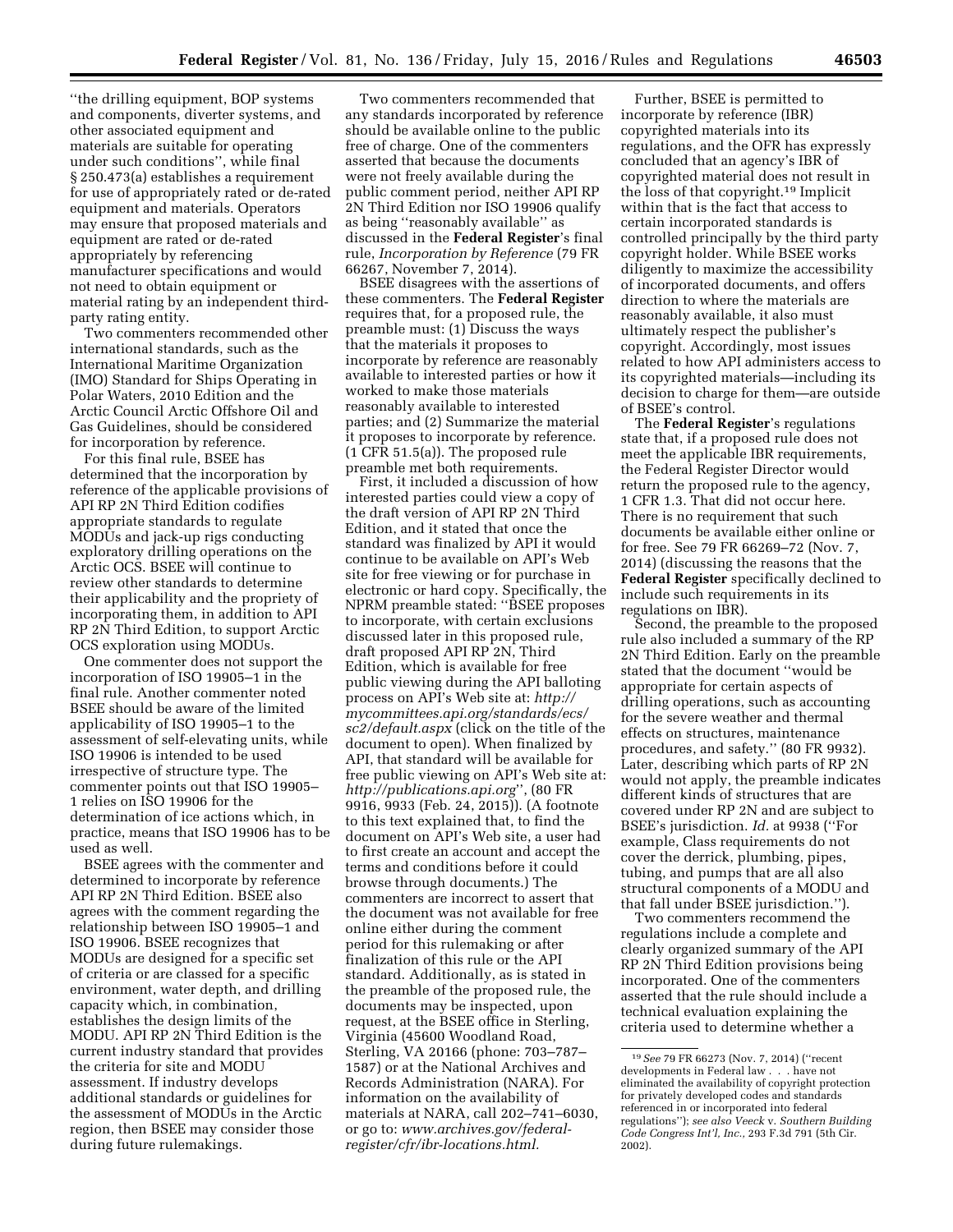''the drilling equipment, BOP systems and components, diverter systems, and other associated equipment and materials are suitable for operating under such conditions'', while final § 250.473(a) establishes a requirement for use of appropriately rated or de-rated equipment and materials. Operators may ensure that proposed materials and equipment are rated or de-rated appropriately by referencing manufacturer specifications and would not need to obtain equipment or material rating by an independent thirdparty rating entity.

Two commenters recommended other international standards, such as the International Maritime Organization (IMO) Standard for Ships Operating in Polar Waters, 2010 Edition and the Arctic Council Arctic Offshore Oil and Gas Guidelines, should be considered for incorporation by reference.

For this final rule, BSEE has determined that the incorporation by reference of the applicable provisions of API RP 2N Third Edition codifies appropriate standards to regulate MODUs and jack-up rigs conducting exploratory drilling operations on the Arctic OCS. BSEE will continue to review other standards to determine their applicability and the propriety of incorporating them, in addition to API RP 2N Third Edition, to support Arctic OCS exploration using MODUs.

One commenter does not support the incorporation of ISO 19905–1 in the final rule. Another commenter noted BSEE should be aware of the limited applicability of ISO 19905–1 to the assessment of self-elevating units, while ISO 19906 is intended to be used irrespective of structure type. The commenter points out that ISO 19905– 1 relies on ISO 19906 for the determination of ice actions which, in practice, means that ISO 19906 has to be used as well.

BSEE agrees with the commenter and determined to incorporate by reference API RP 2N Third Edition. BSEE also agrees with the comment regarding the relationship between ISO 19905–1 and ISO 19906. BSEE recognizes that MODUs are designed for a specific set of criteria or are classed for a specific environment, water depth, and drilling capacity which, in combination, establishes the design limits of the MODU. API RP 2N Third Edition is the current industry standard that provides the criteria for site and MODU assessment. If industry develops additional standards or guidelines for the assessment of MODUs in the Arctic region, then BSEE may consider those during future rulemakings.

Two commenters recommended that any standards incorporated by reference should be available online to the public free of charge. One of the commenters asserted that because the documents were not freely available during the public comment period, neither API RP 2N Third Edition nor ISO 19906 qualify as being ''reasonably available'' as discussed in the **Federal Register**'s final rule, *Incorporation by Reference* (79 FR 66267, November 7, 2014).

BSEE disagrees with the assertions of these commenters. The **Federal Register**  requires that, for a proposed rule, the preamble must: (1) Discuss the ways that the materials it proposes to incorporate by reference are reasonably available to interested parties or how it worked to make those materials reasonably available to interested parties; and (2) Summarize the material it proposes to incorporate by reference. (1 CFR 51.5(a)). The proposed rule preamble met both requirements.

First, it included a discussion of how interested parties could view a copy of the draft version of API RP 2N Third Edition, and it stated that once the standard was finalized by API it would continue to be available on API's Web site for free viewing or for purchase in electronic or hard copy. Specifically, the NPRM preamble stated: ''BSEE proposes to incorporate, with certain exclusions discussed later in this proposed rule, draft proposed API RP 2N, Third Edition, which is available for free public viewing during the API balloting process on API's Web site at: *[http://](http://mycommittees.api.org/standards/ecs/sc2/default.aspx) [mycommittees.api.org/standards/ecs/](http://mycommittees.api.org/standards/ecs/sc2/default.aspx) [sc2/default.aspx](http://mycommittees.api.org/standards/ecs/sc2/default.aspx)* (click on the title of the document to open). When finalized by API, that standard will be available for free public viewing on API's Web site at: *<http://publications.api.org>*'', (80 FR 9916, 9933 (Feb. 24, 2015)). (A footnote to this text explained that, to find the document on API's Web site, a user had to first create an account and accept the terms and conditions before it could browse through documents.) The commenters are incorrect to assert that the document was not available for free online either during the comment period for this rulemaking or after finalization of this rule or the API standard. Additionally, as is stated in the preamble of the proposed rule, the documents may be inspected, upon request, at the BSEE office in Sterling, Virginia (45600 Woodland Road, Sterling, VA 20166 (phone: 703–787– 1587) or at the National Archives and Records Administration (NARA). For information on the availability of materials at NARA, call 202–741–6030, or go to: *[www.archives.gov/federal](http://www.archives.gov/federal-register/cfr/ibr-locations.html)[register/cfr/ibr-locations.html.](http://www.archives.gov/federal-register/cfr/ibr-locations.html)* 

Further, BSEE is permitted to incorporate by reference (IBR) copyrighted materials into its regulations, and the OFR has expressly concluded that an agency's IBR of copyrighted material does not result in the loss of that copyright.19 Implicit within that is the fact that access to certain incorporated standards is controlled principally by the third party copyright holder. While BSEE works diligently to maximize the accessibility of incorporated documents, and offers direction to where the materials are reasonably available, it also must ultimately respect the publisher's copyright. Accordingly, most issues related to how API administers access to its copyrighted materials—including its decision to charge for them—are outside of BSEE's control.

The **Federal Register**'s regulations state that, if a proposed rule does not meet the applicable IBR requirements, the Federal Register Director would return the proposed rule to the agency, 1 CFR 1.3. That did not occur here. There is no requirement that such documents be available either online or for free. See 79 FR 66269–72 (Nov. 7, 2014) (discussing the reasons that the **Federal Register** specifically declined to include such requirements in its regulations on IBR).

Second, the preamble to the proposed rule also included a summary of the RP 2N Third Edition. Early on the preamble stated that the document ''would be appropriate for certain aspects of drilling operations, such as accounting for the severe weather and thermal effects on structures, maintenance procedures, and safety.'' (80 FR 9932). Later, describing which parts of RP 2N would not apply, the preamble indicates different kinds of structures that are covered under RP 2N and are subject to BSEE's jurisdiction. *Id.* at 9938 (''For example, Class requirements do not cover the derrick, plumbing, pipes, tubing, and pumps that are all also structural components of a MODU and that fall under BSEE jurisdiction.'').

Two commenters recommend the regulations include a complete and clearly organized summary of the API RP 2N Third Edition provisions being incorporated. One of the commenters asserted that the rule should include a technical evaluation explaining the criteria used to determine whether a

<sup>19</sup>*See* 79 FR 66273 (Nov. 7, 2014) (''recent developments in Federal law . . . have not eliminated the availability of copyright protection for privately developed codes and standards referenced in or incorporated into federal regulations''); *see also Veeck* v. *Southern Building Code Congress Int'l, Inc.,* 293 F.3d 791 (5th Cir. 2002).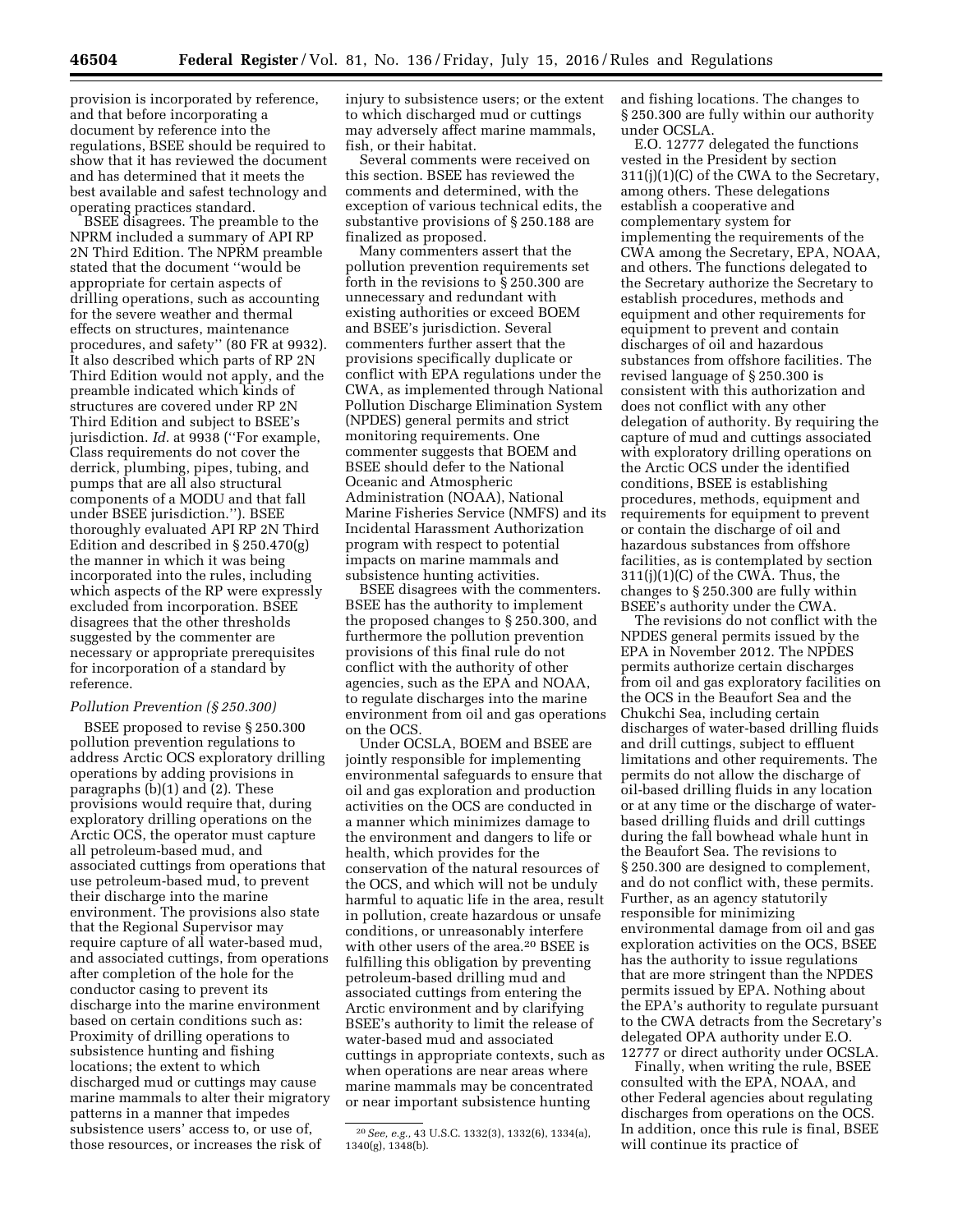provision is incorporated by reference, and that before incorporating a document by reference into the regulations, BSEE should be required to show that it has reviewed the document and has determined that it meets the best available and safest technology and operating practices standard.

BSEE disagrees. The preamble to the NPRM included a summary of API RP 2N Third Edition. The NPRM preamble stated that the document ''would be appropriate for certain aspects of drilling operations, such as accounting for the severe weather and thermal effects on structures, maintenance procedures, and safety'' (80 FR at 9932). It also described which parts of RP 2N Third Edition would not apply, and the preamble indicated which kinds of structures are covered under RP 2N Third Edition and subject to BSEE's jurisdiction. *Id.* at 9938 (''For example, Class requirements do not cover the derrick, plumbing, pipes, tubing, and pumps that are all also structural components of a MODU and that fall under BSEE jurisdiction.''). BSEE thoroughly evaluated API RP 2N Third Edition and described in § 250.470(g) the manner in which it was being incorporated into the rules, including which aspects of the RP were expressly excluded from incorporation. BSEE disagrees that the other thresholds suggested by the commenter are necessary or appropriate prerequisites for incorporation of a standard by reference.

#### *Pollution Prevention (§ 250.300)*

BSEE proposed to revise § 250.300 pollution prevention regulations to address Arctic OCS exploratory drilling operations by adding provisions in paragraphs (b)(1) and (2). These provisions would require that, during exploratory drilling operations on the Arctic OCS, the operator must capture all petroleum-based mud, and associated cuttings from operations that use petroleum-based mud, to prevent their discharge into the marine environment. The provisions also state that the Regional Supervisor may require capture of all water-based mud, and associated cuttings, from operations after completion of the hole for the conductor casing to prevent its discharge into the marine environment based on certain conditions such as: Proximity of drilling operations to subsistence hunting and fishing locations; the extent to which discharged mud or cuttings may cause marine mammals to alter their migratory patterns in a manner that impedes subsistence users' access to, or use of, those resources, or increases the risk of

injury to subsistence users; or the extent to which discharged mud or cuttings may adversely affect marine mammals, fish, or their habitat.

Several comments were received on this section. BSEE has reviewed the comments and determined, with the exception of various technical edits, the substantive provisions of § 250.188 are finalized as proposed.

Many commenters assert that the pollution prevention requirements set forth in the revisions to § 250.300 are unnecessary and redundant with existing authorities or exceed BOEM and BSEE's jurisdiction. Several commenters further assert that the provisions specifically duplicate or conflict with EPA regulations under the CWA, as implemented through National Pollution Discharge Elimination System (NPDES) general permits and strict monitoring requirements. One commenter suggests that BOEM and BSEE should defer to the National Oceanic and Atmospheric Administration (NOAA), National Marine Fisheries Service (NMFS) and its Incidental Harassment Authorization program with respect to potential impacts on marine mammals and subsistence hunting activities.

BSEE disagrees with the commenters. BSEE has the authority to implement the proposed changes to § 250.300, and furthermore the pollution prevention provisions of this final rule do not conflict with the authority of other agencies, such as the EPA and NOAA, to regulate discharges into the marine environment from oil and gas operations on the OCS.

Under OCSLA, BOEM and BSEE are jointly responsible for implementing environmental safeguards to ensure that oil and gas exploration and production activities on the OCS are conducted in a manner which minimizes damage to the environment and dangers to life or health, which provides for the conservation of the natural resources of the OCS, and which will not be unduly harmful to aquatic life in the area, result in pollution, create hazardous or unsafe conditions, or unreasonably interfere with other users of the area.20 BSEE is fulfilling this obligation by preventing petroleum-based drilling mud and associated cuttings from entering the Arctic environment and by clarifying BSEE's authority to limit the release of water-based mud and associated cuttings in appropriate contexts, such as when operations are near areas where marine mammals may be concentrated or near important subsistence hunting

and fishing locations. The changes to § 250.300 are fully within our authority under OCSLA.

E.O. 12777 delegated the functions vested in the President by section 311(j)(1)(C) of the CWA to the Secretary, among others. These delegations establish a cooperative and complementary system for implementing the requirements of the CWA among the Secretary, EPA, NOAA, and others. The functions delegated to the Secretary authorize the Secretary to establish procedures, methods and equipment and other requirements for equipment to prevent and contain discharges of oil and hazardous substances from offshore facilities. The revised language of § 250.300 is consistent with this authorization and does not conflict with any other delegation of authority. By requiring the capture of mud and cuttings associated with exploratory drilling operations on the Arctic OCS under the identified conditions, BSEE is establishing procedures, methods, equipment and requirements for equipment to prevent or contain the discharge of oil and hazardous substances from offshore facilities, as is contemplated by section  $311(j)(1)(C)$  of the CWA. Thus, the changes to § 250.300 are fully within BSEE's authority under the CWA.

The revisions do not conflict with the NPDES general permits issued by the EPA in November 2012. The NPDES permits authorize certain discharges from oil and gas exploratory facilities on the OCS in the Beaufort Sea and the Chukchi Sea, including certain discharges of water-based drilling fluids and drill cuttings, subject to effluent limitations and other requirements. The permits do not allow the discharge of oil-based drilling fluids in any location or at any time or the discharge of waterbased drilling fluids and drill cuttings during the fall bowhead whale hunt in the Beaufort Sea. The revisions to § 250.300 are designed to complement, and do not conflict with, these permits. Further, as an agency statutorily responsible for minimizing environmental damage from oil and gas exploration activities on the OCS, BSEE has the authority to issue regulations that are more stringent than the NPDES permits issued by EPA. Nothing about the EPA's authority to regulate pursuant to the CWA detracts from the Secretary's delegated OPA authority under E.O. 12777 or direct authority under OCSLA.

Finally, when writing the rule, BSEE consulted with the EPA, NOAA, and other Federal agencies about regulating discharges from operations on the OCS. In addition, once this rule is final, BSEE will continue its practice of

<sup>20</sup>*See, e.g.,* 43 U.S.C. 1332(3), 1332(6), 1334(a), 1340(g), 1348(b).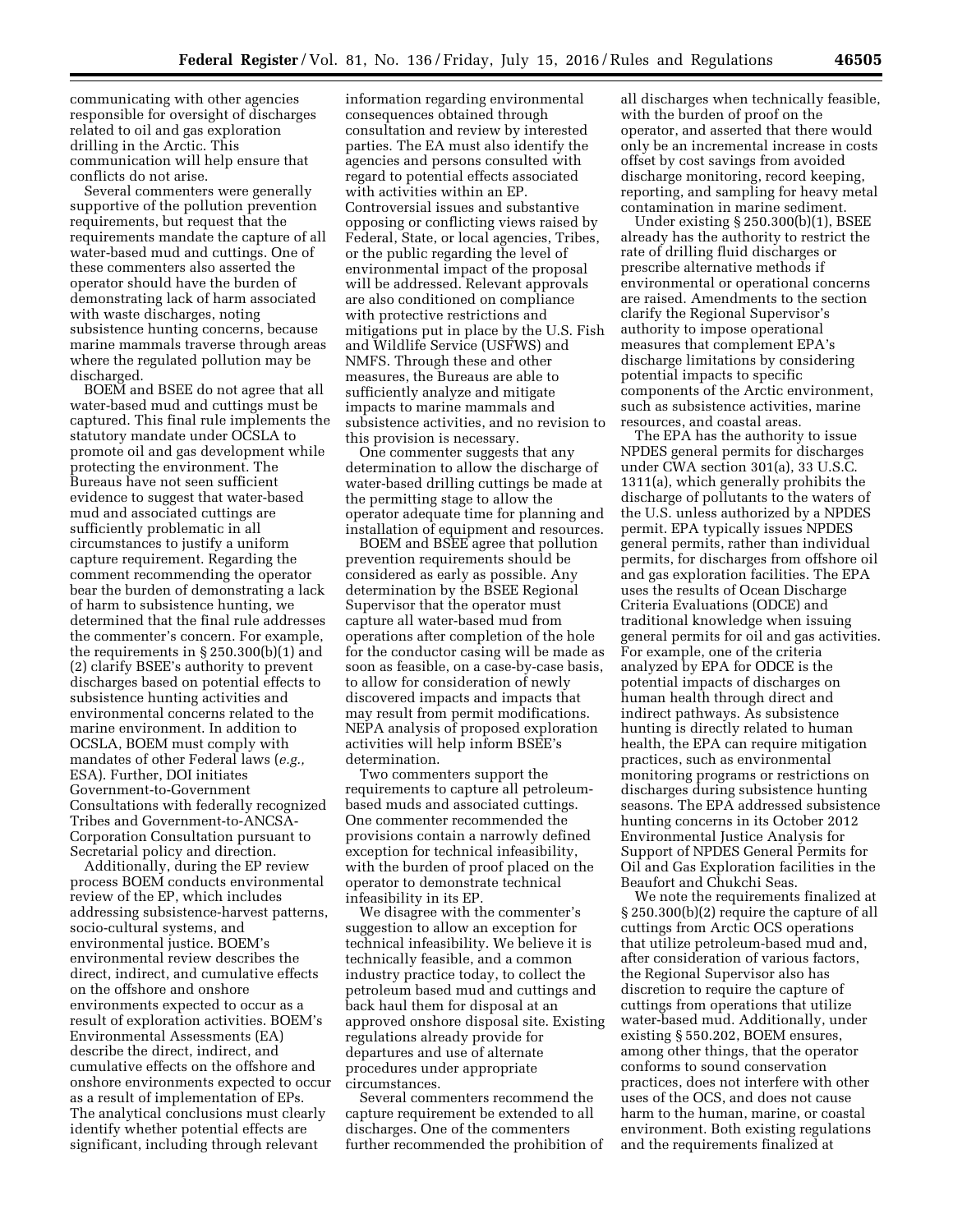communicating with other agencies responsible for oversight of discharges related to oil and gas exploration drilling in the Arctic. This communication will help ensure that conflicts do not arise.

Several commenters were generally supportive of the pollution prevention requirements, but request that the requirements mandate the capture of all water-based mud and cuttings. One of these commenters also asserted the operator should have the burden of demonstrating lack of harm associated with waste discharges, noting subsistence hunting concerns, because marine mammals traverse through areas where the regulated pollution may be discharged.

BOEM and BSEE do not agree that all water-based mud and cuttings must be captured. This final rule implements the statutory mandate under OCSLA to promote oil and gas development while protecting the environment. The Bureaus have not seen sufficient evidence to suggest that water-based mud and associated cuttings are sufficiently problematic in all circumstances to justify a uniform capture requirement. Regarding the comment recommending the operator bear the burden of demonstrating a lack of harm to subsistence hunting, we determined that the final rule addresses the commenter's concern. For example, the requirements in § 250.300(b)(1) and (2) clarify BSEE's authority to prevent discharges based on potential effects to subsistence hunting activities and environmental concerns related to the marine environment. In addition to OCSLA, BOEM must comply with mandates of other Federal laws (*e.g.,*  ESA). Further, DOI initiates Government-to-Government Consultations with federally recognized Tribes and Government-to-ANCSA-Corporation Consultation pursuant to Secretarial policy and direction.

Additionally, during the EP review process BOEM conducts environmental review of the EP, which includes addressing subsistence-harvest patterns, socio-cultural systems, and environmental justice. BOEM's environmental review describes the direct, indirect, and cumulative effects on the offshore and onshore environments expected to occur as a result of exploration activities. BOEM's Environmental Assessments (EA) describe the direct, indirect, and cumulative effects on the offshore and onshore environments expected to occur as a result of implementation of EPs. The analytical conclusions must clearly identify whether potential effects are significant, including through relevant

information regarding environmental consequences obtained through consultation and review by interested parties. The EA must also identify the agencies and persons consulted with regard to potential effects associated with activities within an EP. Controversial issues and substantive opposing or conflicting views raised by Federal, State, or local agencies, Tribes, or the public regarding the level of environmental impact of the proposal will be addressed. Relevant approvals are also conditioned on compliance with protective restrictions and mitigations put in place by the U.S. Fish and Wildlife Service (USFWS) and NMFS. Through these and other measures, the Bureaus are able to sufficiently analyze and mitigate impacts to marine mammals and subsistence activities, and no revision to this provision is necessary.

One commenter suggests that any determination to allow the discharge of water-based drilling cuttings be made at the permitting stage to allow the operator adequate time for planning and installation of equipment and resources.

BOEM and BSEE agree that pollution prevention requirements should be considered as early as possible. Any determination by the BSEE Regional Supervisor that the operator must capture all water-based mud from operations after completion of the hole for the conductor casing will be made as soon as feasible, on a case-by-case basis, to allow for consideration of newly discovered impacts and impacts that may result from permit modifications. NEPA analysis of proposed exploration activities will help inform BSEE's determination.

Two commenters support the requirements to capture all petroleumbased muds and associated cuttings. One commenter recommended the provisions contain a narrowly defined exception for technical infeasibility, with the burden of proof placed on the operator to demonstrate technical infeasibility in its EP.

We disagree with the commenter's suggestion to allow an exception for technical infeasibility. We believe it is technically feasible, and a common industry practice today, to collect the petroleum based mud and cuttings and back haul them for disposal at an approved onshore disposal site. Existing regulations already provide for departures and use of alternate procedures under appropriate circumstances.

Several commenters recommend the capture requirement be extended to all discharges. One of the commenters further recommended the prohibition of all discharges when technically feasible, with the burden of proof on the operator, and asserted that there would only be an incremental increase in costs offset by cost savings from avoided discharge monitoring, record keeping, reporting, and sampling for heavy metal contamination in marine sediment.

Under existing § 250.300(b)(1), BSEE already has the authority to restrict the rate of drilling fluid discharges or prescribe alternative methods if environmental or operational concerns are raised. Amendments to the section clarify the Regional Supervisor's authority to impose operational measures that complement EPA's discharge limitations by considering potential impacts to specific components of the Arctic environment, such as subsistence activities, marine resources, and coastal areas.

The EPA has the authority to issue NPDES general permits for discharges under CWA section 301(a), 33 U.S.C. 1311(a), which generally prohibits the discharge of pollutants to the waters of the U.S. unless authorized by a NPDES permit. EPA typically issues NPDES general permits, rather than individual permits, for discharges from offshore oil and gas exploration facilities. The EPA uses the results of Ocean Discharge Criteria Evaluations (ODCE) and traditional knowledge when issuing general permits for oil and gas activities. For example, one of the criteria analyzed by EPA for ODCE is the potential impacts of discharges on human health through direct and indirect pathways. As subsistence hunting is directly related to human health, the EPA can require mitigation practices, such as environmental monitoring programs or restrictions on discharges during subsistence hunting seasons. The EPA addressed subsistence hunting concerns in its October 2012 Environmental Justice Analysis for Support of NPDES General Permits for Oil and Gas Exploration facilities in the Beaufort and Chukchi Seas.

We note the requirements finalized at § 250.300(b)(2) require the capture of all cuttings from Arctic OCS operations that utilize petroleum-based mud and, after consideration of various factors, the Regional Supervisor also has discretion to require the capture of cuttings from operations that utilize water-based mud. Additionally, under existing § 550.202, BOEM ensures, among other things, that the operator conforms to sound conservation practices, does not interfere with other uses of the OCS, and does not cause harm to the human, marine, or coastal environment. Both existing regulations and the requirements finalized at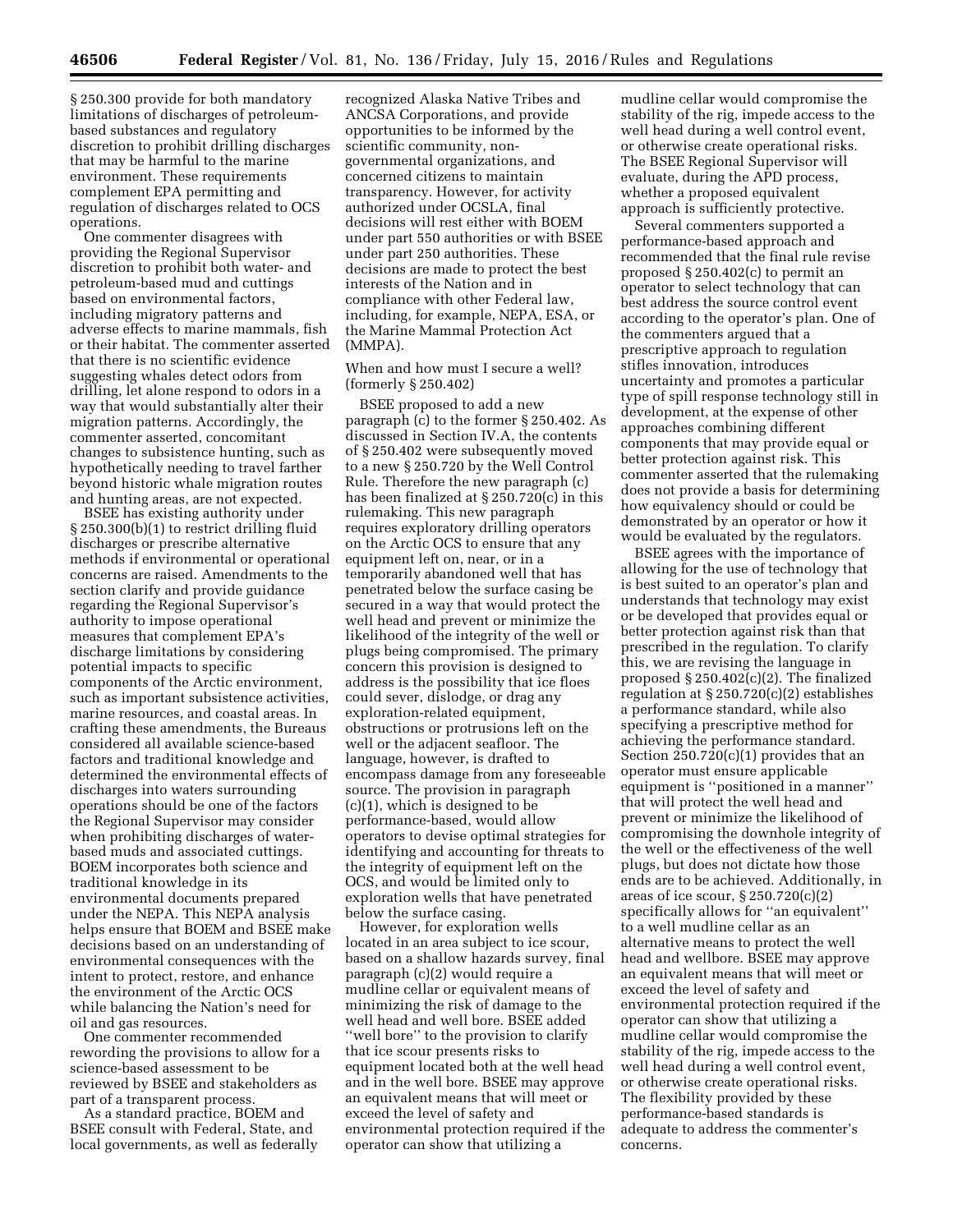§ 250.300 provide for both mandatory limitations of discharges of petroleumbased substances and regulatory discretion to prohibit drilling discharges that may be harmful to the marine environment. These requirements complement EPA permitting and regulation of discharges related to OCS operations.

One commenter disagrees with providing the Regional Supervisor discretion to prohibit both water- and petroleum-based mud and cuttings based on environmental factors, including migratory patterns and adverse effects to marine mammals, fish or their habitat. The commenter asserted that there is no scientific evidence suggesting whales detect odors from drilling, let alone respond to odors in a way that would substantially alter their migration patterns. Accordingly, the commenter asserted, concomitant changes to subsistence hunting, such as hypothetically needing to travel farther beyond historic whale migration routes and hunting areas, are not expected.

BSEE has existing authority under § 250.300(b)(1) to restrict drilling fluid discharges or prescribe alternative methods if environmental or operational concerns are raised. Amendments to the section clarify and provide guidance regarding the Regional Supervisor's authority to impose operational measures that complement EPA's discharge limitations by considering potential impacts to specific components of the Arctic environment, such as important subsistence activities, marine resources, and coastal areas. In crafting these amendments, the Bureaus considered all available science-based factors and traditional knowledge and determined the environmental effects of discharges into waters surrounding operations should be one of the factors the Regional Supervisor may consider when prohibiting discharges of waterbased muds and associated cuttings. BOEM incorporates both science and traditional knowledge in its environmental documents prepared under the NEPA. This NEPA analysis helps ensure that BOEM and BSEE make decisions based on an understanding of environmental consequences with the intent to protect, restore, and enhance the environment of the Arctic OCS while balancing the Nation's need for oil and gas resources.

One commenter recommended rewording the provisions to allow for a science-based assessment to be reviewed by BSEE and stakeholders as part of a transparent process.

As a standard practice, BOEM and BSEE consult with Federal, State, and local governments, as well as federally

recognized Alaska Native Tribes and ANCSA Corporations, and provide opportunities to be informed by the scientific community, nongovernmental organizations, and concerned citizens to maintain transparency. However, for activity authorized under OCSLA, final decisions will rest either with BOEM under part 550 authorities or with BSEE under part 250 authorities. These decisions are made to protect the best interests of the Nation and in compliance with other Federal law, including, for example, NEPA, ESA, or the Marine Mammal Protection Act (MMPA).

When and how must I secure a well? (formerly § 250.402)

BSEE proposed to add a new paragraph (c) to the former § 250.402. As discussed in Section IV.A, the contents of § 250.402 were subsequently moved to a new § 250.720 by the Well Control Rule. Therefore the new paragraph (c) has been finalized at § 250.720(c) in this rulemaking. This new paragraph requires exploratory drilling operators on the Arctic OCS to ensure that any equipment left on, near, or in a temporarily abandoned well that has penetrated below the surface casing be secured in a way that would protect the well head and prevent or minimize the likelihood of the integrity of the well or plugs being compromised. The primary concern this provision is designed to address is the possibility that ice floes could sever, dislodge, or drag any exploration-related equipment, obstructions or protrusions left on the well or the adjacent seafloor. The language, however, is drafted to encompass damage from any foreseeable source. The provision in paragraph (c)(1), which is designed to be performance-based, would allow operators to devise optimal strategies for identifying and accounting for threats to the integrity of equipment left on the OCS, and would be limited only to exploration wells that have penetrated below the surface casing.

However, for exploration wells located in an area subject to ice scour, based on a shallow hazards survey, final paragraph (c)(2) would require a mudline cellar or equivalent means of minimizing the risk of damage to the well head and well bore. BSEE added ''well bore'' to the provision to clarify that ice scour presents risks to equipment located both at the well head and in the well bore. BSEE may approve an equivalent means that will meet or exceed the level of safety and environmental protection required if the operator can show that utilizing a

mudline cellar would compromise the stability of the rig, impede access to the well head during a well control event, or otherwise create operational risks. The BSEE Regional Supervisor will evaluate, during the APD process, whether a proposed equivalent approach is sufficiently protective.

Several commenters supported a performance-based approach and recommended that the final rule revise proposed § 250.402(c) to permit an operator to select technology that can best address the source control event according to the operator's plan. One of the commenters argued that a prescriptive approach to regulation stifles innovation, introduces uncertainty and promotes a particular type of spill response technology still in development, at the expense of other approaches combining different components that may provide equal or better protection against risk. This commenter asserted that the rulemaking does not provide a basis for determining how equivalency should or could be demonstrated by an operator or how it would be evaluated by the regulators.

BSEE agrees with the importance of allowing for the use of technology that is best suited to an operator's plan and understands that technology may exist or be developed that provides equal or better protection against risk than that prescribed in the regulation. To clarify this, we are revising the language in proposed § 250.402(c)(2). The finalized regulation at § 250.720(c)(2) establishes a performance standard, while also specifying a prescriptive method for achieving the performance standard. Section  $250.720(c)(1)$  provides that an operator must ensure applicable equipment is ''positioned in a manner'' that will protect the well head and prevent or minimize the likelihood of compromising the downhole integrity of the well or the effectiveness of the well plugs, but does not dictate how those ends are to be achieved. Additionally, in areas of ice scour, § 250.720(c)(2) specifically allows for ''an equivalent'' to a well mudline cellar as an alternative means to protect the well head and wellbore. BSEE may approve an equivalent means that will meet or exceed the level of safety and environmental protection required if the operator can show that utilizing a mudline cellar would compromise the stability of the rig, impede access to the well head during a well control event, or otherwise create operational risks. The flexibility provided by these performance-based standards is adequate to address the commenter's concerns.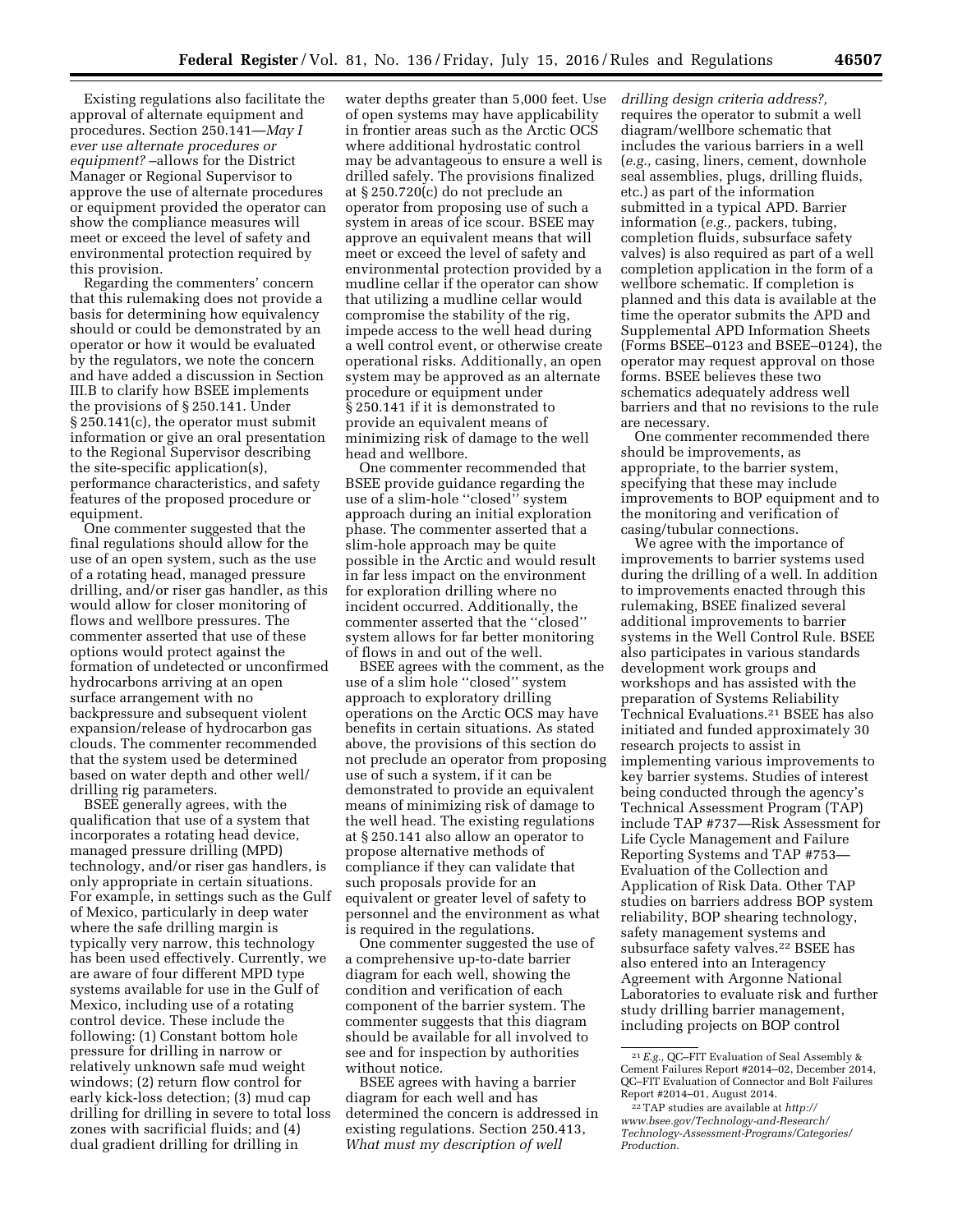Existing regulations also facilitate the approval of alternate equipment and procedures. Section 250.141—*May I ever use alternate procedures or equipment?* –allows for the District Manager or Regional Supervisor to approve the use of alternate procedures or equipment provided the operator can show the compliance measures will meet or exceed the level of safety and environmental protection required by this provision.

Regarding the commenters' concern that this rulemaking does not provide a basis for determining how equivalency should or could be demonstrated by an operator or how it would be evaluated by the regulators, we note the concern and have added a discussion in Section III.B to clarify how BSEE implements the provisions of § 250.141. Under § 250.141(c), the operator must submit information or give an oral presentation to the Regional Supervisor describing the site-specific application(s), performance characteristics, and safety features of the proposed procedure or equipment.

One commenter suggested that the final regulations should allow for the use of an open system, such as the use of a rotating head, managed pressure drilling, and/or riser gas handler, as this would allow for closer monitoring of flows and wellbore pressures. The commenter asserted that use of these options would protect against the formation of undetected or unconfirmed hydrocarbons arriving at an open surface arrangement with no backpressure and subsequent violent expansion/release of hydrocarbon gas clouds. The commenter recommended that the system used be determined based on water depth and other well/ drilling rig parameters.

BSEE generally agrees, with the qualification that use of a system that incorporates a rotating head device, managed pressure drilling (MPD) technology, and/or riser gas handlers, is only appropriate in certain situations. For example, in settings such as the Gulf of Mexico, particularly in deep water where the safe drilling margin is typically very narrow, this technology has been used effectively. Currently, we are aware of four different MPD type systems available for use in the Gulf of Mexico, including use of a rotating control device. These include the following: (1) Constant bottom hole pressure for drilling in narrow or relatively unknown safe mud weight windows; (2) return flow control for early kick-loss detection; (3) mud cap drilling for drilling in severe to total loss zones with sacrificial fluids; and (4) dual gradient drilling for drilling in

water depths greater than 5,000 feet. Use of open systems may have applicability in frontier areas such as the Arctic OCS where additional hydrostatic control may be advantageous to ensure a well is drilled safely. The provisions finalized at § 250.720(c) do not preclude an operator from proposing use of such a system in areas of ice scour. BSEE may approve an equivalent means that will meet or exceed the level of safety and environmental protection provided by a mudline cellar if the operator can show that utilizing a mudline cellar would compromise the stability of the rig, impede access to the well head during a well control event, or otherwise create operational risks. Additionally, an open system may be approved as an alternate procedure or equipment under § 250.141 if it is demonstrated to provide an equivalent means of minimizing risk of damage to the well head and wellbore.

One commenter recommended that BSEE provide guidance regarding the use of a slim-hole ''closed'' system approach during an initial exploration phase. The commenter asserted that a slim-hole approach may be quite possible in the Arctic and would result in far less impact on the environment for exploration drilling where no incident occurred. Additionally, the commenter asserted that the ''closed'' system allows for far better monitoring of flows in and out of the well.

BSEE agrees with the comment, as the use of a slim hole ''closed'' system approach to exploratory drilling operations on the Arctic OCS may have benefits in certain situations. As stated above, the provisions of this section do not preclude an operator from proposing use of such a system, if it can be demonstrated to provide an equivalent means of minimizing risk of damage to the well head. The existing regulations at § 250.141 also allow an operator to propose alternative methods of compliance if they can validate that such proposals provide for an equivalent or greater level of safety to personnel and the environment as what is required in the regulations.

One commenter suggested the use of a comprehensive up-to-date barrier diagram for each well, showing the condition and verification of each component of the barrier system. The commenter suggests that this diagram should be available for all involved to see and for inspection by authorities without notice.

BSEE agrees with having a barrier diagram for each well and has determined the concern is addressed in existing regulations. Section 250.413, *What must my description of well* 

*drilling design criteria address?,*  requires the operator to submit a well diagram/wellbore schematic that includes the various barriers in a well (*e.g.,* casing, liners, cement, downhole seal assemblies, plugs, drilling fluids, etc.) as part of the information submitted in a typical APD. Barrier information (*e.g.,* packers, tubing, completion fluids, subsurface safety valves) is also required as part of a well completion application in the form of a wellbore schematic. If completion is planned and this data is available at the time the operator submits the APD and Supplemental APD Information Sheets (Forms BSEE–0123 and BSEE–0124), the operator may request approval on those forms. BSEE believes these two schematics adequately address well barriers and that no revisions to the rule are necessary.

One commenter recommended there should be improvements, as appropriate, to the barrier system, specifying that these may include improvements to BOP equipment and to the monitoring and verification of casing/tubular connections.

We agree with the importance of improvements to barrier systems used during the drilling of a well. In addition to improvements enacted through this rulemaking, BSEE finalized several additional improvements to barrier systems in the Well Control Rule. BSEE also participates in various standards development work groups and workshops and has assisted with the preparation of Systems Reliability Technical Evaluations.21 BSEE has also initiated and funded approximately 30 research projects to assist in implementing various improvements to key barrier systems. Studies of interest being conducted through the agency's Technical Assessment Program (TAP) include TAP #737—Risk Assessment for Life Cycle Management and Failure Reporting Systems and TAP #753— Evaluation of the Collection and Application of Risk Data. Other TAP studies on barriers address BOP system reliability, BOP shearing technology, safety management systems and subsurface safety valves.22 BSEE has also entered into an Interagency Agreement with Argonne National Laboratories to evaluate risk and further study drilling barrier management, including projects on BOP control

<sup>21</sup>*E.g.,* QC–FIT Evaluation of Seal Assembly & Cement Failures Report #2014–02, December 2014, QC–FIT Evaluation of Connector and Bolt Failures Report #2014–01, August 2014.

<sup>22</sup>TAP studies are available at *[http://](http://www.bsee.gov/Technology-and-Research/Technology-Assessment-Programs/Categories/Production) [www.bsee.gov/Technology-and-Research/](http://www.bsee.gov/Technology-and-Research/Technology-Assessment-Programs/Categories/Production) [Technology-Assessment-Programs/Categories/](http://www.bsee.gov/Technology-and-Research/Technology-Assessment-Programs/Categories/Production) [Production.](http://www.bsee.gov/Technology-and-Research/Technology-Assessment-Programs/Categories/Production)*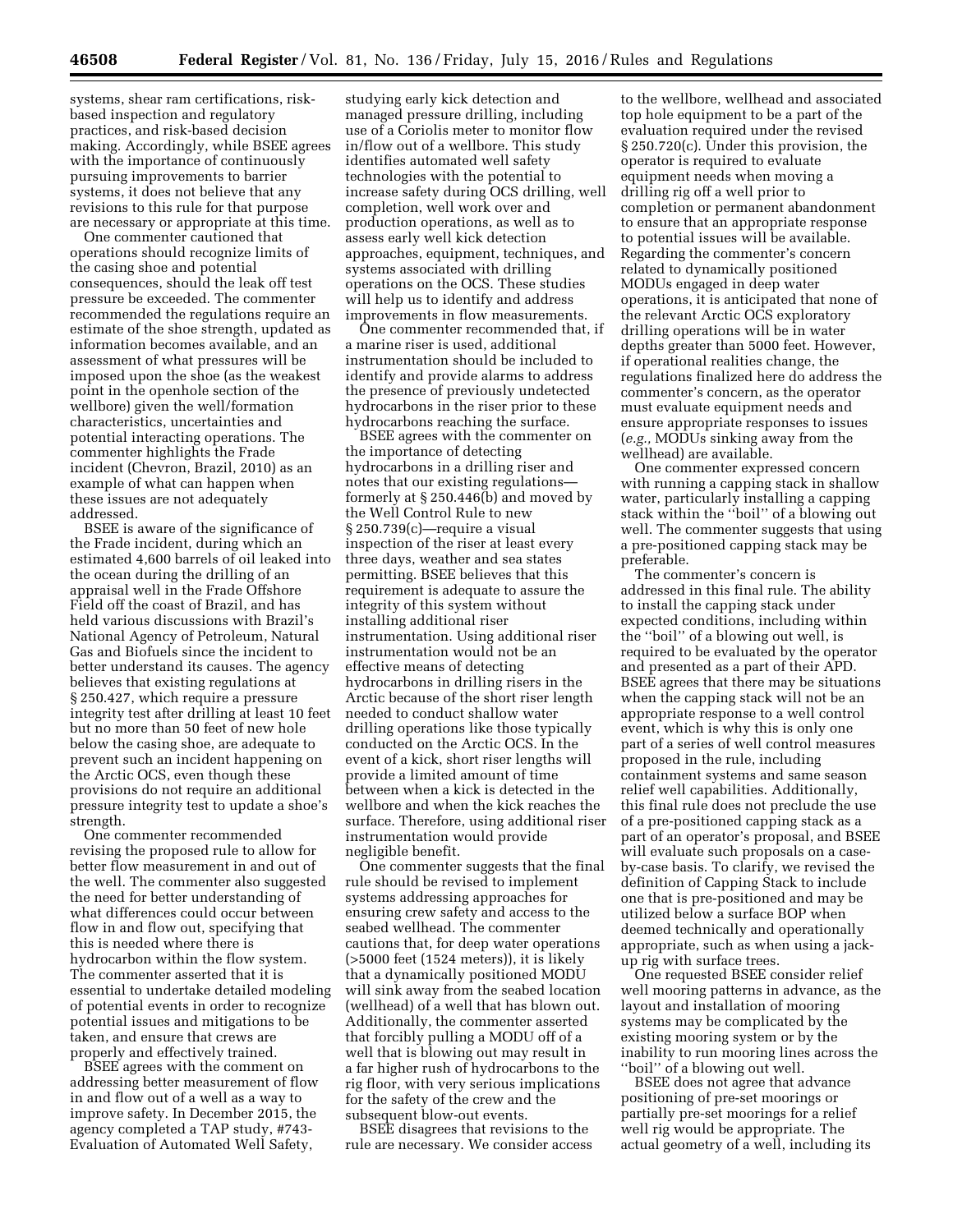systems, shear ram certifications, riskbased inspection and regulatory practices, and risk-based decision making. Accordingly, while BSEE agrees with the importance of continuously pursuing improvements to barrier systems, it does not believe that any revisions to this rule for that purpose are necessary or appropriate at this time.

One commenter cautioned that operations should recognize limits of the casing shoe and potential consequences, should the leak off test pressure be exceeded. The commenter recommended the regulations require an estimate of the shoe strength, updated as information becomes available, and an assessment of what pressures will be imposed upon the shoe (as the weakest point in the openhole section of the wellbore) given the well/formation characteristics, uncertainties and potential interacting operations. The commenter highlights the Frade incident (Chevron, Brazil, 2010) as an example of what can happen when these issues are not adequately addressed.

BSEE is aware of the significance of the Frade incident, during which an estimated 4,600 barrels of oil leaked into the ocean during the drilling of an appraisal well in the Frade Offshore Field off the coast of Brazil, and has held various discussions with Brazil's National Agency of Petroleum, Natural Gas and Biofuels since the incident to better understand its causes. The agency believes that existing regulations at § 250.427, which require a pressure integrity test after drilling at least 10 feet but no more than 50 feet of new hole below the casing shoe, are adequate to prevent such an incident happening on the Arctic OCS, even though these provisions do not require an additional pressure integrity test to update a shoe's strength.

One commenter recommended revising the proposed rule to allow for better flow measurement in and out of the well. The commenter also suggested the need for better understanding of what differences could occur between flow in and flow out, specifying that this is needed where there is hydrocarbon within the flow system. The commenter asserted that it is essential to undertake detailed modeling of potential events in order to recognize potential issues and mitigations to be taken, and ensure that crews are properly and effectively trained.

BSEE agrees with the comment on addressing better measurement of flow in and flow out of a well as a way to improve safety. In December 2015, the agency completed a TAP study, #743- Evaluation of Automated Well Safety,

studying early kick detection and managed pressure drilling, including use of a Coriolis meter to monitor flow in/flow out of a wellbore. This study identifies automated well safety technologies with the potential to increase safety during OCS drilling, well completion, well work over and production operations, as well as to assess early well kick detection approaches, equipment, techniques, and systems associated with drilling operations on the OCS. These studies will help us to identify and address improvements in flow measurements.

One commenter recommended that, if a marine riser is used, additional instrumentation should be included to identify and provide alarms to address the presence of previously undetected hydrocarbons in the riser prior to these hydrocarbons reaching the surface.

BSEE agrees with the commenter on the importance of detecting hydrocarbons in a drilling riser and notes that our existing regulations formerly at § 250.446(b) and moved by the Well Control Rule to new § 250.739(c)—require a visual inspection of the riser at least every three days, weather and sea states permitting. BSEE believes that this requirement is adequate to assure the integrity of this system without installing additional riser instrumentation. Using additional riser instrumentation would not be an effective means of detecting hydrocarbons in drilling risers in the Arctic because of the short riser length needed to conduct shallow water drilling operations like those typically conducted on the Arctic OCS. In the event of a kick, short riser lengths will provide a limited amount of time between when a kick is detected in the wellbore and when the kick reaches the surface. Therefore, using additional riser instrumentation would provide negligible benefit.

One commenter suggests that the final rule should be revised to implement systems addressing approaches for ensuring crew safety and access to the seabed wellhead. The commenter cautions that, for deep water operations (>5000 feet (1524 meters)), it is likely that a dynamically positioned MODU will sink away from the seabed location (wellhead) of a well that has blown out. Additionally, the commenter asserted that forcibly pulling a MODU off of a well that is blowing out may result in a far higher rush of hydrocarbons to the rig floor, with very serious implications for the safety of the crew and the subsequent blow-out events.

BSEE disagrees that revisions to the rule are necessary. We consider access

to the wellbore, wellhead and associated top hole equipment to be a part of the evaluation required under the revised § 250.720(c). Under this provision, the operator is required to evaluate equipment needs when moving a drilling rig off a well prior to completion or permanent abandonment to ensure that an appropriate response to potential issues will be available. Regarding the commenter's concern related to dynamically positioned MODUs engaged in deep water operations, it is anticipated that none of the relevant Arctic OCS exploratory drilling operations will be in water depths greater than 5000 feet. However, if operational realities change, the regulations finalized here do address the commenter's concern, as the operator must evaluate equipment needs and ensure appropriate responses to issues (*e.g.,* MODUs sinking away from the wellhead) are available.

One commenter expressed concern with running a capping stack in shallow water, particularly installing a capping stack within the ''boil'' of a blowing out well. The commenter suggests that using a pre-positioned capping stack may be preferable.

The commenter's concern is addressed in this final rule. The ability to install the capping stack under expected conditions, including within the ''boil'' of a blowing out well, is required to be evaluated by the operator and presented as a part of their APD. BSEE agrees that there may be situations when the capping stack will not be an appropriate response to a well control event, which is why this is only one part of a series of well control measures proposed in the rule, including containment systems and same season relief well capabilities. Additionally, this final rule does not preclude the use of a pre-positioned capping stack as a part of an operator's proposal, and BSEE will evaluate such proposals on a caseby-case basis. To clarify, we revised the definition of Capping Stack to include one that is pre-positioned and may be utilized below a surface BOP when deemed technically and operationally appropriate, such as when using a jackup rig with surface trees.

One requested BSEE consider relief well mooring patterns in advance, as the layout and installation of mooring systems may be complicated by the existing mooring system or by the inability to run mooring lines across the ''boil'' of a blowing out well.

BSEE does not agree that advance positioning of pre-set moorings or partially pre-set moorings for a relief well rig would be appropriate. The actual geometry of a well, including its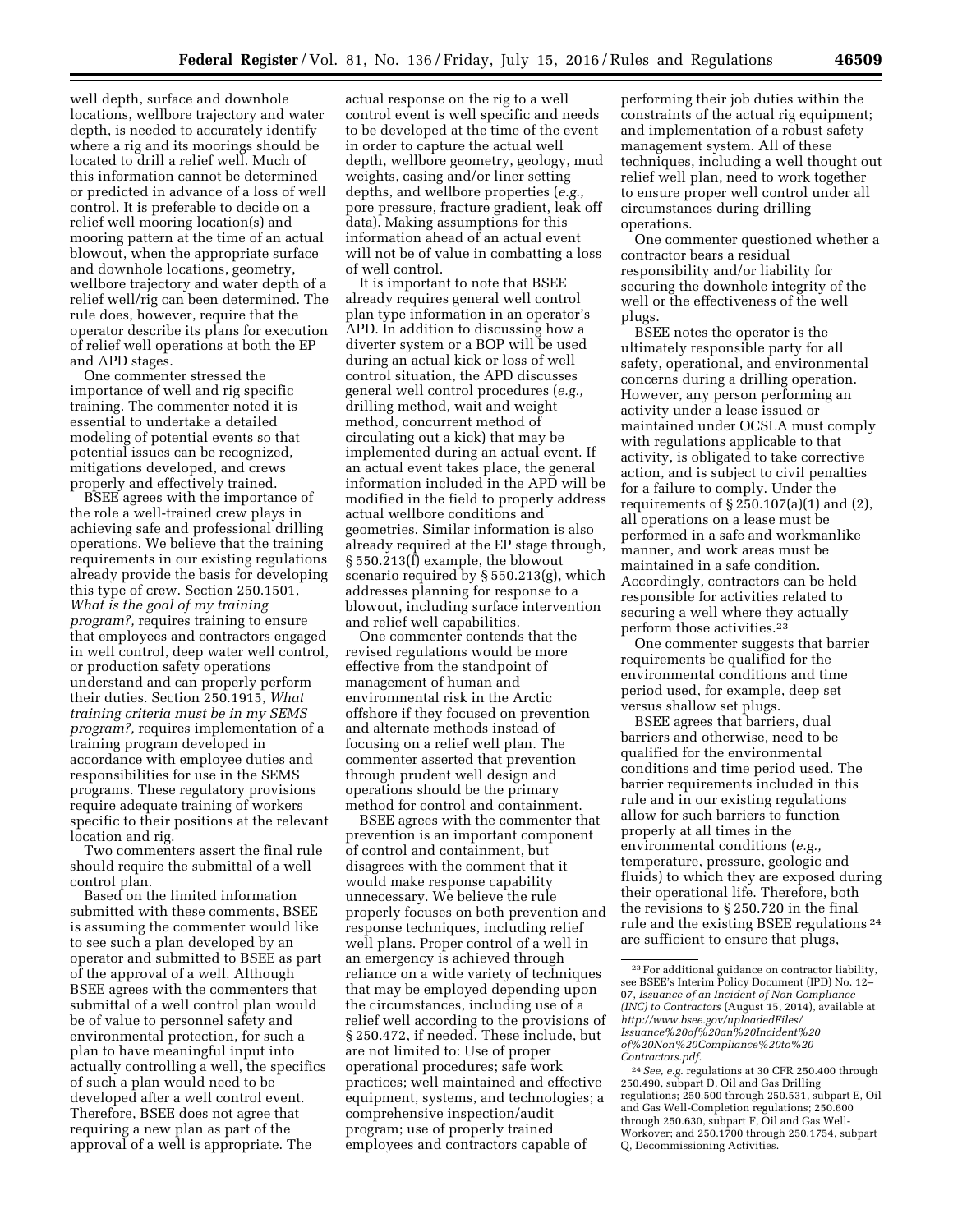well depth, surface and downhole locations, wellbore trajectory and water depth, is needed to accurately identify where a rig and its moorings should be located to drill a relief well. Much of this information cannot be determined or predicted in advance of a loss of well control. It is preferable to decide on a relief well mooring location(s) and mooring pattern at the time of an actual blowout, when the appropriate surface and downhole locations, geometry, wellbore trajectory and water depth of a relief well/rig can been determined. The rule does, however, require that the operator describe its plans for execution of relief well operations at both the EP and APD stages.

One commenter stressed the importance of well and rig specific training. The commenter noted it is essential to undertake a detailed modeling of potential events so that potential issues can be recognized, mitigations developed, and crews properly and effectively trained.

BSEE agrees with the importance of the role a well-trained crew plays in achieving safe and professional drilling operations. We believe that the training requirements in our existing regulations already provide the basis for developing this type of crew. Section 250.1501, *What is the goal of my training program?,* requires training to ensure that employees and contractors engaged in well control, deep water well control, or production safety operations understand and can properly perform their duties. Section 250.1915, *What training criteria must be in my SEMS program?,* requires implementation of a training program developed in accordance with employee duties and responsibilities for use in the SEMS programs. These regulatory provisions require adequate training of workers specific to their positions at the relevant location and rig.

Two commenters assert the final rule should require the submittal of a well control plan.

Based on the limited information submitted with these comments, BSEE is assuming the commenter would like to see such a plan developed by an operator and submitted to BSEE as part of the approval of a well. Although BSEE agrees with the commenters that submittal of a well control plan would be of value to personnel safety and environmental protection, for such a plan to have meaningful input into actually controlling a well, the specifics of such a plan would need to be developed after a well control event. Therefore, BSEE does not agree that requiring a new plan as part of the approval of a well is appropriate. The

actual response on the rig to a well control event is well specific and needs to be developed at the time of the event in order to capture the actual well depth, wellbore geometry, geology, mud weights, casing and/or liner setting depths, and wellbore properties (*e.g.,*  pore pressure, fracture gradient, leak off data). Making assumptions for this information ahead of an actual event will not be of value in combatting a loss of well control.

It is important to note that BSEE already requires general well control plan type information in an operator's APD. In addition to discussing how a diverter system or a BOP will be used during an actual kick or loss of well control situation, the APD discusses general well control procedures (*e.g.,*  drilling method, wait and weight method, concurrent method of circulating out a kick) that may be implemented during an actual event. If an actual event takes place, the general information included in the APD will be modified in the field to properly address actual wellbore conditions and geometries. Similar information is also already required at the EP stage through, § 550.213(f) example, the blowout scenario required by § 550.213(g), which addresses planning for response to a blowout, including surface intervention and relief well capabilities.

One commenter contends that the revised regulations would be more effective from the standpoint of management of human and environmental risk in the Arctic offshore if they focused on prevention and alternate methods instead of focusing on a relief well plan. The commenter asserted that prevention through prudent well design and operations should be the primary method for control and containment.

BSEE agrees with the commenter that prevention is an important component of control and containment, but disagrees with the comment that it would make response capability unnecessary. We believe the rule properly focuses on both prevention and response techniques, including relief well plans. Proper control of a well in an emergency is achieved through reliance on a wide variety of techniques that may be employed depending upon the circumstances, including use of a relief well according to the provisions of § 250.472, if needed. These include, but are not limited to: Use of proper operational procedures; safe work practices; well maintained and effective equipment, systems, and technologies; a comprehensive inspection/audit program; use of properly trained employees and contractors capable of

performing their job duties within the constraints of the actual rig equipment; and implementation of a robust safety management system. All of these techniques, including a well thought out relief well plan, need to work together to ensure proper well control under all circumstances during drilling operations.

One commenter questioned whether a contractor bears a residual responsibility and/or liability for securing the downhole integrity of the well or the effectiveness of the well plugs.

BSEE notes the operator is the ultimately responsible party for all safety, operational, and environmental concerns during a drilling operation. However, any person performing an activity under a lease issued or maintained under OCSLA must comply with regulations applicable to that activity, is obligated to take corrective action, and is subject to civil penalties for a failure to comply. Under the requirements of  $\S 250.107(a)(1)$  and  $(2)$ , all operations on a lease must be performed in a safe and workmanlike manner, and work areas must be maintained in a safe condition. Accordingly, contractors can be held responsible for activities related to securing a well where they actually perform those activities.23

One commenter suggests that barrier requirements be qualified for the environmental conditions and time period used, for example, deep set versus shallow set plugs.

BSEE agrees that barriers, dual barriers and otherwise, need to be qualified for the environmental conditions and time period used. The barrier requirements included in this rule and in our existing regulations allow for such barriers to function properly at all times in the environmental conditions (*e.g.,*  temperature, pressure, geologic and fluids) to which they are exposed during their operational life. Therefore, both the revisions to § 250.720 in the final rule and the existing BSEE regulations 24 are sufficient to ensure that plugs,

<sup>23</sup>For additional guidance on contractor liability, see BSEE's Interim Policy Document (IPD) No. 12– 07, *Issuance of an Incident of Non Compliance (INC) to Contractors* (August 15, 2014), available at *[http://www.bsee.gov/uploadedFiles/](http://www.bsee.gov/uploadedFiles/Issuance%20of%20an%20Incident%20of%20Non%20Compliance%20to%20Contractors.pdf) [Issuance%20of%20an%20Incident%20](http://www.bsee.gov/uploadedFiles/Issuance%20of%20an%20Incident%20of%20Non%20Compliance%20to%20Contractors.pdf) [of%20Non%20Compliance%20to%20](http://www.bsee.gov/uploadedFiles/Issuance%20of%20an%20Incident%20of%20Non%20Compliance%20to%20Contractors.pdf) [Contractors.pdf.](http://www.bsee.gov/uploadedFiles/Issuance%20of%20an%20Incident%20of%20Non%20Compliance%20to%20Contractors.pdf)* 

<sup>24</sup>*See, e.g.* regulations at 30 CFR 250.400 through 250.490, subpart D, Oil and Gas Drilling regulations; 250.500 through 250.531, subpart E, Oil and Gas Well-Completion regulations; 250.600 through 250.630, subpart F, Oil and Gas Well-Workover; and 250.1700 through 250.1754, subpart Q, Decommissioning Activities.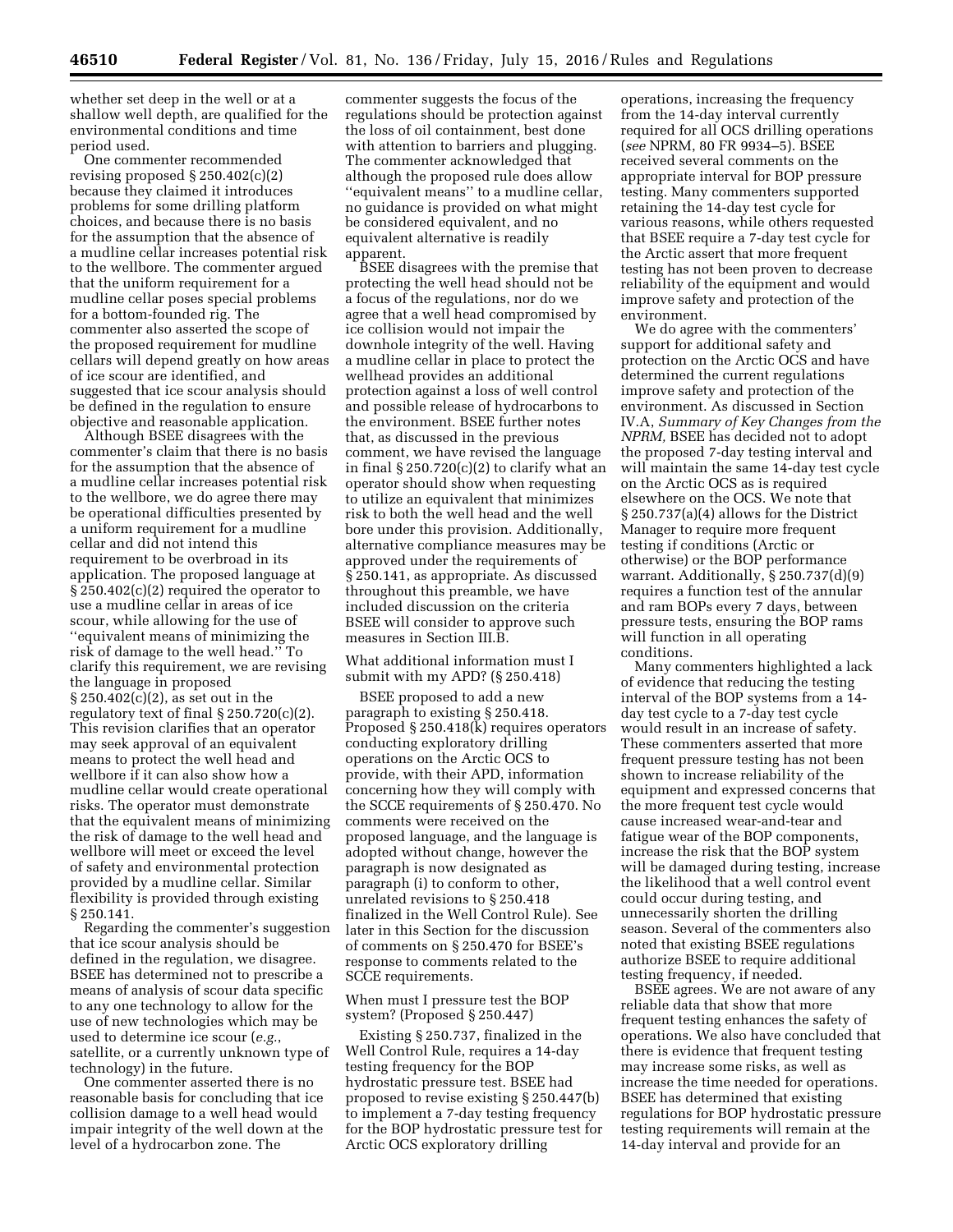whether set deep in the well or at a shallow well depth, are qualified for the environmental conditions and time period used.

One commenter recommended revising proposed § 250.402(c)(2) because they claimed it introduces problems for some drilling platform choices, and because there is no basis for the assumption that the absence of a mudline cellar increases potential risk to the wellbore. The commenter argued that the uniform requirement for a mudline cellar poses special problems for a bottom-founded rig. The commenter also asserted the scope of the proposed requirement for mudline cellars will depend greatly on how areas of ice scour are identified, and suggested that ice scour analysis should be defined in the regulation to ensure objective and reasonable application.

Although BSEE disagrees with the commenter's claim that there is no basis for the assumption that the absence of a mudline cellar increases potential risk to the wellbore, we do agree there may be operational difficulties presented by a uniform requirement for a mudline cellar and did not intend this requirement to be overbroad in its application. The proposed language at § 250.402(c)(2) required the operator to use a mudline cellar in areas of ice scour, while allowing for the use of ''equivalent means of minimizing the risk of damage to the well head.'' To clarify this requirement, we are revising the language in proposed § 250.402(c)(2), as set out in the regulatory text of final  $\S 250.720(c)(2)$ . This revision clarifies that an operator may seek approval of an equivalent means to protect the well head and wellbore if it can also show how a mudline cellar would create operational risks. The operator must demonstrate that the equivalent means of minimizing the risk of damage to the well head and wellbore will meet or exceed the level of safety and environmental protection provided by a mudline cellar. Similar flexibility is provided through existing § 250.141.

Regarding the commenter's suggestion that ice scour analysis should be defined in the regulation, we disagree. BSEE has determined not to prescribe a means of analysis of scour data specific to any one technology to allow for the use of new technologies which may be used to determine ice scour (*e.g.*, satellite, or a currently unknown type of technology) in the future.

One commenter asserted there is no reasonable basis for concluding that ice collision damage to a well head would impair integrity of the well down at the level of a hydrocarbon zone. The

commenter suggests the focus of the regulations should be protection against the loss of oil containment, best done with attention to barriers and plugging. The commenter acknowledged that although the proposed rule does allow ''equivalent means'' to a mudline cellar, no guidance is provided on what might be considered equivalent, and no equivalent alternative is readily apparent.

BSEE disagrees with the premise that protecting the well head should not be a focus of the regulations, nor do we agree that a well head compromised by ice collision would not impair the downhole integrity of the well. Having a mudline cellar in place to protect the wellhead provides an additional protection against a loss of well control and possible release of hydrocarbons to the environment. BSEE further notes that, as discussed in the previous comment, we have revised the language in final  $\S 250.720(c)(2)$  to clarify what an operator should show when requesting to utilize an equivalent that minimizes risk to both the well head and the well bore under this provision. Additionally, alternative compliance measures may be approved under the requirements of § 250.141, as appropriate. As discussed throughout this preamble, we have included discussion on the criteria BSEE will consider to approve such measures in Section III.B.

What additional information must I submit with my APD? (§ 250.418)

BSEE proposed to add a new paragraph to existing § 250.418. Proposed § 250.418(k) requires operators conducting exploratory drilling operations on the Arctic OCS to provide, with their APD, information concerning how they will comply with the SCCE requirements of § 250.470. No comments were received on the proposed language, and the language is adopted without change, however the paragraph is now designated as paragraph (i) to conform to other, unrelated revisions to § 250.418 finalized in the Well Control Rule). See later in this Section for the discussion of comments on § 250.470 for BSEE's response to comments related to the SCCE requirements.

When must I pressure test the BOP system? (Proposed § 250.447)

Existing § 250.737, finalized in the Well Control Rule, requires a 14-day testing frequency for the BOP hydrostatic pressure test. BSEE had proposed to revise existing § 250.447(b) to implement a 7-day testing frequency for the BOP hydrostatic pressure test for Arctic OCS exploratory drilling

operations, increasing the frequency from the 14-day interval currently required for all OCS drilling operations (*see* NPRM, 80 FR 9934–5). BSEE received several comments on the appropriate interval for BOP pressure testing. Many commenters supported retaining the 14-day test cycle for various reasons, while others requested that BSEE require a 7-day test cycle for the Arctic assert that more frequent testing has not been proven to decrease reliability of the equipment and would improve safety and protection of the environment.

We do agree with the commenters' support for additional safety and protection on the Arctic OCS and have determined the current regulations improve safety and protection of the environment. As discussed in Section IV.A, *Summary of Key Changes from the NPRM,* BSEE has decided not to adopt the proposed 7-day testing interval and will maintain the same 14-day test cycle on the Arctic OCS as is required elsewhere on the OCS. We note that § 250.737(a)(4) allows for the District Manager to require more frequent testing if conditions (Arctic or otherwise) or the BOP performance warrant. Additionally, § 250.737(d)(9) requires a function test of the annular and ram BOPs every 7 days, between pressure tests, ensuring the BOP rams will function in all operating conditions.

Many commenters highlighted a lack of evidence that reducing the testing interval of the BOP systems from a 14 day test cycle to a 7-day test cycle would result in an increase of safety. These commenters asserted that more frequent pressure testing has not been shown to increase reliability of the equipment and expressed concerns that the more frequent test cycle would cause increased wear-and-tear and fatigue wear of the BOP components, increase the risk that the BOP system will be damaged during testing, increase the likelihood that a well control event could occur during testing, and unnecessarily shorten the drilling season. Several of the commenters also noted that existing BSEE regulations authorize BSEE to require additional testing frequency, if needed.

BSEE agrees. We are not aware of any reliable data that show that more frequent testing enhances the safety of operations. We also have concluded that there is evidence that frequent testing may increase some risks, as well as increase the time needed for operations. BSEE has determined that existing regulations for BOP hydrostatic pressure testing requirements will remain at the 14-day interval and provide for an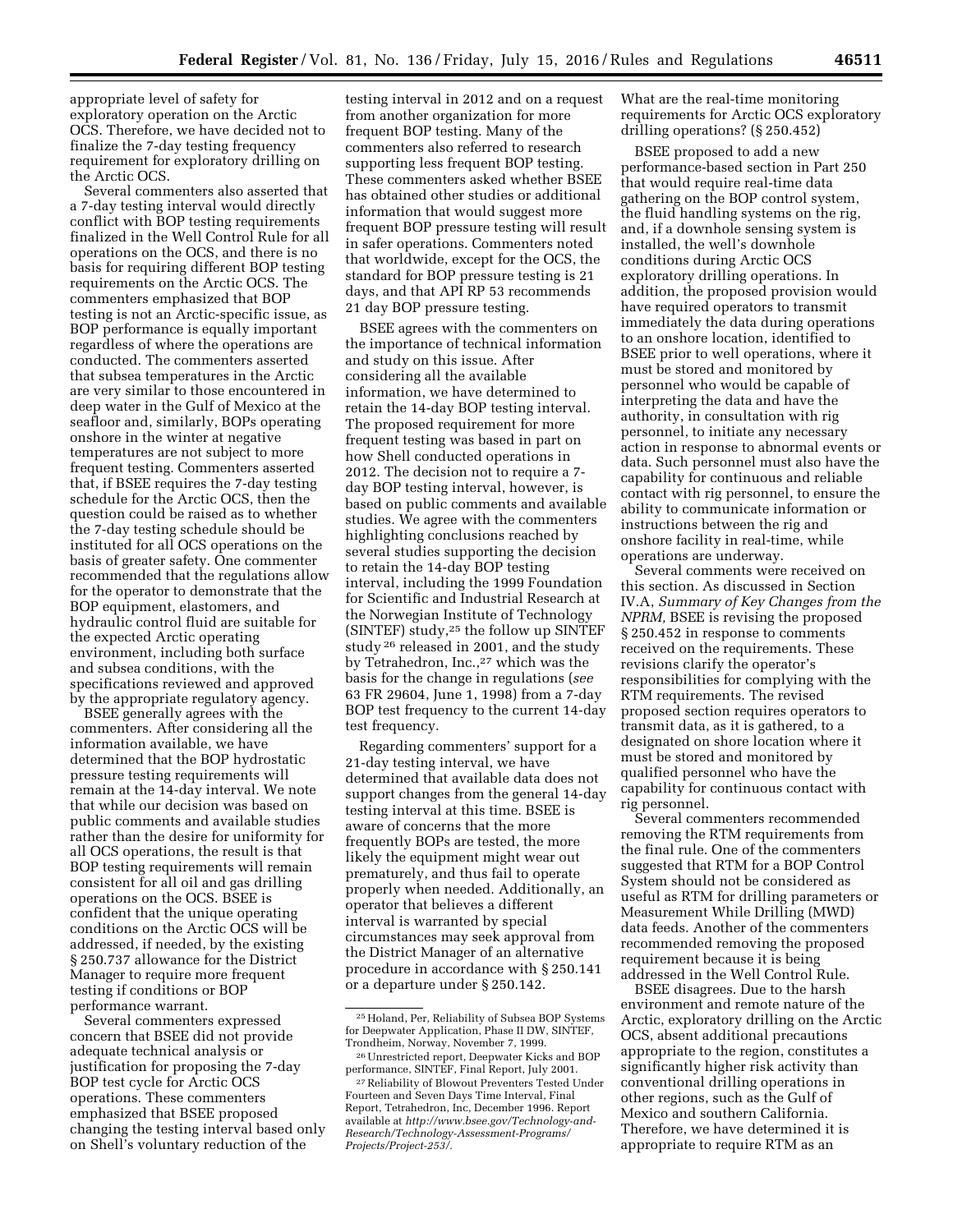appropriate level of safety for exploratory operation on the Arctic OCS. Therefore, we have decided not to finalize the 7-day testing frequency requirement for exploratory drilling on the Arctic OCS.

Several commenters also asserted that a 7-day testing interval would directly conflict with BOP testing requirements finalized in the Well Control Rule for all operations on the OCS, and there is no basis for requiring different BOP testing requirements on the Arctic OCS. The commenters emphasized that BOP testing is not an Arctic-specific issue, as BOP performance is equally important regardless of where the operations are conducted. The commenters asserted that subsea temperatures in the Arctic are very similar to those encountered in deep water in the Gulf of Mexico at the seafloor and, similarly, BOPs operating onshore in the winter at negative temperatures are not subject to more frequent testing. Commenters asserted that, if BSEE requires the 7-day testing schedule for the Arctic OCS, then the question could be raised as to whether the 7-day testing schedule should be instituted for all OCS operations on the basis of greater safety. One commenter recommended that the regulations allow for the operator to demonstrate that the BOP equipment, elastomers, and hydraulic control fluid are suitable for the expected Arctic operating environment, including both surface and subsea conditions, with the specifications reviewed and approved by the appropriate regulatory agency.

BSEE generally agrees with the commenters. After considering all the information available, we have determined that the BOP hydrostatic pressure testing requirements will remain at the 14-day interval. We note that while our decision was based on public comments and available studies rather than the desire for uniformity for all OCS operations, the result is that BOP testing requirements will remain consistent for all oil and gas drilling operations on the OCS. BSEE is confident that the unique operating conditions on the Arctic OCS will be addressed, if needed, by the existing § 250.737 allowance for the District Manager to require more frequent testing if conditions or BOP performance warrant.

Several commenters expressed concern that BSEE did not provide adequate technical analysis or justification for proposing the 7-day BOP test cycle for Arctic OCS operations. These commenters emphasized that BSEE proposed changing the testing interval based only on Shell's voluntary reduction of the

testing interval in 2012 and on a request from another organization for more frequent BOP testing. Many of the commenters also referred to research supporting less frequent BOP testing. These commenters asked whether BSEE has obtained other studies or additional information that would suggest more frequent BOP pressure testing will result in safer operations. Commenters noted that worldwide, except for the OCS, the standard for BOP pressure testing is 21 days, and that API RP 53 recommends 21 day BOP pressure testing.

BSEE agrees with the commenters on the importance of technical information and study on this issue. After considering all the available information, we have determined to retain the 14-day BOP testing interval. The proposed requirement for more frequent testing was based in part on how Shell conducted operations in 2012. The decision not to require a 7 day BOP testing interval, however, is based on public comments and available studies. We agree with the commenters highlighting conclusions reached by several studies supporting the decision to retain the 14-day BOP testing interval, including the 1999 Foundation for Scientific and Industrial Research at the Norwegian Institute of Technology (SINTEF) study,25 the follow up SINTEF study 26 released in 2001, and the study by Tetrahedron, Inc.,<sup>27</sup> which was the basis for the change in regulations (*see*  63 FR 29604, June 1, 1998) from a 7-day BOP test frequency to the current 14-day test frequency.

Regarding commenters' support for a 21-day testing interval, we have determined that available data does not support changes from the general 14-day testing interval at this time. BSEE is aware of concerns that the more frequently BOPs are tested, the more likely the equipment might wear out prematurely, and thus fail to operate properly when needed. Additionally, an operator that believes a different interval is warranted by special circumstances may seek approval from the District Manager of an alternative procedure in accordance with § 250.141 or a departure under § 250.142.

What are the real-time monitoring requirements for Arctic OCS exploratory drilling operations? (§ 250.452)

BSEE proposed to add a new performance-based section in Part 250 that would require real-time data gathering on the BOP control system, the fluid handling systems on the rig, and, if a downhole sensing system is installed, the well's downhole conditions during Arctic OCS exploratory drilling operations. In addition, the proposed provision would have required operators to transmit immediately the data during operations to an onshore location, identified to BSEE prior to well operations, where it must be stored and monitored by personnel who would be capable of interpreting the data and have the authority, in consultation with rig personnel, to initiate any necessary action in response to abnormal events or data. Such personnel must also have the capability for continuous and reliable contact with rig personnel, to ensure the ability to communicate information or instructions between the rig and onshore facility in real-time, while operations are underway.

Several comments were received on this section. As discussed in Section IV.A, *Summary of Key Changes from the NPRM,* BSEE is revising the proposed § 250.452 in response to comments received on the requirements. These revisions clarify the operator's responsibilities for complying with the RTM requirements. The revised proposed section requires operators to transmit data, as it is gathered, to a designated on shore location where it must be stored and monitored by qualified personnel who have the capability for continuous contact with rig personnel.

Several commenters recommended removing the RTM requirements from the final rule. One of the commenters suggested that RTM for a BOP Control System should not be considered as useful as RTM for drilling parameters or Measurement While Drilling (MWD) data feeds. Another of the commenters recommended removing the proposed requirement because it is being addressed in the Well Control Rule.

BSEE disagrees. Due to the harsh environment and remote nature of the Arctic, exploratory drilling on the Arctic OCS, absent additional precautions appropriate to the region, constitutes a significantly higher risk activity than conventional drilling operations in other regions, such as the Gulf of Mexico and southern California. Therefore, we have determined it is appropriate to require RTM as an

<sup>25</sup>Holand, Per, Reliability of Subsea BOP Systems for Deepwater Application, Phase II DW, SINTEF, Trondheim, Norway, November 7, 1999.

<sup>26</sup>Unrestricted report, Deepwater Kicks and BOP performance, SINTEF, Final Report, July 2001.

<sup>27</sup>Reliability of Blowout Preventers Tested Under Fourteen and Seven Days Time Interval, Final Report, Tetrahedron, Inc, December 1996. Report available at *[http://www.bsee.gov/Technology-and-](http://www.bsee.gov/Technology-and-Research/Technology-Assessment-Programs/Projects/Project-253/)[Research/Technology-Assessment-Programs/](http://www.bsee.gov/Technology-and-Research/Technology-Assessment-Programs/Projects/Project-253/) [Projects/Project-253/.](http://www.bsee.gov/Technology-and-Research/Technology-Assessment-Programs/Projects/Project-253/)*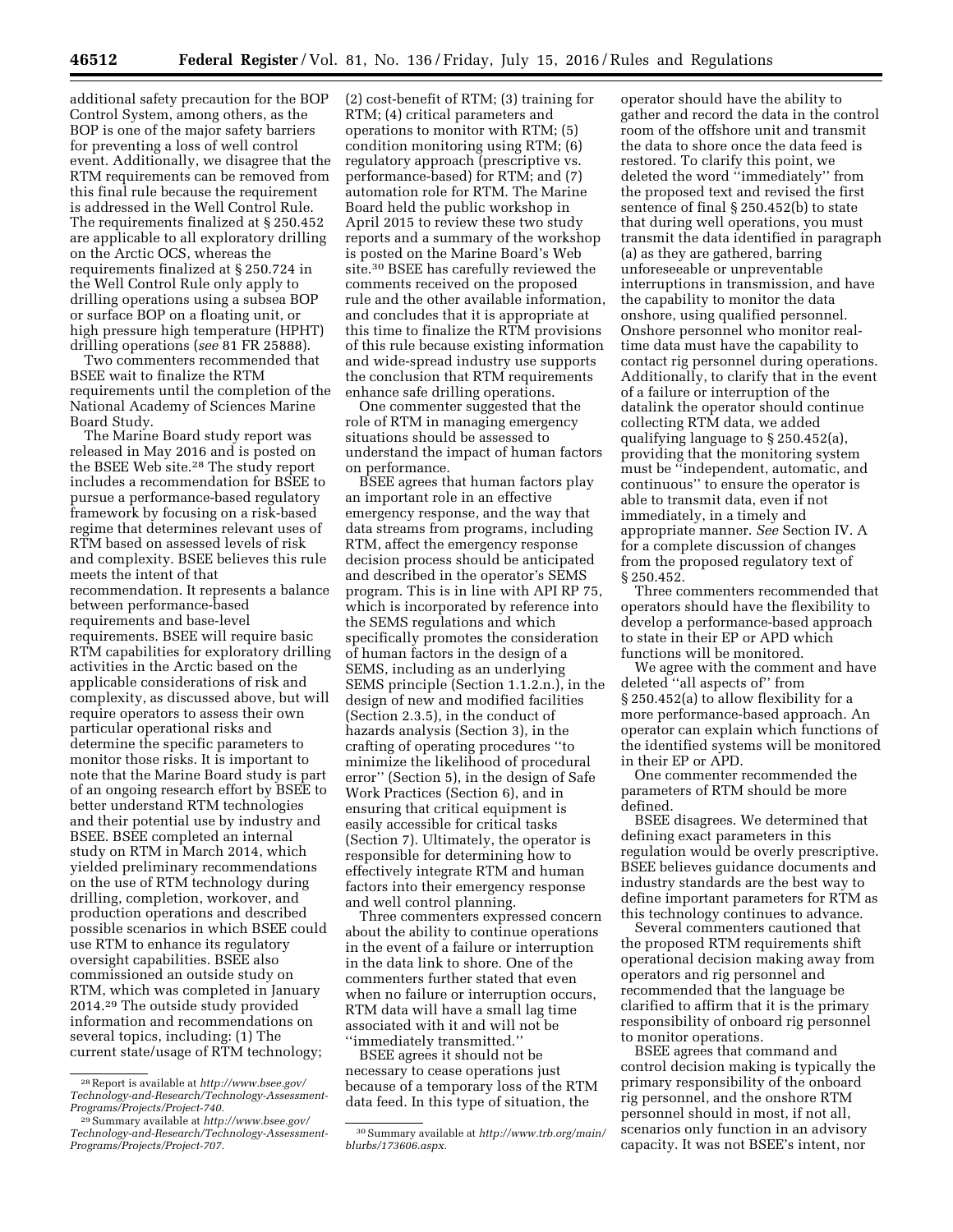additional safety precaution for the BOP Control System, among others, as the BOP is one of the major safety barriers for preventing a loss of well control event. Additionally, we disagree that the RTM requirements can be removed from this final rule because the requirement is addressed in the Well Control Rule. The requirements finalized at § 250.452 are applicable to all exploratory drilling on the Arctic OCS, whereas the requirements finalized at § 250.724 in the Well Control Rule only apply to drilling operations using a subsea BOP or surface BOP on a floating unit, or high pressure high temperature (HPHT) drilling operations (*see* 81 FR 25888).

Two commenters recommended that BSEE wait to finalize the RTM requirements until the completion of the National Academy of Sciences Marine Board Study.

The Marine Board study report was released in May 2016 and is posted on the BSEE Web site.28 The study report includes a recommendation for BSEE to pursue a performance-based regulatory framework by focusing on a risk-based regime that determines relevant uses of RTM based on assessed levels of risk and complexity. BSEE believes this rule meets the intent of that recommendation. It represents a balance between performance-based requirements and base-level requirements. BSEE will require basic RTM capabilities for exploratory drilling activities in the Arctic based on the applicable considerations of risk and complexity, as discussed above, but will require operators to assess their own particular operational risks and determine the specific parameters to monitor those risks. It is important to note that the Marine Board study is part of an ongoing research effort by BSEE to better understand RTM technologies and their potential use by industry and BSEE. BSEE completed an internal study on RTM in March 2014, which yielded preliminary recommendations on the use of RTM technology during drilling, completion, workover, and production operations and described possible scenarios in which BSEE could use RTM to enhance its regulatory oversight capabilities. BSEE also commissioned an outside study on RTM, which was completed in January 2014.29 The outside study provided information and recommendations on several topics, including: (1) The current state/usage of RTM technology;

(2) cost-benefit of RTM; (3) training for RTM; (4) critical parameters and operations to monitor with RTM; (5) condition monitoring using RTM; (6) regulatory approach (prescriptive vs. performance-based) for RTM; and (7) automation role for RTM. The Marine Board held the public workshop in April 2015 to review these two study reports and a summary of the workshop is posted on the Marine Board's Web site.30 BSEE has carefully reviewed the comments received on the proposed rule and the other available information, and concludes that it is appropriate at this time to finalize the RTM provisions of this rule because existing information and wide-spread industry use supports the conclusion that RTM requirements enhance safe drilling operations.

One commenter suggested that the role of RTM in managing emergency situations should be assessed to understand the impact of human factors on performance.

BSEE agrees that human factors play an important role in an effective emergency response, and the way that data streams from programs, including RTM, affect the emergency response decision process should be anticipated and described in the operator's SEMS program. This is in line with API RP 75, which is incorporated by reference into the SEMS regulations and which specifically promotes the consideration of human factors in the design of a SEMS, including as an underlying SEMS principle (Section 1.1.2.n.), in the design of new and modified facilities (Section 2.3.5), in the conduct of hazards analysis (Section 3), in the crafting of operating procedures ''to minimize the likelihood of procedural error'' (Section 5), in the design of Safe Work Practices (Section 6), and in ensuring that critical equipment is easily accessible for critical tasks (Section 7). Ultimately, the operator is responsible for determining how to effectively integrate RTM and human factors into their emergency response and well control planning.

Three commenters expressed concern about the ability to continue operations in the event of a failure or interruption in the data link to shore. One of the commenters further stated that even when no failure or interruption occurs, RTM data will have a small lag time associated with it and will not be ''immediately transmitted.''

BSEE agrees it should not be necessary to cease operations just because of a temporary loss of the RTM data feed. In this type of situation, the

operator should have the ability to gather and record the data in the control room of the offshore unit and transmit the data to shore once the data feed is restored. To clarify this point, we deleted the word ''immediately'' from the proposed text and revised the first sentence of final § 250.452(b) to state that during well operations, you must transmit the data identified in paragraph (a) as they are gathered, barring unforeseeable or unpreventable interruptions in transmission, and have the capability to monitor the data onshore, using qualified personnel. Onshore personnel who monitor realtime data must have the capability to contact rig personnel during operations. Additionally, to clarify that in the event of a failure or interruption of the datalink the operator should continue collecting RTM data, we added qualifying language to § 250.452(a), providing that the monitoring system must be ''independent, automatic, and continuous'' to ensure the operator is able to transmit data, even if not immediately, in a timely and appropriate manner. *See* Section IV. A for a complete discussion of changes from the proposed regulatory text of § 250.452.

Three commenters recommended that operators should have the flexibility to develop a performance-based approach to state in their EP or APD which functions will be monitored.

We agree with the comment and have deleted ''all aspects of'' from § 250.452(a) to allow flexibility for a more performance-based approach. An operator can explain which functions of the identified systems will be monitored in their EP or APD.

One commenter recommended the parameters of RTM should be more defined.

BSEE disagrees. We determined that defining exact parameters in this regulation would be overly prescriptive. BSEE believes guidance documents and industry standards are the best way to define important parameters for RTM as this technology continues to advance.

Several commenters cautioned that the proposed RTM requirements shift operational decision making away from operators and rig personnel and recommended that the language be clarified to affirm that it is the primary responsibility of onboard rig personnel to monitor operations.

BSEE agrees that command and control decision making is typically the primary responsibility of the onboard rig personnel, and the onshore RTM personnel should in most, if not all, scenarios only function in an advisory capacity. It was not BSEE's intent, nor

<sup>28</sup>Report is available at *[http://www.bsee.gov/](http://www.bsee.gov/Technology-and-Research/Technology-Assessment-Programs/Projects/Project-740) [Technology-and-Research/Technology-Assessment-](http://www.bsee.gov/Technology-and-Research/Technology-Assessment-Programs/Projects/Project-740)[Programs/Projects/Project-740.](http://www.bsee.gov/Technology-and-Research/Technology-Assessment-Programs/Projects/Project-740)* 

<sup>29</sup>Summary available at *[http://www.bsee.gov/](http://www.bsee.gov/Technology-and-Research/Technology-Assessment-Programs/Projects/Project-707) [Technology-and-Research/Technology-Assessment-](http://www.bsee.gov/Technology-and-Research/Technology-Assessment-Programs/Projects/Project-707)[Programs/Projects/Project-707.](http://www.bsee.gov/Technology-and-Research/Technology-Assessment-Programs/Projects/Project-707)* 

<sup>30</sup>Summary available at *[http://www.trb.org/main/](http://www.trb.org/main/blurbs/173606.aspx) [blurbs/173606.aspx.](http://www.trb.org/main/blurbs/173606.aspx)*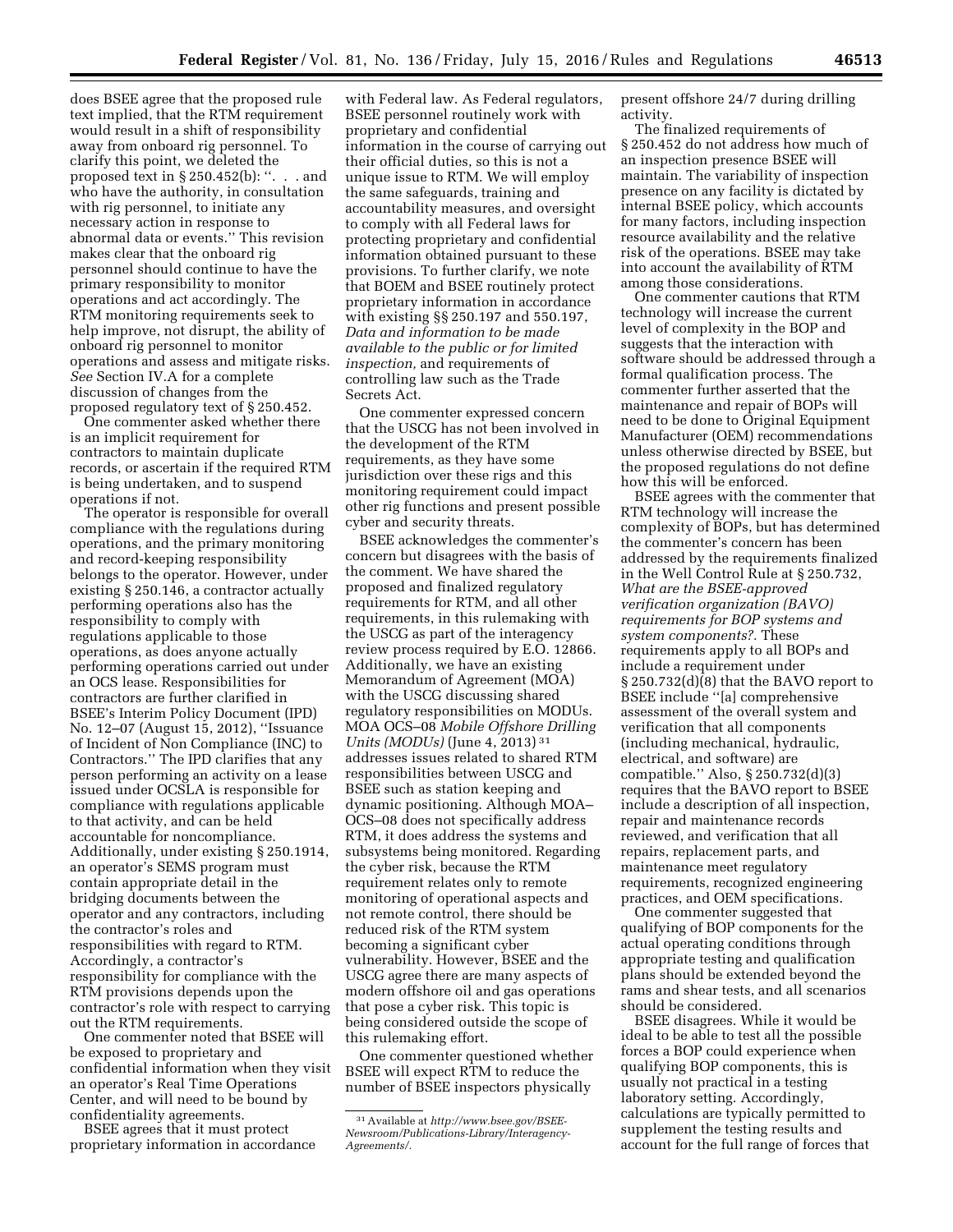does BSEE agree that the proposed rule text implied, that the RTM requirement would result in a shift of responsibility away from onboard rig personnel. To clarify this point, we deleted the proposed text in § 250.452(b): ''. . . and who have the authority, in consultation with rig personnel, to initiate any necessary action in response to abnormal data or events.'' This revision makes clear that the onboard rig personnel should continue to have the primary responsibility to monitor operations and act accordingly. The RTM monitoring requirements seek to help improve, not disrupt, the ability of onboard rig personnel to monitor operations and assess and mitigate risks. *See* Section IV.A for a complete discussion of changes from the proposed regulatory text of § 250.452.

One commenter asked whether there is an implicit requirement for contractors to maintain duplicate records, or ascertain if the required RTM is being undertaken, and to suspend operations if not.

The operator is responsible for overall compliance with the regulations during operations, and the primary monitoring and record-keeping responsibility belongs to the operator. However, under existing § 250.146, a contractor actually performing operations also has the responsibility to comply with regulations applicable to those operations, as does anyone actually performing operations carried out under an OCS lease. Responsibilities for contractors are further clarified in BSEE's Interim Policy Document (IPD) No. 12–07 (August 15, 2012), ''Issuance of Incident of Non Compliance (INC) to Contractors.'' The IPD clarifies that any person performing an activity on a lease issued under OCSLA is responsible for compliance with regulations applicable to that activity, and can be held accountable for noncompliance. Additionally, under existing § 250.1914, an operator's SEMS program must contain appropriate detail in the bridging documents between the operator and any contractors, including the contractor's roles and responsibilities with regard to RTM. Accordingly, a contractor's responsibility for compliance with the RTM provisions depends upon the contractor's role with respect to carrying out the RTM requirements.

One commenter noted that BSEE will be exposed to proprietary and confidential information when they visit an operator's Real Time Operations Center, and will need to be bound by confidentiality agreements.

BSEE agrees that it must protect proprietary information in accordance

with Federal law. As Federal regulators, BSEE personnel routinely work with proprietary and confidential information in the course of carrying out their official duties, so this is not a unique issue to RTM. We will employ the same safeguards, training and accountability measures, and oversight to comply with all Federal laws for protecting proprietary and confidential information obtained pursuant to these provisions. To further clarify, we note that BOEM and BSEE routinely protect proprietary information in accordance with existing §§ 250.197 and 550.197, *Data and information to be made available to the public or for limited inspection,* and requirements of controlling law such as the Trade Secrets Act.

One commenter expressed concern that the USCG has not been involved in the development of the RTM requirements, as they have some jurisdiction over these rigs and this monitoring requirement could impact other rig functions and present possible cyber and security threats.

BSEE acknowledges the commenter's concern but disagrees with the basis of the comment. We have shared the proposed and finalized regulatory requirements for RTM, and all other requirements, in this rulemaking with the USCG as part of the interagency review process required by E.O. 12866. Additionally, we have an existing Memorandum of Agreement (MOA) with the USCG discussing shared regulatory responsibilities on MODUs. MOA OCS–08 *Mobile Offshore Drilling Units (MODUs)* (June 4, 2013) 31 addresses issues related to shared RTM responsibilities between USCG and BSEE such as station keeping and dynamic positioning. Although MOA– OCS–08 does not specifically address RTM, it does address the systems and subsystems being monitored. Regarding the cyber risk, because the RTM requirement relates only to remote monitoring of operational aspects and not remote control, there should be reduced risk of the RTM system becoming a significant cyber vulnerability. However, BSEE and the USCG agree there are many aspects of modern offshore oil and gas operations that pose a cyber risk. This topic is being considered outside the scope of this rulemaking effort.

One commenter questioned whether BSEE will expect RTM to reduce the number of BSEE inspectors physically

present offshore 24/7 during drilling activity.

The finalized requirements of § 250.452 do not address how much of an inspection presence BSEE will maintain. The variability of inspection presence on any facility is dictated by internal BSEE policy, which accounts for many factors, including inspection resource availability and the relative risk of the operations. BSEE may take into account the availability of RTM among those considerations.

One commenter cautions that RTM technology will increase the current level of complexity in the BOP and suggests that the interaction with software should be addressed through a formal qualification process. The commenter further asserted that the maintenance and repair of BOPs will need to be done to Original Equipment Manufacturer (OEM) recommendations unless otherwise directed by BSEE, but the proposed regulations do not define how this will be enforced.

BSEE agrees with the commenter that RTM technology will increase the complexity of BOPs, but has determined the commenter's concern has been addressed by the requirements finalized in the Well Control Rule at § 250.732, *What are the BSEE-approved verification organization (BAVO) requirements for BOP systems and system components?.* These requirements apply to all BOPs and include a requirement under § 250.732(d)(8) that the BAVO report to BSEE include ''[a] comprehensive assessment of the overall system and verification that all components (including mechanical, hydraulic, electrical, and software) are compatible.'' Also, § 250.732(d)(3) requires that the BAVO report to BSEE include a description of all inspection, repair and maintenance records reviewed, and verification that all repairs, replacement parts, and maintenance meet regulatory requirements, recognized engineering practices, and OEM specifications.

One commenter suggested that qualifying of BOP components for the actual operating conditions through appropriate testing and qualification plans should be extended beyond the rams and shear tests, and all scenarios should be considered.

BSEE disagrees. While it would be ideal to be able to test all the possible forces a BOP could experience when qualifying BOP components, this is usually not practical in a testing laboratory setting. Accordingly, calculations are typically permitted to supplement the testing results and account for the full range of forces that

<sup>31</sup>Available at *[http://www.bsee.gov/BSEE-](http://www.bsee.gov/BSEE-Newsroom/Publications-Library/Interagency-Agreements/)[Newsroom/Publications-Library/Interagency-](http://www.bsee.gov/BSEE-Newsroom/Publications-Library/Interagency-Agreements/)[Agreements/.](http://www.bsee.gov/BSEE-Newsroom/Publications-Library/Interagency-Agreements/)*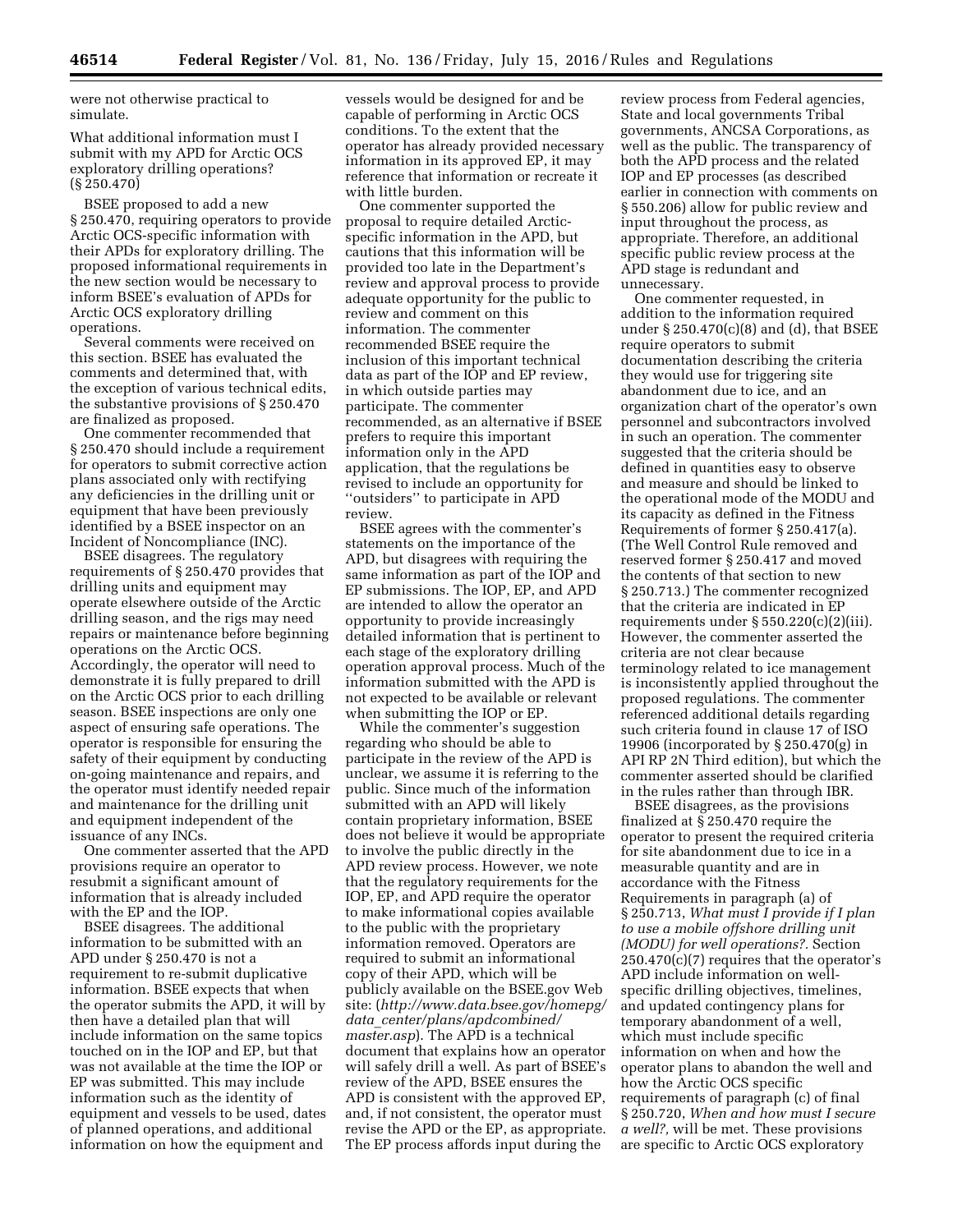were not otherwise practical to simulate.

What additional information must I submit with my APD for Arctic OCS exploratory drilling operations? (§ 250.470)

BSEE proposed to add a new § 250.470, requiring operators to provide Arctic OCS-specific information with their APDs for exploratory drilling. The proposed informational requirements in the new section would be necessary to inform BSEE's evaluation of APDs for Arctic OCS exploratory drilling operations.

Several comments were received on this section. BSEE has evaluated the comments and determined that, with the exception of various technical edits, the substantive provisions of § 250.470 are finalized as proposed.

One commenter recommended that § 250.470 should include a requirement for operators to submit corrective action plans associated only with rectifying any deficiencies in the drilling unit or equipment that have been previously identified by a BSEE inspector on an Incident of Noncompliance (INC).

BSEE disagrees. The regulatory requirements of § 250.470 provides that drilling units and equipment may operate elsewhere outside of the Arctic drilling season, and the rigs may need repairs or maintenance before beginning operations on the Arctic OCS. Accordingly, the operator will need to demonstrate it is fully prepared to drill on the Arctic OCS prior to each drilling season. BSEE inspections are only one aspect of ensuring safe operations. The operator is responsible for ensuring the safety of their equipment by conducting on-going maintenance and repairs, and the operator must identify needed repair and maintenance for the drilling unit and equipment independent of the issuance of any INCs.

One commenter asserted that the APD provisions require an operator to resubmit a significant amount of information that is already included with the EP and the IOP.

BSEE disagrees. The additional information to be submitted with an APD under § 250.470 is not a requirement to re-submit duplicative information. BSEE expects that when the operator submits the APD, it will by then have a detailed plan that will include information on the same topics touched on in the IOP and EP, but that was not available at the time the IOP or EP was submitted. This may include information such as the identity of equipment and vessels to be used, dates of planned operations, and additional information on how the equipment and

vessels would be designed for and be capable of performing in Arctic OCS conditions. To the extent that the operator has already provided necessary information in its approved EP, it may reference that information or recreate it with little burden.

One commenter supported the proposal to require detailed Arcticspecific information in the APD, but cautions that this information will be provided too late in the Department's review and approval process to provide adequate opportunity for the public to review and comment on this information. The commenter recommended BSEE require the inclusion of this important technical data as part of the IOP and EP review, in which outside parties may participate. The commenter recommended, as an alternative if BSEE prefers to require this important information only in the APD application, that the regulations be revised to include an opportunity for ''outsiders'' to participate in APD review.

BSEE agrees with the commenter's statements on the importance of the APD, but disagrees with requiring the same information as part of the IOP and EP submissions. The IOP, EP, and APD are intended to allow the operator an opportunity to provide increasingly detailed information that is pertinent to each stage of the exploratory drilling operation approval process. Much of the information submitted with the APD is not expected to be available or relevant when submitting the IOP or EP.

While the commenter's suggestion regarding who should be able to participate in the review of the APD is unclear, we assume it is referring to the public. Since much of the information submitted with an APD will likely contain proprietary information, BSEE does not believe it would be appropriate to involve the public directly in the APD review process. However, we note that the regulatory requirements for the IOP, EP, and APD require the operator to make informational copies available to the public with the proprietary information removed. Operators are required to submit an informational copy of their APD, which will be publicly available on the BSEE.gov Web site: (*[http://www.data.bsee.gov/homepg/](http://www.data.bsee.gov/homepg/data_center/plans/apdcombined/master.asp)  data*\_*[center/plans/apdcombined/](http://www.data.bsee.gov/homepg/data_center/plans/apdcombined/master.asp) [master.asp](http://www.data.bsee.gov/homepg/data_center/plans/apdcombined/master.asp)*). The APD is a technical document that explains how an operator will safely drill a well. As part of BSEE's review of the APD, BSEE ensures the APD is consistent with the approved EP, and, if not consistent, the operator must revise the APD or the EP, as appropriate. The EP process affords input during the

review process from Federal agencies, State and local governments Tribal governments, ANCSA Corporations, as well as the public. The transparency of both the APD process and the related IOP and EP processes (as described earlier in connection with comments on § 550.206) allow for public review and input throughout the process, as appropriate. Therefore, an additional specific public review process at the APD stage is redundant and unnecessary.

One commenter requested, in addition to the information required under § 250.470(c)(8) and (d), that BSEE require operators to submit documentation describing the criteria they would use for triggering site abandonment due to ice, and an organization chart of the operator's own personnel and subcontractors involved in such an operation. The commenter suggested that the criteria should be defined in quantities easy to observe and measure and should be linked to the operational mode of the MODU and its capacity as defined in the Fitness Requirements of former § 250.417(a). (The Well Control Rule removed and reserved former § 250.417 and moved the contents of that section to new § 250.713.) The commenter recognized that the criteria are indicated in EP requirements under  $\S 550.220(c)(2)(iii)$ . However, the commenter asserted the criteria are not clear because terminology related to ice management is inconsistently applied throughout the proposed regulations. The commenter referenced additional details regarding such criteria found in clause 17 of ISO 19906 (incorporated by § 250.470(g) in API RP 2N Third edition), but which the commenter asserted should be clarified in the rules rather than through IBR.

BSEE disagrees, as the provisions finalized at § 250.470 require the operator to present the required criteria for site abandonment due to ice in a measurable quantity and are in accordance with the Fitness Requirements in paragraph (a) of § 250.713, *What must I provide if I plan to use a mobile offshore drilling unit (MODU) for well operations?.* Section 250.470(c)(7) requires that the operator's APD include information on wellspecific drilling objectives, timelines, and updated contingency plans for temporary abandonment of a well, which must include specific information on when and how the operator plans to abandon the well and how the Arctic OCS specific requirements of paragraph (c) of final § 250.720, *When and how must I secure a well?,* will be met. These provisions are specific to Arctic OCS exploratory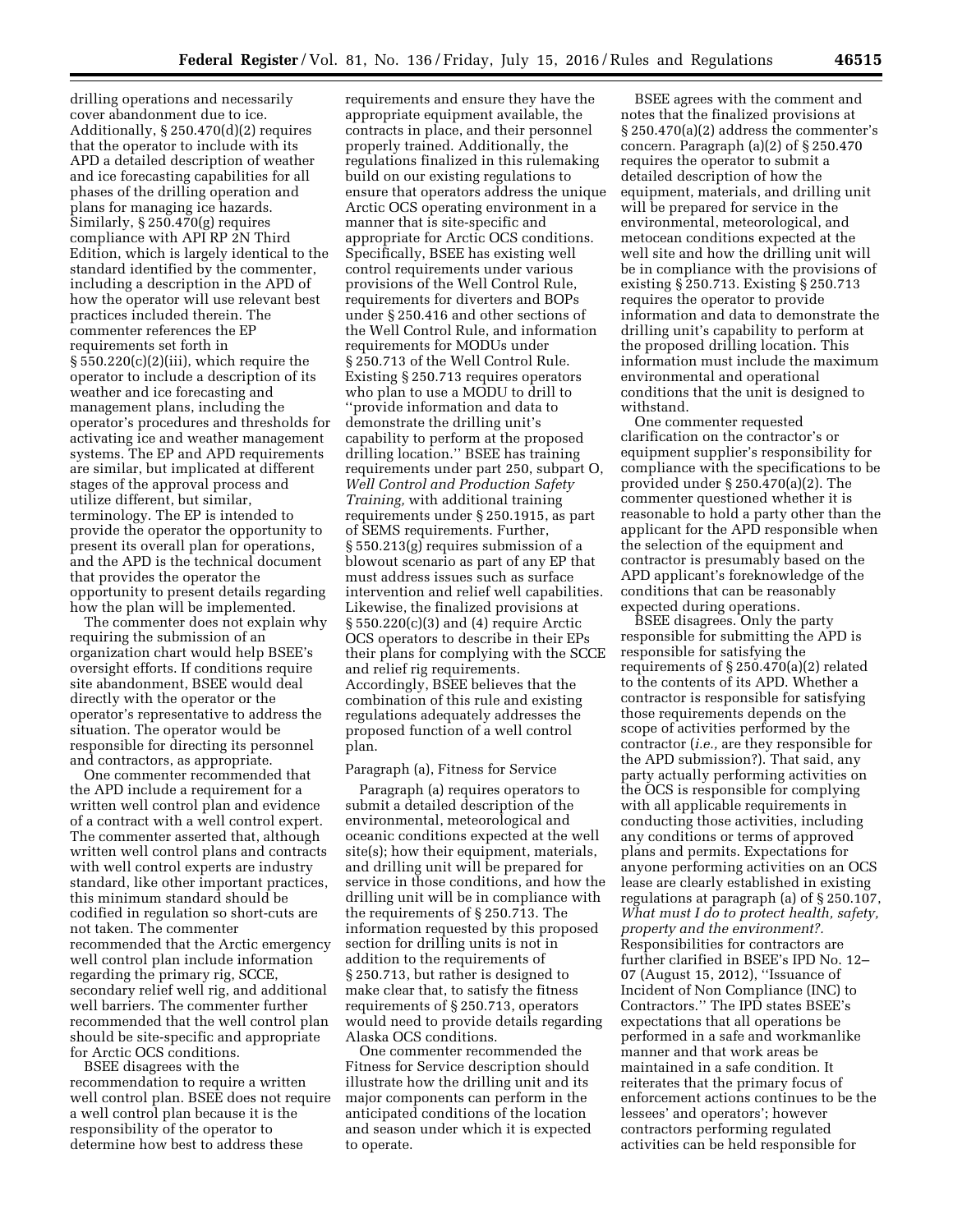drilling operations and necessarily cover abandonment due to ice. Additionally, § 250.470(d)(2) requires that the operator to include with its APD a detailed description of weather and ice forecasting capabilities for all phases of the drilling operation and plans for managing ice hazards. Similarly, § 250.470(g) requires compliance with API RP 2N Third Edition, which is largely identical to the standard identified by the commenter, including a description in the APD of how the operator will use relevant best practices included therein. The commenter references the EP requirements set forth in  $\S 550.220(c)(2)(iii)$ , which require the operator to include a description of its weather and ice forecasting and management plans, including the operator's procedures and thresholds for activating ice and weather management systems. The EP and APD requirements are similar, but implicated at different stages of the approval process and utilize different, but similar, terminology. The EP is intended to provide the operator the opportunity to present its overall plan for operations, and the APD is the technical document that provides the operator the opportunity to present details regarding how the plan will be implemented.

The commenter does not explain why requiring the submission of an organization chart would help BSEE's oversight efforts. If conditions require site abandonment, BSEE would deal directly with the operator or the operator's representative to address the situation. The operator would be responsible for directing its personnel and contractors, as appropriate.

One commenter recommended that the APD include a requirement for a written well control plan and evidence of a contract with a well control expert. The commenter asserted that, although written well control plans and contracts with well control experts are industry standard, like other important practices, this minimum standard should be codified in regulation so short-cuts are not taken. The commenter recommended that the Arctic emergency well control plan include information regarding the primary rig, SCCE, secondary relief well rig, and additional well barriers. The commenter further recommended that the well control plan should be site-specific and appropriate for Arctic OCS conditions.

BSEE disagrees with the recommendation to require a written well control plan. BSEE does not require a well control plan because it is the responsibility of the operator to determine how best to address these

requirements and ensure they have the appropriate equipment available, the contracts in place, and their personnel properly trained. Additionally, the regulations finalized in this rulemaking build on our existing regulations to ensure that operators address the unique Arctic OCS operating environment in a manner that is site-specific and appropriate for Arctic OCS conditions. Specifically, BSEE has existing well control requirements under various provisions of the Well Control Rule, requirements for diverters and BOPs under § 250.416 and other sections of the Well Control Rule, and information requirements for MODUs under § 250.713 of the Well Control Rule. Existing § 250.713 requires operators who plan to use a MODU to drill to ''provide information and data to demonstrate the drilling unit's capability to perform at the proposed drilling location.'' BSEE has training requirements under part 250, subpart O, *Well Control and Production Safety Training,* with additional training requirements under § 250.1915, as part of SEMS requirements. Further, § 550.213(g) requires submission of a blowout scenario as part of any EP that must address issues such as surface intervention and relief well capabilities. Likewise, the finalized provisions at § 550.220(c)(3) and (4) require Arctic OCS operators to describe in their EPs their plans for complying with the SCCE and relief rig requirements. Accordingly, BSEE believes that the combination of this rule and existing regulations adequately addresses the proposed function of a well control plan.

#### Paragraph (a), Fitness for Service

Paragraph (a) requires operators to submit a detailed description of the environmental, meteorological and oceanic conditions expected at the well site(s); how their equipment, materials, and drilling unit will be prepared for service in those conditions, and how the drilling unit will be in compliance with the requirements of § 250.713. The information requested by this proposed section for drilling units is not in addition to the requirements of § 250.713, but rather is designed to make clear that, to satisfy the fitness requirements of § 250.713, operators would need to provide details regarding Alaska OCS conditions.

One commenter recommended the Fitness for Service description should illustrate how the drilling unit and its major components can perform in the anticipated conditions of the location and season under which it is expected to operate.

BSEE agrees with the comment and notes that the finalized provisions at § 250.470(a)(2) address the commenter's concern. Paragraph (a)(2) of § 250.470 requires the operator to submit a detailed description of how the equipment, materials, and drilling unit will be prepared for service in the environmental, meteorological, and metocean conditions expected at the well site and how the drilling unit will be in compliance with the provisions of existing § 250.713. Existing § 250.713 requires the operator to provide information and data to demonstrate the drilling unit's capability to perform at the proposed drilling location. This information must include the maximum environmental and operational conditions that the unit is designed to withstand.

One commenter requested clarification on the contractor's or equipment supplier's responsibility for compliance with the specifications to be provided under § 250.470(a)(2). The commenter questioned whether it is reasonable to hold a party other than the applicant for the APD responsible when the selection of the equipment and contractor is presumably based on the APD applicant's foreknowledge of the conditions that can be reasonably expected during operations.

BSEE disagrees. Only the party responsible for submitting the APD is responsible for satisfying the requirements of § 250.470(a)(2) related to the contents of its APD. Whether a contractor is responsible for satisfying those requirements depends on the scope of activities performed by the contractor (*i.e.,* are they responsible for the APD submission?). That said, any party actually performing activities on the OCS is responsible for complying with all applicable requirements in conducting those activities, including any conditions or terms of approved plans and permits. Expectations for anyone performing activities on an OCS lease are clearly established in existing regulations at paragraph (a) of § 250.107, *What must I do to protect health, safety, property and the environment?.*  Responsibilities for contractors are further clarified in BSEE's IPD No. 12– 07 (August 15, 2012), ''Issuance of Incident of Non Compliance (INC) to Contractors.'' The IPD states BSEE's expectations that all operations be performed in a safe and workmanlike manner and that work areas be maintained in a safe condition. It reiterates that the primary focus of enforcement actions continues to be the lessees' and operators'; however contractors performing regulated activities can be held responsible for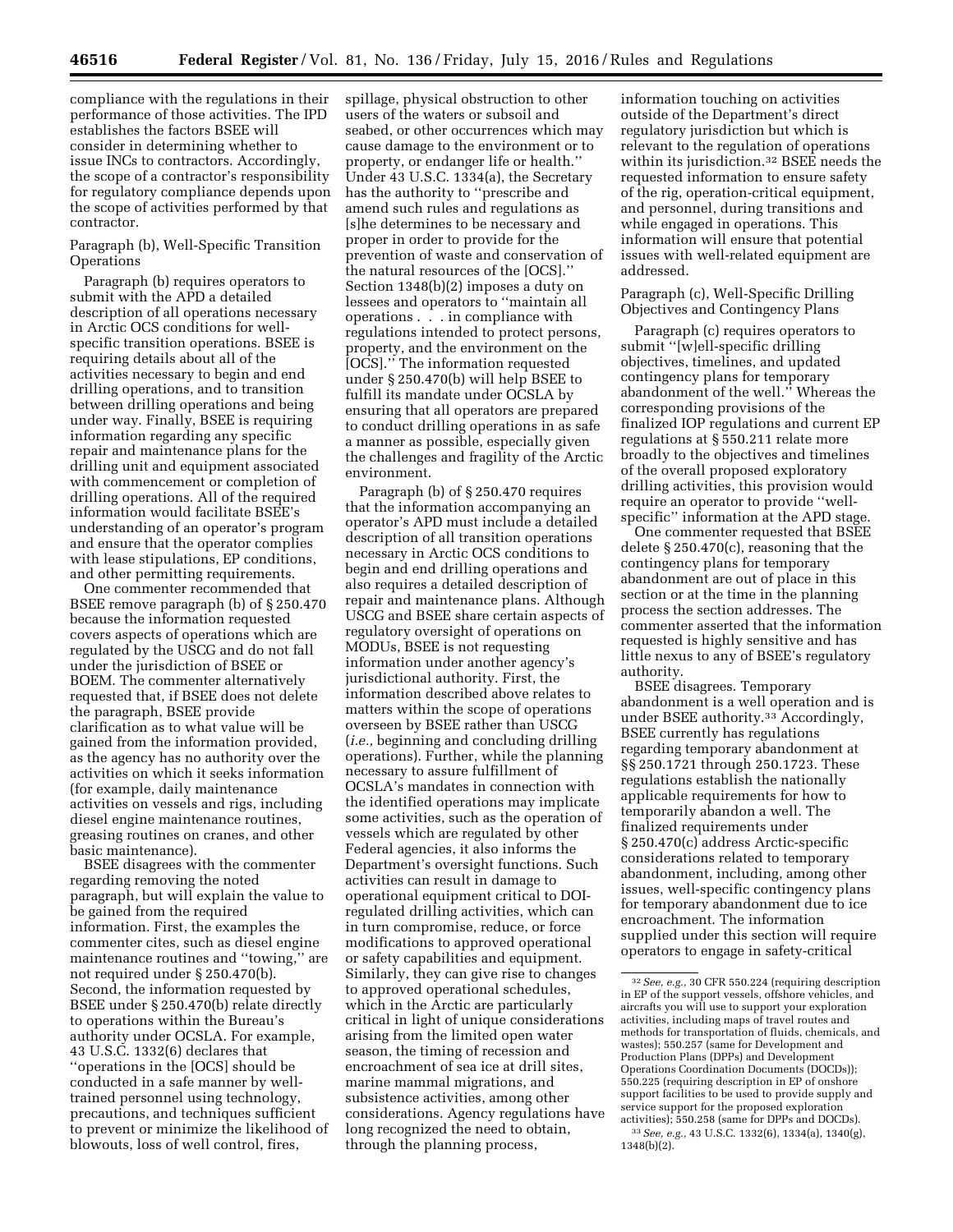compliance with the regulations in their performance of those activities. The IPD establishes the factors BSEE will consider in determining whether to issue INCs to contractors. Accordingly, the scope of a contractor's responsibility for regulatory compliance depends upon the scope of activities performed by that contractor.

Paragraph (b), Well-Specific Transition **Operations** 

Paragraph (b) requires operators to submit with the APD a detailed description of all operations necessary in Arctic OCS conditions for wellspecific transition operations. BSEE is requiring details about all of the activities necessary to begin and end drilling operations, and to transition between drilling operations and being under way. Finally, BSEE is requiring information regarding any specific repair and maintenance plans for the drilling unit and equipment associated with commencement or completion of drilling operations. All of the required information would facilitate BSEE's understanding of an operator's program and ensure that the operator complies with lease stipulations, EP conditions, and other permitting requirements.

One commenter recommended that BSEE remove paragraph (b) of § 250.470 because the information requested covers aspects of operations which are regulated by the USCG and do not fall under the jurisdiction of BSEE or BOEM. The commenter alternatively requested that, if BSEE does not delete the paragraph, BSEE provide clarification as to what value will be gained from the information provided, as the agency has no authority over the activities on which it seeks information (for example, daily maintenance activities on vessels and rigs, including diesel engine maintenance routines, greasing routines on cranes, and other basic maintenance).

BSEE disagrees with the commenter regarding removing the noted paragraph, but will explain the value to be gained from the required information. First, the examples the commenter cites, such as diesel engine maintenance routines and ''towing,'' are not required under § 250.470(b). Second, the information requested by BSEE under § 250.470(b) relate directly to operations within the Bureau's authority under OCSLA. For example, 43 U.S.C. 1332(6) declares that ''operations in the [OCS] should be conducted in a safe manner by welltrained personnel using technology, precautions, and techniques sufficient to prevent or minimize the likelihood of blowouts, loss of well control, fires,

spillage, physical obstruction to other users of the waters or subsoil and seabed, or other occurrences which may cause damage to the environment or to property, or endanger life or health.'' Under 43 U.S.C. 1334(a), the Secretary has the authority to ''prescribe and amend such rules and regulations as [s]he determines to be necessary and proper in order to provide for the prevention of waste and conservation of the natural resources of the [OCS].'' Section 1348(b)(2) imposes a duty on lessees and operators to ''maintain all operations . . . in compliance with regulations intended to protect persons, property, and the environment on the [OCS].'' The information requested under § 250.470(b) will help BSEE to fulfill its mandate under OCSLA by ensuring that all operators are prepared to conduct drilling operations in as safe a manner as possible, especially given the challenges and fragility of the Arctic environment.

Paragraph (b) of § 250.470 requires that the information accompanying an operator's APD must include a detailed description of all transition operations necessary in Arctic OCS conditions to begin and end drilling operations and also requires a detailed description of repair and maintenance plans. Although USCG and BSEE share certain aspects of regulatory oversight of operations on MODUs, BSEE is not requesting information under another agency's jurisdictional authority. First, the information described above relates to matters within the scope of operations overseen by BSEE rather than USCG (*i.e.,* beginning and concluding drilling operations). Further, while the planning necessary to assure fulfillment of OCSLA's mandates in connection with the identified operations may implicate some activities, such as the operation of vessels which are regulated by other Federal agencies, it also informs the Department's oversight functions. Such activities can result in damage to operational equipment critical to DOIregulated drilling activities, which can in turn compromise, reduce, or force modifications to approved operational or safety capabilities and equipment. Similarly, they can give rise to changes to approved operational schedules, which in the Arctic are particularly critical in light of unique considerations arising from the limited open water season, the timing of recession and encroachment of sea ice at drill sites, marine mammal migrations, and subsistence activities, among other considerations. Agency regulations have long recognized the need to obtain, through the planning process,

information touching on activities outside of the Department's direct regulatory jurisdiction but which is relevant to the regulation of operations within its jurisdiction.32 BSEE needs the requested information to ensure safety of the rig, operation-critical equipment, and personnel, during transitions and while engaged in operations. This information will ensure that potential issues with well-related equipment are addressed.

Paragraph (c), Well-Specific Drilling Objectives and Contingency Plans

Paragraph (c) requires operators to submit ''[w]ell-specific drilling objectives, timelines, and updated contingency plans for temporary abandonment of the well.'' Whereas the corresponding provisions of the finalized IOP regulations and current EP regulations at § 550.211 relate more broadly to the objectives and timelines of the overall proposed exploratory drilling activities, this provision would require an operator to provide ''wellspecific'' information at the APD stage.

One commenter requested that BSEE delete § 250.470(c), reasoning that the contingency plans for temporary abandonment are out of place in this section or at the time in the planning process the section addresses. The commenter asserted that the information requested is highly sensitive and has little nexus to any of BSEE's regulatory authority.

BSEE disagrees. Temporary abandonment is a well operation and is under BSEE authority.33 Accordingly, BSEE currently has regulations regarding temporary abandonment at §§ 250.1721 through 250.1723. These regulations establish the nationally applicable requirements for how to temporarily abandon a well. The finalized requirements under § 250.470(c) address Arctic-specific considerations related to temporary abandonment, including, among other issues, well-specific contingency plans for temporary abandonment due to ice encroachment. The information supplied under this section will require operators to engage in safety-critical

<sup>32</sup>*See, e.g.,* 30 CFR 550.224 (requiring description in EP of the support vessels, offshore vehicles, and aircrafts you will use to support your exploration activities, including maps of travel routes and methods for transportation of fluids, chemicals, and wastes); 550.257 (same for Development and Production Plans (DPPs) and Development Operations Coordination Documents (DOCDs)); 550.225 (requiring description in EP of onshore support facilities to be used to provide supply and service support for the proposed exploration activities); 550.258 (same for DPPs and DOCDs). 33*See, e.g.,* 43 U.S.C. 1332(6), 1334(a), 1340(g), 1348(b)(2).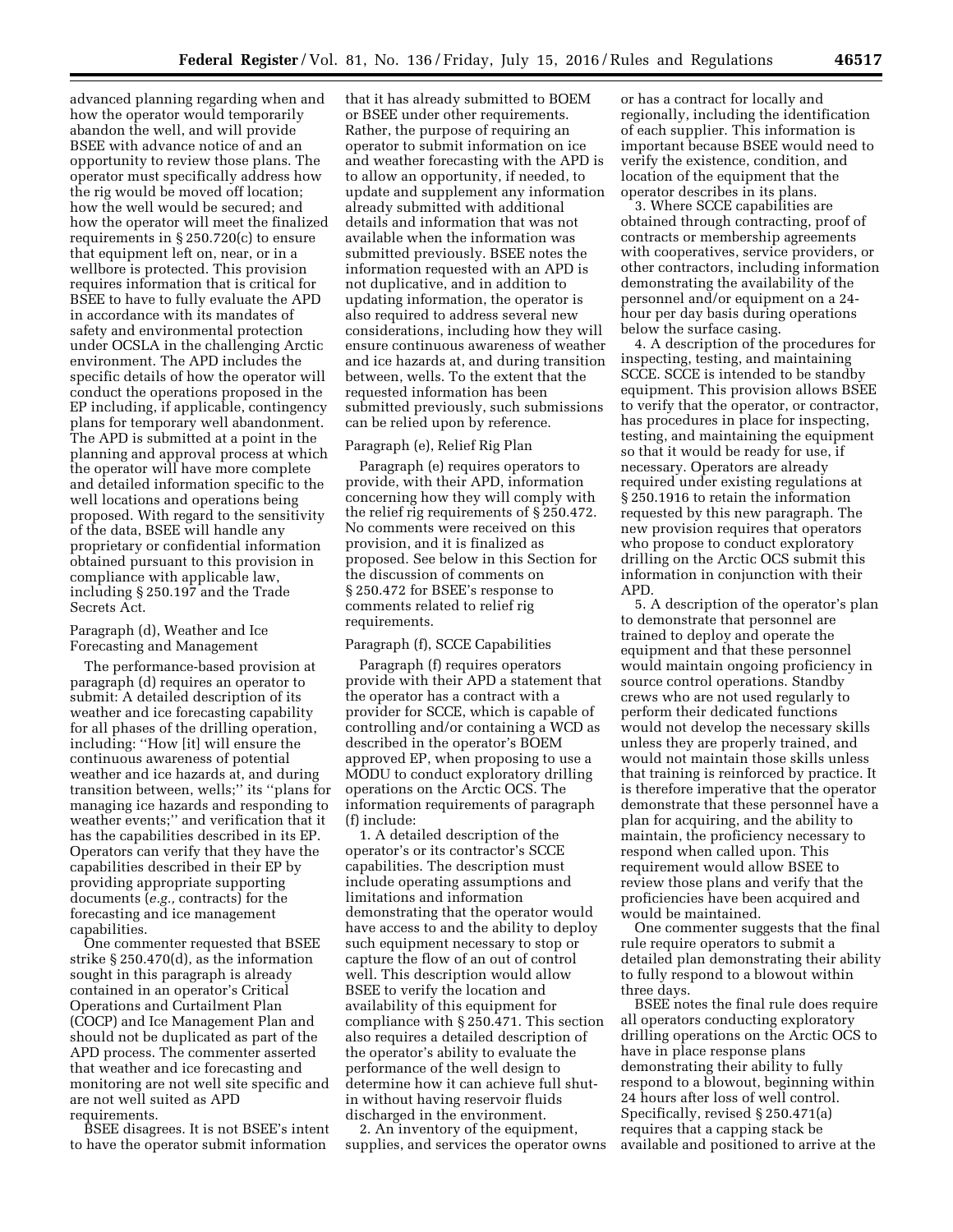advanced planning regarding when and how the operator would temporarily abandon the well, and will provide BSEE with advance notice of and an opportunity to review those plans. The operator must specifically address how the rig would be moved off location; how the well would be secured; and how the operator will meet the finalized requirements in § 250.720(c) to ensure that equipment left on, near, or in a wellbore is protected. This provision requires information that is critical for BSEE to have to fully evaluate the APD in accordance with its mandates of safety and environmental protection under OCSLA in the challenging Arctic environment. The APD includes the specific details of how the operator will conduct the operations proposed in the EP including, if applicable, contingency plans for temporary well abandonment. The APD is submitted at a point in the planning and approval process at which the operator will have more complete and detailed information specific to the well locations and operations being proposed. With regard to the sensitivity of the data, BSEE will handle any proprietary or confidential information obtained pursuant to this provision in compliance with applicable law, including § 250.197 and the Trade Secrets Act.

# Paragraph (d), Weather and Ice Forecasting and Management

The performance-based provision at paragraph (d) requires an operator to submit: A detailed description of its weather and ice forecasting capability for all phases of the drilling operation, including: ''How [it] will ensure the continuous awareness of potential weather and ice hazards at, and during transition between, wells;'' its ''plans for managing ice hazards and responding to weather events;'' and verification that it has the capabilities described in its EP. Operators can verify that they have the capabilities described in their EP by providing appropriate supporting documents (*e.g.,* contracts) for the forecasting and ice management capabilities.

One commenter requested that BSEE strike § 250.470(d), as the information sought in this paragraph is already contained in an operator's Critical Operations and Curtailment Plan (COCP) and Ice Management Plan and should not be duplicated as part of the APD process. The commenter asserted that weather and ice forecasting and monitoring are not well site specific and are not well suited as APD

requirements.

BSEE disagrees. It is not BSEE's intent to have the operator submit information

that it has already submitted to BOEM or BSEE under other requirements. Rather, the purpose of requiring an operator to submit information on ice and weather forecasting with the APD is to allow an opportunity, if needed, to update and supplement any information already submitted with additional details and information that was not available when the information was submitted previously. BSEE notes the information requested with an APD is not duplicative, and in addition to updating information, the operator is also required to address several new considerations, including how they will ensure continuous awareness of weather and ice hazards at, and during transition between, wells. To the extent that the requested information has been submitted previously, such submissions can be relied upon by reference.

#### Paragraph (e), Relief Rig Plan

Paragraph (e) requires operators to provide, with their APD, information concerning how they will comply with the relief rig requirements of § 250.472. No comments were received on this provision, and it is finalized as proposed. See below in this Section for the discussion of comments on § 250.472 for BSEE's response to comments related to relief rig requirements.

### Paragraph (f), SCCE Capabilities

Paragraph (f) requires operators provide with their APD a statement that the operator has a contract with a provider for SCCE, which is capable of controlling and/or containing a WCD as described in the operator's BOEM approved EP, when proposing to use a MODU to conduct exploratory drilling operations on the Arctic OCS. The information requirements of paragraph (f) include:

1. A detailed description of the operator's or its contractor's SCCE capabilities. The description must include operating assumptions and limitations and information demonstrating that the operator would have access to and the ability to deploy such equipment necessary to stop or capture the flow of an out of control well. This description would allow BSEE to verify the location and availability of this equipment for compliance with § 250.471. This section also requires a detailed description of the operator's ability to evaluate the performance of the well design to determine how it can achieve full shutin without having reservoir fluids discharged in the environment.

2. An inventory of the equipment, supplies, and services the operator owns or has a contract for locally and regionally, including the identification of each supplier. This information is important because BSEE would need to verify the existence, condition, and location of the equipment that the operator describes in its plans.

3. Where SCCE capabilities are obtained through contracting, proof of contracts or membership agreements with cooperatives, service providers, or other contractors, including information demonstrating the availability of the personnel and/or equipment on a 24 hour per day basis during operations below the surface casing.

4. A description of the procedures for inspecting, testing, and maintaining SCCE. SCCE is intended to be standby equipment. This provision allows BSEE to verify that the operator, or contractor, has procedures in place for inspecting, testing, and maintaining the equipment so that it would be ready for use, if necessary. Operators are already required under existing regulations at § 250.1916 to retain the information requested by this new paragraph. The new provision requires that operators who propose to conduct exploratory drilling on the Arctic OCS submit this information in conjunction with their APD.

5. A description of the operator's plan to demonstrate that personnel are trained to deploy and operate the equipment and that these personnel would maintain ongoing proficiency in source control operations. Standby crews who are not used regularly to perform their dedicated functions would not develop the necessary skills unless they are properly trained, and would not maintain those skills unless that training is reinforced by practice. It is therefore imperative that the operator demonstrate that these personnel have a plan for acquiring, and the ability to maintain, the proficiency necessary to respond when called upon. This requirement would allow BSEE to review those plans and verify that the proficiencies have been acquired and would be maintained.

One commenter suggests that the final rule require operators to submit a detailed plan demonstrating their ability to fully respond to a blowout within three days.

BSEE notes the final rule does require all operators conducting exploratory drilling operations on the Arctic OCS to have in place response plans demonstrating their ability to fully respond to a blowout, beginning within 24 hours after loss of well control. Specifically, revised § 250.471(a) requires that a capping stack be available and positioned to arrive at the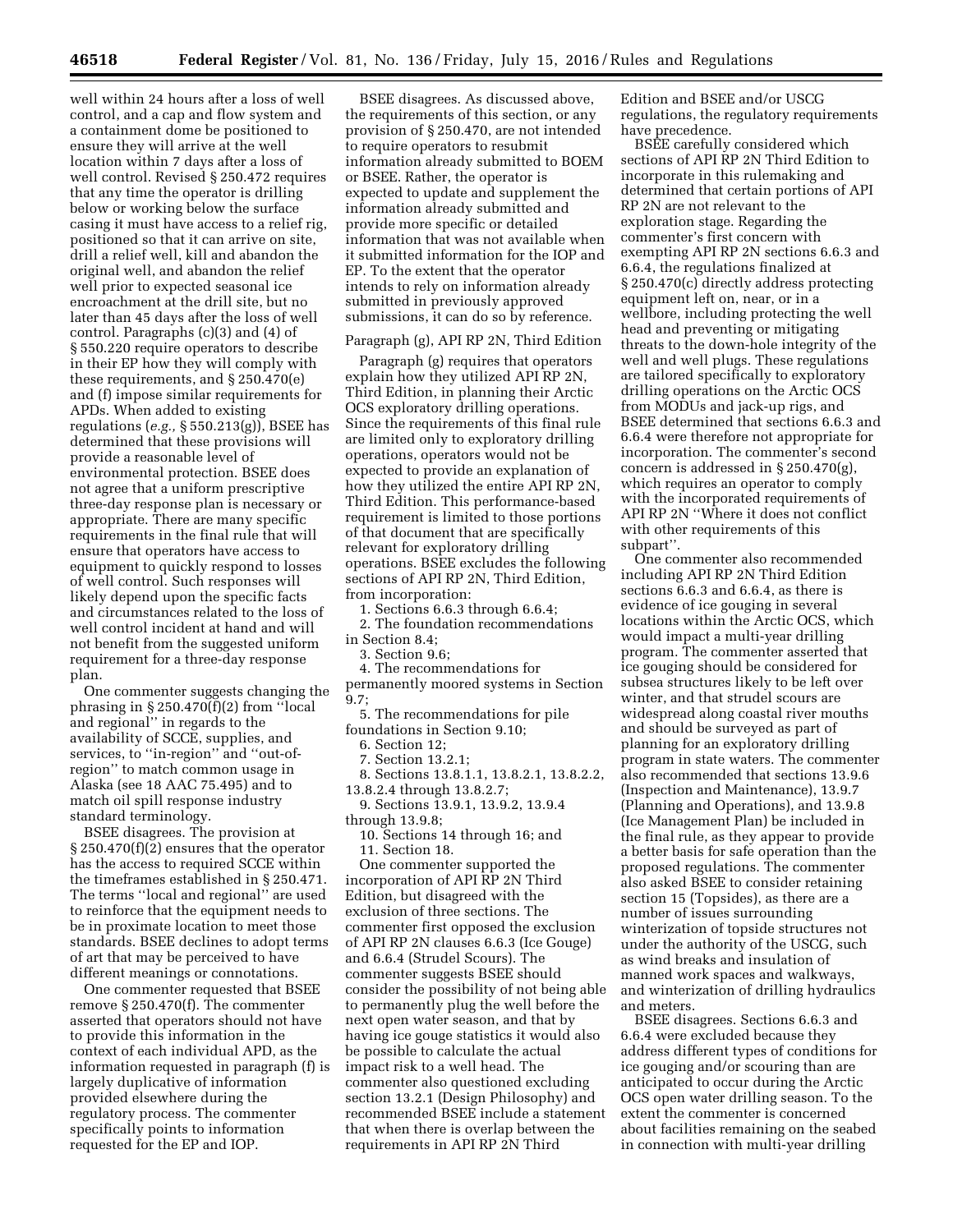well within 24 hours after a loss of well control, and a cap and flow system and a containment dome be positioned to ensure they will arrive at the well location within 7 days after a loss of well control. Revised § 250.472 requires that any time the operator is drilling below or working below the surface casing it must have access to a relief rig, positioned so that it can arrive on site, drill a relief well, kill and abandon the original well, and abandon the relief well prior to expected seasonal ice encroachment at the drill site, but no later than 45 days after the loss of well control. Paragraphs (c)(3) and (4) of § 550.220 require operators to describe in their EP how they will comply with these requirements, and § 250.470(e) and (f) impose similar requirements for APDs. When added to existing regulations (*e.g.,* § 550.213(g)), BSEE has determined that these provisions will provide a reasonable level of environmental protection. BSEE does not agree that a uniform prescriptive three-day response plan is necessary or appropriate. There are many specific requirements in the final rule that will ensure that operators have access to equipment to quickly respond to losses of well control. Such responses will likely depend upon the specific facts and circumstances related to the loss of well control incident at hand and will not benefit from the suggested uniform requirement for a three-day response plan.

One commenter suggests changing the phrasing in  $\S 250.470(f)(2)$  from "local and regional'' in regards to the availability of SCCE, supplies, and services, to "in-region" and "out-ofregion'' to match common usage in Alaska (see 18 AAC 75.495) and to match oil spill response industry standard terminology.

BSEE disagrees. The provision at § 250.470(f)(2) ensures that the operator has the access to required SCCE within the timeframes established in § 250.471. The terms ''local and regional'' are used to reinforce that the equipment needs to be in proximate location to meet those standards. BSEE declines to adopt terms of art that may be perceived to have different meanings or connotations.

One commenter requested that BSEE remove § 250.470(f). The commenter asserted that operators should not have to provide this information in the context of each individual APD, as the information requested in paragraph (f) is largely duplicative of information provided elsewhere during the regulatory process. The commenter specifically points to information requested for the EP and IOP.

BSEE disagrees. As discussed above, the requirements of this section, or any provision of § 250.470, are not intended to require operators to resubmit information already submitted to BOEM or BSEE. Rather, the operator is expected to update and supplement the information already submitted and provide more specific or detailed information that was not available when it submitted information for the IOP and EP. To the extent that the operator intends to rely on information already submitted in previously approved submissions, it can do so by reference.

#### Paragraph (g), API RP 2N, Third Edition

Paragraph (g) requires that operators explain how they utilized API RP 2N, Third Edition, in planning their Arctic OCS exploratory drilling operations. Since the requirements of this final rule are limited only to exploratory drilling operations, operators would not be expected to provide an explanation of how they utilized the entire API RP 2N, Third Edition. This performance-based requirement is limited to those portions of that document that are specifically relevant for exploratory drilling operations. BSEE excludes the following sections of API RP 2N, Third Edition, from incorporation:

1. Sections 6.6.3 through 6.6.4;

2. The foundation recommendations in Section 8.4;

3. Section 9.6;

4. The recommendations for

permanently moored systems in Section 9.7;

5. The recommendations for pile foundations in Section 9.10;

6. Section 12;

7. Section 13.2.1;

8. Sections 13.8.1.1, 13.8.2.1, 13.8.2.2, 13.8.2.4 through 13.8.2.7;

9. Sections 13.9.1, 13.9.2, 13.9.4 through 13.9.8;

10. Sections 14 through 16; and 11. Section 18.

One commenter supported the incorporation of API RP 2N Third Edition, but disagreed with the exclusion of three sections. The commenter first opposed the exclusion of API RP 2N clauses 6.6.3 (Ice Gouge) and 6.6.4 (Strudel Scours). The commenter suggests BSEE should consider the possibility of not being able to permanently plug the well before the next open water season, and that by having ice gouge statistics it would also be possible to calculate the actual impact risk to a well head. The commenter also questioned excluding section 13.2.1 (Design Philosophy) and recommended BSEE include a statement that when there is overlap between the requirements in API RP 2N Third

Edition and BSEE and/or USCG regulations, the regulatory requirements have precedence.

BSEE carefully considered which sections of API RP 2N Third Edition to incorporate in this rulemaking and determined that certain portions of API RP 2N are not relevant to the exploration stage. Regarding the commenter's first concern with exempting API RP 2N sections 6.6.3 and 6.6.4, the regulations finalized at § 250.470(c) directly address protecting equipment left on, near, or in a wellbore, including protecting the well head and preventing or mitigating threats to the down-hole integrity of the well and well plugs. These regulations are tailored specifically to exploratory drilling operations on the Arctic OCS from MODUs and jack-up rigs, and BSEE determined that sections 6.6.3 and 6.6.4 were therefore not appropriate for incorporation. The commenter's second concern is addressed in § 250.470(g), which requires an operator to comply with the incorporated requirements of API RP 2N ''Where it does not conflict with other requirements of this subpart''.

One commenter also recommended including API RP 2N Third Edition sections 6.6.3 and 6.6.4, as there is evidence of ice gouging in several locations within the Arctic OCS, which would impact a multi-year drilling program. The commenter asserted that ice gouging should be considered for subsea structures likely to be left over winter, and that strudel scours are widespread along coastal river mouths and should be surveyed as part of planning for an exploratory drilling program in state waters. The commenter also recommended that sections 13.9.6 (Inspection and Maintenance), 13.9.7 (Planning and Operations), and 13.9.8 (Ice Management Plan) be included in the final rule, as they appear to provide a better basis for safe operation than the proposed regulations. The commenter also asked BSEE to consider retaining section 15 (Topsides), as there are a number of issues surrounding winterization of topside structures not under the authority of the USCG, such as wind breaks and insulation of manned work spaces and walkways, and winterization of drilling hydraulics and meters.

BSEE disagrees. Sections 6.6.3 and 6.6.4 were excluded because they address different types of conditions for ice gouging and/or scouring than are anticipated to occur during the Arctic OCS open water drilling season. To the extent the commenter is concerned about facilities remaining on the seabed in connection with multi-year drilling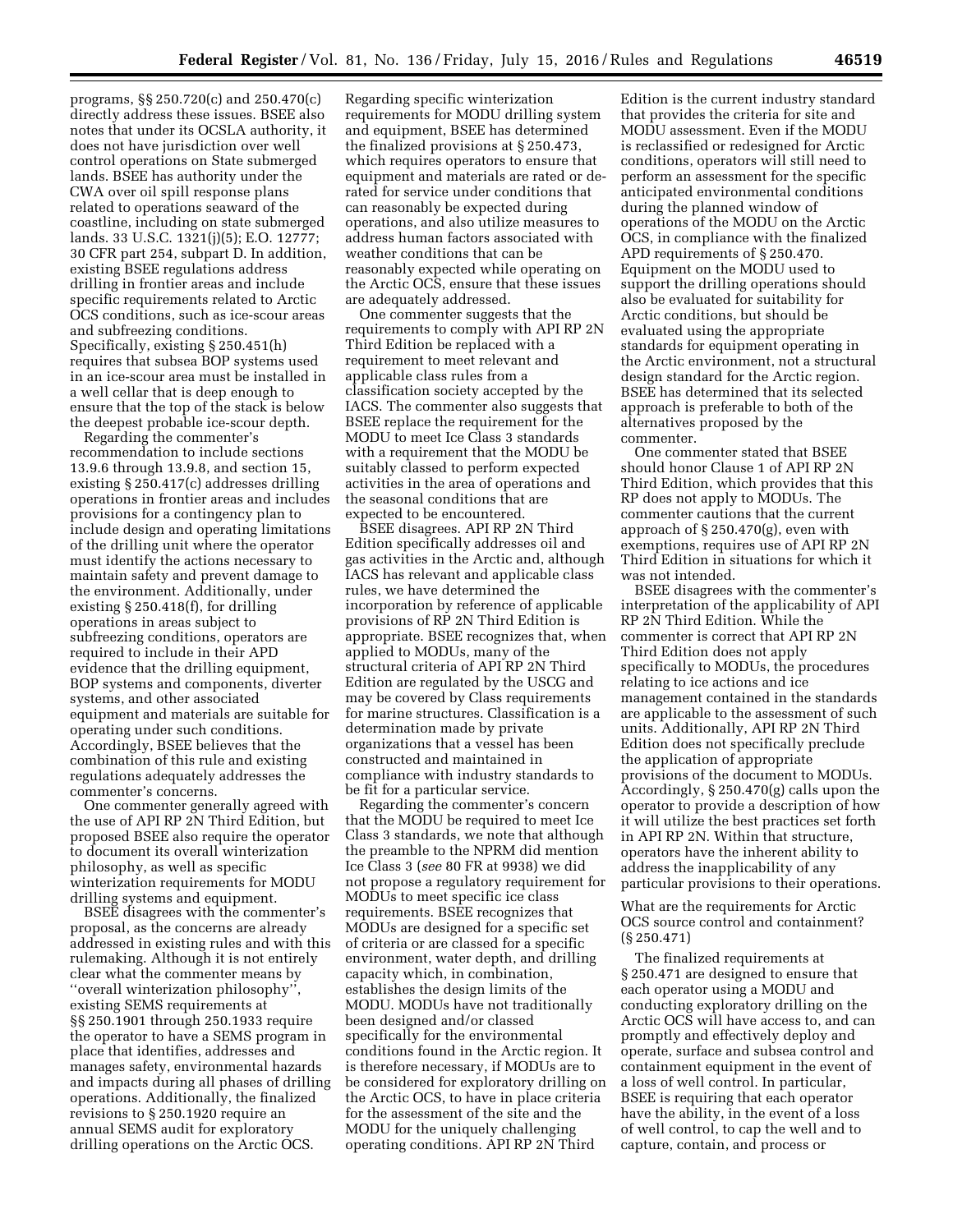programs, §§ 250.720(c) and 250.470(c) directly address these issues. BSEE also notes that under its OCSLA authority, it does not have jurisdiction over well control operations on State submerged lands. BSEE has authority under the CWA over oil spill response plans related to operations seaward of the coastline, including on state submerged lands. 33 U.S.C. 1321(j)(5); E.O. 12777; 30 CFR part 254, subpart D. In addition, existing BSEE regulations address drilling in frontier areas and include specific requirements related to Arctic OCS conditions, such as ice-scour areas and subfreezing conditions. Specifically, existing § 250.451(h) requires that subsea BOP systems used in an ice-scour area must be installed in a well cellar that is deep enough to ensure that the top of the stack is below the deepest probable ice-scour depth.

Regarding the commenter's recommendation to include sections 13.9.6 through 13.9.8, and section 15, existing § 250.417(c) addresses drilling operations in frontier areas and includes provisions for a contingency plan to include design and operating limitations of the drilling unit where the operator must identify the actions necessary to maintain safety and prevent damage to the environment. Additionally, under existing § 250.418(f), for drilling operations in areas subject to subfreezing conditions, operators are required to include in their APD evidence that the drilling equipment, BOP systems and components, diverter systems, and other associated equipment and materials are suitable for operating under such conditions. Accordingly, BSEE believes that the combination of this rule and existing regulations adequately addresses the commenter's concerns.

One commenter generally agreed with the use of API RP 2N Third Edition, but proposed BSEE also require the operator to document its overall winterization philosophy, as well as specific winterization requirements for MODU drilling systems and equipment.

BSEE disagrees with the commenter's proposal, as the concerns are already addressed in existing rules and with this rulemaking. Although it is not entirely clear what the commenter means by ''overall winterization philosophy'', existing SEMS requirements at §§ 250.1901 through 250.1933 require the operator to have a SEMS program in place that identifies, addresses and manages safety, environmental hazards and impacts during all phases of drilling operations. Additionally, the finalized revisions to § 250.1920 require an annual SEMS audit for exploratory drilling operations on the Arctic OCS.

Regarding specific winterization requirements for MODU drilling system and equipment, BSEE has determined the finalized provisions at § 250.473, which requires operators to ensure that equipment and materials are rated or derated for service under conditions that can reasonably be expected during operations, and also utilize measures to address human factors associated with weather conditions that can be reasonably expected while operating on the Arctic OCS, ensure that these issues are adequately addressed.

One commenter suggests that the requirements to comply with API RP 2N Third Edition be replaced with a requirement to meet relevant and applicable class rules from a classification society accepted by the IACS. The commenter also suggests that BSEE replace the requirement for the MODU to meet Ice Class 3 standards with a requirement that the MODU be suitably classed to perform expected activities in the area of operations and the seasonal conditions that are expected to be encountered.

BSEE disagrees. API RP 2N Third Edition specifically addresses oil and gas activities in the Arctic and, although IACS has relevant and applicable class rules, we have determined the incorporation by reference of applicable provisions of RP 2N Third Edition is appropriate. BSEE recognizes that, when applied to MODUs, many of the structural criteria of API RP 2N Third Edition are regulated by the USCG and may be covered by Class requirements for marine structures. Classification is a determination made by private organizations that a vessel has been constructed and maintained in compliance with industry standards to be fit for a particular service.

Regarding the commenter's concern that the MODU be required to meet Ice Class 3 standards, we note that although the preamble to the NPRM did mention Ice Class 3 (*see* 80 FR at 9938) we did not propose a regulatory requirement for MODUs to meet specific ice class requirements. BSEE recognizes that MODUs are designed for a specific set of criteria or are classed for a specific environment, water depth, and drilling capacity which, in combination, establishes the design limits of the MODU. MODUs have not traditionally been designed and/or classed specifically for the environmental conditions found in the Arctic region. It is therefore necessary, if MODUs are to be considered for exploratory drilling on the Arctic OCS, to have in place criteria for the assessment of the site and the MODU for the uniquely challenging operating conditions. API RP 2N Third

Edition is the current industry standard that provides the criteria for site and MODU assessment. Even if the MODU is reclassified or redesigned for Arctic conditions, operators will still need to perform an assessment for the specific anticipated environmental conditions during the planned window of operations of the MODU on the Arctic OCS, in compliance with the finalized APD requirements of § 250.470. Equipment on the MODU used to support the drilling operations should also be evaluated for suitability for Arctic conditions, but should be evaluated using the appropriate standards for equipment operating in the Arctic environment, not a structural design standard for the Arctic region. BSEE has determined that its selected approach is preferable to both of the alternatives proposed by the commenter.

One commenter stated that BSEE should honor Clause 1 of API RP 2N Third Edition, which provides that this RP does not apply to MODUs. The commenter cautions that the current approach of § 250.470(g), even with exemptions, requires use of API RP 2N Third Edition in situations for which it was not intended.

BSEE disagrees with the commenter's interpretation of the applicability of API RP 2N Third Edition. While the commenter is correct that API RP 2N Third Edition does not apply specifically to MODUs, the procedures relating to ice actions and ice management contained in the standards are applicable to the assessment of such units. Additionally, API RP 2N Third Edition does not specifically preclude the application of appropriate provisions of the document to MODUs. Accordingly, § 250.470(g) calls upon the operator to provide a description of how it will utilize the best practices set forth in API RP 2N. Within that structure, operators have the inherent ability to address the inapplicability of any particular provisions to their operations.

What are the requirements for Arctic OCS source control and containment? (§ 250.471)

The finalized requirements at § 250.471 are designed to ensure that each operator using a MODU and conducting exploratory drilling on the Arctic OCS will have access to, and can promptly and effectively deploy and operate, surface and subsea control and containment equipment in the event of a loss of well control. In particular, BSEE is requiring that each operator have the ability, in the event of a loss of well control, to cap the well and to capture, contain, and process or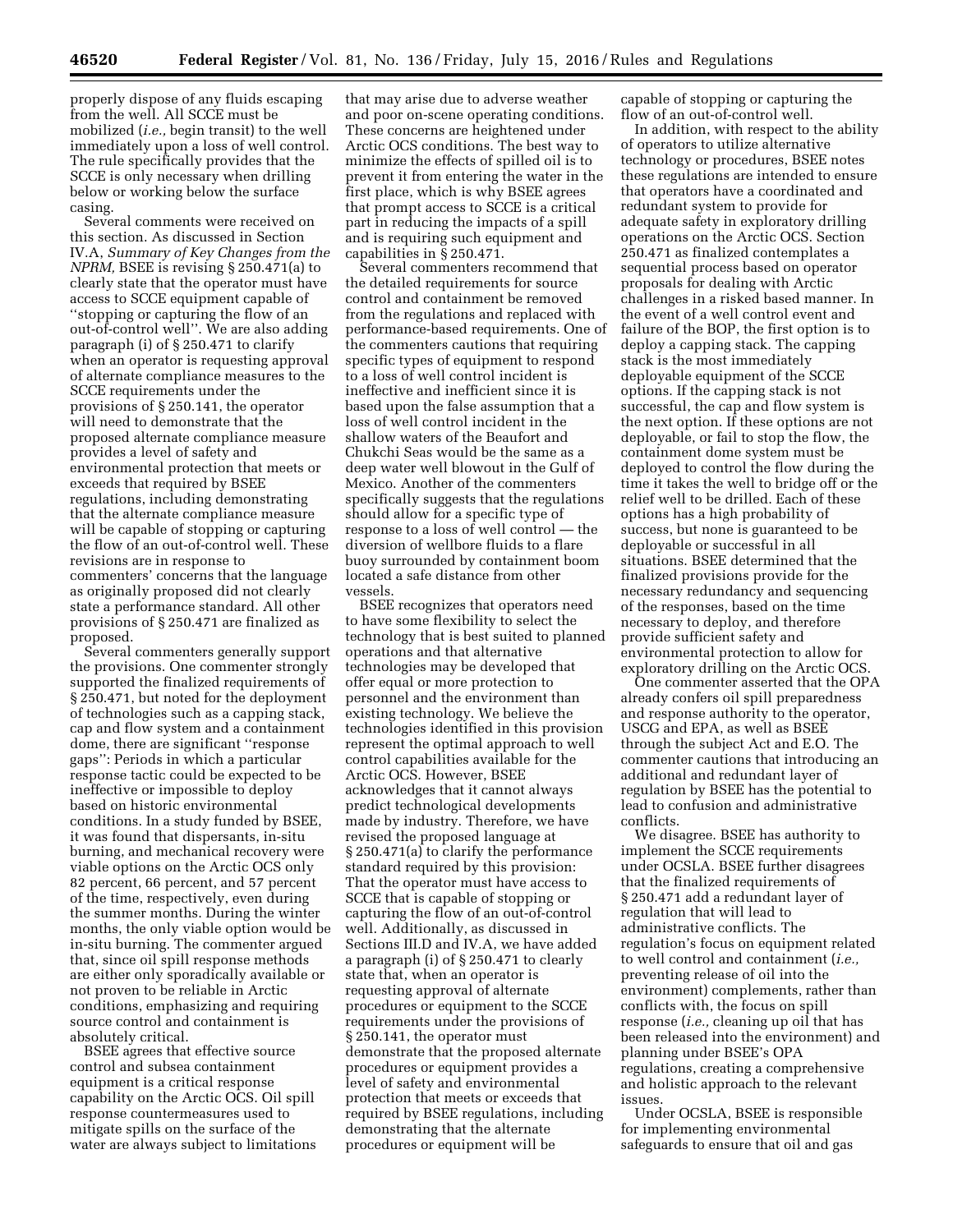properly dispose of any fluids escaping from the well. All SCCE must be mobilized (*i.e.,* begin transit) to the well immediately upon a loss of well control. The rule specifically provides that the SCCE is only necessary when drilling below or working below the surface casing.

Several comments were received on this section. As discussed in Section IV.A, *Summary of Key Changes from the NPRM,* BSEE is revising § 250.471(a) to clearly state that the operator must have access to SCCE equipment capable of ''stopping or capturing the flow of an out-of-control well''. We are also adding paragraph (i) of § 250.471 to clarify when an operator is requesting approval of alternate compliance measures to the SCCE requirements under the provisions of § 250.141, the operator will need to demonstrate that the proposed alternate compliance measure provides a level of safety and environmental protection that meets or exceeds that required by BSEE regulations, including demonstrating that the alternate compliance measure will be capable of stopping or capturing the flow of an out-of-control well. These revisions are in response to commenters' concerns that the language as originally proposed did not clearly state a performance standard. All other provisions of § 250.471 are finalized as proposed.

Several commenters generally support the provisions. One commenter strongly supported the finalized requirements of § 250.471, but noted for the deployment of technologies such as a capping stack, cap and flow system and a containment dome, there are significant ''response gaps'': Periods in which a particular response tactic could be expected to be ineffective or impossible to deploy based on historic environmental conditions. In a study funded by BSEE, it was found that dispersants, in-situ burning, and mechanical recovery were viable options on the Arctic OCS only 82 percent, 66 percent, and 57 percent of the time, respectively, even during the summer months. During the winter months, the only viable option would be in-situ burning. The commenter argued that, since oil spill response methods are either only sporadically available or not proven to be reliable in Arctic conditions, emphasizing and requiring source control and containment is absolutely critical.

BSEE agrees that effective source control and subsea containment equipment is a critical response capability on the Arctic OCS. Oil spill response countermeasures used to mitigate spills on the surface of the water are always subject to limitations

that may arise due to adverse weather and poor on-scene operating conditions. These concerns are heightened under Arctic OCS conditions. The best way to minimize the effects of spilled oil is to prevent it from entering the water in the first place, which is why BSEE agrees that prompt access to SCCE is a critical part in reducing the impacts of a spill and is requiring such equipment and capabilities in § 250.471.

Several commenters recommend that the detailed requirements for source control and containment be removed from the regulations and replaced with performance-based requirements. One of the commenters cautions that requiring specific types of equipment to respond to a loss of well control incident is ineffective and inefficient since it is based upon the false assumption that a loss of well control incident in the shallow waters of the Beaufort and Chukchi Seas would be the same as a deep water well blowout in the Gulf of Mexico. Another of the commenters specifically suggests that the regulations should allow for a specific type of response to a loss of well control — the diversion of wellbore fluids to a flare buoy surrounded by containment boom located a safe distance from other vessels.

BSEE recognizes that operators need to have some flexibility to select the technology that is best suited to planned operations and that alternative technologies may be developed that offer equal or more protection to personnel and the environment than existing technology. We believe the technologies identified in this provision represent the optimal approach to well control capabilities available for the Arctic OCS. However, BSEE acknowledges that it cannot always predict technological developments made by industry. Therefore, we have revised the proposed language at § 250.471(a) to clarify the performance standard required by this provision: That the operator must have access to SCCE that is capable of stopping or capturing the flow of an out-of-control well. Additionally, as discussed in Sections III.D and IV.A, we have added a paragraph (i) of § 250.471 to clearly state that, when an operator is requesting approval of alternate procedures or equipment to the SCCE requirements under the provisions of § 250.141, the operator must demonstrate that the proposed alternate procedures or equipment provides a level of safety and environmental protection that meets or exceeds that required by BSEE regulations, including demonstrating that the alternate procedures or equipment will be

capable of stopping or capturing the flow of an out-of-control well.

In addition, with respect to the ability of operators to utilize alternative technology or procedures, BSEE notes these regulations are intended to ensure that operators have a coordinated and redundant system to provide for adequate safety in exploratory drilling operations on the Arctic OCS. Section 250.471 as finalized contemplates a sequential process based on operator proposals for dealing with Arctic challenges in a risked based manner. In the event of a well control event and failure of the BOP, the first option is to deploy a capping stack. The capping stack is the most immediately deployable equipment of the SCCE options. If the capping stack is not successful, the cap and flow system is the next option. If these options are not deployable, or fail to stop the flow, the containment dome system must be deployed to control the flow during the time it takes the well to bridge off or the relief well to be drilled. Each of these options has a high probability of success, but none is guaranteed to be deployable or successful in all situations. BSEE determined that the finalized provisions provide for the necessary redundancy and sequencing of the responses, based on the time necessary to deploy, and therefore provide sufficient safety and environmental protection to allow for exploratory drilling on the Arctic OCS.

One commenter asserted that the OPA already confers oil spill preparedness and response authority to the operator, USCG and EPA, as well as BSEE through the subject Act and E.O. The commenter cautions that introducing an additional and redundant layer of regulation by BSEE has the potential to lead to confusion and administrative conflicts.

We disagree. BSEE has authority to implement the SCCE requirements under OCSLA. BSEE further disagrees that the finalized requirements of § 250.471 add a redundant layer of regulation that will lead to administrative conflicts. The regulation's focus on equipment related to well control and containment (*i.e.,*  preventing release of oil into the environment) complements, rather than conflicts with, the focus on spill response (*i.e.,* cleaning up oil that has been released into the environment) and planning under BSEE's OPA regulations, creating a comprehensive and holistic approach to the relevant issues.

Under OCSLA, BSEE is responsible for implementing environmental safeguards to ensure that oil and gas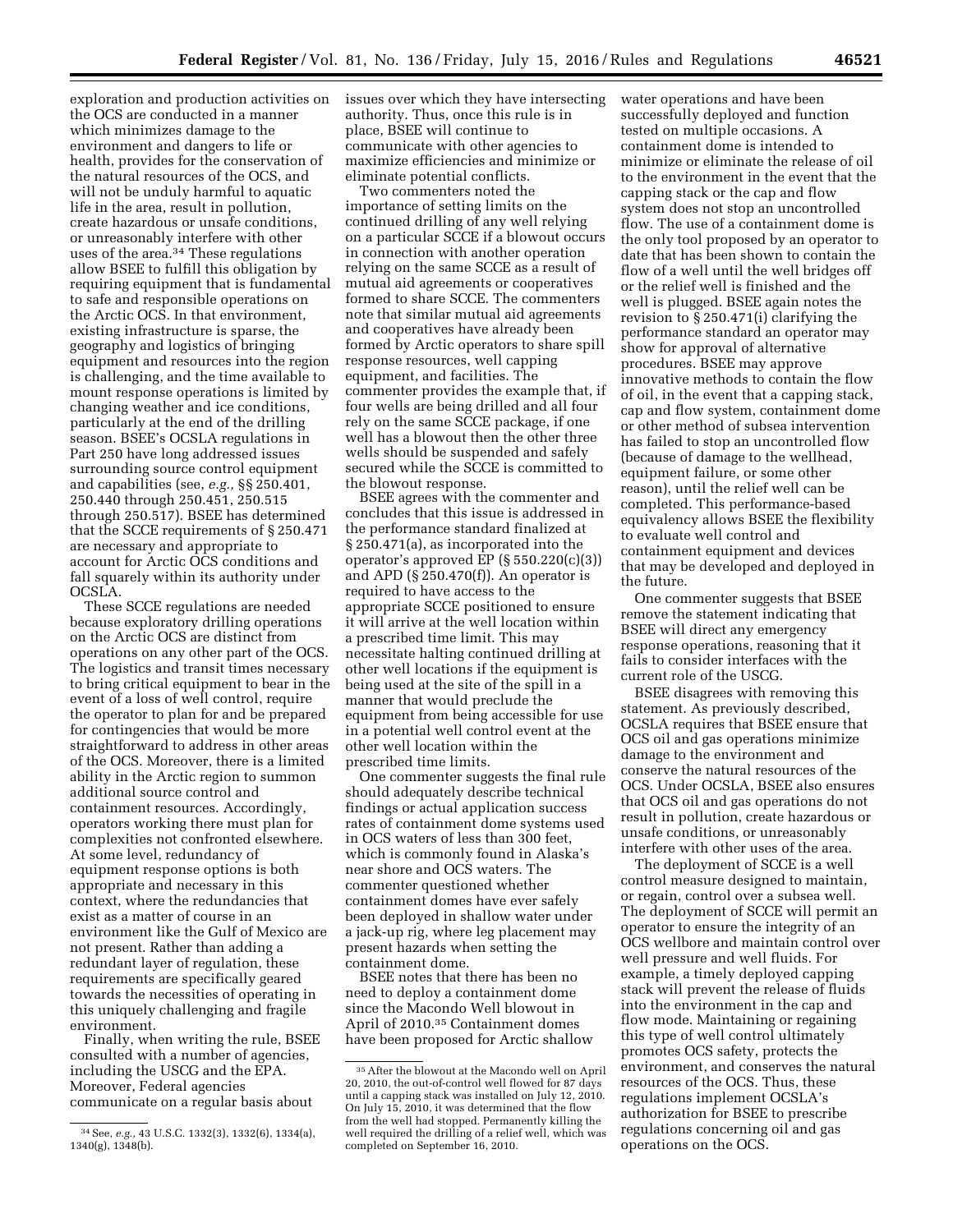exploration and production activities on the OCS are conducted in a manner which minimizes damage to the environment and dangers to life or health, provides for the conservation of the natural resources of the OCS, and will not be unduly harmful to aquatic life in the area, result in pollution, create hazardous or unsafe conditions, or unreasonably interfere with other uses of the area.<sup>34</sup> These regulations allow BSEE to fulfill this obligation by requiring equipment that is fundamental to safe and responsible operations on the Arctic OCS. In that environment, existing infrastructure is sparse, the geography and logistics of bringing equipment and resources into the region is challenging, and the time available to mount response operations is limited by changing weather and ice conditions, particularly at the end of the drilling season. BSEE's OCSLA regulations in Part 250 have long addressed issues surrounding source control equipment and capabilities (see, *e.g.,* §§ 250.401, 250.440 through 250.451, 250.515 through 250.517). BSEE has determined that the SCCE requirements of § 250.471 are necessary and appropriate to account for Arctic OCS conditions and fall squarely within its authority under OCSLA.

These SCCE regulations are needed because exploratory drilling operations on the Arctic OCS are distinct from operations on any other part of the OCS. The logistics and transit times necessary to bring critical equipment to bear in the event of a loss of well control, require the operator to plan for and be prepared for contingencies that would be more straightforward to address in other areas of the OCS. Moreover, there is a limited ability in the Arctic region to summon additional source control and containment resources. Accordingly, operators working there must plan for complexities not confronted elsewhere. At some level, redundancy of equipment response options is both appropriate and necessary in this context, where the redundancies that exist as a matter of course in an environment like the Gulf of Mexico are not present. Rather than adding a redundant layer of regulation, these requirements are specifically geared towards the necessities of operating in this uniquely challenging and fragile environment.

Finally, when writing the rule, BSEE consulted with a number of agencies, including the USCG and the EPA. Moreover, Federal agencies communicate on a regular basis about

issues over which they have intersecting authority. Thus, once this rule is in place, BSEE will continue to communicate with other agencies to maximize efficiencies and minimize or eliminate potential conflicts.

Two commenters noted the importance of setting limits on the continued drilling of any well relying on a particular SCCE if a blowout occurs in connection with another operation relying on the same SCCE as a result of mutual aid agreements or cooperatives formed to share SCCE. The commenters note that similar mutual aid agreements and cooperatives have already been formed by Arctic operators to share spill response resources, well capping equipment, and facilities. The commenter provides the example that, if four wells are being drilled and all four rely on the same SCCE package, if one well has a blowout then the other three wells should be suspended and safely secured while the SCCE is committed to the blowout response.

BSEE agrees with the commenter and concludes that this issue is addressed in the performance standard finalized at § 250.471(a), as incorporated into the operator's approved EP  $(\S 550.220(c)(3))$ and APD (§ 250.470(f)). An operator is required to have access to the appropriate SCCE positioned to ensure it will arrive at the well location within a prescribed time limit. This may necessitate halting continued drilling at other well locations if the equipment is being used at the site of the spill in a manner that would preclude the equipment from being accessible for use in a potential well control event at the other well location within the prescribed time limits.

One commenter suggests the final rule should adequately describe technical findings or actual application success rates of containment dome systems used in OCS waters of less than 300 feet, which is commonly found in Alaska's near shore and OCS waters. The commenter questioned whether containment domes have ever safely been deployed in shallow water under a jack-up rig, where leg placement may present hazards when setting the containment dome.

BSEE notes that there has been no need to deploy a containment dome since the Macondo Well blowout in April of 2010.35 Containment domes have been proposed for Arctic shallow water operations and have been successfully deployed and function tested on multiple occasions. A containment dome is intended to minimize or eliminate the release of oil to the environment in the event that the capping stack or the cap and flow system does not stop an uncontrolled flow. The use of a containment dome is the only tool proposed by an operator to date that has been shown to contain the flow of a well until the well bridges off or the relief well is finished and the well is plugged. BSEE again notes the revision to § 250.471(i) clarifying the performance standard an operator may show for approval of alternative procedures. BSEE may approve innovative methods to contain the flow of oil, in the event that a capping stack, cap and flow system, containment dome or other method of subsea intervention has failed to stop an uncontrolled flow (because of damage to the wellhead, equipment failure, or some other reason), until the relief well can be completed. This performance-based equivalency allows BSEE the flexibility to evaluate well control and containment equipment and devices that may be developed and deployed in the future.

One commenter suggests that BSEE remove the statement indicating that BSEE will direct any emergency response operations, reasoning that it fails to consider interfaces with the current role of the USCG.

BSEE disagrees with removing this statement. As previously described, OCSLA requires that BSEE ensure that OCS oil and gas operations minimize damage to the environment and conserve the natural resources of the OCS. Under OCSLA, BSEE also ensures that OCS oil and gas operations do not result in pollution, create hazardous or unsafe conditions, or unreasonably interfere with other uses of the area.

The deployment of SCCE is a well control measure designed to maintain, or regain, control over a subsea well. The deployment of SCCE will permit an operator to ensure the integrity of an OCS wellbore and maintain control over well pressure and well fluids. For example, a timely deployed capping stack will prevent the release of fluids into the environment in the cap and flow mode. Maintaining or regaining this type of well control ultimately promotes OCS safety, protects the environment, and conserves the natural resources of the OCS. Thus, these regulations implement OCSLA's authorization for BSEE to prescribe regulations concerning oil and gas operations on the OCS.

<sup>34</sup>See, *e.g.,* 43 U.S.C. 1332(3), 1332(6), 1334(a), 1340(g), 1348(b).

<sup>35</sup>After the blowout at the Macondo well on April 20, 2010, the out-of-control well flowed for 87 days until a capping stack was installed on July 12, 2010. On July 15, 2010, it was determined that the flow from the well had stopped. Permanently killing the well required the drilling of a relief well, which was completed on September 16, 2010.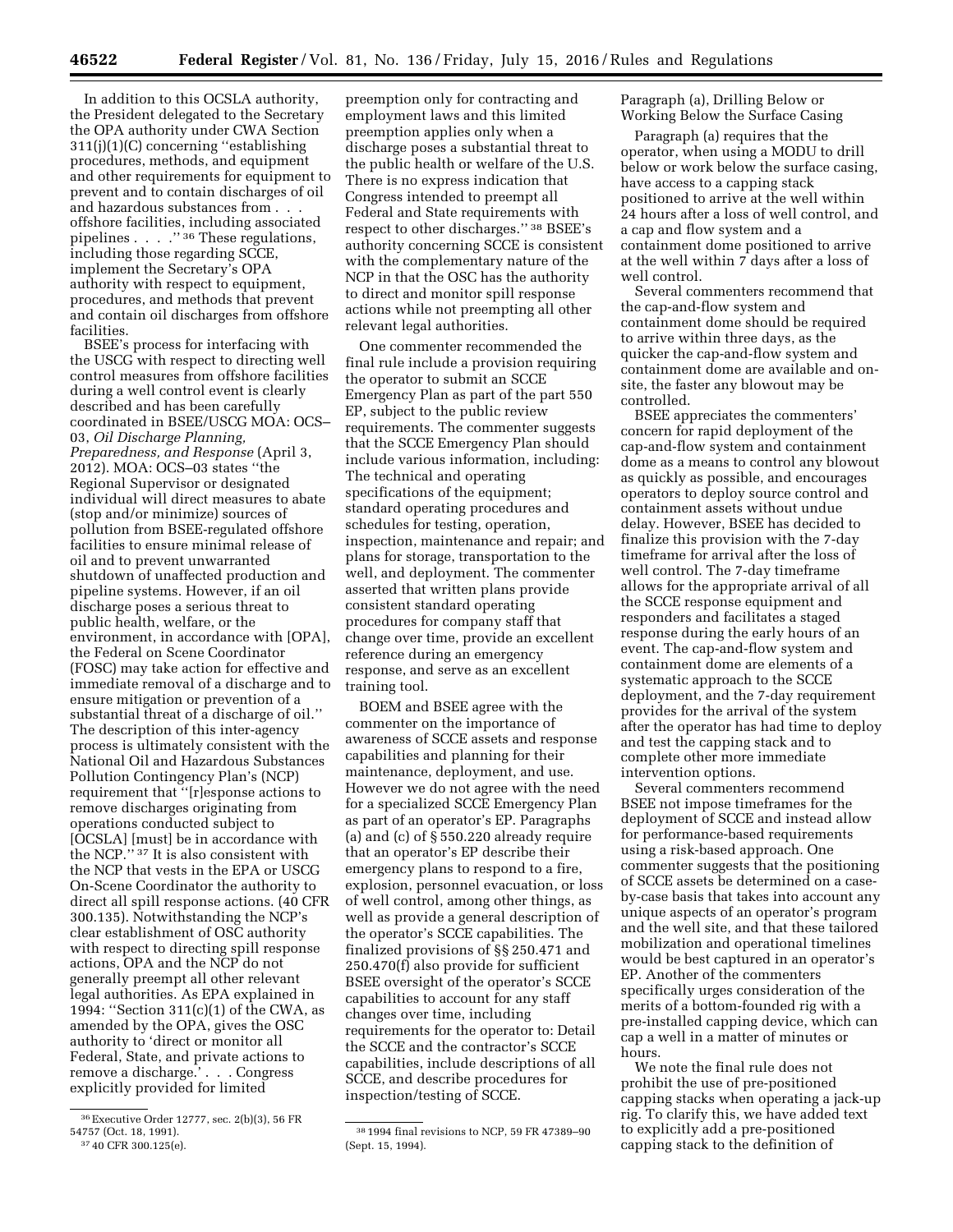In addition to this OCSLA authority, the President delegated to the Secretary the OPA authority under CWA Section 311(j)(1)(C) concerning ''establishing procedures, methods, and equipment and other requirements for equipment to prevent and to contain discharges of oil and hazardous substances from . . . offshore facilities, including associated pipelines . . . .'' 36 These regulations, including those regarding SCCE, implement the Secretary's OPA authority with respect to equipment, procedures, and methods that prevent and contain oil discharges from offshore facilities.

BSEE's process for interfacing with the USCG with respect to directing well control measures from offshore facilities during a well control event is clearly described and has been carefully coordinated in BSEE/USCG MOA: OCS– 03, *Oil Discharge Planning, Preparedness, and Response* (April 3, 2012). MOA: OCS–03 states ''the Regional Supervisor or designated individual will direct measures to abate (stop and/or minimize) sources of pollution from BSEE-regulated offshore facilities to ensure minimal release of oil and to prevent unwarranted shutdown of unaffected production and pipeline systems. However, if an oil discharge poses a serious threat to public health, welfare, or the environment, in accordance with [OPA], the Federal on Scene Coordinator (FOSC) may take action for effective and immediate removal of a discharge and to ensure mitigation or prevention of a substantial threat of a discharge of oil.'' The description of this inter-agency process is ultimately consistent with the National Oil and Hazardous Substances Pollution Contingency Plan's (NCP) requirement that ''[r]esponse actions to remove discharges originating from operations conducted subject to [OCSLA] [must] be in accordance with the NCP.'' 37 It is also consistent with the NCP that vests in the EPA or USCG On-Scene Coordinator the authority to direct all spill response actions. (40 CFR 300.135). Notwithstanding the NCP's clear establishment of OSC authority with respect to directing spill response actions, OPA and the NCP do not generally preempt all other relevant legal authorities. As EPA explained in 1994: ''Section 311(c)(1) of the CWA, as amended by the OPA, gives the OSC authority to 'direct or monitor all Federal, State, and private actions to remove a discharge.' . . . Congress explicitly provided for limited

preemption only for contracting and employment laws and this limited preemption applies only when a discharge poses a substantial threat to the public health or welfare of the U.S. There is no express indication that Congress intended to preempt all Federal and State requirements with respect to other discharges.'' 38 BSEE's authority concerning SCCE is consistent with the complementary nature of the NCP in that the OSC has the authority to direct and monitor spill response actions while not preempting all other relevant legal authorities.

One commenter recommended the final rule include a provision requiring the operator to submit an SCCE Emergency Plan as part of the part 550 EP, subject to the public review requirements. The commenter suggests that the SCCE Emergency Plan should include various information, including: The technical and operating specifications of the equipment; standard operating procedures and schedules for testing, operation, inspection, maintenance and repair; and plans for storage, transportation to the well, and deployment. The commenter asserted that written plans provide consistent standard operating procedures for company staff that change over time, provide an excellent reference during an emergency response, and serve as an excellent training tool.

BOEM and BSEE agree with the commenter on the importance of awareness of SCCE assets and response capabilities and planning for their maintenance, deployment, and use. However we do not agree with the need for a specialized SCCE Emergency Plan as part of an operator's EP. Paragraphs (a) and (c) of § 550.220 already require that an operator's EP describe their emergency plans to respond to a fire, explosion, personnel evacuation, or loss of well control, among other things, as well as provide a general description of the operator's SCCE capabilities. The finalized provisions of §§ 250.471 and 250.470(f) also provide for sufficient BSEE oversight of the operator's SCCE capabilities to account for any staff changes over time, including requirements for the operator to: Detail the SCCE and the contractor's SCCE capabilities, include descriptions of all SCCE, and describe procedures for inspection/testing of SCCE.

Paragraph (a), Drilling Below or Working Below the Surface Casing

Paragraph (a) requires that the operator, when using a MODU to drill below or work below the surface casing, have access to a capping stack positioned to arrive at the well within 24 hours after a loss of well control, and a cap and flow system and a containment dome positioned to arrive at the well within 7 days after a loss of well control.

Several commenters recommend that the cap-and-flow system and containment dome should be required to arrive within three days, as the quicker the cap-and-flow system and containment dome are available and onsite, the faster any blowout may be controlled.

BSEE appreciates the commenters' concern for rapid deployment of the cap-and-flow system and containment dome as a means to control any blowout as quickly as possible, and encourages operators to deploy source control and containment assets without undue delay. However, BSEE has decided to finalize this provision with the 7-day timeframe for arrival after the loss of well control. The 7-day timeframe allows for the appropriate arrival of all the SCCE response equipment and responders and facilitates a staged response during the early hours of an event. The cap-and-flow system and containment dome are elements of a systematic approach to the SCCE deployment, and the 7-day requirement provides for the arrival of the system after the operator has had time to deploy and test the capping stack and to complete other more immediate intervention options.

Several commenters recommend BSEE not impose timeframes for the deployment of SCCE and instead allow for performance-based requirements using a risk-based approach. One commenter suggests that the positioning of SCCE assets be determined on a caseby-case basis that takes into account any unique aspects of an operator's program and the well site, and that these tailored mobilization and operational timelines would be best captured in an operator's EP. Another of the commenters specifically urges consideration of the merits of a bottom-founded rig with a pre-installed capping device, which can cap a well in a matter of minutes or hours.

We note the final rule does not prohibit the use of pre-positioned capping stacks when operating a jack-up rig. To clarify this, we have added text to explicitly add a pre-positioned capping stack to the definition of

<sup>36</sup>Executive Order 12777, sec. 2(b)(3), 56 FR 54757 (Oct. 18, 1991). 37 40 CFR 300.125(e).

<sup>38</sup> 1994 final revisions to NCP, 59 FR 47389–90 (Sept. 15, 1994).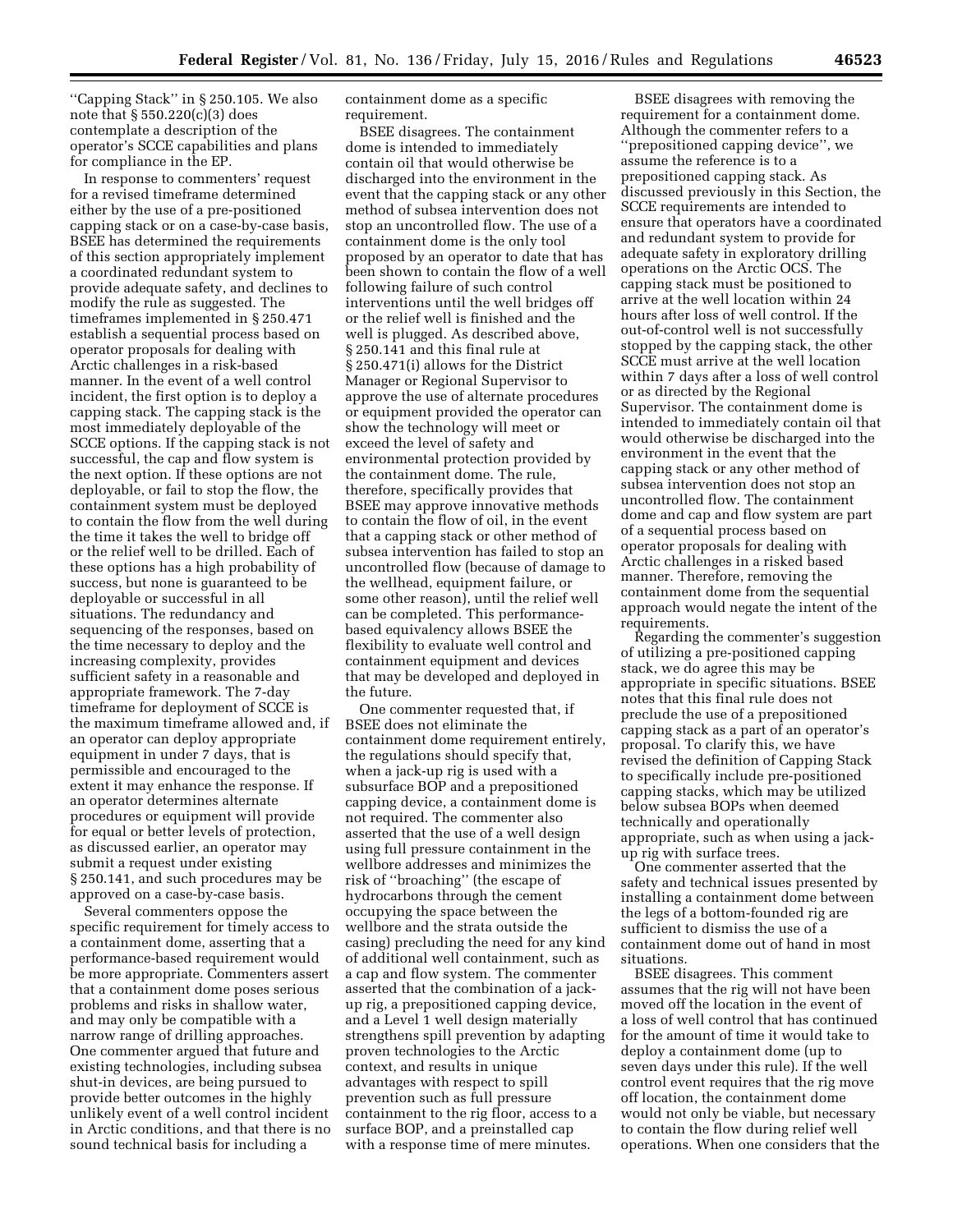''Capping Stack'' in § 250.105. We also note that § 550.220(c)(3) does contemplate a description of the operator's SCCE capabilities and plans for compliance in the EP.

In response to commenters' request for a revised timeframe determined either by the use of a pre-positioned capping stack or on a case-by-case basis, BSEE has determined the requirements of this section appropriately implement a coordinated redundant system to provide adequate safety, and declines to modify the rule as suggested. The timeframes implemented in § 250.471 establish a sequential process based on operator proposals for dealing with Arctic challenges in a risk-based manner. In the event of a well control incident, the first option is to deploy a capping stack. The capping stack is the most immediately deployable of the SCCE options. If the capping stack is not successful, the cap and flow system is the next option. If these options are not deployable, or fail to stop the flow, the containment system must be deployed to contain the flow from the well during the time it takes the well to bridge off or the relief well to be drilled. Each of these options has a high probability of success, but none is guaranteed to be deployable or successful in all situations. The redundancy and sequencing of the responses, based on the time necessary to deploy and the increasing complexity, provides sufficient safety in a reasonable and appropriate framework. The 7-day timeframe for deployment of SCCE is the maximum timeframe allowed and, if an operator can deploy appropriate equipment in under 7 days, that is permissible and encouraged to the extent it may enhance the response. If an operator determines alternate procedures or equipment will provide for equal or better levels of protection, as discussed earlier, an operator may submit a request under existing § 250.141, and such procedures may be approved on a case-by-case basis.

Several commenters oppose the specific requirement for timely access to a containment dome, asserting that a performance-based requirement would be more appropriate. Commenters assert that a containment dome poses serious problems and risks in shallow water, and may only be compatible with a narrow range of drilling approaches. One commenter argued that future and existing technologies, including subsea shut-in devices, are being pursued to provide better outcomes in the highly unlikely event of a well control incident in Arctic conditions, and that there is no sound technical basis for including a

containment dome as a specific requirement.

BSEE disagrees. The containment dome is intended to immediately contain oil that would otherwise be discharged into the environment in the event that the capping stack or any other method of subsea intervention does not stop an uncontrolled flow. The use of a containment dome is the only tool proposed by an operator to date that has been shown to contain the flow of a well following failure of such control interventions until the well bridges off or the relief well is finished and the well is plugged. As described above, § 250.141 and this final rule at § 250.471(i) allows for the District Manager or Regional Supervisor to approve the use of alternate procedures or equipment provided the operator can show the technology will meet or exceed the level of safety and environmental protection provided by the containment dome. The rule, therefore, specifically provides that BSEE may approve innovative methods to contain the flow of oil, in the event that a capping stack or other method of subsea intervention has failed to stop an uncontrolled flow (because of damage to the wellhead, equipment failure, or some other reason), until the relief well can be completed. This performancebased equivalency allows BSEE the flexibility to evaluate well control and containment equipment and devices that may be developed and deployed in the future.

One commenter requested that, if BSEE does not eliminate the containment dome requirement entirely, the regulations should specify that, when a jack-up rig is used with a subsurface BOP and a prepositioned capping device, a containment dome is not required. The commenter also asserted that the use of a well design using full pressure containment in the wellbore addresses and minimizes the risk of ''broaching'' (the escape of hydrocarbons through the cement occupying the space between the wellbore and the strata outside the casing) precluding the need for any kind of additional well containment, such as a cap and flow system. The commenter asserted that the combination of a jackup rig, a prepositioned capping device, and a Level 1 well design materially strengthens spill prevention by adapting proven technologies to the Arctic context, and results in unique advantages with respect to spill prevention such as full pressure containment to the rig floor, access to a surface BOP, and a preinstalled cap with a response time of mere minutes.

BSEE disagrees with removing the requirement for a containment dome. Although the commenter refers to a ''prepositioned capping device'', we assume the reference is to a prepositioned capping stack. As discussed previously in this Section, the SCCE requirements are intended to ensure that operators have a coordinated and redundant system to provide for adequate safety in exploratory drilling operations on the Arctic OCS. The capping stack must be positioned to arrive at the well location within 24 hours after loss of well control. If the out-of-control well is not successfully stopped by the capping stack, the other SCCE must arrive at the well location within 7 days after a loss of well control or as directed by the Regional Supervisor. The containment dome is intended to immediately contain oil that would otherwise be discharged into the environment in the event that the capping stack or any other method of subsea intervention does not stop an uncontrolled flow. The containment dome and cap and flow system are part of a sequential process based on operator proposals for dealing with Arctic challenges in a risked based manner. Therefore, removing the containment dome from the sequential approach would negate the intent of the requirements.

Regarding the commenter's suggestion of utilizing a pre-positioned capping stack, we do agree this may be appropriate in specific situations. BSEE notes that this final rule does not preclude the use of a prepositioned capping stack as a part of an operator's proposal. To clarify this, we have revised the definition of Capping Stack to specifically include pre-positioned capping stacks, which may be utilized below subsea BOPs when deemed technically and operationally appropriate, such as when using a jackup rig with surface trees.

One commenter asserted that the safety and technical issues presented by installing a containment dome between the legs of a bottom-founded rig are sufficient to dismiss the use of a containment dome out of hand in most situations.

BSEE disagrees. This comment assumes that the rig will not have been moved off the location in the event of a loss of well control that has continued for the amount of time it would take to deploy a containment dome (up to seven days under this rule). If the well control event requires that the rig move off location, the containment dome would not only be viable, but necessary to contain the flow during relief well operations. When one considers that the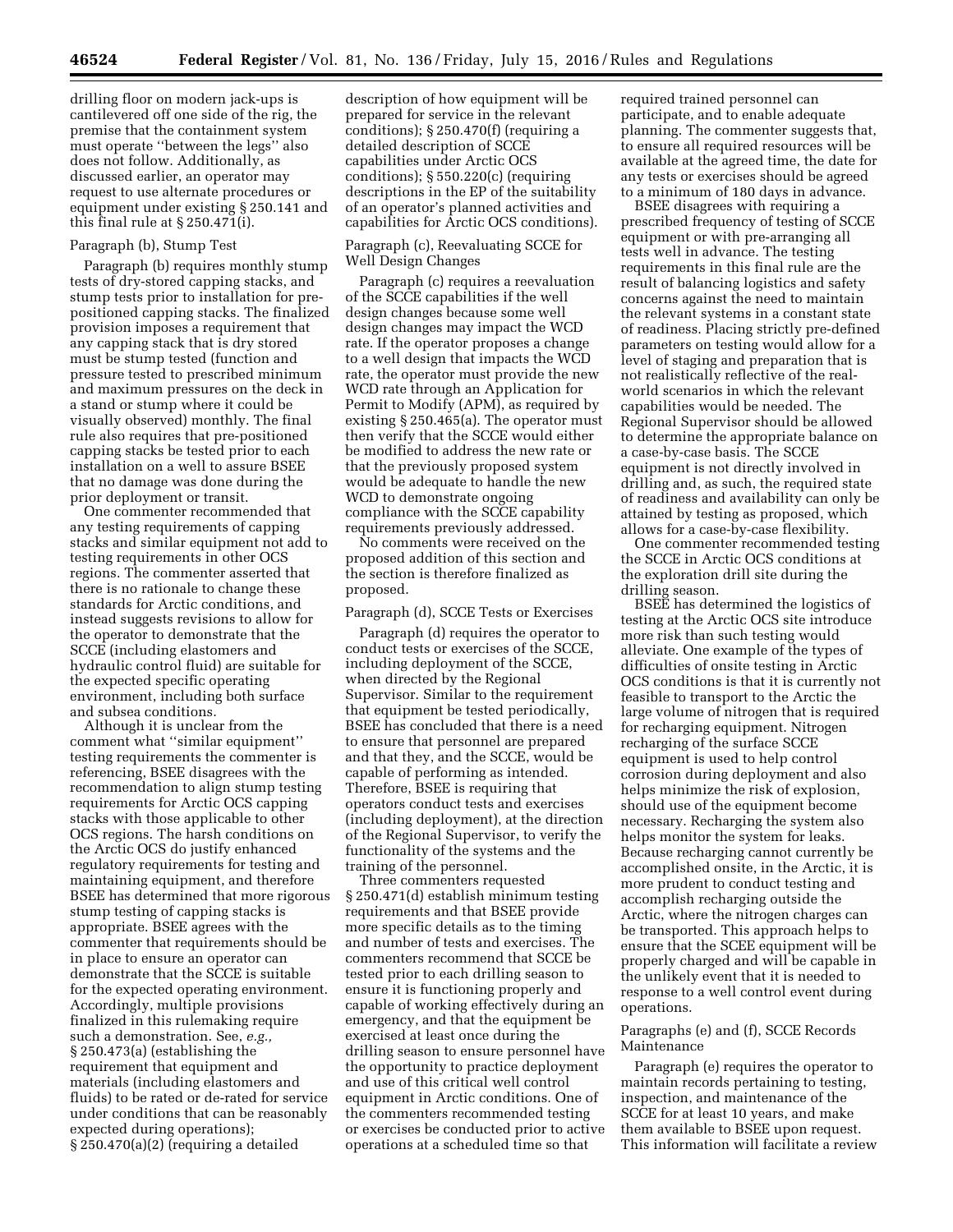drilling floor on modern jack-ups is cantilevered off one side of the rig, the premise that the containment system must operate ''between the legs'' also does not follow. Additionally, as discussed earlier, an operator may request to use alternate procedures or equipment under existing § 250.141 and this final rule at § 250.471(i).

# Paragraph (b), Stump Test

Paragraph (b) requires monthly stump tests of dry-stored capping stacks, and stump tests prior to installation for prepositioned capping stacks. The finalized provision imposes a requirement that any capping stack that is dry stored must be stump tested (function and pressure tested to prescribed minimum and maximum pressures on the deck in a stand or stump where it could be visually observed) monthly. The final rule also requires that pre-positioned capping stacks be tested prior to each installation on a well to assure BSEE that no damage was done during the prior deployment or transit.

One commenter recommended that any testing requirements of capping stacks and similar equipment not add to testing requirements in other OCS regions. The commenter asserted that there is no rationale to change these standards for Arctic conditions, and instead suggests revisions to allow for the operator to demonstrate that the SCCE (including elastomers and hydraulic control fluid) are suitable for the expected specific operating environment, including both surface and subsea conditions.

Although it is unclear from the comment what ''similar equipment'' testing requirements the commenter is referencing, BSEE disagrees with the recommendation to align stump testing requirements for Arctic OCS capping stacks with those applicable to other OCS regions. The harsh conditions on the Arctic OCS do justify enhanced regulatory requirements for testing and maintaining equipment, and therefore BSEE has determined that more rigorous stump testing of capping stacks is appropriate. BSEE agrees with the commenter that requirements should be in place to ensure an operator can demonstrate that the SCCE is suitable for the expected operating environment. Accordingly, multiple provisions finalized in this rulemaking require such a demonstration. See, *e.g.,*  § 250.473(a) (establishing the requirement that equipment and materials (including elastomers and fluids) to be rated or de-rated for service under conditions that can be reasonably expected during operations); § 250.470(a)(2) (requiring a detailed

description of how equipment will be prepared for service in the relevant conditions); § 250.470(f) (requiring a detailed description of SCCE capabilities under Arctic OCS conditions); § 550.220(c) (requiring descriptions in the EP of the suitability of an operator's planned activities and capabilities for Arctic OCS conditions).

## Paragraph (c), Reevaluating SCCE for Well Design Changes

Paragraph (c) requires a reevaluation of the SCCE capabilities if the well design changes because some well design changes may impact the WCD rate. If the operator proposes a change to a well design that impacts the WCD rate, the operator must provide the new WCD rate through an Application for Permit to Modify (APM), as required by existing § 250.465(a). The operator must then verify that the SCCE would either be modified to address the new rate or that the previously proposed system would be adequate to handle the new WCD to demonstrate ongoing compliance with the SCCE capability requirements previously addressed.

No comments were received on the proposed addition of this section and the section is therefore finalized as proposed.

# Paragraph (d), SCCE Tests or Exercises

Paragraph (d) requires the operator to conduct tests or exercises of the SCCE, including deployment of the SCCE, when directed by the Regional Supervisor. Similar to the requirement that equipment be tested periodically, BSEE has concluded that there is a need to ensure that personnel are prepared and that they, and the SCCE, would be capable of performing as intended. Therefore, BSEE is requiring that operators conduct tests and exercises (including deployment), at the direction of the Regional Supervisor, to verify the functionality of the systems and the training of the personnel.

Three commenters requested § 250.471(d) establish minimum testing requirements and that BSEE provide more specific details as to the timing and number of tests and exercises. The commenters recommend that SCCE be tested prior to each drilling season to ensure it is functioning properly and capable of working effectively during an emergency, and that the equipment be exercised at least once during the drilling season to ensure personnel have the opportunity to practice deployment and use of this critical well control equipment in Arctic conditions. One of the commenters recommended testing or exercises be conducted prior to active operations at a scheduled time so that

required trained personnel can participate, and to enable adequate planning. The commenter suggests that, to ensure all required resources will be available at the agreed time, the date for any tests or exercises should be agreed to a minimum of 180 days in advance.

BSEE disagrees with requiring a prescribed frequency of testing of SCCE equipment or with pre-arranging all tests well in advance. The testing requirements in this final rule are the result of balancing logistics and safety concerns against the need to maintain the relevant systems in a constant state of readiness. Placing strictly pre-defined parameters on testing would allow for a level of staging and preparation that is not realistically reflective of the realworld scenarios in which the relevant capabilities would be needed. The Regional Supervisor should be allowed to determine the appropriate balance on a case-by-case basis. The SCCE equipment is not directly involved in drilling and, as such, the required state of readiness and availability can only be attained by testing as proposed, which allows for a case-by-case flexibility.

One commenter recommended testing the SCCE in Arctic OCS conditions at the exploration drill site during the drilling season.

BSEE has determined the logistics of testing at the Arctic OCS site introduce more risk than such testing would alleviate. One example of the types of difficulties of onsite testing in Arctic OCS conditions is that it is currently not feasible to transport to the Arctic the large volume of nitrogen that is required for recharging equipment. Nitrogen recharging of the surface SCCE equipment is used to help control corrosion during deployment and also helps minimize the risk of explosion, should use of the equipment become necessary. Recharging the system also helps monitor the system for leaks. Because recharging cannot currently be accomplished onsite, in the Arctic, it is more prudent to conduct testing and accomplish recharging outside the Arctic, where the nitrogen charges can be transported. This approach helps to ensure that the SCEE equipment will be properly charged and will be capable in the unlikely event that it is needed to response to a well control event during operations.

### Paragraphs (e) and (f), SCCE Records Maintenance

Paragraph (e) requires the operator to maintain records pertaining to testing, inspection, and maintenance of the SCCE for at least 10 years, and make them available to BSEE upon request. This information will facilitate a review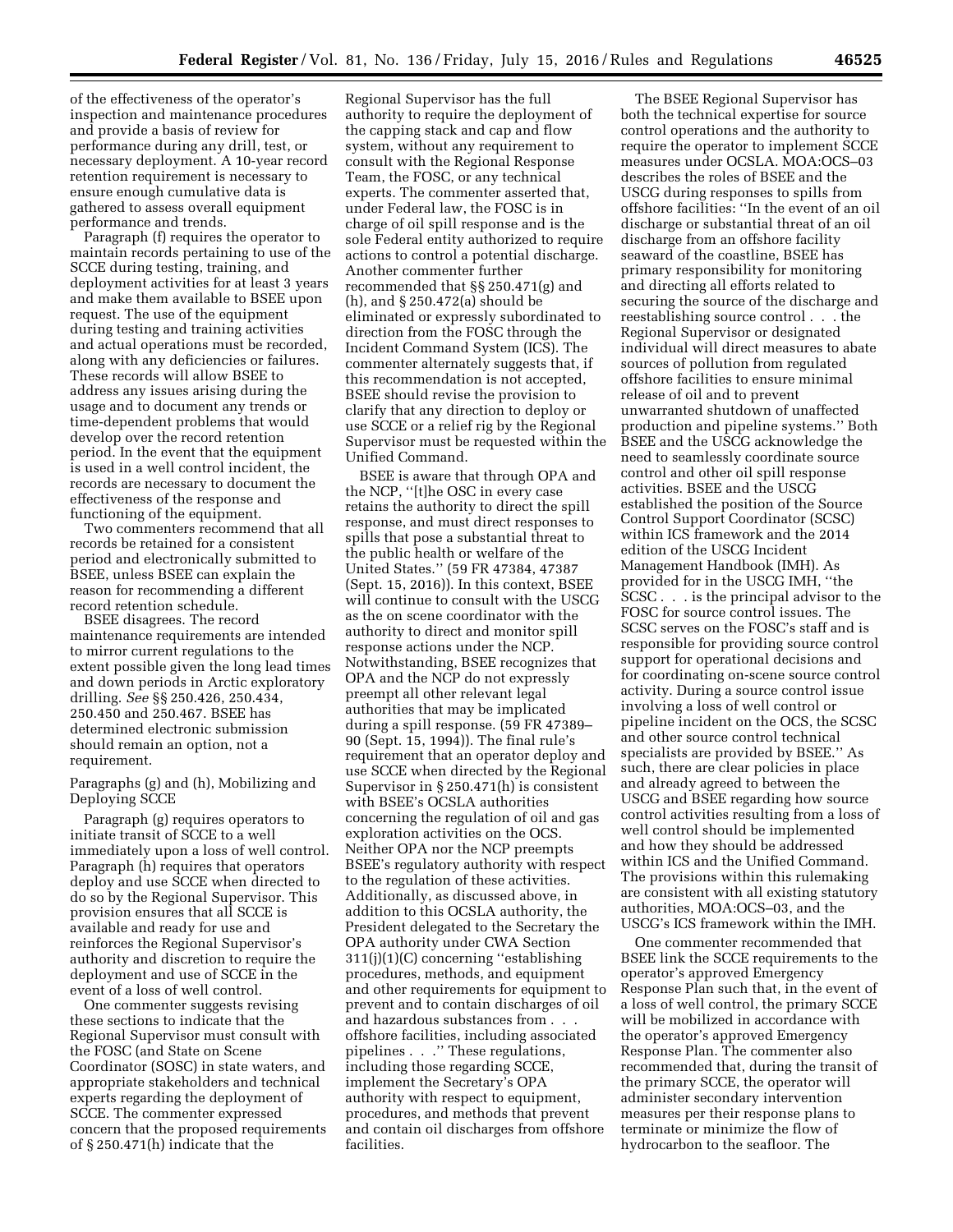of the effectiveness of the operator's inspection and maintenance procedures and provide a basis of review for performance during any drill, test, or necessary deployment. A 10-year record retention requirement is necessary to ensure enough cumulative data is gathered to assess overall equipment performance and trends.

Paragraph (f) requires the operator to maintain records pertaining to use of the SCCE during testing, training, and deployment activities for at least 3 years and make them available to BSEE upon request. The use of the equipment during testing and training activities and actual operations must be recorded, along with any deficiencies or failures. These records will allow BSEE to address any issues arising during the usage and to document any trends or time-dependent problems that would develop over the record retention period. In the event that the equipment is used in a well control incident, the records are necessary to document the effectiveness of the response and functioning of the equipment.

Two commenters recommend that all records be retained for a consistent period and electronically submitted to BSEE, unless BSEE can explain the reason for recommending a different record retention schedule.

BSEE disagrees. The record maintenance requirements are intended to mirror current regulations to the extent possible given the long lead times and down periods in Arctic exploratory drilling. *See* §§ 250.426, 250.434, 250.450 and 250.467. BSEE has determined electronic submission should remain an option, not a requirement.

Paragraphs (g) and (h), Mobilizing and Deploying SCCE

Paragraph (g) requires operators to initiate transit of SCCE to a well immediately upon a loss of well control. Paragraph (h) requires that operators deploy and use SCCE when directed to do so by the Regional Supervisor. This provision ensures that all SCCE is available and ready for use and reinforces the Regional Supervisor's authority and discretion to require the deployment and use of SCCE in the event of a loss of well control.

One commenter suggests revising these sections to indicate that the Regional Supervisor must consult with the FOSC (and State on Scene Coordinator (SOSC) in state waters, and appropriate stakeholders and technical experts regarding the deployment of SCCE. The commenter expressed concern that the proposed requirements of § 250.471(h) indicate that the

Regional Supervisor has the full authority to require the deployment of the capping stack and cap and flow system, without any requirement to consult with the Regional Response Team, the FOSC, or any technical experts. The commenter asserted that, under Federal law, the FOSC is in charge of oil spill response and is the sole Federal entity authorized to require actions to control a potential discharge. Another commenter further recommended that §§ 250.471(g) and (h), and § 250.472(a) should be eliminated or expressly subordinated to direction from the FOSC through the Incident Command System (ICS). The commenter alternately suggests that, if this recommendation is not accepted, BSEE should revise the provision to clarify that any direction to deploy or use SCCE or a relief rig by the Regional Supervisor must be requested within the Unified Command.

BSEE is aware that through OPA and the NCP, ''[t]he OSC in every case retains the authority to direct the spill response, and must direct responses to spills that pose a substantial threat to the public health or welfare of the United States.'' (59 FR 47384, 47387 (Sept. 15, 2016)). In this context, BSEE will continue to consult with the USCG as the on scene coordinator with the authority to direct and monitor spill response actions under the NCP. Notwithstanding, BSEE recognizes that OPA and the NCP do not expressly preempt all other relevant legal authorities that may be implicated during a spill response. (59 FR 47389– 90 (Sept. 15, 1994)). The final rule's requirement that an operator deploy and use SCCE when directed by the Regional Supervisor in § 250.471(h) is consistent with BSEE's OCSLA authorities concerning the regulation of oil and gas exploration activities on the OCS. Neither OPA nor the NCP preempts BSEE's regulatory authority with respect to the regulation of these activities. Additionally, as discussed above, in addition to this OCSLA authority, the President delegated to the Secretary the OPA authority under CWA Section 311(j)(1)(C) concerning ''establishing procedures, methods, and equipment and other requirements for equipment to prevent and to contain discharges of oil and hazardous substances from . . . offshore facilities, including associated pipelines . . .'' These regulations, including those regarding SCCE, implement the Secretary's OPA authority with respect to equipment, procedures, and methods that prevent and contain oil discharges from offshore facilities.

The BSEE Regional Supervisor has both the technical expertise for source control operations and the authority to require the operator to implement SCCE measures under OCSLA. MOA:OCS–03 describes the roles of BSEE and the USCG during responses to spills from offshore facilities: ''In the event of an oil discharge or substantial threat of an oil discharge from an offshore facility seaward of the coastline, BSEE has primary responsibility for monitoring and directing all efforts related to securing the source of the discharge and reestablishing source control . . . the Regional Supervisor or designated individual will direct measures to abate sources of pollution from regulated offshore facilities to ensure minimal release of oil and to prevent unwarranted shutdown of unaffected production and pipeline systems.'' Both BSEE and the USCG acknowledge the need to seamlessly coordinate source control and other oil spill response activities. BSEE and the USCG established the position of the Source Control Support Coordinator (SCSC) within ICS framework and the 2014 edition of the USCG Incident Management Handbook (IMH). As provided for in the USCG IMH, ''the SCSC . . . is the principal advisor to the FOSC for source control issues. The SCSC serves on the FOSC's staff and is responsible for providing source control support for operational decisions and for coordinating on-scene source control activity. During a source control issue involving a loss of well control or pipeline incident on the OCS, the SCSC and other source control technical specialists are provided by BSEE.'' As such, there are clear policies in place and already agreed to between the USCG and BSEE regarding how source control activities resulting from a loss of well control should be implemented and how they should be addressed within ICS and the Unified Command. The provisions within this rulemaking are consistent with all existing statutory authorities, MOA:OCS–03, and the USCG's ICS framework within the IMH.

One commenter recommended that BSEE link the SCCE requirements to the operator's approved Emergency Response Plan such that, in the event of a loss of well control, the primary SCCE will be mobilized in accordance with the operator's approved Emergency Response Plan. The commenter also recommended that, during the transit of the primary SCCE, the operator will administer secondary intervention measures per their response plans to terminate or minimize the flow of hydrocarbon to the seafloor. The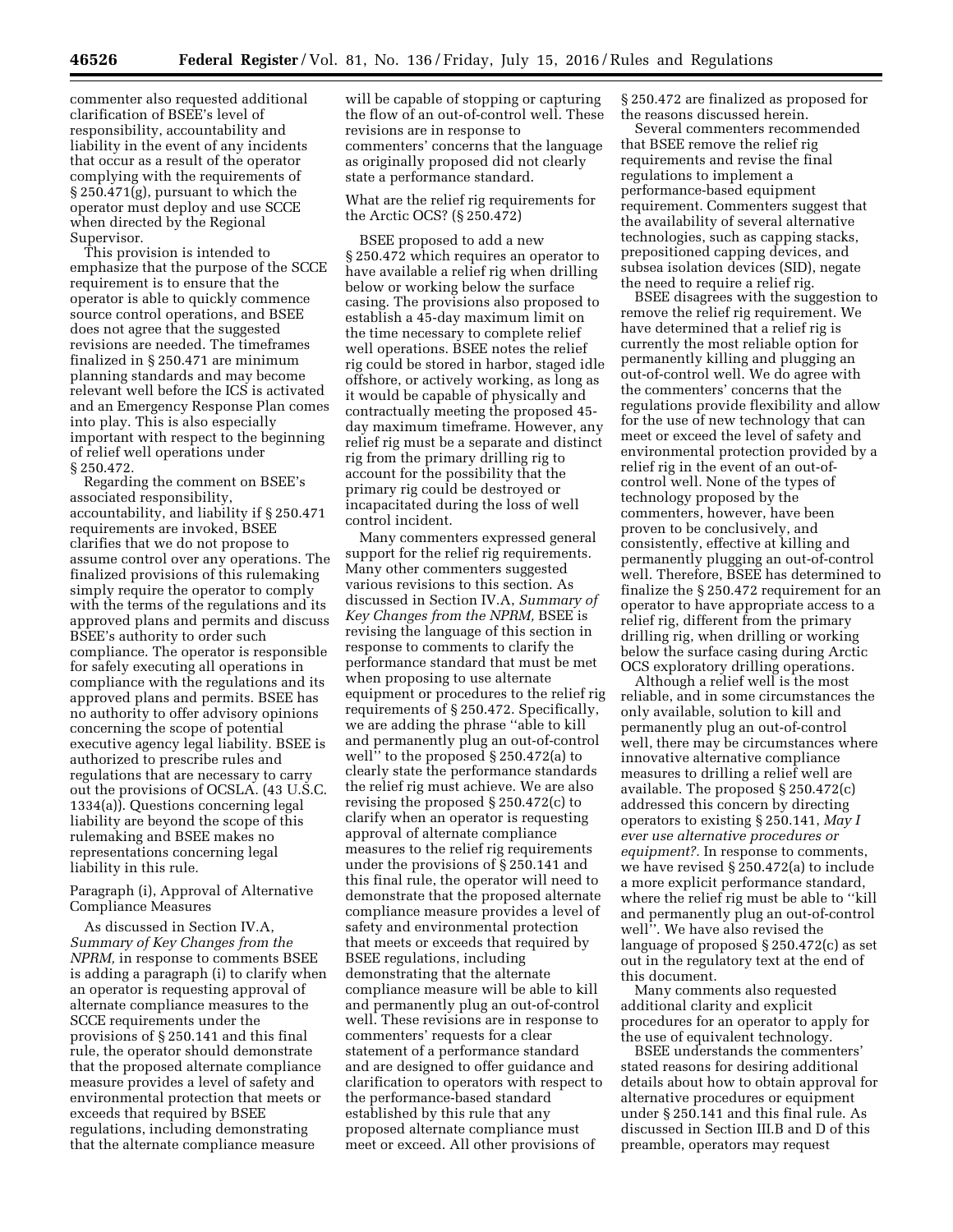commenter also requested additional clarification of BSEE's level of responsibility, accountability and liability in the event of any incidents that occur as a result of the operator complying with the requirements of § 250.471(g), pursuant to which the operator must deploy and use SCCE when directed by the Regional Supervisor.

This provision is intended to emphasize that the purpose of the SCCE requirement is to ensure that the operator is able to quickly commence source control operations, and BSEE does not agree that the suggested revisions are needed. The timeframes finalized in § 250.471 are minimum planning standards and may become relevant well before the ICS is activated and an Emergency Response Plan comes into play. This is also especially important with respect to the beginning of relief well operations under § 250.472.

Regarding the comment on BSEE's associated responsibility, accountability, and liability if § 250.471 requirements are invoked, BSEE clarifies that we do not propose to assume control over any operations. The finalized provisions of this rulemaking simply require the operator to comply with the terms of the regulations and its approved plans and permits and discuss BSEE's authority to order such compliance. The operator is responsible for safely executing all operations in compliance with the regulations and its approved plans and permits. BSEE has no authority to offer advisory opinions concerning the scope of potential executive agency legal liability. BSEE is authorized to prescribe rules and regulations that are necessary to carry out the provisions of OCSLA. (43 U.S.C. 1334(a)). Questions concerning legal liability are beyond the scope of this rulemaking and BSEE makes no representations concerning legal liability in this rule.

### Paragraph (i), Approval of Alternative Compliance Measures

As discussed in Section IV.A, *Summary of Key Changes from the NPRM,* in response to comments BSEE is adding a paragraph (i) to clarify when an operator is requesting approval of alternate compliance measures to the SCCE requirements under the provisions of § 250.141 and this final rule, the operator should demonstrate that the proposed alternate compliance measure provides a level of safety and environmental protection that meets or exceeds that required by BSEE regulations, including demonstrating that the alternate compliance measure

will be capable of stopping or capturing the flow of an out-of-control well. These revisions are in response to commenters' concerns that the language as originally proposed did not clearly state a performance standard.

## What are the relief rig requirements for the Arctic OCS? (§ 250.472)

BSEE proposed to add a new § 250.472 which requires an operator to have available a relief rig when drilling below or working below the surface casing. The provisions also proposed to establish a 45-day maximum limit on the time necessary to complete relief well operations. BSEE notes the relief rig could be stored in harbor, staged idle offshore, or actively working, as long as it would be capable of physically and contractually meeting the proposed 45 day maximum timeframe. However, any relief rig must be a separate and distinct rig from the primary drilling rig to account for the possibility that the primary rig could be destroyed or incapacitated during the loss of well control incident.

Many commenters expressed general support for the relief rig requirements. Many other commenters suggested various revisions to this section. As discussed in Section IV.A, *Summary of Key Changes from the NPRM,* BSEE is revising the language of this section in response to comments to clarify the performance standard that must be met when proposing to use alternate equipment or procedures to the relief rig requirements of § 250.472. Specifically, we are adding the phrase ''able to kill and permanently plug an out-of-control well'' to the proposed § 250.472(a) to clearly state the performance standards the relief rig must achieve. We are also revising the proposed § 250.472(c) to clarify when an operator is requesting approval of alternate compliance measures to the relief rig requirements under the provisions of § 250.141 and this final rule, the operator will need to demonstrate that the proposed alternate compliance measure provides a level of safety and environmental protection that meets or exceeds that required by BSEE regulations, including demonstrating that the alternate compliance measure will be able to kill and permanently plug an out-of-control well. These revisions are in response to commenters' requests for a clear statement of a performance standard and are designed to offer guidance and clarification to operators with respect to the performance-based standard established by this rule that any proposed alternate compliance must meet or exceed. All other provisions of

§ 250.472 are finalized as proposed for the reasons discussed herein.

Several commenters recommended that BSEE remove the relief rig requirements and revise the final regulations to implement a performance-based equipment requirement. Commenters suggest that the availability of several alternative technologies, such as capping stacks, prepositioned capping devices, and subsea isolation devices (SID), negate the need to require a relief rig.

BSEE disagrees with the suggestion to remove the relief rig requirement. We have determined that a relief rig is currently the most reliable option for permanently killing and plugging an out-of-control well. We do agree with the commenters' concerns that the regulations provide flexibility and allow for the use of new technology that can meet or exceed the level of safety and environmental protection provided by a relief rig in the event of an out-ofcontrol well. None of the types of technology proposed by the commenters, however, have been proven to be conclusively, and consistently, effective at killing and permanently plugging an out-of-control well. Therefore, BSEE has determined to finalize the § 250.472 requirement for an operator to have appropriate access to a relief rig, different from the primary drilling rig, when drilling or working below the surface casing during Arctic OCS exploratory drilling operations.

Although a relief well is the most reliable, and in some circumstances the only available, solution to kill and permanently plug an out-of-control well, there may be circumstances where innovative alternative compliance measures to drilling a relief well are available. The proposed § 250.472(c) addressed this concern by directing operators to existing § 250.141, *May I ever use alternative procedures or equipment?.* In response to comments, we have revised § 250.472(a) to include a more explicit performance standard, where the relief rig must be able to ''kill and permanently plug an out-of-control well''. We have also revised the language of proposed § 250.472(c) as set out in the regulatory text at the end of this document.

Many comments also requested additional clarity and explicit procedures for an operator to apply for the use of equivalent technology.

BSEE understands the commenters' stated reasons for desiring additional details about how to obtain approval for alternative procedures or equipment under § 250.141 and this final rule. As discussed in Section III.B and D of this preamble, operators may request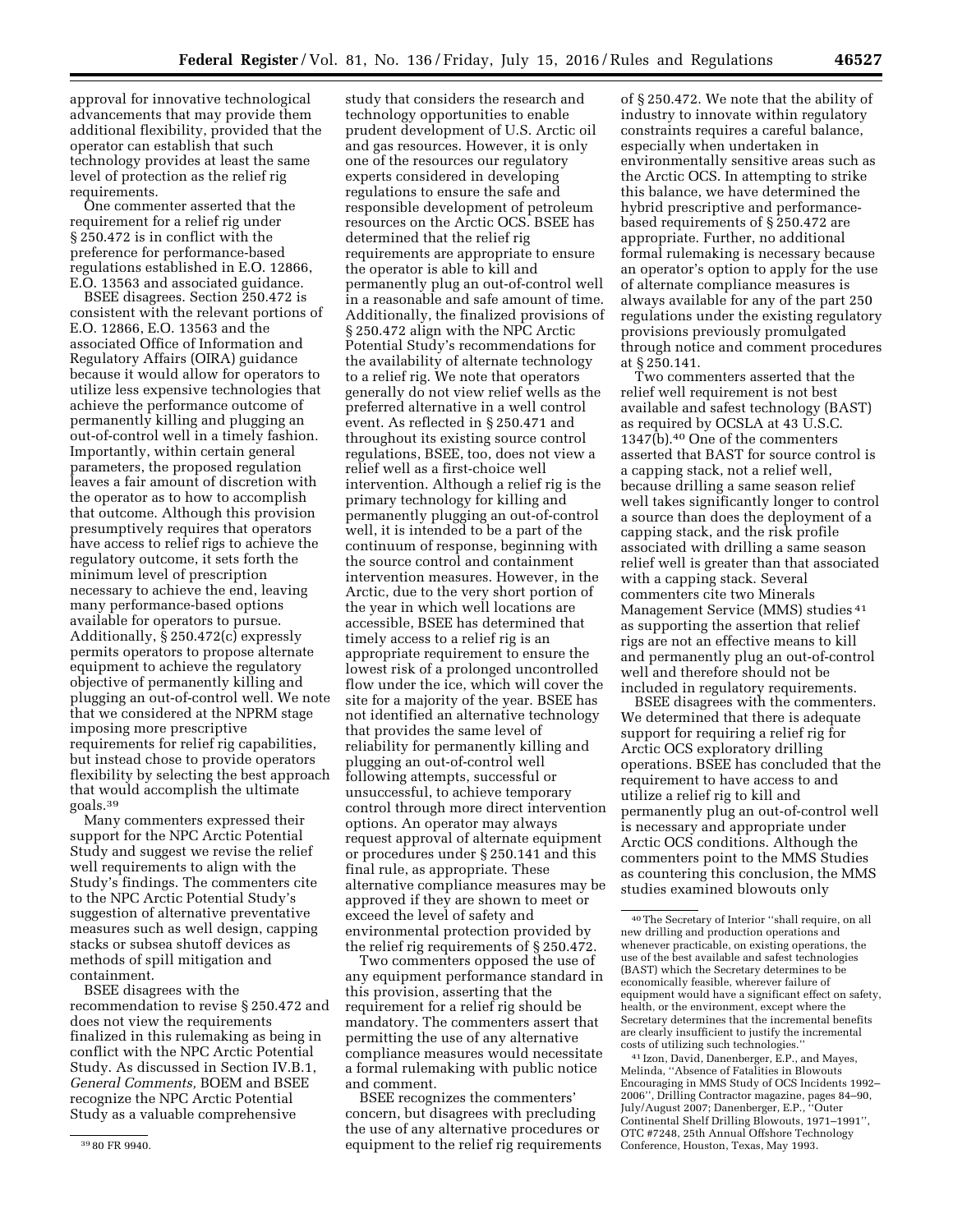approval for innovative technological advancements that may provide them additional flexibility, provided that the operator can establish that such technology provides at least the same level of protection as the relief rig requirements.

One commenter asserted that the requirement for a relief rig under § 250.472 is in conflict with the preference for performance-based regulations established in E.O. 12866, E.O. 13563 and associated guidance.

BSEE disagrees. Section 250.472 is consistent with the relevant portions of E.O. 12866, E.O. 13563 and the associated Office of Information and Regulatory Affairs (OIRA) guidance because it would allow for operators to utilize less expensive technologies that achieve the performance outcome of permanently killing and plugging an out-of-control well in a timely fashion. Importantly, within certain general parameters, the proposed regulation leaves a fair amount of discretion with the operator as to how to accomplish that outcome. Although this provision presumptively requires that operators have access to relief rigs to achieve the regulatory outcome, it sets forth the minimum level of prescription necessary to achieve the end, leaving many performance-based options available for operators to pursue. Additionally, § 250.472(c) expressly permits operators to propose alternate equipment to achieve the regulatory objective of permanently killing and plugging an out-of-control well. We note that we considered at the NPRM stage imposing more prescriptive requirements for relief rig capabilities, but instead chose to provide operators flexibility by selecting the best approach that would accomplish the ultimate goals.39

Many commenters expressed their support for the NPC Arctic Potential Study and suggest we revise the relief well requirements to align with the Study's findings. The commenters cite to the NPC Arctic Potential Study's suggestion of alternative preventative measures such as well design, capping stacks or subsea shutoff devices as methods of spill mitigation and containment.

BSEE disagrees with the recommendation to revise § 250.472 and does not view the requirements finalized in this rulemaking as being in conflict with the NPC Arctic Potential Study. As discussed in Section IV.B.1, *General Comments,* BOEM and BSEE recognize the NPC Arctic Potential Study as a valuable comprehensive

study that considers the research and technology opportunities to enable prudent development of U.S. Arctic oil and gas resources. However, it is only one of the resources our regulatory experts considered in developing regulations to ensure the safe and responsible development of petroleum resources on the Arctic OCS. BSEE has determined that the relief rig requirements are appropriate to ensure the operator is able to kill and permanently plug an out-of-control well in a reasonable and safe amount of time. Additionally, the finalized provisions of § 250.472 align with the NPC Arctic Potential Study's recommendations for the availability of alternate technology to a relief rig. We note that operators generally do not view relief wells as the preferred alternative in a well control event. As reflected in § 250.471 and throughout its existing source control regulations, BSEE, too, does not view a relief well as a first-choice well intervention. Although a relief rig is the primary technology for killing and permanently plugging an out-of-control well, it is intended to be a part of the continuum of response, beginning with the source control and containment intervention measures. However, in the Arctic, due to the very short portion of the year in which well locations are accessible, BSEE has determined that timely access to a relief rig is an appropriate requirement to ensure the lowest risk of a prolonged uncontrolled flow under the ice, which will cover the site for a majority of the year. BSEE has not identified an alternative technology that provides the same level of reliability for permanently killing and plugging an out-of-control well following attempts, successful or unsuccessful, to achieve temporary control through more direct intervention options. An operator may always request approval of alternate equipment or procedures under § 250.141 and this final rule, as appropriate. These alternative compliance measures may be approved if they are shown to meet or exceed the level of safety and environmental protection provided by the relief rig requirements of § 250.472.

Two commenters opposed the use of any equipment performance standard in this provision, asserting that the requirement for a relief rig should be mandatory. The commenters assert that permitting the use of any alternative compliance measures would necessitate a formal rulemaking with public notice and comment.

BSEE recognizes the commenters' concern, but disagrees with precluding the use of any alternative procedures or equipment to the relief rig requirements

of § 250.472. We note that the ability of industry to innovate within regulatory constraints requires a careful balance, especially when undertaken in environmentally sensitive areas such as the Arctic OCS. In attempting to strike this balance, we have determined the hybrid prescriptive and performancebased requirements of § 250.472 are appropriate. Further, no additional formal rulemaking is necessary because an operator's option to apply for the use of alternate compliance measures is always available for any of the part 250 regulations under the existing regulatory provisions previously promulgated through notice and comment procedures at § 250.141.

Two commenters asserted that the relief well requirement is not best available and safest technology (BAST) as required by OCSLA at 43 U.S.C. 1347(b).40 One of the commenters asserted that BAST for source control is a capping stack, not a relief well, because drilling a same season relief well takes significantly longer to control a source than does the deployment of a capping stack, and the risk profile associated with drilling a same season relief well is greater than that associated with a capping stack. Several commenters cite two Minerals Management Service (MMS) studies 41 as supporting the assertion that relief rigs are not an effective means to kill and permanently plug an out-of-control well and therefore should not be included in regulatory requirements.

BSEE disagrees with the commenters. We determined that there is adequate support for requiring a relief rig for Arctic OCS exploratory drilling operations. BSEE has concluded that the requirement to have access to and utilize a relief rig to kill and permanently plug an out-of-control well is necessary and appropriate under Arctic OCS conditions. Although the commenters point to the MMS Studies as countering this conclusion, the MMS studies examined blowouts only

41 Izon, David, Danenberger, E.P., and Mayes, Melinda, ''Absence of Fatalities in Blowouts Encouraging in MMS Study of OCS Incidents 1992– 2006'', Drilling Contractor magazine, pages 84–90, July/August 2007; Danenberger, E.P., ''Outer Continental Shelf Drilling Blowouts, 1971–1991'', OTC #7248, 25th Annual Offshore Technology Conference, Houston, Texas, May 1993.

<sup>39</sup> 80 FR 9940.

<sup>40</sup>The Secretary of Interior ''shall require, on all new drilling and production operations and whenever practicable, on existing operations, the use of the best available and safest technologies (BAST) which the Secretary determines to be economically feasible, wherever failure of equipment would have a significant effect on safety, health, or the environment, except where the Secretary determines that the incremental benefits are clearly insufficient to justify the incremental costs of utilizing such technologies.''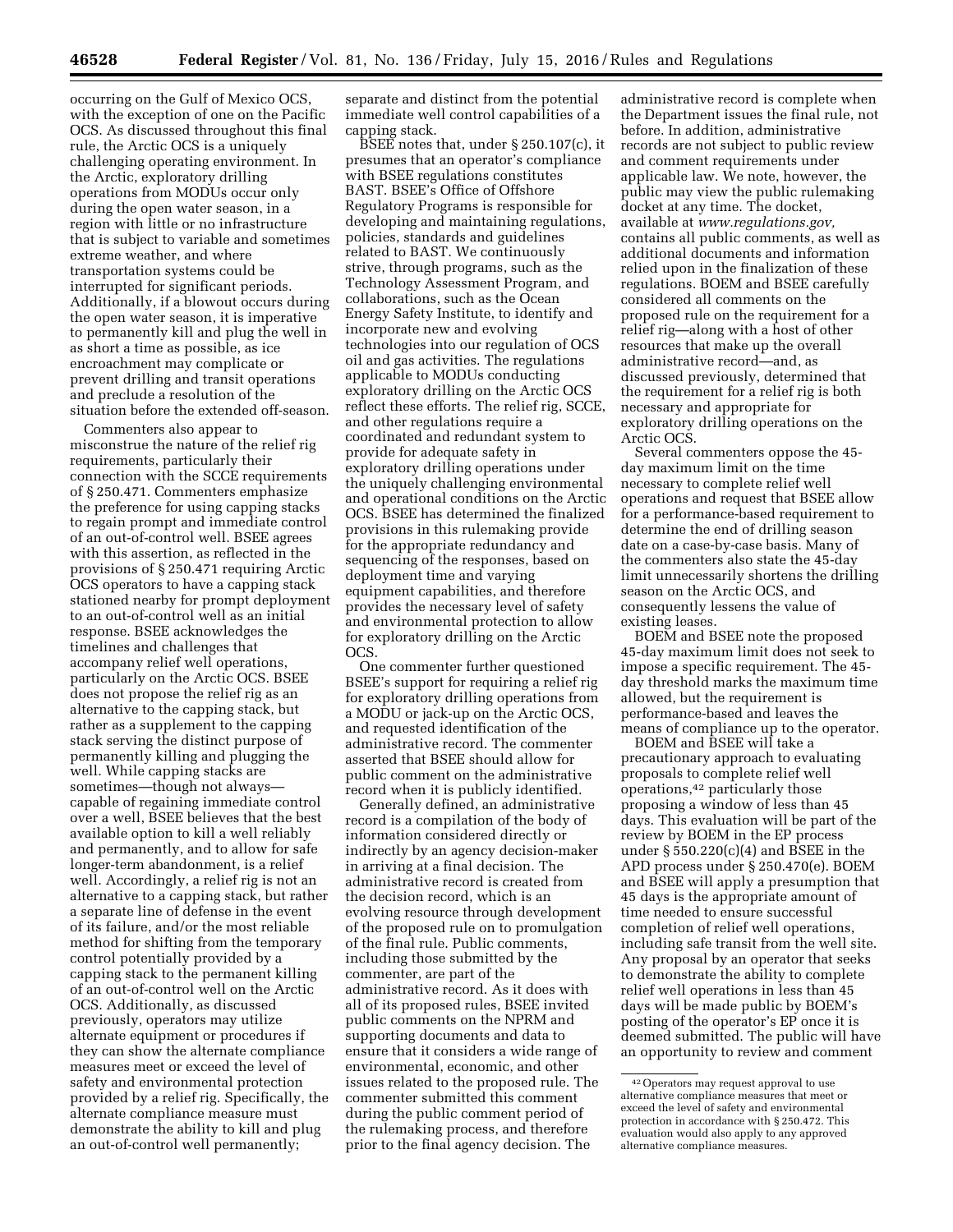occurring on the Gulf of Mexico OCS, with the exception of one on the Pacific OCS. As discussed throughout this final rule, the Arctic OCS is a uniquely challenging operating environment. In the Arctic, exploratory drilling operations from MODUs occur only during the open water season, in a region with little or no infrastructure that is subject to variable and sometimes extreme weather, and where transportation systems could be interrupted for significant periods. Additionally, if a blowout occurs during the open water season, it is imperative to permanently kill and plug the well in as short a time as possible, as ice encroachment may complicate or prevent drilling and transit operations and preclude a resolution of the situation before the extended off-season.

Commenters also appear to misconstrue the nature of the relief rig requirements, particularly their connection with the SCCE requirements of § 250.471. Commenters emphasize the preference for using capping stacks to regain prompt and immediate control of an out-of-control well. BSEE agrees with this assertion, as reflected in the provisions of § 250.471 requiring Arctic OCS operators to have a capping stack stationed nearby for prompt deployment to an out-of-control well as an initial response. BSEE acknowledges the timelines and challenges that accompany relief well operations, particularly on the Arctic OCS. BSEE does not propose the relief rig as an alternative to the capping stack, but rather as a supplement to the capping stack serving the distinct purpose of permanently killing and plugging the well. While capping stacks are sometimes—though not always capable of regaining immediate control over a well, BSEE believes that the best available option to kill a well reliably and permanently, and to allow for safe longer-term abandonment, is a relief well. Accordingly, a relief rig is not an alternative to a capping stack, but rather a separate line of defense in the event of its failure, and/or the most reliable method for shifting from the temporary control potentially provided by a capping stack to the permanent killing of an out-of-control well on the Arctic OCS. Additionally, as discussed previously, operators may utilize alternate equipment or procedures if they can show the alternate compliance measures meet or exceed the level of safety and environmental protection provided by a relief rig. Specifically, the alternate compliance measure must demonstrate the ability to kill and plug an out-of-control well permanently;

separate and distinct from the potential immediate well control capabilities of a capping stack.

 $BSEE$  notes that, under § 250.107(c), it presumes that an operator's compliance with BSEE regulations constitutes BAST. BSEE's Office of Offshore Regulatory Programs is responsible for developing and maintaining regulations, policies, standards and guidelines related to BAST. We continuously strive, through programs, such as the Technology Assessment Program, and collaborations, such as the Ocean Energy Safety Institute, to identify and incorporate new and evolving technologies into our regulation of OCS oil and gas activities. The regulations applicable to MODUs conducting exploratory drilling on the Arctic OCS reflect these efforts. The relief rig, SCCE, and other regulations require a coordinated and redundant system to provide for adequate safety in exploratory drilling operations under the uniquely challenging environmental and operational conditions on the Arctic OCS. BSEE has determined the finalized provisions in this rulemaking provide for the appropriate redundancy and sequencing of the responses, based on deployment time and varying equipment capabilities, and therefore provides the necessary level of safety and environmental protection to allow for exploratory drilling on the Arctic OCS.

One commenter further questioned BSEE's support for requiring a relief rig for exploratory drilling operations from a MODU or jack-up on the Arctic OCS, and requested identification of the administrative record. The commenter asserted that BSEE should allow for public comment on the administrative record when it is publicly identified.

Generally defined, an administrative record is a compilation of the body of information considered directly or indirectly by an agency decision-maker in arriving at a final decision. The administrative record is created from the decision record, which is an evolving resource through development of the proposed rule on to promulgation of the final rule. Public comments, including those submitted by the commenter, are part of the administrative record. As it does with all of its proposed rules, BSEE invited public comments on the NPRM and supporting documents and data to ensure that it considers a wide range of environmental, economic, and other issues related to the proposed rule. The commenter submitted this comment during the public comment period of the rulemaking process, and therefore prior to the final agency decision. The

administrative record is complete when the Department issues the final rule, not before. In addition, administrative records are not subject to public review and comment requirements under applicable law. We note, however, the public may view the public rulemaking docket at any time. The docket, available at *[www.regulations.gov,](http://www.regulations.gov)*  contains all public comments, as well as additional documents and information relied upon in the finalization of these regulations. BOEM and BSEE carefully considered all comments on the proposed rule on the requirement for a relief rig—along with a host of other resources that make up the overall administrative record—and, as discussed previously, determined that the requirement for a relief rig is both necessary and appropriate for exploratory drilling operations on the Arctic OCS.

Several commenters oppose the 45 day maximum limit on the time necessary to complete relief well operations and request that BSEE allow for a performance-based requirement to determine the end of drilling season date on a case-by-case basis. Many of the commenters also state the 45-day limit unnecessarily shortens the drilling season on the Arctic OCS, and consequently lessens the value of existing leases.

BOEM and BSEE note the proposed 45-day maximum limit does not seek to impose a specific requirement. The 45 day threshold marks the maximum time allowed, but the requirement is performance-based and leaves the means of compliance up to the operator.

BOEM and BSEE will take a precautionary approach to evaluating proposals to complete relief well operations,42 particularly those proposing a window of less than 45 days. This evaluation will be part of the review by BOEM in the EP process under  $\S 550.220(c)(4)$  and BSEE in the APD process under § 250.470(e). BOEM and BSEE will apply a presumption that 45 days is the appropriate amount of time needed to ensure successful completion of relief well operations, including safe transit from the well site. Any proposal by an operator that seeks to demonstrate the ability to complete relief well operations in less than 45 days will be made public by BOEM's posting of the operator's EP once it is deemed submitted. The public will have an opportunity to review and comment

<sup>42</sup>Operators may request approval to use alternative compliance measures that meet or exceed the level of safety and environmental protection in accordance with § 250.472. This evaluation would also apply to any approved alternative compliance measures.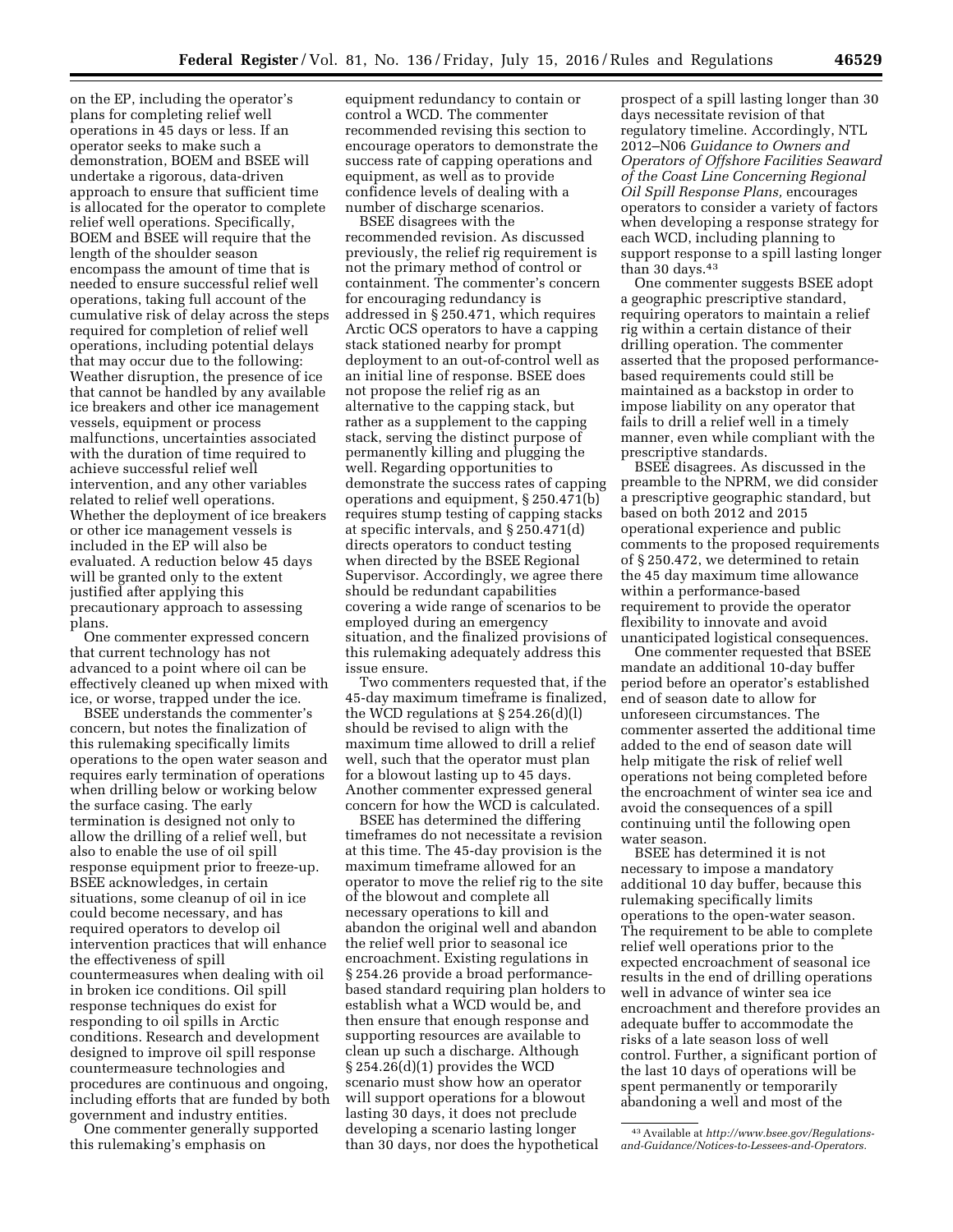on the EP, including the operator's plans for completing relief well operations in 45 days or less. If an operator seeks to make such a demonstration, BOEM and BSEE will undertake a rigorous, data-driven approach to ensure that sufficient time is allocated for the operator to complete relief well operations. Specifically, BOEM and BSEE will require that the length of the shoulder season encompass the amount of time that is needed to ensure successful relief well operations, taking full account of the cumulative risk of delay across the steps required for completion of relief well operations, including potential delays that may occur due to the following: Weather disruption, the presence of ice that cannot be handled by any available ice breakers and other ice management vessels, equipment or process malfunctions, uncertainties associated with the duration of time required to

achieve successful relief well intervention, and any other variables related to relief well operations. Whether the deployment of ice breakers or other ice management vessels is included in the EP will also be evaluated. A reduction below 45 days will be granted only to the extent justified after applying this precautionary approach to assessing plans.

One commenter expressed concern that current technology has not advanced to a point where oil can be effectively cleaned up when mixed with ice, or worse, trapped under the ice.

BSEE understands the commenter's concern, but notes the finalization of this rulemaking specifically limits operations to the open water season and requires early termination of operations when drilling below or working below the surface casing. The early termination is designed not only to allow the drilling of a relief well, but also to enable the use of oil spill response equipment prior to freeze-up. BSEE acknowledges, in certain situations, some cleanup of oil in ice could become necessary, and has required operators to develop oil intervention practices that will enhance the effectiveness of spill countermeasures when dealing with oil in broken ice conditions. Oil spill response techniques do exist for responding to oil spills in Arctic conditions. Research and development designed to improve oil spill response countermeasure technologies and procedures are continuous and ongoing, including efforts that are funded by both government and industry entities.

One commenter generally supported this rulemaking's emphasis on

equipment redundancy to contain or control a WCD. The commenter recommended revising this section to encourage operators to demonstrate the success rate of capping operations and equipment, as well as to provide confidence levels of dealing with a number of discharge scenarios.

BSEE disagrees with the recommended revision. As discussed previously, the relief rig requirement is not the primary method of control or containment. The commenter's concern for encouraging redundancy is addressed in § 250.471, which requires Arctic OCS operators to have a capping stack stationed nearby for prompt deployment to an out-of-control well as an initial line of response. BSEE does not propose the relief rig as an alternative to the capping stack, but rather as a supplement to the capping stack, serving the distinct purpose of permanently killing and plugging the well. Regarding opportunities to demonstrate the success rates of capping operations and equipment, § 250.471(b) requires stump testing of capping stacks at specific intervals, and § 250.471(d) directs operators to conduct testing when directed by the BSEE Regional Supervisor. Accordingly, we agree there should be redundant capabilities covering a wide range of scenarios to be employed during an emergency situation, and the finalized provisions of this rulemaking adequately address this issue ensure.

Two commenters requested that, if the 45-day maximum timeframe is finalized, the WCD regulations at § 254.26(d)(l) should be revised to align with the maximum time allowed to drill a relief well, such that the operator must plan for a blowout lasting up to 45 days. Another commenter expressed general concern for how the WCD is calculated.

BSEE has determined the differing timeframes do not necessitate a revision at this time. The 45-day provision is the maximum timeframe allowed for an operator to move the relief rig to the site of the blowout and complete all necessary operations to kill and abandon the original well and abandon the relief well prior to seasonal ice encroachment. Existing regulations in § 254.26 provide a broad performancebased standard requiring plan holders to establish what a WCD would be, and then ensure that enough response and supporting resources are available to clean up such a discharge. Although § 254.26(d)(1) provides the WCD scenario must show how an operator will support operations for a blowout lasting 30 days, it does not preclude developing a scenario lasting longer than 30 days, nor does the hypothetical

prospect of a spill lasting longer than 30 days necessitate revision of that regulatory timeline. Accordingly, NTL 2012–N06 *Guidance to Owners and Operators of Offshore Facilities Seaward of the Coast Line Concerning Regional Oil Spill Response Plans,* encourages operators to consider a variety of factors when developing a response strategy for each WCD, including planning to support response to a spill lasting longer than 30 days. $43$ 

One commenter suggests BSEE adopt a geographic prescriptive standard, requiring operators to maintain a relief rig within a certain distance of their drilling operation. The commenter asserted that the proposed performancebased requirements could still be maintained as a backstop in order to impose liability on any operator that fails to drill a relief well in a timely manner, even while compliant with the prescriptive standards.

BSEE disagrees. As discussed in the preamble to the NPRM, we did consider a prescriptive geographic standard, but based on both 2012 and 2015 operational experience and public comments to the proposed requirements of § 250.472, we determined to retain the 45 day maximum time allowance within a performance-based requirement to provide the operator flexibility to innovate and avoid unanticipated logistical consequences.

One commenter requested that BSEE mandate an additional 10-day buffer period before an operator's established end of season date to allow for unforeseen circumstances. The commenter asserted the additional time added to the end of season date will help mitigate the risk of relief well operations not being completed before the encroachment of winter sea ice and avoid the consequences of a spill continuing until the following open water season.

BSEE has determined it is not necessary to impose a mandatory additional 10 day buffer, because this rulemaking specifically limits operations to the open-water season. The requirement to be able to complete relief well operations prior to the expected encroachment of seasonal ice results in the end of drilling operations well in advance of winter sea ice encroachment and therefore provides an adequate buffer to accommodate the risks of a late season loss of well control. Further, a significant portion of the last 10 days of operations will be spent permanently or temporarily abandoning a well and most of the

<sup>43</sup>Available at *[http://www.bsee.gov/Regulations](http://www.bsee.gov/Regulations-and-Guidance/Notices-to-Lessees-and-Operators)[and-Guidance/Notices-to-Lessees-and-Operators.](http://www.bsee.gov/Regulations-and-Guidance/Notices-to-Lessees-and-Operators)*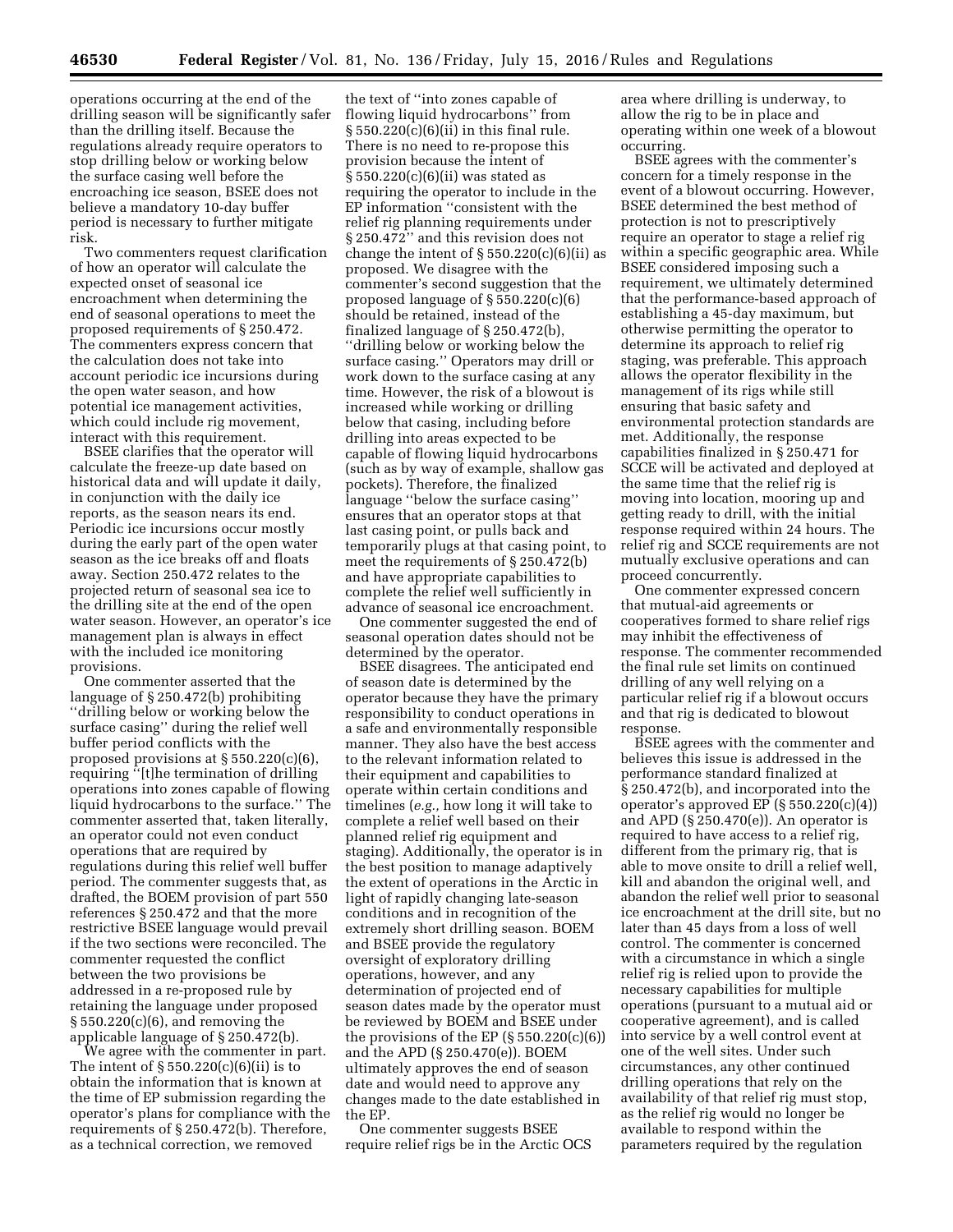operations occurring at the end of the drilling season will be significantly safer than the drilling itself. Because the regulations already require operators to stop drilling below or working below the surface casing well before the encroaching ice season, BSEE does not believe a mandatory 10-day buffer period is necessary to further mitigate risk.

Two commenters request clarification of how an operator will calculate the expected onset of seasonal ice encroachment when determining the end of seasonal operations to meet the proposed requirements of § 250.472. The commenters express concern that the calculation does not take into account periodic ice incursions during the open water season, and how potential ice management activities, which could include rig movement, interact with this requirement.

BSEE clarifies that the operator will calculate the freeze-up date based on historical data and will update it daily, in conjunction with the daily ice reports, as the season nears its end. Periodic ice incursions occur mostly during the early part of the open water season as the ice breaks off and floats away. Section 250.472 relates to the projected return of seasonal sea ice to the drilling site at the end of the open water season. However, an operator's ice management plan is always in effect with the included ice monitoring provisions.

One commenter asserted that the language of § 250.472(b) prohibiting ''drilling below or working below the surface casing'' during the relief well buffer period conflicts with the proposed provisions at § 550.220(c)(6), requiring ''[t]he termination of drilling operations into zones capable of flowing liquid hydrocarbons to the surface.'' The commenter asserted that, taken literally, an operator could not even conduct operations that are required by regulations during this relief well buffer period. The commenter suggests that, as drafted, the BOEM provision of part 550 references § 250.472 and that the more restrictive BSEE language would prevail if the two sections were reconciled. The commenter requested the conflict between the two provisions be addressed in a re-proposed rule by retaining the language under proposed § 550.220(c)(6), and removing the applicable language of § 250.472(b).

We agree with the commenter in part. The intent of  $\S 550.220(c)(6)(ii)$  is to obtain the information that is known at the time of EP submission regarding the operator's plans for compliance with the requirements of § 250.472(b). Therefore, as a technical correction, we removed

the text of ''into zones capable of flowing liquid hydrocarbons'' from  $\S 550.220(c)(6)(ii)$  in this final rule. There is no need to re-propose this provision because the intent of § 550.220(c)(6)(ii) was stated as requiring the operator to include in the EP information ''consistent with the relief rig planning requirements under § 250.472'' and this revision does not change the intent of  $\S 550.220(c)(6)(ii)$  as proposed. We disagree with the commenter's second suggestion that the proposed language of § 550.220(c)(6) should be retained, instead of the finalized language of § 250.472(b), ''drilling below or working below the surface casing.'' Operators may drill or work down to the surface casing at any time. However, the risk of a blowout is increased while working or drilling below that casing, including before drilling into areas expected to be capable of flowing liquid hydrocarbons (such as by way of example, shallow gas pockets). Therefore, the finalized language ''below the surface casing'' ensures that an operator stops at that last casing point, or pulls back and temporarily plugs at that casing point, to meet the requirements of § 250.472(b) and have appropriate capabilities to complete the relief well sufficiently in advance of seasonal ice encroachment.

One commenter suggested the end of seasonal operation dates should not be determined by the operator.

BSEE disagrees. The anticipated end of season date is determined by the operator because they have the primary responsibility to conduct operations in a safe and environmentally responsible manner. They also have the best access to the relevant information related to their equipment and capabilities to operate within certain conditions and timelines (*e.g.,* how long it will take to complete a relief well based on their planned relief rig equipment and staging). Additionally, the operator is in the best position to manage adaptively the extent of operations in the Arctic in light of rapidly changing late-season conditions and in recognition of the extremely short drilling season. BOEM and BSEE provide the regulatory oversight of exploratory drilling operations, however, and any determination of projected end of season dates made by the operator must be reviewed by BOEM and BSEE under the provisions of the EP (§ 550.220(c)(6)) and the APD (§ 250.470(e)). BOEM ultimately approves the end of season date and would need to approve any changes made to the date established in the EP.

One commenter suggests BSEE require relief rigs be in the Arctic OCS area where drilling is underway, to allow the rig to be in place and operating within one week of a blowout occurring.

BSEE agrees with the commenter's concern for a timely response in the event of a blowout occurring. However, BSEE determined the best method of protection is not to prescriptively require an operator to stage a relief rig within a specific geographic area. While BSEE considered imposing such a requirement, we ultimately determined that the performance-based approach of establishing a 45-day maximum, but otherwise permitting the operator to determine its approach to relief rig staging, was preferable. This approach allows the operator flexibility in the management of its rigs while still ensuring that basic safety and environmental protection standards are met. Additionally, the response capabilities finalized in § 250.471 for SCCE will be activated and deployed at the same time that the relief rig is moving into location, mooring up and getting ready to drill, with the initial response required within 24 hours. The relief rig and SCCE requirements are not mutually exclusive operations and can proceed concurrently.

One commenter expressed concern that mutual-aid agreements or cooperatives formed to share relief rigs may inhibit the effectiveness of response. The commenter recommended the final rule set limits on continued drilling of any well relying on a particular relief rig if a blowout occurs and that rig is dedicated to blowout response.

BSEE agrees with the commenter and believes this issue is addressed in the performance standard finalized at § 250.472(b), and incorporated into the operator's approved EP (§ 550.220(c)(4)) and APD (§ 250.470(e)). An operator is required to have access to a relief rig, different from the primary rig, that is able to move onsite to drill a relief well, kill and abandon the original well, and abandon the relief well prior to seasonal ice encroachment at the drill site, but no later than 45 days from a loss of well control. The commenter is concerned with a circumstance in which a single relief rig is relied upon to provide the necessary capabilities for multiple operations (pursuant to a mutual aid or cooperative agreement), and is called into service by a well control event at one of the well sites. Under such circumstances, any other continued drilling operations that rely on the availability of that relief rig must stop, as the relief rig would no longer be available to respond within the parameters required by the regulation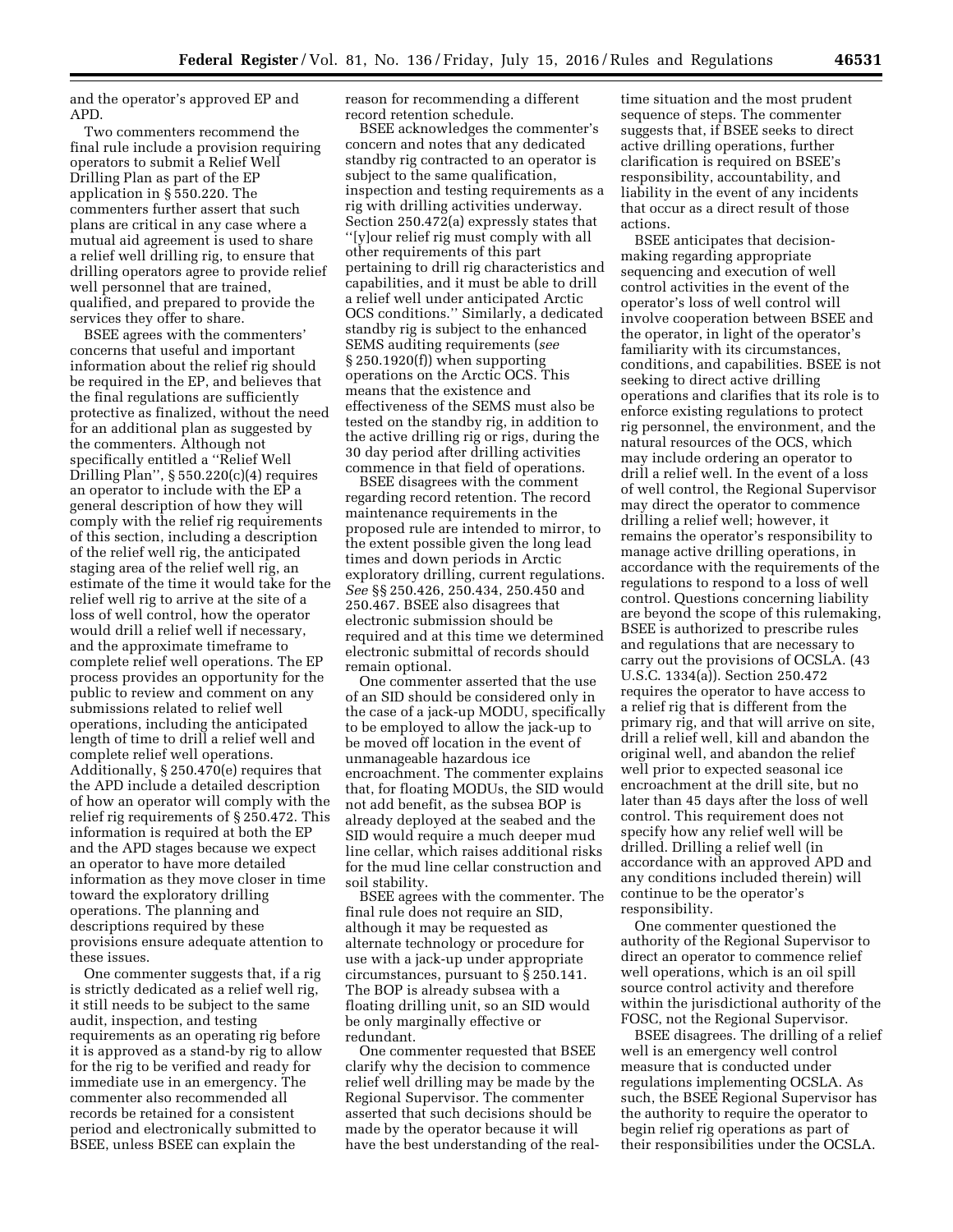and the operator's approved EP and APD.

Two commenters recommend the final rule include a provision requiring operators to submit a Relief Well Drilling Plan as part of the EP application in § 550.220. The commenters further assert that such plans are critical in any case where a mutual aid agreement is used to share a relief well drilling rig, to ensure that drilling operators agree to provide relief well personnel that are trained, qualified, and prepared to provide the services they offer to share.

BSEE agrees with the commenters' concerns that useful and important information about the relief rig should be required in the EP, and believes that the final regulations are sufficiently protective as finalized, without the need for an additional plan as suggested by the commenters. Although not specifically entitled a ''Relief Well Drilling Plan'', § 550.220(c)(4) requires an operator to include with the EP a general description of how they will comply with the relief rig requirements of this section, including a description of the relief well rig, the anticipated staging area of the relief well rig, an estimate of the time it would take for the relief well rig to arrive at the site of a loss of well control, how the operator would drill a relief well if necessary, and the approximate timeframe to complete relief well operations. The EP process provides an opportunity for the public to review and comment on any submissions related to relief well operations, including the anticipated length of time to drill a relief well and complete relief well operations. Additionally, § 250.470(e) requires that the APD include a detailed description of how an operator will comply with the relief rig requirements of § 250.472. This information is required at both the EP and the APD stages because we expect an operator to have more detailed information as they move closer in time toward the exploratory drilling operations. The planning and descriptions required by these provisions ensure adequate attention to these issues.

One commenter suggests that, if a rig is strictly dedicated as a relief well rig, it still needs to be subject to the same audit, inspection, and testing requirements as an operating rig before it is approved as a stand-by rig to allow for the rig to be verified and ready for immediate use in an emergency. The commenter also recommended all records be retained for a consistent period and electronically submitted to BSEE, unless BSEE can explain the

reason for recommending a different record retention schedule.

BSEE acknowledges the commenter's concern and notes that any dedicated standby rig contracted to an operator is subject to the same qualification, inspection and testing requirements as a rig with drilling activities underway. Section 250.472(a) expressly states that ''[y]our relief rig must comply with all other requirements of this part pertaining to drill rig characteristics and capabilities, and it must be able to drill a relief well under anticipated Arctic OCS conditions.'' Similarly, a dedicated standby rig is subject to the enhanced SEMS auditing requirements (*see*  § 250.1920(f)) when supporting operations on the Arctic OCS. This means that the existence and effectiveness of the SEMS must also be tested on the standby rig, in addition to the active drilling rig or rigs, during the 30 day period after drilling activities commence in that field of operations.

BSEE disagrees with the comment regarding record retention. The record maintenance requirements in the proposed rule are intended to mirror, to the extent possible given the long lead times and down periods in Arctic exploratory drilling, current regulations. *See* §§ 250.426, 250.434, 250.450 and 250.467. BSEE also disagrees that electronic submission should be required and at this time we determined electronic submittal of records should remain optional.

One commenter asserted that the use of an SID should be considered only in the case of a jack-up MODU, specifically to be employed to allow the jack-up to be moved off location in the event of unmanageable hazardous ice encroachment. The commenter explains that, for floating MODUs, the SID would not add benefit, as the subsea BOP is already deployed at the seabed and the SID would require a much deeper mud line cellar, which raises additional risks for the mud line cellar construction and soil stability.

BSEE agrees with the commenter. The final rule does not require an SID, although it may be requested as alternate technology or procedure for use with a jack-up under appropriate circumstances, pursuant to § 250.141. The BOP is already subsea with a floating drilling unit, so an SID would be only marginally effective or redundant.

One commenter requested that BSEE clarify why the decision to commence relief well drilling may be made by the Regional Supervisor. The commenter asserted that such decisions should be made by the operator because it will have the best understanding of the real-

time situation and the most prudent sequence of steps. The commenter suggests that, if BSEE seeks to direct active drilling operations, further clarification is required on BSEE's responsibility, accountability, and liability in the event of any incidents that occur as a direct result of those actions.

BSEE anticipates that decisionmaking regarding appropriate sequencing and execution of well control activities in the event of the operator's loss of well control will involve cooperation between BSEE and the operator, in light of the operator's familiarity with its circumstances, conditions, and capabilities. BSEE is not seeking to direct active drilling operations and clarifies that its role is to enforce existing regulations to protect rig personnel, the environment, and the natural resources of the OCS, which may include ordering an operator to drill a relief well. In the event of a loss of well control, the Regional Supervisor may direct the operator to commence drilling a relief well; however, it remains the operator's responsibility to manage active drilling operations, in accordance with the requirements of the regulations to respond to a loss of well control. Questions concerning liability are beyond the scope of this rulemaking, BSEE is authorized to prescribe rules and regulations that are necessary to carry out the provisions of OCSLA. (43 U.S.C. 1334(a)). Section 250.472 requires the operator to have access to a relief rig that is different from the primary rig, and that will arrive on site, drill a relief well, kill and abandon the original well, and abandon the relief well prior to expected seasonal ice encroachment at the drill site, but no later than 45 days after the loss of well control. This requirement does not specify how any relief well will be drilled. Drilling a relief well (in accordance with an approved APD and any conditions included therein) will continue to be the operator's responsibility.

One commenter questioned the authority of the Regional Supervisor to direct an operator to commence relief well operations, which is an oil spill source control activity and therefore within the jurisdictional authority of the FOSC, not the Regional Supervisor.

BSEE disagrees. The drilling of a relief well is an emergency well control measure that is conducted under regulations implementing OCSLA. As such, the BSEE Regional Supervisor has the authority to require the operator to begin relief rig operations as part of their responsibilities under the OCSLA.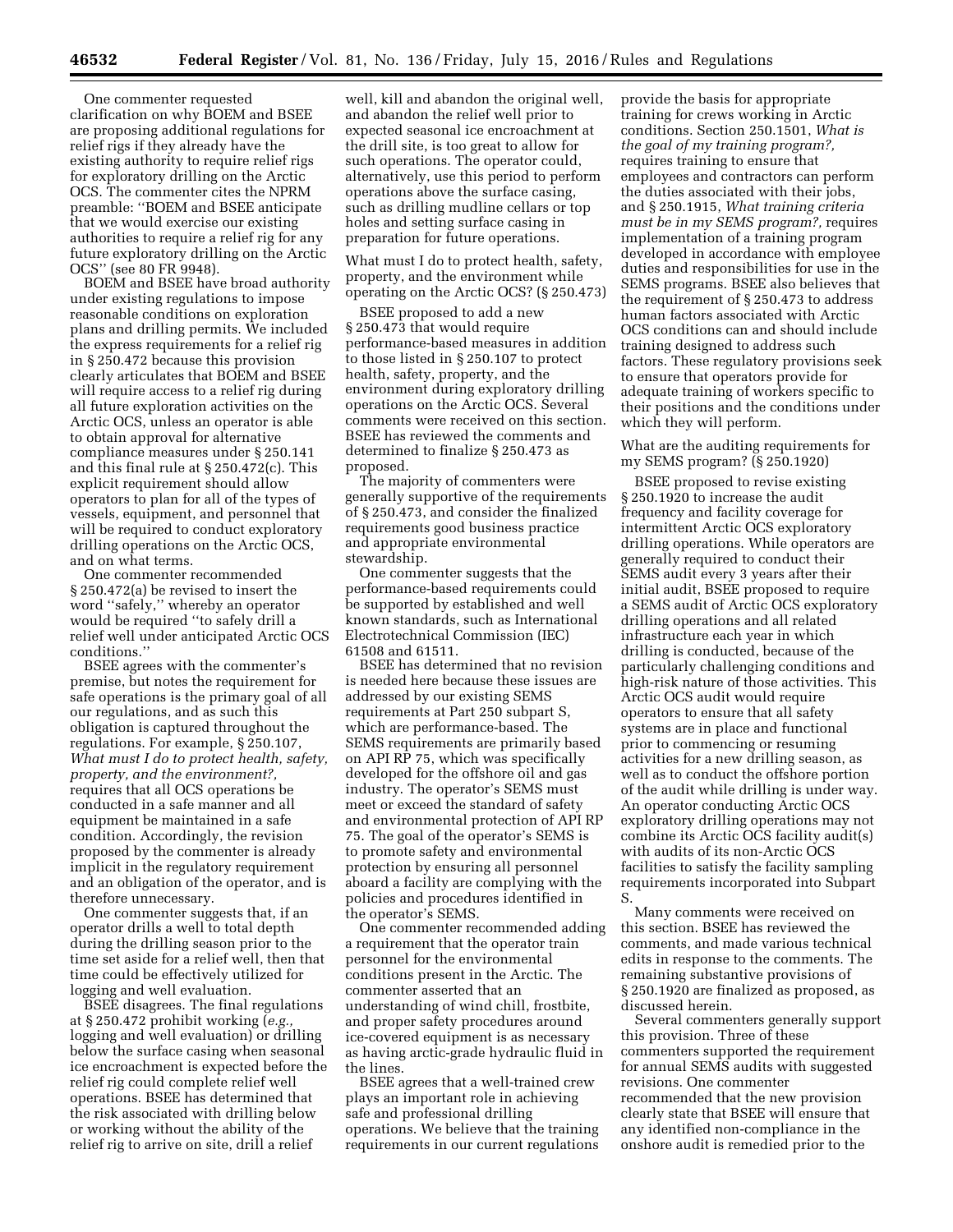One commenter requested clarification on why BOEM and BSEE are proposing additional regulations for relief rigs if they already have the existing authority to require relief rigs for exploratory drilling on the Arctic OCS. The commenter cites the NPRM preamble: ''BOEM and BSEE anticipate that we would exercise our existing authorities to require a relief rig for any future exploratory drilling on the Arctic OCS'' (see 80 FR 9948).

BOEM and BSEE have broad authority under existing regulations to impose reasonable conditions on exploration plans and drilling permits. We included the express requirements for a relief rig in § 250.472 because this provision clearly articulates that BOEM and BSEE will require access to a relief rig during all future exploration activities on the Arctic OCS, unless an operator is able to obtain approval for alternative compliance measures under § 250.141 and this final rule at § 250.472(c). This explicit requirement should allow operators to plan for all of the types of vessels, equipment, and personnel that will be required to conduct exploratory drilling operations on the Arctic OCS, and on what terms.

One commenter recommended § 250.472(a) be revised to insert the word ''safely,'' whereby an operator would be required ''to safely drill a relief well under anticipated Arctic OCS conditions.''

BSEE agrees with the commenter's premise, but notes the requirement for safe operations is the primary goal of all our regulations, and as such this obligation is captured throughout the regulations. For example, § 250.107, *What must I do to protect health, safety, property, and the environment?,*  requires that all OCS operations be conducted in a safe manner and all equipment be maintained in a safe condition. Accordingly, the revision proposed by the commenter is already implicit in the regulatory requirement and an obligation of the operator, and is therefore unnecessary.

One commenter suggests that, if an operator drills a well to total depth during the drilling season prior to the time set aside for a relief well, then that time could be effectively utilized for logging and well evaluation.

BSEE disagrees. The final regulations at § 250.472 prohibit working (*e.g.,*  logging and well evaluation) or drilling below the surface casing when seasonal ice encroachment is expected before the relief rig could complete relief well operations. BSEE has determined that the risk associated with drilling below or working without the ability of the relief rig to arrive on site, drill a relief

well, kill and abandon the original well, and abandon the relief well prior to expected seasonal ice encroachment at the drill site, is too great to allow for such operations. The operator could, alternatively, use this period to perform operations above the surface casing, such as drilling mudline cellars or top holes and setting surface casing in preparation for future operations.

What must I do to protect health, safety, property, and the environment while operating on the Arctic OCS? (§ 250.473)

BSEE proposed to add a new § 250.473 that would require performance-based measures in addition to those listed in § 250.107 to protect health, safety, property, and the environment during exploratory drilling operations on the Arctic OCS. Several comments were received on this section. BSEE has reviewed the comments and determined to finalize § 250.473 as proposed.

The majority of commenters were generally supportive of the requirements of § 250.473, and consider the finalized requirements good business practice and appropriate environmental stewardship.

One commenter suggests that the performance-based requirements could be supported by established and well known standards, such as International Electrotechnical Commission (IEC) 61508 and 61511.

BSEE has determined that no revision is needed here because these issues are addressed by our existing SEMS requirements at Part 250 subpart S, which are performance-based. The SEMS requirements are primarily based on API RP 75, which was specifically developed for the offshore oil and gas industry. The operator's SEMS must meet or exceed the standard of safety and environmental protection of API RP 75. The goal of the operator's SEMS is to promote safety and environmental protection by ensuring all personnel aboard a facility are complying with the policies and procedures identified in the operator's SEMS.

One commenter recommended adding a requirement that the operator train personnel for the environmental conditions present in the Arctic. The commenter asserted that an understanding of wind chill, frostbite, and proper safety procedures around ice-covered equipment is as necessary as having arctic-grade hydraulic fluid in the lines.

BSEE agrees that a well-trained crew plays an important role in achieving safe and professional drilling operations. We believe that the training requirements in our current regulations provide the basis for appropriate training for crews working in Arctic conditions. Section 250.1501, *What is the goal of my training program?,*  requires training to ensure that employees and contractors can perform the duties associated with their jobs, and § 250.1915, *What training criteria must be in my SEMS program?,* requires implementation of a training program developed in accordance with employee duties and responsibilities for use in the SEMS programs. BSEE also believes that the requirement of § 250.473 to address human factors associated with Arctic OCS conditions can and should include training designed to address such factors. These regulatory provisions seek to ensure that operators provide for adequate training of workers specific to their positions and the conditions under which they will perform.

What are the auditing requirements for my SEMS program? (§ 250.1920)

BSEE proposed to revise existing § 250.1920 to increase the audit frequency and facility coverage for intermittent Arctic OCS exploratory drilling operations. While operators are generally required to conduct their SEMS audit every 3 years after their initial audit, BSEE proposed to require a SEMS audit of Arctic OCS exploratory drilling operations and all related infrastructure each year in which drilling is conducted, because of the particularly challenging conditions and high-risk nature of those activities. This Arctic OCS audit would require operators to ensure that all safety systems are in place and functional prior to commencing or resuming activities for a new drilling season, as well as to conduct the offshore portion of the audit while drilling is under way. An operator conducting Arctic OCS exploratory drilling operations may not combine its Arctic OCS facility audit(s) with audits of its non-Arctic OCS facilities to satisfy the facility sampling requirements incorporated into Subpart S.

Many comments were received on this section. BSEE has reviewed the comments, and made various technical edits in response to the comments. The remaining substantive provisions of § 250.1920 are finalized as proposed, as discussed herein.

Several commenters generally support this provision. Three of these commenters supported the requirement for annual SEMS audits with suggested revisions. One commenter recommended that the new provision clearly state that BSEE will ensure that any identified non-compliance in the onshore audit is remedied prior to the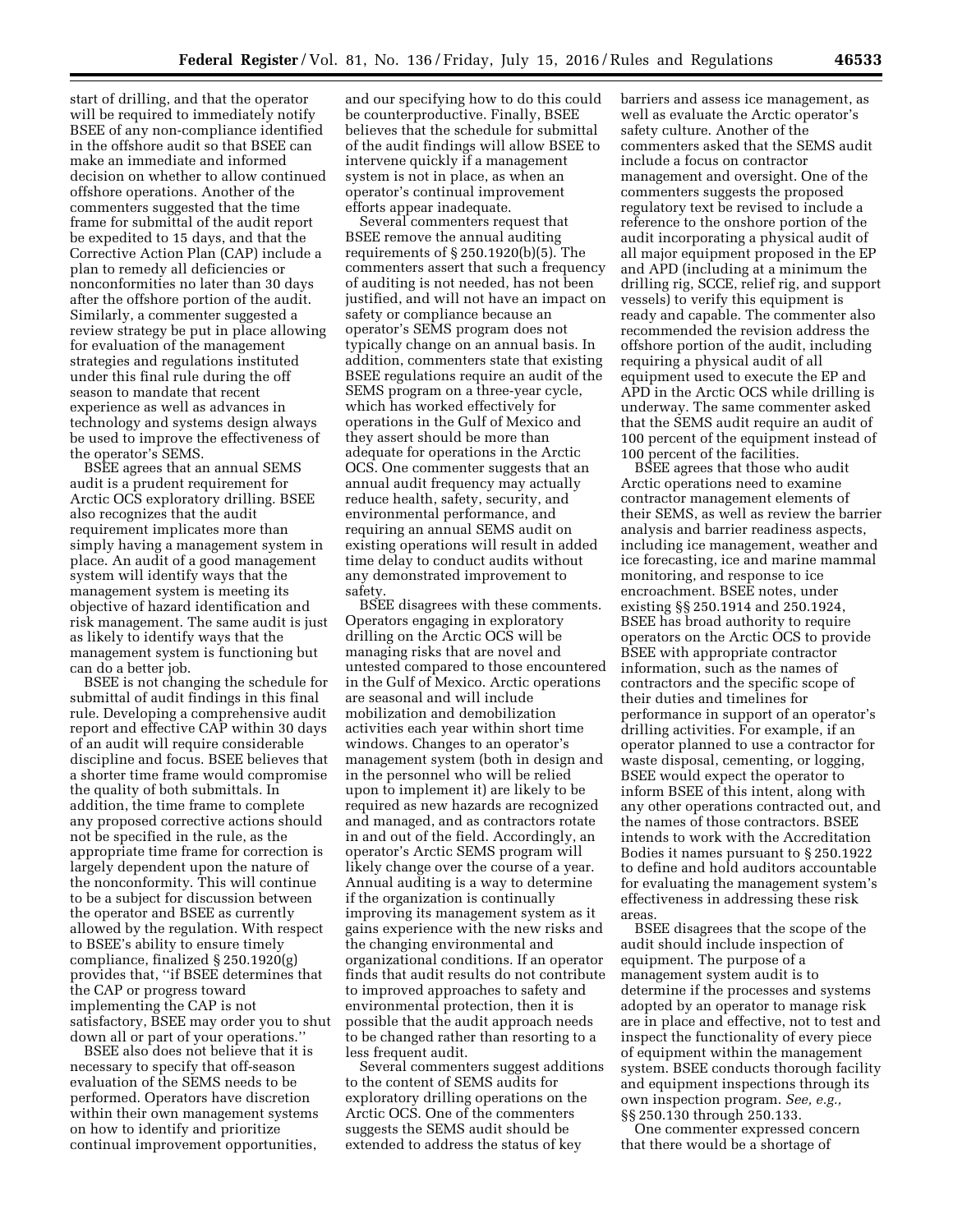start of drilling, and that the operator will be required to immediately notify BSEE of any non-compliance identified in the offshore audit so that BSEE can make an immediate and informed decision on whether to allow continued offshore operations. Another of the commenters suggested that the time frame for submittal of the audit report be expedited to 15 days, and that the Corrective Action Plan (CAP) include a plan to remedy all deficiencies or nonconformities no later than 30 days after the offshore portion of the audit. Similarly, a commenter suggested a review strategy be put in place allowing for evaluation of the management strategies and regulations instituted under this final rule during the off season to mandate that recent experience as well as advances in technology and systems design always be used to improve the effectiveness of the operator's SEMS.

BSEE agrees that an annual SEMS audit is a prudent requirement for Arctic OCS exploratory drilling. BSEE also recognizes that the audit requirement implicates more than simply having a management system in place. An audit of a good management system will identify ways that the management system is meeting its objective of hazard identification and risk management. The same audit is just as likely to identify ways that the management system is functioning but can do a better job.

BSEE is not changing the schedule for submittal of audit findings in this final rule. Developing a comprehensive audit report and effective CAP within 30 days of an audit will require considerable discipline and focus. BSEE believes that a shorter time frame would compromise the quality of both submittals. In addition, the time frame to complete any proposed corrective actions should not be specified in the rule, as the appropriate time frame for correction is largely dependent upon the nature of the nonconformity. This will continue to be a subject for discussion between the operator and BSEE as currently allowed by the regulation. With respect to BSEE's ability to ensure timely compliance, finalized § 250.1920(g) provides that, ''if BSEE determines that the CAP or progress toward implementing the CAP is not satisfactory, BSEE may order you to shut down all or part of your operations.''

BSEE also does not believe that it is necessary to specify that off-season evaluation of the SEMS needs to be performed. Operators have discretion within their own management systems on how to identify and prioritize continual improvement opportunities,

and our specifying how to do this could be counterproductive. Finally, BSEE believes that the schedule for submittal of the audit findings will allow BSEE to intervene quickly if a management system is not in place, as when an operator's continual improvement efforts appear inadequate.

Several commenters request that BSEE remove the annual auditing requirements of § 250.1920(b)(5). The commenters assert that such a frequency of auditing is not needed, has not been justified, and will not have an impact on safety or compliance because an operator's SEMS program does not typically change on an annual basis. In addition, commenters state that existing BSEE regulations require an audit of the SEMS program on a three-year cycle, which has worked effectively for operations in the Gulf of Mexico and they assert should be more than adequate for operations in the Arctic OCS. One commenter suggests that an annual audit frequency may actually reduce health, safety, security, and environmental performance, and requiring an annual SEMS audit on existing operations will result in added time delay to conduct audits without any demonstrated improvement to safety.

BSEE disagrees with these comments. Operators engaging in exploratory drilling on the Arctic OCS will be managing risks that are novel and untested compared to those encountered in the Gulf of Mexico. Arctic operations are seasonal and will include mobilization and demobilization activities each year within short time windows. Changes to an operator's management system (both in design and in the personnel who will be relied upon to implement it) are likely to be required as new hazards are recognized and managed, and as contractors rotate in and out of the field. Accordingly, an operator's Arctic SEMS program will likely change over the course of a year. Annual auditing is a way to determine if the organization is continually improving its management system as it gains experience with the new risks and the changing environmental and organizational conditions. If an operator finds that audit results do not contribute to improved approaches to safety and environmental protection, then it is possible that the audit approach needs to be changed rather than resorting to a less frequent audit.

Several commenters suggest additions to the content of SEMS audits for exploratory drilling operations on the Arctic OCS. One of the commenters suggests the SEMS audit should be extended to address the status of key

barriers and assess ice management, as well as evaluate the Arctic operator's safety culture. Another of the commenters asked that the SEMS audit include a focus on contractor management and oversight. One of the commenters suggests the proposed regulatory text be revised to include a reference to the onshore portion of the audit incorporating a physical audit of all major equipment proposed in the EP and APD (including at a minimum the drilling rig, SCCE, relief rig, and support vessels) to verify this equipment is ready and capable. The commenter also recommended the revision address the offshore portion of the audit, including requiring a physical audit of all equipment used to execute the EP and APD in the Arctic OCS while drilling is underway. The same commenter asked that the SEMS audit require an audit of 100 percent of the equipment instead of 100 percent of the facilities.

BSEE agrees that those who audit Arctic operations need to examine contractor management elements of their SEMS, as well as review the barrier analysis and barrier readiness aspects, including ice management, weather and ice forecasting, ice and marine mammal monitoring, and response to ice encroachment. BSEE notes, under existing §§ 250.1914 and 250.1924, BSEE has broad authority to require operators on the Arctic OCS to provide BSEE with appropriate contractor information, such as the names of contractors and the specific scope of their duties and timelines for performance in support of an operator's drilling activities. For example, if an operator planned to use a contractor for waste disposal, cementing, or logging, BSEE would expect the operator to inform BSEE of this intent, along with any other operations contracted out, and the names of those contractors. BSEE intends to work with the Accreditation Bodies it names pursuant to § 250.1922 to define and hold auditors accountable for evaluating the management system's effectiveness in addressing these risk areas.

BSEE disagrees that the scope of the audit should include inspection of equipment. The purpose of a management system audit is to determine if the processes and systems adopted by an operator to manage risk are in place and effective, not to test and inspect the functionality of every piece of equipment within the management system. BSEE conducts thorough facility and equipment inspections through its own inspection program. *See, e.g.,*  §§ 250.130 through 250.133.

One commenter expressed concern that there would be a shortage of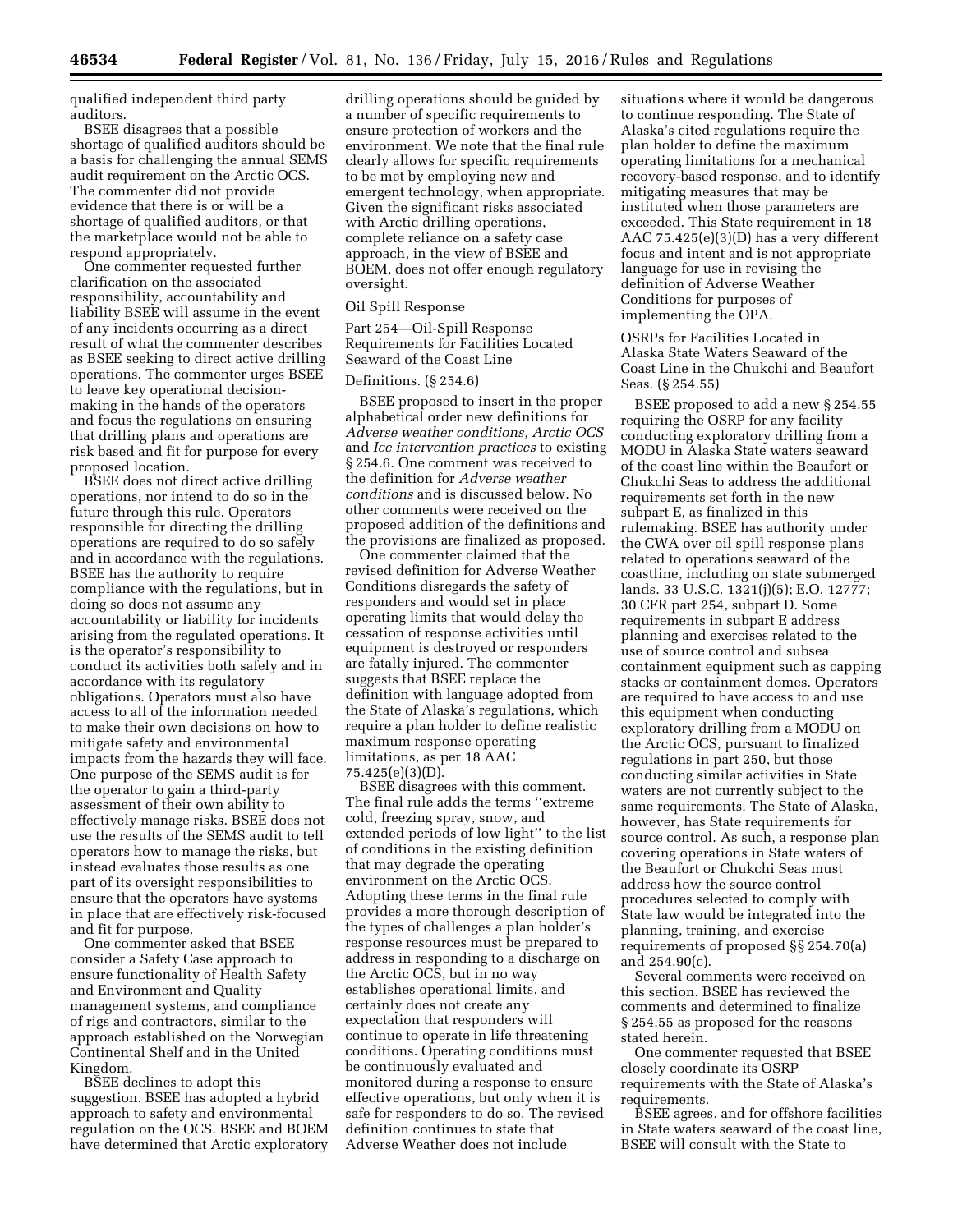qualified independent third party auditors.

BSEE disagrees that a possible shortage of qualified auditors should be a basis for challenging the annual SEMS audit requirement on the Arctic OCS. The commenter did not provide evidence that there is or will be a shortage of qualified auditors, or that the marketplace would not be able to respond appropriately.

One commenter requested further clarification on the associated responsibility, accountability and liability BSEE will assume in the event of any incidents occurring as a direct result of what the commenter describes as BSEE seeking to direct active drilling operations. The commenter urges BSEE to leave key operational decisionmaking in the hands of the operators and focus the regulations on ensuring that drilling plans and operations are risk based and fit for purpose for every proposed location.

BSEE does not direct active drilling operations, nor intend to do so in the future through this rule. Operators responsible for directing the drilling operations are required to do so safely and in accordance with the regulations. BSEE has the authority to require compliance with the regulations, but in doing so does not assume any accountability or liability for incidents arising from the regulated operations. It is the operator's responsibility to conduct its activities both safely and in accordance with its regulatory obligations. Operators must also have access to all of the information needed to make their own decisions on how to mitigate safety and environmental impacts from the hazards they will face. One purpose of the SEMS audit is for the operator to gain a third-party assessment of their own ability to effectively manage risks. BSEE does not use the results of the SEMS audit to tell operators how to manage the risks, but instead evaluates those results as one part of its oversight responsibilities to ensure that the operators have systems in place that are effectively risk-focused and fit for purpose.

One commenter asked that BSEE consider a Safety Case approach to ensure functionality of Health Safety and Environment and Quality management systems, and compliance of rigs and contractors, similar to the approach established on the Norwegian Continental Shelf and in the United Kingdom.

BSEE declines to adopt this suggestion. BSEE has adopted a hybrid approach to safety and environmental regulation on the OCS. BSEE and BOEM have determined that Arctic exploratory

drilling operations should be guided by a number of specific requirements to ensure protection of workers and the environment. We note that the final rule clearly allows for specific requirements to be met by employing new and emergent technology, when appropriate. Given the significant risks associated with Arctic drilling operations, complete reliance on a safety case approach, in the view of BSEE and BOEM, does not offer enough regulatory oversight.

#### Oil Spill Response

Part 254—Oil-Spill Response Requirements for Facilities Located Seaward of the Coast Line

# Definitions. (§ 254.6)

BSEE proposed to insert in the proper alphabetical order new definitions for *Adverse weather conditions, Arctic OCS*  and *Ice intervention practices* to existing § 254.6. One comment was received to the definition for *Adverse weather conditions* and is discussed below. No other comments were received on the proposed addition of the definitions and the provisions are finalized as proposed.

One commenter claimed that the revised definition for Adverse Weather Conditions disregards the safety of responders and would set in place operating limits that would delay the cessation of response activities until equipment is destroyed or responders are fatally injured. The commenter suggests that BSEE replace the definition with language adopted from the State of Alaska's regulations, which require a plan holder to define realistic maximum response operating limitations, as per 18 AAC 75.425(e)(3)(D).

BSEE disagrees with this comment. The final rule adds the terms ''extreme cold, freezing spray, snow, and extended periods of low light'' to the list of conditions in the existing definition that may degrade the operating environment on the Arctic OCS. Adopting these terms in the final rule provides a more thorough description of the types of challenges a plan holder's response resources must be prepared to address in responding to a discharge on the Arctic OCS, but in no way establishes operational limits, and certainly does not create any expectation that responders will continue to operate in life threatening conditions. Operating conditions must be continuously evaluated and monitored during a response to ensure effective operations, but only when it is safe for responders to do so. The revised definition continues to state that Adverse Weather does not include

situations where it would be dangerous to continue responding. The State of Alaska's cited regulations require the plan holder to define the maximum operating limitations for a mechanical recovery-based response, and to identify mitigating measures that may be instituted when those parameters are exceeded. This State requirement in 18 AAC 75.425(e)(3)(D) has a very different focus and intent and is not appropriate language for use in revising the definition of Adverse Weather Conditions for purposes of implementing the OPA.

OSRPs for Facilities Located in Alaska State Waters Seaward of the Coast Line in the Chukchi and Beaufort Seas. (§ 254.55)

BSEE proposed to add a new § 254.55 requiring the OSRP for any facility conducting exploratory drilling from a MODU in Alaska State waters seaward of the coast line within the Beaufort or Chukchi Seas to address the additional requirements set forth in the new subpart E, as finalized in this rulemaking. BSEE has authority under the CWA over oil spill response plans related to operations seaward of the coastline, including on state submerged lands. 33 U.S.C. 1321(j)(5); E.O. 12777; 30 CFR part 254, subpart D. Some requirements in subpart E address planning and exercises related to the use of source control and subsea containment equipment such as capping stacks or containment domes. Operators are required to have access to and use this equipment when conducting exploratory drilling from a MODU on the Arctic OCS, pursuant to finalized regulations in part 250, but those conducting similar activities in State waters are not currently subject to the same requirements. The State of Alaska, however, has State requirements for source control. As such, a response plan covering operations in State waters of the Beaufort or Chukchi Seas must address how the source control procedures selected to comply with State law would be integrated into the planning, training, and exercise requirements of proposed §§ 254.70(a) and 254.90(c).

Several comments were received on this section. BSEE has reviewed the comments and determined to finalize § 254.55 as proposed for the reasons stated herein.

One commenter requested that BSEE closely coordinate its OSRP requirements with the State of Alaska's requirements.

BSEE agrees, and for offshore facilities in State waters seaward of the coast line, BSEE will consult with the State to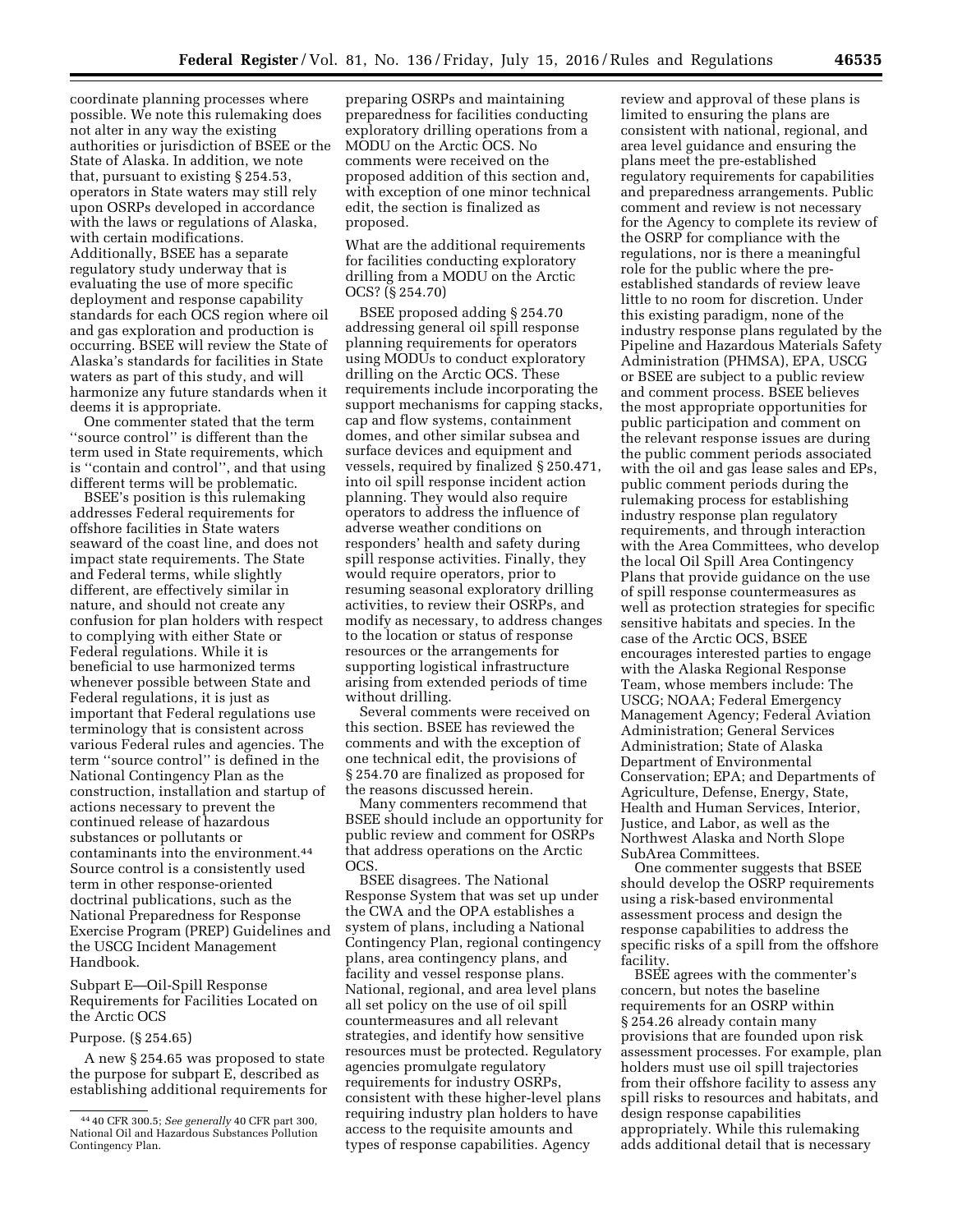coordinate planning processes where possible. We note this rulemaking does not alter in any way the existing authorities or jurisdiction of BSEE or the State of Alaska. In addition, we note that, pursuant to existing § 254.53, operators in State waters may still rely upon OSRPs developed in accordance with the laws or regulations of Alaska, with certain modifications. Additionally, BSEE has a separate regulatory study underway that is evaluating the use of more specific deployment and response capability standards for each OCS region where oil and gas exploration and production is occurring. BSEE will review the State of Alaska's standards for facilities in State waters as part of this study, and will harmonize any future standards when it deems it is appropriate.

One commenter stated that the term ''source control'' is different than the term used in State requirements, which is ''contain and control'', and that using different terms will be problematic.

BSEE's position is this rulemaking addresses Federal requirements for offshore facilities in State waters seaward of the coast line, and does not impact state requirements. The State and Federal terms, while slightly different, are effectively similar in nature, and should not create any confusion for plan holders with respect to complying with either State or Federal regulations. While it is beneficial to use harmonized terms whenever possible between State and Federal regulations, it is just as important that Federal regulations use terminology that is consistent across various Federal rules and agencies. The term ''source control'' is defined in the National Contingency Plan as the construction, installation and startup of actions necessary to prevent the continued release of hazardous substances or pollutants or contaminants into the environment.44 Source control is a consistently used term in other response-oriented doctrinal publications, such as the National Preparedness for Response Exercise Program (PREP) Guidelines and the USCG Incident Management Handbook.

## Subpart E—Oil-Spill Response Requirements for Facilities Located on the Arctic OCS

### Purpose. (§ 254.65)

A new § 254.65 was proposed to state the purpose for subpart E, described as establishing additional requirements for

preparing OSRPs and maintaining preparedness for facilities conducting exploratory drilling operations from a MODU on the Arctic OCS. No comments were received on the proposed addition of this section and, with exception of one minor technical edit, the section is finalized as proposed.

What are the additional requirements for facilities conducting exploratory drilling from a MODU on the Arctic OCS? (§ 254.70)

BSEE proposed adding § 254.70 addressing general oil spill response planning requirements for operators using MODUs to conduct exploratory drilling on the Arctic OCS. These requirements include incorporating the support mechanisms for capping stacks, cap and flow systems, containment domes, and other similar subsea and surface devices and equipment and vessels, required by finalized § 250.471, into oil spill response incident action planning. They would also require operators to address the influence of adverse weather conditions on responders' health and safety during spill response activities. Finally, they would require operators, prior to resuming seasonal exploratory drilling activities, to review their OSRPs, and modify as necessary, to address changes to the location or status of response resources or the arrangements for supporting logistical infrastructure arising from extended periods of time without drilling.

Several comments were received on this section. BSEE has reviewed the comments and with the exception of one technical edit, the provisions of § 254.70 are finalized as proposed for the reasons discussed herein.

Many commenters recommend that BSEE should include an opportunity for public review and comment for OSRPs that address operations on the Arctic OCS.

BSEE disagrees. The National Response System that was set up under the CWA and the OPA establishes a system of plans, including a National Contingency Plan, regional contingency plans, area contingency plans, and facility and vessel response plans. National, regional, and area level plans all set policy on the use of oil spill countermeasures and all relevant strategies, and identify how sensitive resources must be protected. Regulatory agencies promulgate regulatory requirements for industry OSRPs, consistent with these higher-level plans requiring industry plan holders to have access to the requisite amounts and types of response capabilities. Agency

review and approval of these plans is limited to ensuring the plans are consistent with national, regional, and area level guidance and ensuring the plans meet the pre-established regulatory requirements for capabilities and preparedness arrangements. Public comment and review is not necessary for the Agency to complete its review of the OSRP for compliance with the regulations, nor is there a meaningful role for the public where the preestablished standards of review leave little to no room for discretion. Under this existing paradigm, none of the industry response plans regulated by the Pipeline and Hazardous Materials Safety Administration (PHMSA), EPA, USCG or BSEE are subject to a public review and comment process. BSEE believes the most appropriate opportunities for public participation and comment on the relevant response issues are during the public comment periods associated with the oil and gas lease sales and EPs, public comment periods during the rulemaking process for establishing industry response plan regulatory requirements, and through interaction with the Area Committees, who develop the local Oil Spill Area Contingency Plans that provide guidance on the use of spill response countermeasures as well as protection strategies for specific sensitive habitats and species. In the case of the Arctic OCS, BSEE encourages interested parties to engage with the Alaska Regional Response Team, whose members include: The USCG; NOAA; Federal Emergency Management Agency; Federal Aviation Administration; General Services Administration; State of Alaska Department of Environmental Conservation; EPA; and Departments of Agriculture, Defense, Energy, State, Health and Human Services, Interior, Justice, and Labor, as well as the Northwest Alaska and North Slope SubArea Committees.

One commenter suggests that BSEE should develop the OSRP requirements using a risk-based environmental assessment process and design the response capabilities to address the specific risks of a spill from the offshore facility.

BSEE agrees with the commenter's concern, but notes the baseline requirements for an OSRP within § 254.26 already contain many provisions that are founded upon risk assessment processes. For example, plan holders must use oil spill trajectories from their offshore facility to assess any spill risks to resources and habitats, and design response capabilities appropriately. While this rulemaking adds additional detail that is necessary

<sup>44</sup> 40 CFR 300.5; *See generally* 40 CFR part 300, National Oil and Hazardous Substances Pollution Contingency Plan.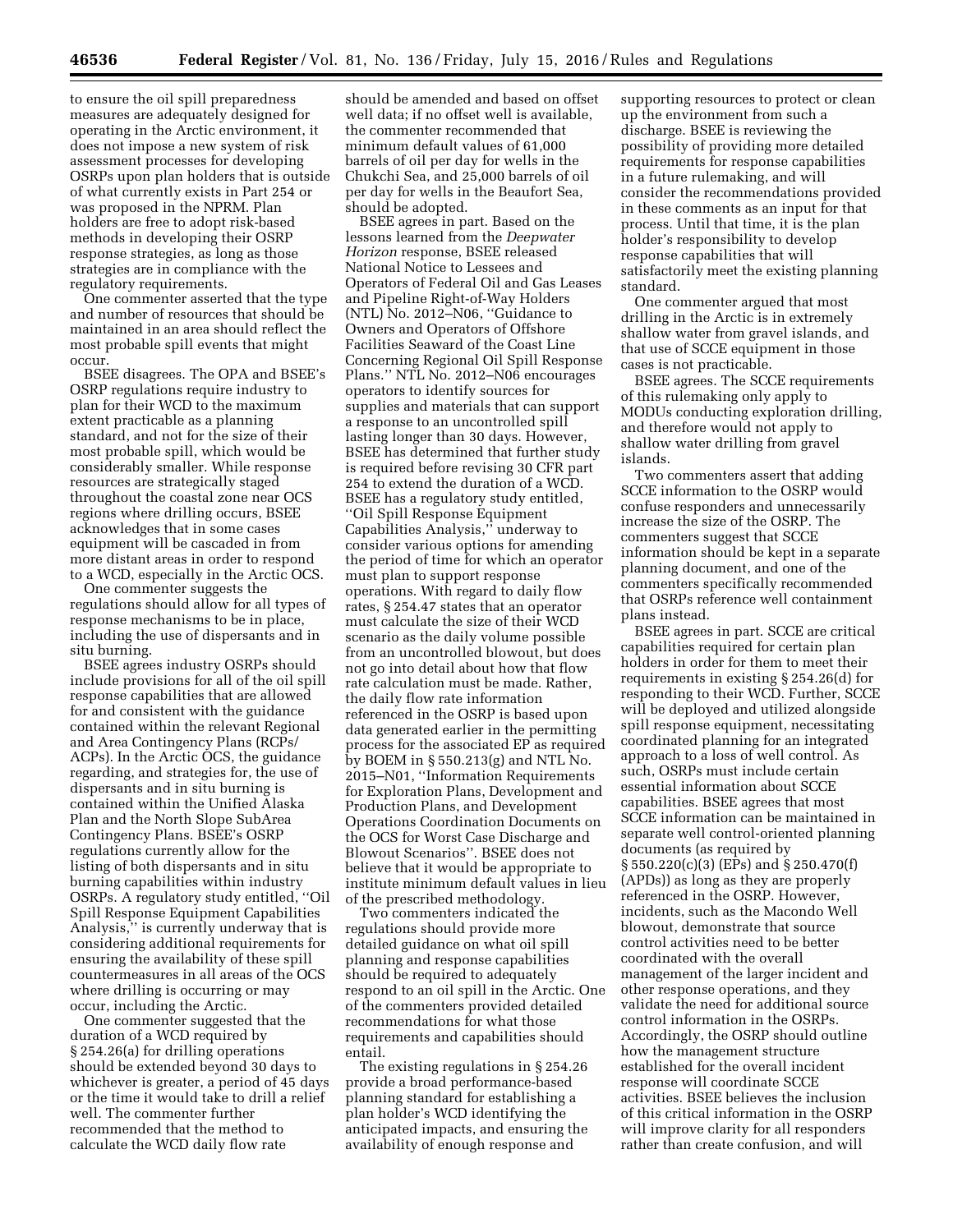to ensure the oil spill preparedness measures are adequately designed for operating in the Arctic environment, it does not impose a new system of risk assessment processes for developing OSRPs upon plan holders that is outside of what currently exists in Part 254 or was proposed in the NPRM. Plan holders are free to adopt risk-based methods in developing their OSRP response strategies, as long as those strategies are in compliance with the regulatory requirements.

One commenter asserted that the type and number of resources that should be maintained in an area should reflect the most probable spill events that might occur.

BSEE disagrees. The OPA and BSEE's OSRP regulations require industry to plan for their WCD to the maximum extent practicable as a planning standard, and not for the size of their most probable spill, which would be considerably smaller. While response resources are strategically staged throughout the coastal zone near OCS regions where drilling occurs, BSEE acknowledges that in some cases equipment will be cascaded in from more distant areas in order to respond to a WCD, especially in the Arctic OCS.

One commenter suggests the regulations should allow for all types of response mechanisms to be in place, including the use of dispersants and in situ burning.

BSEE agrees industry OSRPs should include provisions for all of the oil spill response capabilities that are allowed for and consistent with the guidance contained within the relevant Regional and Area Contingency Plans (RCPs/ ACPs). In the Arctic OCS, the guidance regarding, and strategies for, the use of dispersants and in situ burning is contained within the Unified Alaska Plan and the North Slope SubArea Contingency Plans. BSEE's OSRP regulations currently allow for the listing of both dispersants and in situ burning capabilities within industry OSRPs. A regulatory study entitled, ''Oil Spill Response Equipment Capabilities Analysis,'' is currently underway that is considering additional requirements for ensuring the availability of these spill countermeasures in all areas of the OCS where drilling is occurring or may occur, including the Arctic.

One commenter suggested that the duration of a WCD required by § 254.26(a) for drilling operations should be extended beyond 30 days to whichever is greater, a period of 45 days or the time it would take to drill a relief well. The commenter further recommended that the method to calculate the WCD daily flow rate

should be amended and based on offset well data; if no offset well is available, the commenter recommended that minimum default values of 61,000 barrels of oil per day for wells in the Chukchi Sea, and 25,000 barrels of oil per day for wells in the Beaufort Sea, should be adopted.

BSEE agrees in part. Based on the lessons learned from the *Deepwater Horizon* response, BSEE released National Notice to Lessees and Operators of Federal Oil and Gas Leases and Pipeline Right-of-Way Holders (NTL) No. 2012–N06, ''Guidance to Owners and Operators of Offshore Facilities Seaward of the Coast Line Concerning Regional Oil Spill Response Plans.'' NTL No. 2012–N06 encourages operators to identify sources for supplies and materials that can support a response to an uncontrolled spill lasting longer than 30 days. However, BSEE has determined that further study is required before revising 30 CFR part 254 to extend the duration of a WCD. BSEE has a regulatory study entitled, ''Oil Spill Response Equipment Capabilities Analysis,'' underway to consider various options for amending the period of time for which an operator must plan to support response operations. With regard to daily flow rates, § 254.47 states that an operator must calculate the size of their WCD scenario as the daily volume possible from an uncontrolled blowout, but does not go into detail about how that flow rate calculation must be made. Rather, the daily flow rate information referenced in the OSRP is based upon data generated earlier in the permitting process for the associated EP as required by BOEM in § 550.213(g) and NTL No. 2015–N01, ''Information Requirements for Exploration Plans, Development and Production Plans, and Development Operations Coordination Documents on the OCS for Worst Case Discharge and Blowout Scenarios''. BSEE does not believe that it would be appropriate to institute minimum default values in lieu of the prescribed methodology.

Two commenters indicated the regulations should provide more detailed guidance on what oil spill planning and response capabilities should be required to adequately respond to an oil spill in the Arctic. One of the commenters provided detailed recommendations for what those requirements and capabilities should entail.

The existing regulations in § 254.26 provide a broad performance-based planning standard for establishing a plan holder's WCD identifying the anticipated impacts, and ensuring the availability of enough response and

supporting resources to protect or clean up the environment from such a discharge. BSEE is reviewing the possibility of providing more detailed requirements for response capabilities in a future rulemaking, and will consider the recommendations provided in these comments as an input for that process. Until that time, it is the plan holder's responsibility to develop response capabilities that will satisfactorily meet the existing planning standard.

One commenter argued that most drilling in the Arctic is in extremely shallow water from gravel islands, and that use of SCCE equipment in those cases is not practicable.

BSEE agrees. The SCCE requirements of this rulemaking only apply to MODUs conducting exploration drilling, and therefore would not apply to shallow water drilling from gravel islands.

Two commenters assert that adding SCCE information to the OSRP would confuse responders and unnecessarily increase the size of the OSRP. The commenters suggest that SCCE information should be kept in a separate planning document, and one of the commenters specifically recommended that OSRPs reference well containment plans instead.

BSEE agrees in part. SCCE are critical capabilities required for certain plan holders in order for them to meet their requirements in existing § 254.26(d) for responding to their WCD. Further, SCCE will be deployed and utilized alongside spill response equipment, necessitating coordinated planning for an integrated approach to a loss of well control. As such, OSRPs must include certain essential information about SCCE capabilities. BSEE agrees that most SCCE information can be maintained in separate well control-oriented planning documents (as required by § 550.220(c)(3) (EPs) and § 250.470(f) (APDs)) as long as they are properly referenced in the OSRP. However, incidents, such as the Macondo Well blowout, demonstrate that source control activities need to be better coordinated with the overall management of the larger incident and other response operations, and they validate the need for additional source control information in the OSRPs. Accordingly, the OSRP should outline how the management structure established for the overall incident response will coordinate SCCE activities. BSEE believes the inclusion of this critical information in the OSRP will improve clarity for all responders rather than create confusion, and will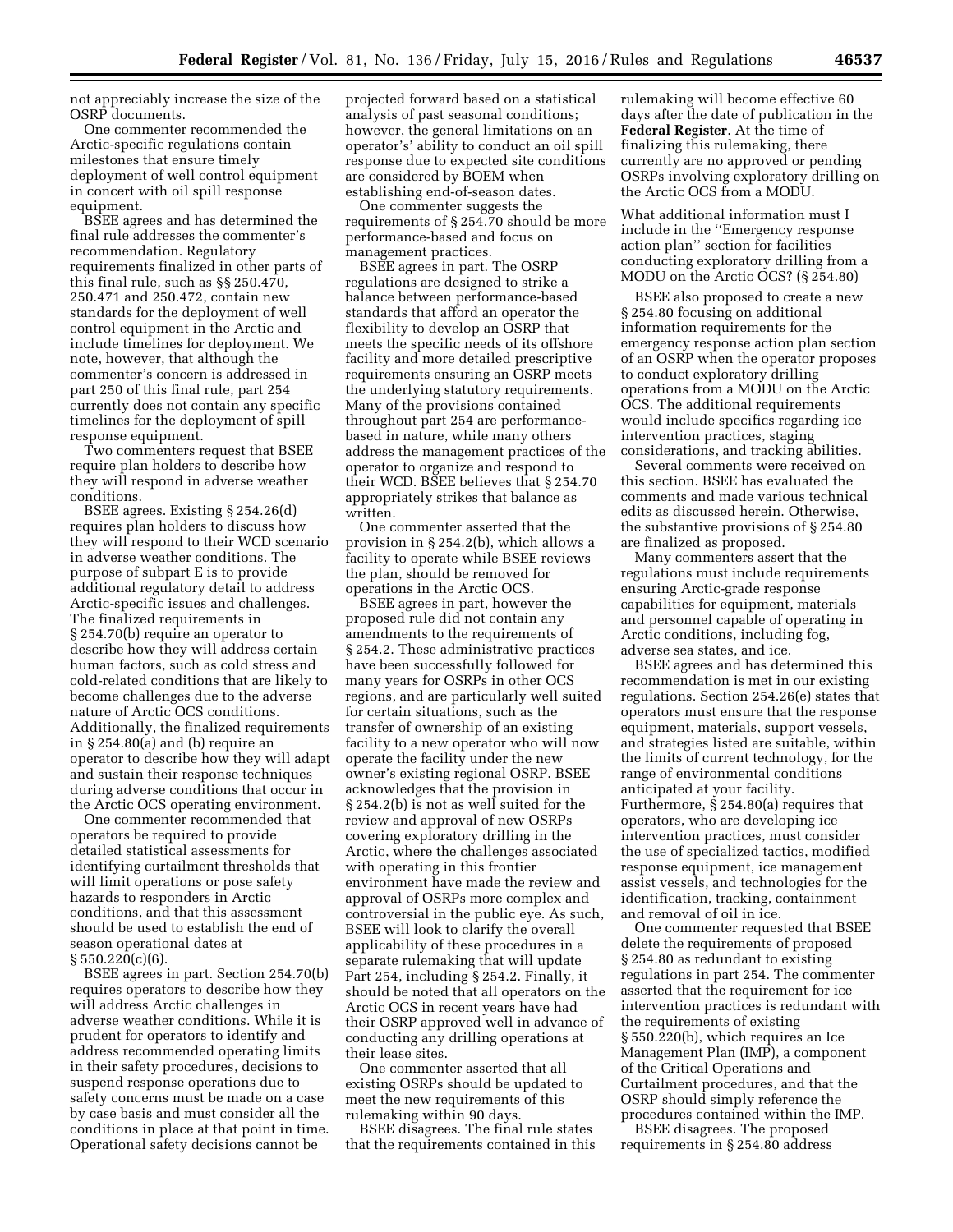not appreciably increase the size of the OSRP documents.

One commenter recommended the Arctic-specific regulations contain milestones that ensure timely deployment of well control equipment in concert with oil spill response equipment.

BSEE agrees and has determined the final rule addresses the commenter's recommendation. Regulatory requirements finalized in other parts of this final rule, such as §§ 250.470, 250.471 and 250.472, contain new standards for the deployment of well control equipment in the Arctic and include timelines for deployment. We note, however, that although the commenter's concern is addressed in part 250 of this final rule, part 254 currently does not contain any specific timelines for the deployment of spill response equipment.

Two commenters request that BSEE require plan holders to describe how they will respond in adverse weather conditions.

BSEE agrees. Existing § 254.26(d) requires plan holders to discuss how they will respond to their WCD scenario in adverse weather conditions. The purpose of subpart E is to provide additional regulatory detail to address Arctic-specific issues and challenges. The finalized requirements in § 254.70(b) require an operator to describe how they will address certain human factors, such as cold stress and cold-related conditions that are likely to become challenges due to the adverse nature of Arctic OCS conditions. Additionally, the finalized requirements in § 254.80(a) and (b) require an operator to describe how they will adapt and sustain their response techniques during adverse conditions that occur in the Arctic OCS operating environment.

One commenter recommended that operators be required to provide detailed statistical assessments for identifying curtailment thresholds that will limit operations or pose safety hazards to responders in Arctic conditions, and that this assessment should be used to establish the end of season operational dates at  $§ 550.220(c)(6).$ 

BSEE agrees in part. Section 254.70(b) requires operators to describe how they will address Arctic challenges in adverse weather conditions. While it is prudent for operators to identify and address recommended operating limits in their safety procedures, decisions to suspend response operations due to safety concerns must be made on a case by case basis and must consider all the conditions in place at that point in time. Operational safety decisions cannot be

projected forward based on a statistical analysis of past seasonal conditions; however, the general limitations on an operator's' ability to conduct an oil spill response due to expected site conditions are considered by BOEM when establishing end-of-season dates.

One commenter suggests the requirements of § 254.70 should be more performance-based and focus on management practices.

BSEE agrees in part. The OSRP regulations are designed to strike a balance between performance-based standards that afford an operator the flexibility to develop an OSRP that meets the specific needs of its offshore facility and more detailed prescriptive requirements ensuring an OSRP meets the underlying statutory requirements. Many of the provisions contained throughout part 254 are performancebased in nature, while many others address the management practices of the operator to organize and respond to their WCD. BSEE believes that § 254.70 appropriately strikes that balance as written.

One commenter asserted that the provision in § 254.2(b), which allows a facility to operate while BSEE reviews the plan, should be removed for operations in the Arctic OCS.

BSEE agrees in part, however the proposed rule did not contain any amendments to the requirements of § 254.2. These administrative practices have been successfully followed for many years for OSRPs in other OCS regions, and are particularly well suited for certain situations, such as the transfer of ownership of an existing facility to a new operator who will now operate the facility under the new owner's existing regional OSRP. BSEE acknowledges that the provision in § 254.2(b) is not as well suited for the review and approval of new OSRPs covering exploratory drilling in the Arctic, where the challenges associated with operating in this frontier environment have made the review and approval of OSRPs more complex and controversial in the public eye. As such, BSEE will look to clarify the overall applicability of these procedures in a separate rulemaking that will update Part 254, including § 254.2. Finally, it should be noted that all operators on the Arctic OCS in recent years have had their OSRP approved well in advance of conducting any drilling operations at their lease sites.

One commenter asserted that all existing OSRPs should be updated to meet the new requirements of this rulemaking within 90 days.

BSEE disagrees. The final rule states that the requirements contained in this

rulemaking will become effective 60 days after the date of publication in the **Federal Register**. At the time of finalizing this rulemaking, there currently are no approved or pending OSRPs involving exploratory drilling on the Arctic OCS from a MODU.

What additional information must I include in the ''Emergency response action plan'' section for facilities conducting exploratory drilling from a MODU on the Arctic OCS? (§ 254.80)

BSEE also proposed to create a new § 254.80 focusing on additional information requirements for the emergency response action plan section of an OSRP when the operator proposes to conduct exploratory drilling operations from a MODU on the Arctic OCS. The additional requirements would include specifics regarding ice intervention practices, staging considerations, and tracking abilities.

Several comments were received on this section. BSEE has evaluated the comments and made various technical edits as discussed herein. Otherwise, the substantive provisions of § 254.80 are finalized as proposed.

Many commenters assert that the regulations must include requirements ensuring Arctic-grade response capabilities for equipment, materials and personnel capable of operating in Arctic conditions, including fog, adverse sea states, and ice.

BSEE agrees and has determined this recommendation is met in our existing regulations. Section 254.26(e) states that operators must ensure that the response equipment, materials, support vessels, and strategies listed are suitable, within the limits of current technology, for the range of environmental conditions anticipated at your facility. Furthermore, § 254.80(a) requires that operators, who are developing ice intervention practices, must consider the use of specialized tactics, modified response equipment, ice management assist vessels, and technologies for the identification, tracking, containment and removal of oil in ice.

One commenter requested that BSEE delete the requirements of proposed § 254.80 as redundant to existing regulations in part 254. The commenter asserted that the requirement for ice intervention practices is redundant with the requirements of existing § 550.220(b), which requires an Ice Management Plan (IMP), a component of the Critical Operations and Curtailment procedures, and that the OSRP should simply reference the procedures contained within the IMP.

BSEE disagrees. The proposed requirements in § 254.80 address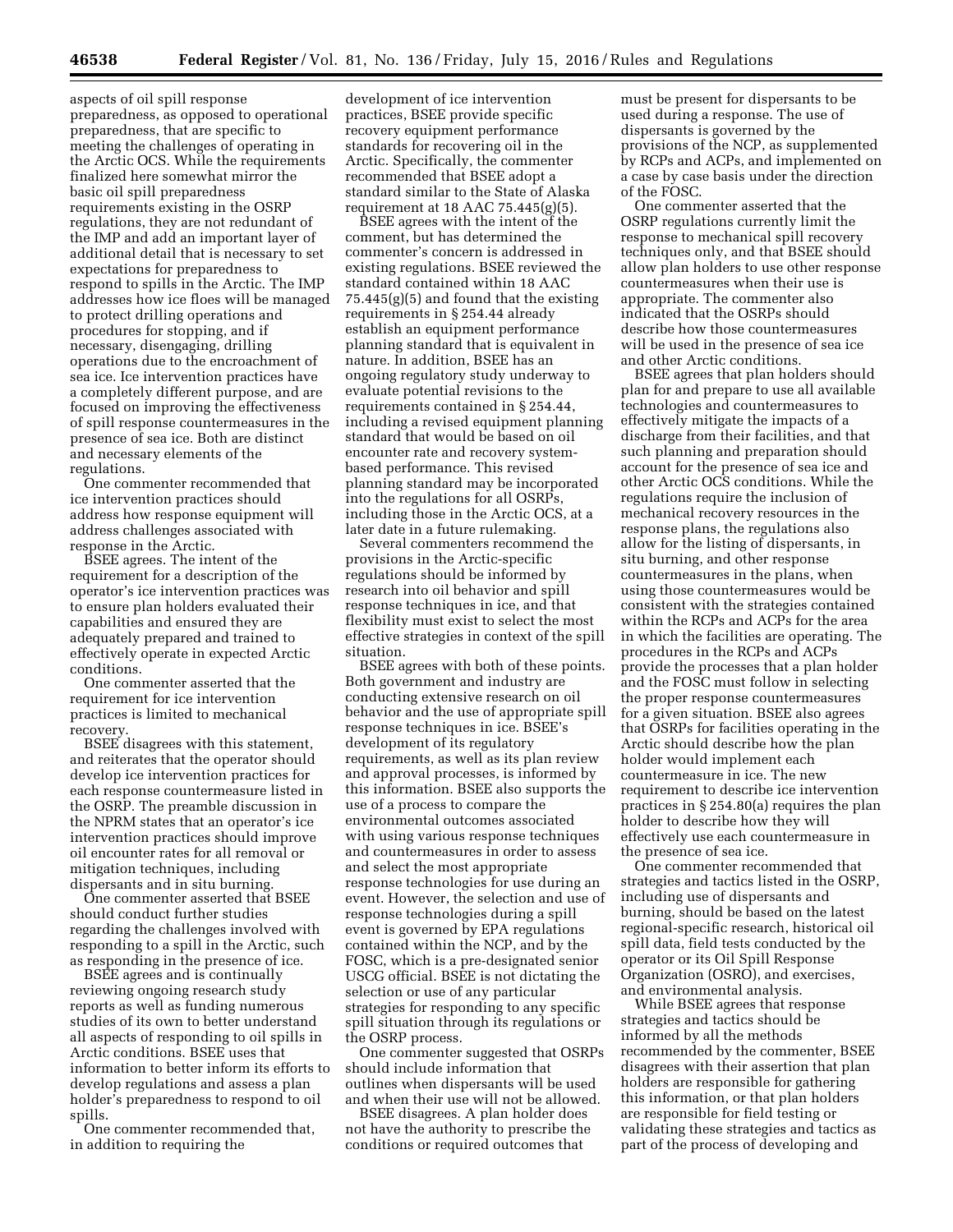aspects of oil spill response preparedness, as opposed to operational preparedness, that are specific to meeting the challenges of operating in the Arctic OCS. While the requirements finalized here somewhat mirror the basic oil spill preparedness requirements existing in the OSRP regulations, they are not redundant of the IMP and add an important layer of additional detail that is necessary to set expectations for preparedness to respond to spills in the Arctic. The IMP addresses how ice floes will be managed to protect drilling operations and procedures for stopping, and if necessary, disengaging, drilling operations due to the encroachment of sea ice. Ice intervention practices have a completely different purpose, and are focused on improving the effectiveness of spill response countermeasures in the presence of sea ice. Both are distinct and necessary elements of the regulations.

One commenter recommended that ice intervention practices should address how response equipment will address challenges associated with response in the Arctic.

BSEE agrees. The intent of the requirement for a description of the operator's ice intervention practices was to ensure plan holders evaluated their capabilities and ensured they are adequately prepared and trained to effectively operate in expected Arctic conditions.

One commenter asserted that the requirement for ice intervention practices is limited to mechanical recovery.

BSEE disagrees with this statement, and reiterates that the operator should develop ice intervention practices for each response countermeasure listed in the OSRP. The preamble discussion in the NPRM states that an operator's ice intervention practices should improve oil encounter rates for all removal or mitigation techniques, including dispersants and in situ burning.

One commenter asserted that BSEE should conduct further studies regarding the challenges involved with responding to a spill in the Arctic, such as responding in the presence of ice.

BSEE agrees and is continually reviewing ongoing research study reports as well as funding numerous studies of its own to better understand all aspects of responding to oil spills in Arctic conditions. BSEE uses that information to better inform its efforts to develop regulations and assess a plan holder's preparedness to respond to oil spills.

One commenter recommended that, in addition to requiring the

development of ice intervention practices, BSEE provide specific recovery equipment performance standards for recovering oil in the Arctic. Specifically, the commenter recommended that BSEE adopt a standard similar to the State of Alaska requirement at 18 AAC  $75.445(g)(5)$ .

BSEE agrees with the intent of the comment, but has determined the commenter's concern is addressed in existing regulations. BSEE reviewed the standard contained within 18 AAC 75.445(g)(5) and found that the existing requirements in § 254.44 already establish an equipment performance planning standard that is equivalent in nature. In addition, BSEE has an ongoing regulatory study underway to evaluate potential revisions to the requirements contained in § 254.44, including a revised equipment planning standard that would be based on oil encounter rate and recovery systembased performance. This revised planning standard may be incorporated into the regulations for all OSRPs, including those in the Arctic OCS, at a later date in a future rulemaking.

Several commenters recommend the provisions in the Arctic-specific regulations should be informed by research into oil behavior and spill response techniques in ice, and that flexibility must exist to select the most effective strategies in context of the spill situation.

BSEE agrees with both of these points. Both government and industry are conducting extensive research on oil behavior and the use of appropriate spill response techniques in ice. BSEE's development of its regulatory requirements, as well as its plan review and approval processes, is informed by this information. BSEE also supports the use of a process to compare the environmental outcomes associated with using various response techniques and countermeasures in order to assess and select the most appropriate response technologies for use during an event. However, the selection and use of response technologies during a spill event is governed by EPA regulations contained within the NCP, and by the FOSC, which is a pre-designated senior USCG official. BSEE is not dictating the selection or use of any particular strategies for responding to any specific spill situation through its regulations or the OSRP process.

One commenter suggested that OSRPs should include information that outlines when dispersants will be used and when their use will not be allowed.

BSEE disagrees. A plan holder does not have the authority to prescribe the conditions or required outcomes that

must be present for dispersants to be used during a response. The use of dispersants is governed by the provisions of the NCP, as supplemented by RCPs and ACPs, and implemented on a case by case basis under the direction of the FOSC.

One commenter asserted that the OSRP regulations currently limit the response to mechanical spill recovery techniques only, and that BSEE should allow plan holders to use other response countermeasures when their use is appropriate. The commenter also indicated that the OSRPs should describe how those countermeasures will be used in the presence of sea ice and other Arctic conditions.

BSEE agrees that plan holders should plan for and prepare to use all available technologies and countermeasures to effectively mitigate the impacts of a discharge from their facilities, and that such planning and preparation should account for the presence of sea ice and other Arctic OCS conditions. While the regulations require the inclusion of mechanical recovery resources in the response plans, the regulations also allow for the listing of dispersants, in situ burning, and other response countermeasures in the plans, when using those countermeasures would be consistent with the strategies contained within the RCPs and ACPs for the area in which the facilities are operating. The procedures in the RCPs and ACPs provide the processes that a plan holder and the FOSC must follow in selecting the proper response countermeasures for a given situation. BSEE also agrees that OSRPs for facilities operating in the Arctic should describe how the plan holder would implement each countermeasure in ice. The new requirement to describe ice intervention practices in § 254.80(a) requires the plan holder to describe how they will effectively use each countermeasure in the presence of sea ice.

One commenter recommended that strategies and tactics listed in the OSRP, including use of dispersants and burning, should be based on the latest regional-specific research, historical oil spill data, field tests conducted by the operator or its Oil Spill Response Organization (OSRO), and exercises, and environmental analysis.

While BSEE agrees that response strategies and tactics should be informed by all the methods recommended by the commenter, BSEE disagrees with their assertion that plan holders are responsible for gathering this information, or that plan holders are responsible for field testing or validating these strategies and tactics as part of the process of developing and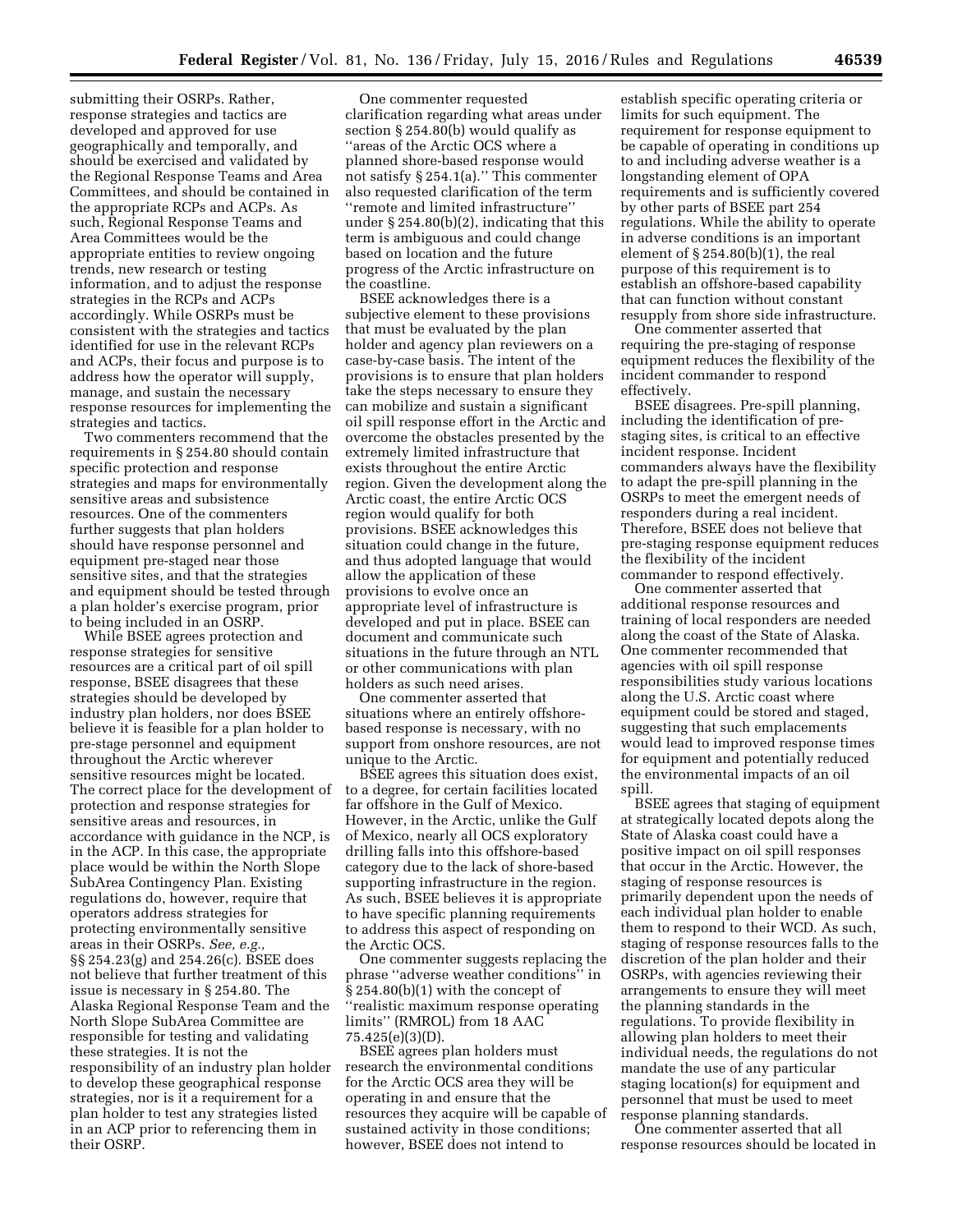submitting their OSRPs. Rather, response strategies and tactics are developed and approved for use geographically and temporally, and should be exercised and validated by the Regional Response Teams and Area Committees, and should be contained in the appropriate RCPs and ACPs. As such, Regional Response Teams and Area Committees would be the appropriate entities to review ongoing trends, new research or testing information, and to adjust the response strategies in the RCPs and ACPs accordingly. While OSRPs must be consistent with the strategies and tactics identified for use in the relevant RCPs and ACPs, their focus and purpose is to address how the operator will supply, manage, and sustain the necessary response resources for implementing the strategies and tactics.

Two commenters recommend that the requirements in § 254.80 should contain specific protection and response strategies and maps for environmentally sensitive areas and subsistence resources. One of the commenters further suggests that plan holders should have response personnel and equipment pre-staged near those sensitive sites, and that the strategies and equipment should be tested through a plan holder's exercise program, prior to being included in an OSRP.

While BSEE agrees protection and response strategies for sensitive resources are a critical part of oil spill response, BSEE disagrees that these strategies should be developed by industry plan holders, nor does BSEE believe it is feasible for a plan holder to pre-stage personnel and equipment throughout the Arctic wherever sensitive resources might be located. The correct place for the development of protection and response strategies for sensitive areas and resources, in accordance with guidance in the NCP, is in the ACP. In this case, the appropriate place would be within the North Slope SubArea Contingency Plan. Existing regulations do, however, require that operators address strategies for protecting environmentally sensitive areas in their OSRPs. *See, e.g.,*  §§ 254.23(g) and 254.26(c). BSEE does not believe that further treatment of this issue is necessary in § 254.80. The Alaska Regional Response Team and the North Slope SubArea Committee are responsible for testing and validating these strategies. It is not the responsibility of an industry plan holder to develop these geographical response strategies, nor is it a requirement for a plan holder to test any strategies listed in an ACP prior to referencing them in their OSRP.

One commenter requested clarification regarding what areas under section § 254.80(b) would qualify as ''areas of the Arctic OCS where a planned shore-based response would not satisfy § 254.1(a).'' This commenter also requested clarification of the term ''remote and limited infrastructure'' under § 254.80(b)(2), indicating that this term is ambiguous and could change based on location and the future progress of the Arctic infrastructure on the coastline.

BSEE acknowledges there is a subjective element to these provisions that must be evaluated by the plan holder and agency plan reviewers on a case-by-case basis. The intent of the provisions is to ensure that plan holders take the steps necessary to ensure they can mobilize and sustain a significant oil spill response effort in the Arctic and overcome the obstacles presented by the extremely limited infrastructure that exists throughout the entire Arctic region. Given the development along the Arctic coast, the entire Arctic OCS region would qualify for both provisions. BSEE acknowledges this situation could change in the future, and thus adopted language that would allow the application of these provisions to evolve once an appropriate level of infrastructure is developed and put in place. BSEE can document and communicate such situations in the future through an NTL or other communications with plan holders as such need arises.

One commenter asserted that situations where an entirely offshorebased response is necessary, with no support from onshore resources, are not unique to the Arctic.

BSEE agrees this situation does exist, to a degree, for certain facilities located far offshore in the Gulf of Mexico. However, in the Arctic, unlike the Gulf of Mexico, nearly all OCS exploratory drilling falls into this offshore-based category due to the lack of shore-based supporting infrastructure in the region. As such, BSEE believes it is appropriate to have specific planning requirements to address this aspect of responding on the Arctic OCS.

One commenter suggests replacing the phrase ''adverse weather conditions'' in § 254.80(b)(1) with the concept of ''realistic maximum response operating limits'' (RMROL) from 18 AAC 75.425(e)(3)(D).

BSEE agrees plan holders must research the environmental conditions for the Arctic OCS area they will be operating in and ensure that the resources they acquire will be capable of sustained activity in those conditions; however, BSEE does not intend to

establish specific operating criteria or limits for such equipment. The requirement for response equipment to be capable of operating in conditions up to and including adverse weather is a longstanding element of OPA requirements and is sufficiently covered by other parts of BSEE part 254 regulations. While the ability to operate in adverse conditions is an important element of § 254.80(b)(1), the real purpose of this requirement is to establish an offshore-based capability that can function without constant resupply from shore side infrastructure.

One commenter asserted that requiring the pre-staging of response equipment reduces the flexibility of the incident commander to respond effectively.

BSEE disagrees. Pre-spill planning, including the identification of prestaging sites, is critical to an effective incident response. Incident commanders always have the flexibility to adapt the pre-spill planning in the OSRPs to meet the emergent needs of responders during a real incident. Therefore, BSEE does not believe that pre-staging response equipment reduces the flexibility of the incident commander to respond effectively.

One commenter asserted that additional response resources and training of local responders are needed along the coast of the State of Alaska. One commenter recommended that agencies with oil spill response responsibilities study various locations along the U.S. Arctic coast where equipment could be stored and staged, suggesting that such emplacements would lead to improved response times for equipment and potentially reduced the environmental impacts of an oil spill.

BSEE agrees that staging of equipment at strategically located depots along the State of Alaska coast could have a positive impact on oil spill responses that occur in the Arctic. However, the staging of response resources is primarily dependent upon the needs of each individual plan holder to enable them to respond to their WCD. As such, staging of response resources falls to the discretion of the plan holder and their OSRPs, with agencies reviewing their arrangements to ensure they will meet the planning standards in the regulations. To provide flexibility in allowing plan holders to meet their individual needs, the regulations do not mandate the use of any particular staging location(s) for equipment and personnel that must be used to meet response planning standards.

One commenter asserted that all response resources should be located in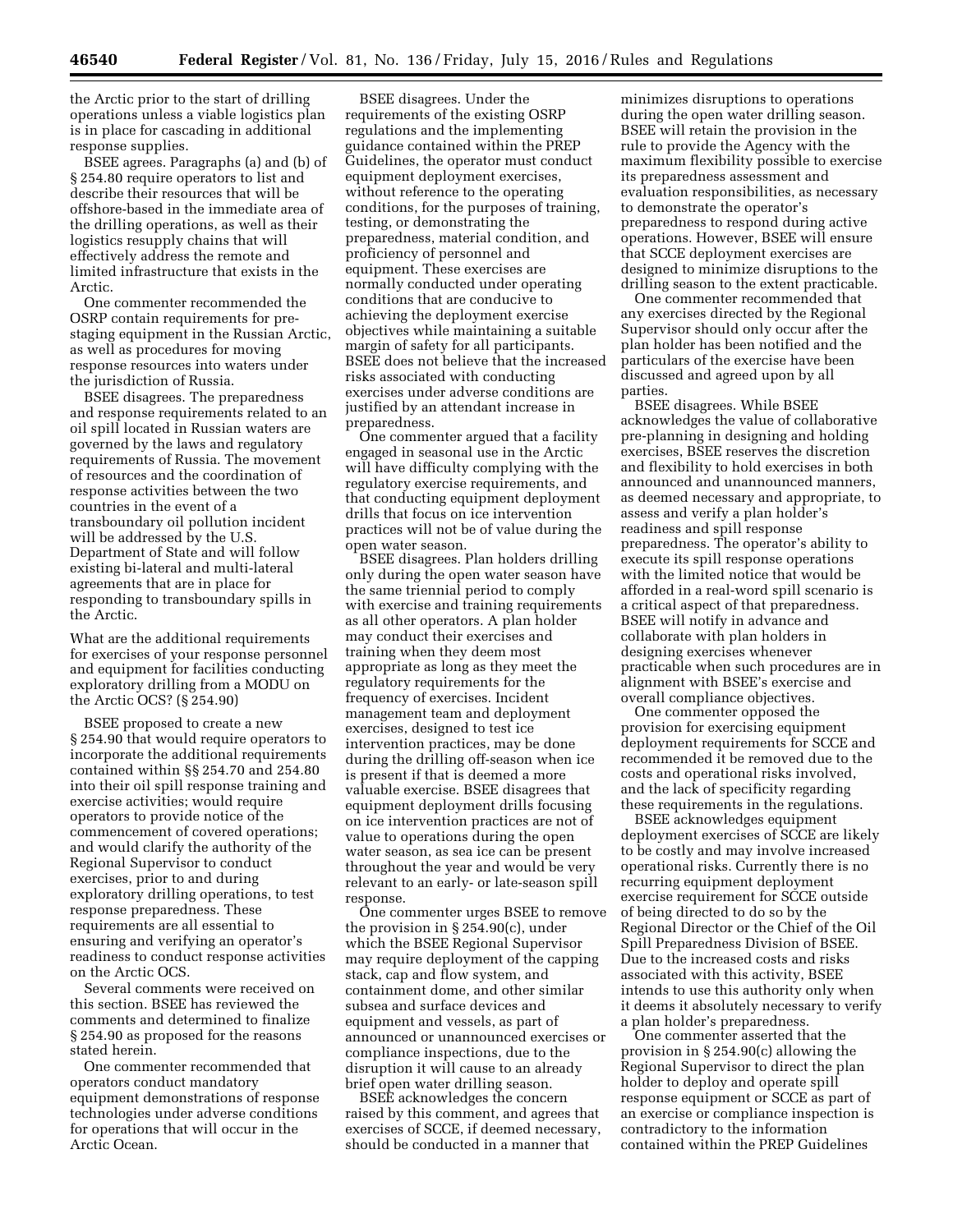the Arctic prior to the start of drilling operations unless a viable logistics plan is in place for cascading in additional response supplies.

BSEE agrees. Paragraphs (a) and (b) of § 254.80 require operators to list and describe their resources that will be offshore-based in the immediate area of the drilling operations, as well as their logistics resupply chains that will effectively address the remote and limited infrastructure that exists in the Arctic.

One commenter recommended the OSRP contain requirements for prestaging equipment in the Russian Arctic, as well as procedures for moving response resources into waters under the jurisdiction of Russia.

BSEE disagrees. The preparedness and response requirements related to an oil spill located in Russian waters are governed by the laws and regulatory requirements of Russia. The movement of resources and the coordination of response activities between the two countries in the event of a transboundary oil pollution incident will be addressed by the U.S. Department of State and will follow existing bi-lateral and multi-lateral agreements that are in place for responding to transboundary spills in the Arctic.

What are the additional requirements for exercises of your response personnel and equipment for facilities conducting exploratory drilling from a MODU on the Arctic OCS? (§ 254.90)

BSEE proposed to create a new § 254.90 that would require operators to incorporate the additional requirements contained within §§ 254.70 and 254.80 into their oil spill response training and exercise activities; would require operators to provide notice of the commencement of covered operations; and would clarify the authority of the Regional Supervisor to conduct exercises, prior to and during exploratory drilling operations, to test response preparedness. These requirements are all essential to ensuring and verifying an operator's readiness to conduct response activities on the Arctic OCS.

Several comments were received on this section. BSEE has reviewed the comments and determined to finalize § 254.90 as proposed for the reasons stated herein.

One commenter recommended that operators conduct mandatory equipment demonstrations of response technologies under adverse conditions for operations that will occur in the Arctic Ocean.

BSEE disagrees. Under the requirements of the existing OSRP regulations and the implementing guidance contained within the PREP Guidelines, the operator must conduct equipment deployment exercises, without reference to the operating conditions, for the purposes of training, testing, or demonstrating the preparedness, material condition, and proficiency of personnel and equipment. These exercises are normally conducted under operating conditions that are conducive to achieving the deployment exercise objectives while maintaining a suitable margin of safety for all participants. BSEE does not believe that the increased risks associated with conducting exercises under adverse conditions are justified by an attendant increase in preparedness.

One commenter argued that a facility engaged in seasonal use in the Arctic will have difficulty complying with the regulatory exercise requirements, and that conducting equipment deployment drills that focus on ice intervention practices will not be of value during the open water season.

BSEE disagrees. Plan holders drilling only during the open water season have the same triennial period to comply with exercise and training requirements as all other operators. A plan holder may conduct their exercises and training when they deem most appropriate as long as they meet the regulatory requirements for the frequency of exercises. Incident management team and deployment exercises, designed to test ice intervention practices, may be done during the drilling off-season when ice is present if that is deemed a more valuable exercise. BSEE disagrees that equipment deployment drills focusing on ice intervention practices are not of value to operations during the open water season, as sea ice can be present throughout the year and would be very relevant to an early- or late-season spill response.

One commenter urges BSEE to remove the provision in § 254.90(c), under which the BSEE Regional Supervisor may require deployment of the capping stack, cap and flow system, and containment dome, and other similar subsea and surface devices and equipment and vessels, as part of announced or unannounced exercises or compliance inspections, due to the disruption it will cause to an already brief open water drilling season.

BSEE acknowledges the concern raised by this comment, and agrees that exercises of SCCE, if deemed necessary, should be conducted in a manner that

minimizes disruptions to operations during the open water drilling season. BSEE will retain the provision in the rule to provide the Agency with the maximum flexibility possible to exercise its preparedness assessment and evaluation responsibilities, as necessary to demonstrate the operator's preparedness to respond during active operations. However, BSEE will ensure that SCCE deployment exercises are designed to minimize disruptions to the drilling season to the extent practicable.

One commenter recommended that any exercises directed by the Regional Supervisor should only occur after the plan holder has been notified and the particulars of the exercise have been discussed and agreed upon by all parties.

BSEE disagrees. While BSEE acknowledges the value of collaborative pre-planning in designing and holding exercises, BSEE reserves the discretion and flexibility to hold exercises in both announced and unannounced manners, as deemed necessary and appropriate, to assess and verify a plan holder's readiness and spill response preparedness. The operator's ability to execute its spill response operations with the limited notice that would be afforded in a real-word spill scenario is a critical aspect of that preparedness. BSEE will notify in advance and collaborate with plan holders in designing exercises whenever practicable when such procedures are in alignment with BSEE's exercise and overall compliance objectives.

One commenter opposed the provision for exercising equipment deployment requirements for SCCE and recommended it be removed due to the costs and operational risks involved, and the lack of specificity regarding these requirements in the regulations.

BSEE acknowledges equipment deployment exercises of SCCE are likely to be costly and may involve increased operational risks. Currently there is no recurring equipment deployment exercise requirement for SCCE outside of being directed to do so by the Regional Director or the Chief of the Oil Spill Preparedness Division of BSEE. Due to the increased costs and risks associated with this activity, BSEE intends to use this authority only when it deems it absolutely necessary to verify a plan holder's preparedness.

One commenter asserted that the provision in § 254.90(c) allowing the Regional Supervisor to direct the plan holder to deploy and operate spill response equipment or SCCE as part of an exercise or compliance inspection is contradictory to the information contained within the PREP Guidelines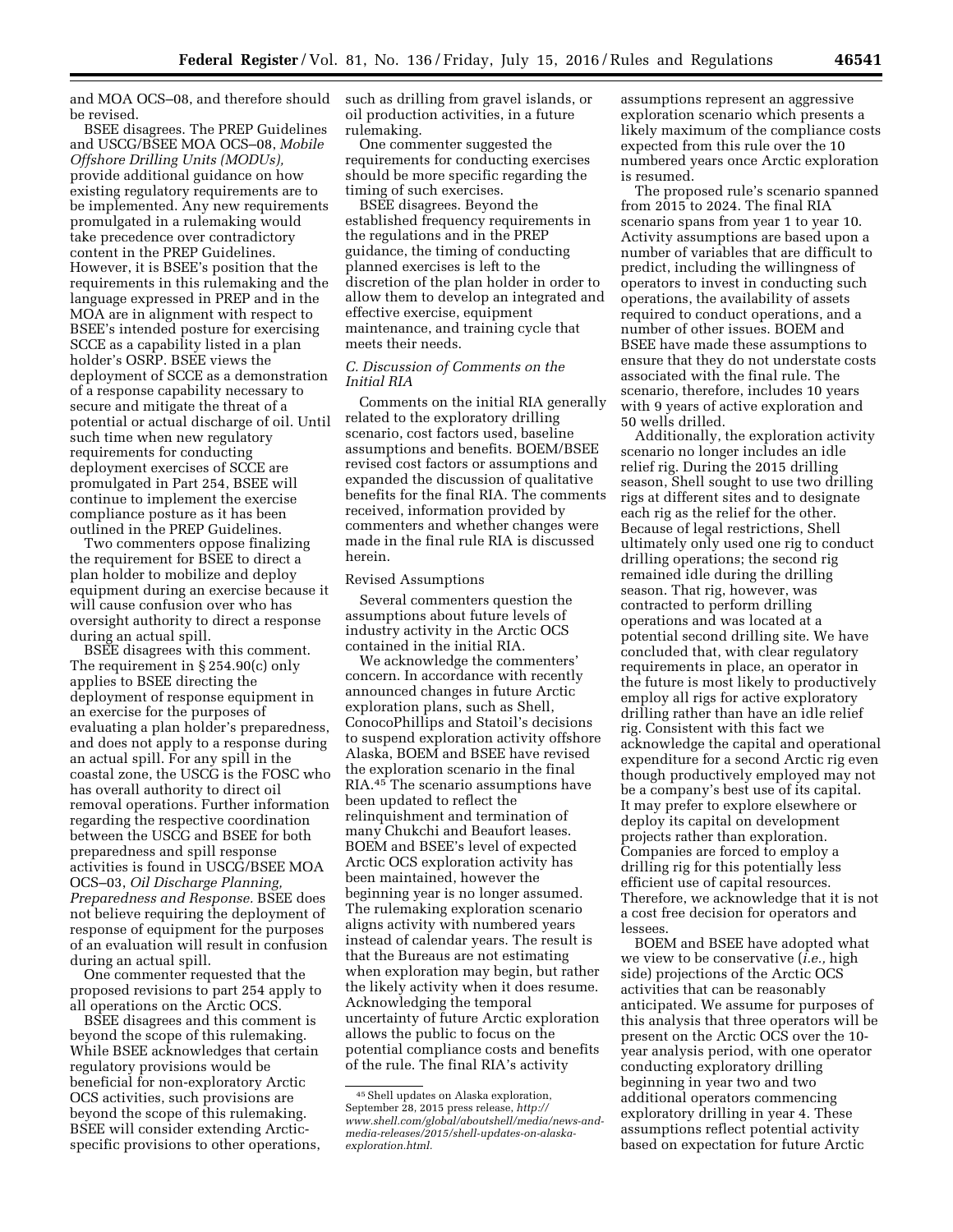and MOA OCS–08, and therefore should be revised.

BSEE disagrees. The PREP Guidelines and USCG/BSEE MOA OCS–08, *Mobile Offshore Drilling Units (MODUs),*  provide additional guidance on how existing regulatory requirements are to be implemented. Any new requirements promulgated in a rulemaking would take precedence over contradictory content in the PREP Guidelines. However, it is BSEE's position that the requirements in this rulemaking and the language expressed in PREP and in the MOA are in alignment with respect to BSEE's intended posture for exercising SCCE as a capability listed in a plan holder's OSRP. BSEE views the deployment of SCCE as a demonstration of a response capability necessary to secure and mitigate the threat of a potential or actual discharge of oil. Until such time when new regulatory requirements for conducting deployment exercises of SCCE are promulgated in Part 254, BSEE will continue to implement the exercise compliance posture as it has been outlined in the PREP Guidelines.

Two commenters oppose finalizing the requirement for BSEE to direct a plan holder to mobilize and deploy equipment during an exercise because it will cause confusion over who has oversight authority to direct a response during an actual spill.

BSEE disagrees with this comment. The requirement in § 254.90(c) only applies to BSEE directing the deployment of response equipment in an exercise for the purposes of evaluating a plan holder's preparedness, and does not apply to a response during an actual spill. For any spill in the coastal zone, the USCG is the FOSC who has overall authority to direct oil removal operations. Further information regarding the respective coordination between the USCG and BSEE for both preparedness and spill response activities is found in USCG/BSEE MOA OCS–03, *Oil Discharge Planning, Preparedness and Response.* BSEE does not believe requiring the deployment of response of equipment for the purposes of an evaluation will result in confusion during an actual spill.

One commenter requested that the proposed revisions to part 254 apply to all operations on the Arctic OCS.

BSEE disagrees and this comment is beyond the scope of this rulemaking. While BSEE acknowledges that certain regulatory provisions would be beneficial for non-exploratory Arctic OCS activities, such provisions are beyond the scope of this rulemaking. BSEE will consider extending Arcticspecific provisions to other operations, such as drilling from gravel islands, or oil production activities, in a future rulemaking.

One commenter suggested the requirements for conducting exercises should be more specific regarding the timing of such exercises.

BSEE disagrees. Beyond the established frequency requirements in the regulations and in the PREP guidance, the timing of conducting planned exercises is left to the discretion of the plan holder in order to allow them to develop an integrated and effective exercise, equipment maintenance, and training cycle that meets their needs.

### *C. Discussion of Comments on the Initial RIA*

Comments on the initial RIA generally related to the exploratory drilling scenario, cost factors used, baseline assumptions and benefits. BOEM/BSEE revised cost factors or assumptions and expanded the discussion of qualitative benefits for the final RIA. The comments received, information provided by commenters and whether changes were made in the final rule RIA is discussed herein.

### Revised Assumptions

Several commenters question the assumptions about future levels of industry activity in the Arctic OCS contained in the initial RIA.

We acknowledge the commenters' concern. In accordance with recently announced changes in future Arctic exploration plans, such as Shell, ConocoPhillips and Statoil's decisions to suspend exploration activity offshore Alaska, BOEM and BSEE have revised the exploration scenario in the final RIA.45 The scenario assumptions have been updated to reflect the relinquishment and termination of many Chukchi and Beaufort leases. BOEM and BSEE's level of expected Arctic OCS exploration activity has been maintained, however the beginning year is no longer assumed. The rulemaking exploration scenario aligns activity with numbered years instead of calendar years. The result is that the Bureaus are not estimating when exploration may begin, but rather the likely activity when it does resume. Acknowledging the temporal uncertainty of future Arctic exploration allows the public to focus on the potential compliance costs and benefits of the rule. The final RIA's activity

assumptions represent an aggressive exploration scenario which presents a likely maximum of the compliance costs expected from this rule over the 10 numbered years once Arctic exploration is resumed.

The proposed rule's scenario spanned from 2015 to 2024. The final RIA scenario spans from year 1 to year 10. Activity assumptions are based upon a number of variables that are difficult to predict, including the willingness of operators to invest in conducting such operations, the availability of assets required to conduct operations, and a number of other issues. BOEM and BSEE have made these assumptions to ensure that they do not understate costs associated with the final rule. The scenario, therefore, includes 10 years with 9 years of active exploration and 50 wells drilled.

Additionally, the exploration activity scenario no longer includes an idle relief rig. During the 2015 drilling season, Shell sought to use two drilling rigs at different sites and to designate each rig as the relief for the other. Because of legal restrictions, Shell ultimately only used one rig to conduct drilling operations; the second rig remained idle during the drilling season. That rig, however, was contracted to perform drilling operations and was located at a potential second drilling site. We have concluded that, with clear regulatory requirements in place, an operator in the future is most likely to productively employ all rigs for active exploratory drilling rather than have an idle relief rig. Consistent with this fact we acknowledge the capital and operational expenditure for a second Arctic rig even though productively employed may not be a company's best use of its capital. It may prefer to explore elsewhere or deploy its capital on development projects rather than exploration. Companies are forced to employ a drilling rig for this potentially less efficient use of capital resources. Therefore, we acknowledge that it is not a cost free decision for operators and lessees.

BOEM and BSEE have adopted what we view to be conservative (*i.e.,* high side) projections of the Arctic OCS activities that can be reasonably anticipated. We assume for purposes of this analysis that three operators will be present on the Arctic OCS over the 10 year analysis period, with one operator conducting exploratory drilling beginning in year two and two additional operators commencing exploratory drilling in year 4. These assumptions reflect potential activity based on expectation for future Arctic

<sup>45</sup>Shell updates on Alaska exploration, September 28, 2015 press release, *[http://](http://www.shell.com/global/aboutshell/media/news-and-media-releases/2015/shell-updates-on-alaska-exploration.html) [www.shell.com/global/aboutshell/media/news-and](http://www.shell.com/global/aboutshell/media/news-and-media-releases/2015/shell-updates-on-alaska-exploration.html)[media-releases/2015/shell-updates-on-alaska](http://www.shell.com/global/aboutshell/media/news-and-media-releases/2015/shell-updates-on-alaska-exploration.html)[exploration.html.](http://www.shell.com/global/aboutshell/media/news-and-media-releases/2015/shell-updates-on-alaska-exploration.html)*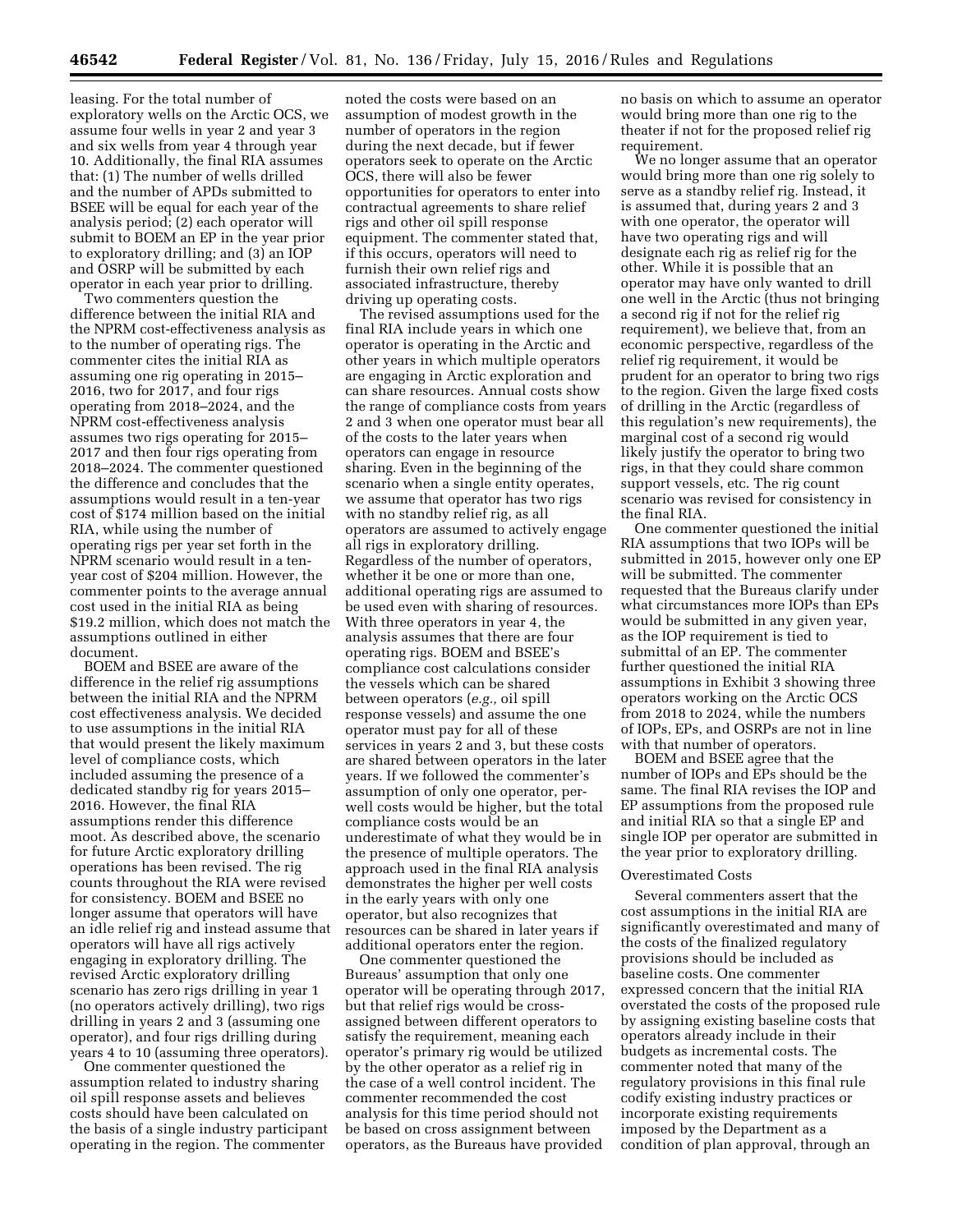leasing. For the total number of exploratory wells on the Arctic OCS, we assume four wells in year 2 and year 3 and six wells from year 4 through year 10. Additionally, the final RIA assumes that: (1) The number of wells drilled and the number of APDs submitted to BSEE will be equal for each year of the analysis period; (2) each operator will submit to BOEM an EP in the year prior to exploratory drilling; and (3) an IOP and OSRP will be submitted by each operator in each year prior to drilling.

Two commenters question the difference between the initial RIA and the NPRM cost-effectiveness analysis as to the number of operating rigs. The commenter cites the initial RIA as assuming one rig operating in 2015– 2016, two for 2017, and four rigs operating from 2018–2024, and the NPRM cost-effectiveness analysis assumes two rigs operating for 2015– 2017 and then four rigs operating from 2018–2024. The commenter questioned the difference and concludes that the assumptions would result in a ten-year cost of \$174 million based on the initial RIA, while using the number of operating rigs per year set forth in the NPRM scenario would result in a tenyear cost of \$204 million. However, the commenter points to the average annual cost used in the initial RIA as being \$19.2 million, which does not match the assumptions outlined in either document.

BOEM and BSEE are aware of the difference in the relief rig assumptions between the initial RIA and the NPRM cost effectiveness analysis. We decided to use assumptions in the initial RIA that would present the likely maximum level of compliance costs, which included assuming the presence of a dedicated standby rig for years 2015– 2016. However, the final RIA assumptions render this difference moot. As described above, the scenario for future Arctic exploratory drilling operations has been revised. The rig counts throughout the RIA were revised for consistency. BOEM and BSEE no longer assume that operators will have an idle relief rig and instead assume that operators will have all rigs actively engaging in exploratory drilling. The revised Arctic exploratory drilling scenario has zero rigs drilling in year 1 (no operators actively drilling), two rigs drilling in years 2 and 3 (assuming one operator), and four rigs drilling during years 4 to 10 (assuming three operators).

One commenter questioned the assumption related to industry sharing oil spill response assets and believes costs should have been calculated on the basis of a single industry participant operating in the region. The commenter

noted the costs were based on an assumption of modest growth in the number of operators in the region during the next decade, but if fewer operators seek to operate on the Arctic OCS, there will also be fewer opportunities for operators to enter into contractual agreements to share relief rigs and other oil spill response equipment. The commenter stated that, if this occurs, operators will need to furnish their own relief rigs and associated infrastructure, thereby driving up operating costs.

The revised assumptions used for the final RIA include years in which one operator is operating in the Arctic and other years in which multiple operators are engaging in Arctic exploration and can share resources. Annual costs show the range of compliance costs from years 2 and 3 when one operator must bear all of the costs to the later years when operators can engage in resource sharing. Even in the beginning of the scenario when a single entity operates, we assume that operator has two rigs with no standby relief rig, as all operators are assumed to actively engage all rigs in exploratory drilling. Regardless of the number of operators, whether it be one or more than one, additional operating rigs are assumed to be used even with sharing of resources. With three operators in year 4, the analysis assumes that there are four operating rigs. BOEM and BSEE's compliance cost calculations consider the vessels which can be shared between operators (*e.g.,* oil spill response vessels) and assume the one operator must pay for all of these services in years 2 and 3, but these costs are shared between operators in the later years. If we followed the commenter's assumption of only one operator, perwell costs would be higher, but the total compliance costs would be an underestimate of what they would be in the presence of multiple operators. The approach used in the final RIA analysis demonstrates the higher per well costs in the early years with only one operator, but also recognizes that resources can be shared in later years if additional operators enter the region.

One commenter questioned the Bureaus' assumption that only one operator will be operating through 2017, but that relief rigs would be crossassigned between different operators to satisfy the requirement, meaning each operator's primary rig would be utilized by the other operator as a relief rig in the case of a well control incident. The commenter recommended the cost analysis for this time period should not be based on cross assignment between operators, as the Bureaus have provided

no basis on which to assume an operator would bring more than one rig to the theater if not for the proposed relief rig requirement.

We no longer assume that an operator would bring more than one rig solely to serve as a standby relief rig. Instead, it is assumed that, during years 2 and 3 with one operator, the operator will have two operating rigs and will designate each rig as relief rig for the other. While it is possible that an operator may have only wanted to drill one well in the Arctic (thus not bringing a second rig if not for the relief rig requirement), we believe that, from an economic perspective, regardless of the relief rig requirement, it would be prudent for an operator to bring two rigs to the region. Given the large fixed costs of drilling in the Arctic (regardless of this regulation's new requirements), the marginal cost of a second rig would likely justify the operator to bring two rigs, in that they could share common support vessels, etc. The rig count scenario was revised for consistency in the final RIA.

One commenter questioned the initial RIA assumptions that two IOPs will be submitted in 2015, however only one EP will be submitted. The commenter requested that the Bureaus clarify under what circumstances more IOPs than EPs would be submitted in any given year, as the IOP requirement is tied to submittal of an EP. The commenter further questioned the initial RIA assumptions in Exhibit 3 showing three operators working on the Arctic OCS from 2018 to 2024, while the numbers of IOPs, EPs, and OSRPs are not in line with that number of operators.

BOEM and BSEE agree that the number of IOPs and EPs should be the same. The final RIA revises the IOP and EP assumptions from the proposed rule and initial RIA so that a single EP and single IOP per operator are submitted in the year prior to exploratory drilling.

### Overestimated Costs

Several commenters assert that the cost assumptions in the initial RIA are significantly overestimated and many of the costs of the finalized regulatory provisions should be included as baseline costs. One commenter expressed concern that the initial RIA overstated the costs of the proposed rule by assigning existing baseline costs that operators already include in their budgets as incremental costs. The commenter noted that many of the regulatory provisions in this final rule codify existing industry practices or incorporate existing requirements imposed by the Department as a condition of plan approval, through an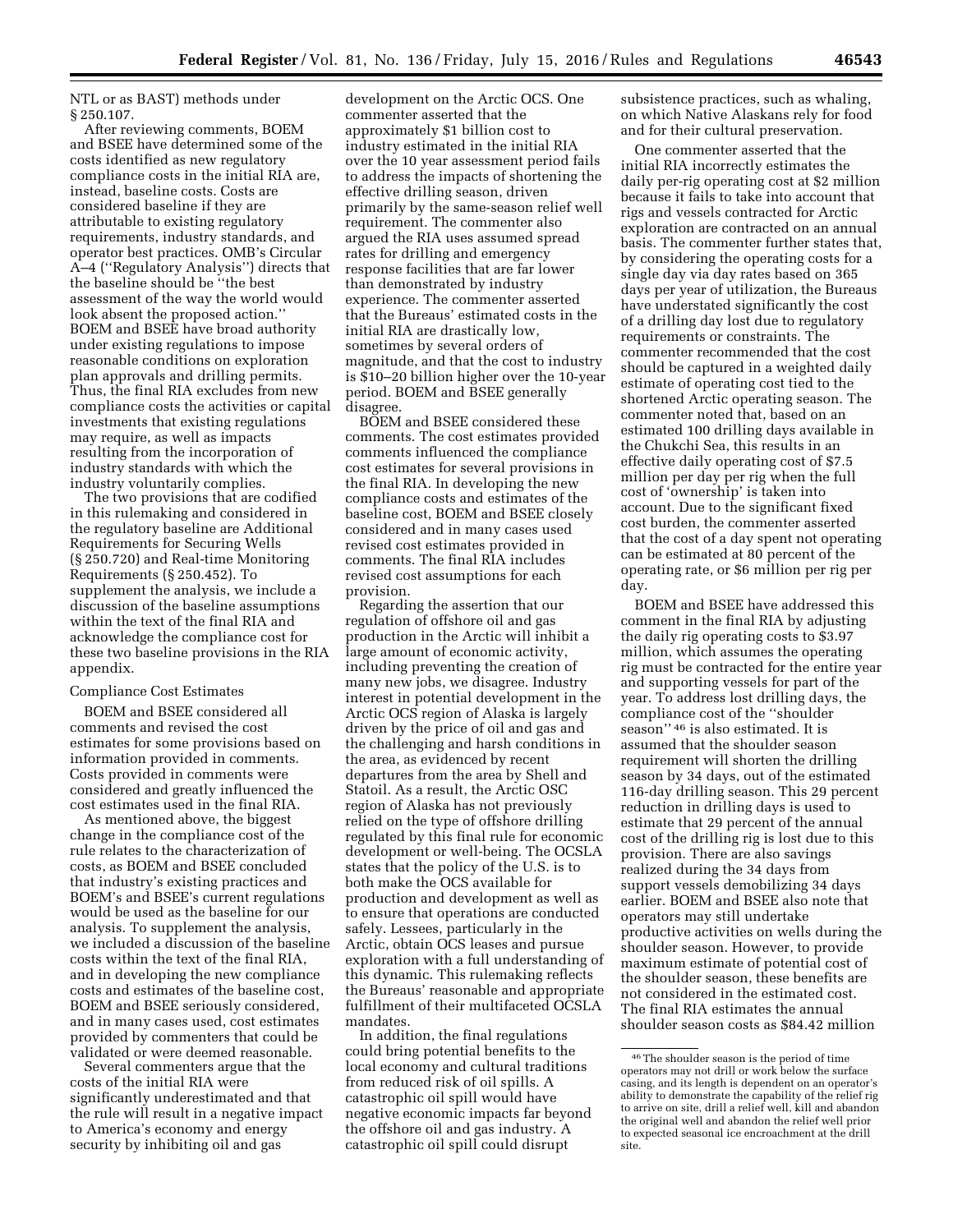NTL or as BAST) methods under § 250.107.

After reviewing comments, BOEM and BSEE have determined some of the costs identified as new regulatory compliance costs in the initial RIA are, instead, baseline costs. Costs are considered baseline if they are attributable to existing regulatory requirements, industry standards, and operator best practices. OMB's Circular A–4 (''Regulatory Analysis'') directs that the baseline should be ''the best assessment of the way the world would look absent the proposed action.'' BOEM and BSEE have broad authority under existing regulations to impose reasonable conditions on exploration plan approvals and drilling permits. Thus, the final RIA excludes from new compliance costs the activities or capital investments that existing regulations may require, as well as impacts resulting from the incorporation of industry standards with which the industry voluntarily complies.

The two provisions that are codified in this rulemaking and considered in the regulatory baseline are Additional Requirements for Securing Wells (§ 250.720) and Real-time Monitoring Requirements (§ 250.452). To supplement the analysis, we include a discussion of the baseline assumptions within the text of the final RIA and acknowledge the compliance cost for these two baseline provisions in the RIA appendix.

#### Compliance Cost Estimates

BOEM and BSEE considered all comments and revised the cost estimates for some provisions based on information provided in comments. Costs provided in comments were considered and greatly influenced the cost estimates used in the final RIA.

As mentioned above, the biggest change in the compliance cost of the rule relates to the characterization of costs, as BOEM and BSEE concluded that industry's existing practices and BOEM's and BSEE's current regulations would be used as the baseline for our analysis. To supplement the analysis, we included a discussion of the baseline costs within the text of the final RIA, and in developing the new compliance costs and estimates of the baseline cost, BOEM and BSEE seriously considered, and in many cases used, cost estimates provided by commenters that could be validated or were deemed reasonable.

Several commenters argue that the costs of the initial RIA were significantly underestimated and that the rule will result in a negative impact to America's economy and energy security by inhibiting oil and gas

development on the Arctic OCS. One commenter asserted that the approximately \$1 billion cost to industry estimated in the initial RIA over the 10 year assessment period fails to address the impacts of shortening the effective drilling season, driven primarily by the same-season relief well requirement. The commenter also argued the RIA uses assumed spread rates for drilling and emergency response facilities that are far lower than demonstrated by industry experience. The commenter asserted that the Bureaus' estimated costs in the initial RIA are drastically low, sometimes by several orders of magnitude, and that the cost to industry is \$10–20 billion higher over the 10-year period. BOEM and BSEE generally disagree.

BOEM and BSEE considered these comments. The cost estimates provided comments influenced the compliance cost estimates for several provisions in the final RIA. In developing the new compliance costs and estimates of the baseline cost, BOEM and BSEE closely considered and in many cases used revised cost estimates provided in comments. The final RIA includes revised cost assumptions for each provision.

Regarding the assertion that our regulation of offshore oil and gas production in the Arctic will inhibit a large amount of economic activity, including preventing the creation of many new jobs, we disagree. Industry interest in potential development in the Arctic OCS region of Alaska is largely driven by the price of oil and gas and the challenging and harsh conditions in the area, as evidenced by recent departures from the area by Shell and Statoil. As a result, the Arctic OSC region of Alaska has not previously relied on the type of offshore drilling regulated by this final rule for economic development or well-being. The OCSLA states that the policy of the U.S. is to both make the OCS available for production and development as well as to ensure that operations are conducted safely. Lessees, particularly in the Arctic, obtain OCS leases and pursue exploration with a full understanding of this dynamic. This rulemaking reflects the Bureaus' reasonable and appropriate fulfillment of their multifaceted OCSLA mandates.

In addition, the final regulations could bring potential benefits to the local economy and cultural traditions from reduced risk of oil spills. A catastrophic oil spill would have negative economic impacts far beyond the offshore oil and gas industry. A catastrophic oil spill could disrupt

subsistence practices, such as whaling, on which Native Alaskans rely for food and for their cultural preservation.

One commenter asserted that the initial RIA incorrectly estimates the daily per-rig operating cost at \$2 million because it fails to take into account that rigs and vessels contracted for Arctic exploration are contracted on an annual basis. The commenter further states that, by considering the operating costs for a single day via day rates based on 365 days per year of utilization, the Bureaus have understated significantly the cost of a drilling day lost due to regulatory requirements or constraints. The commenter recommended that the cost should be captured in a weighted daily estimate of operating cost tied to the shortened Arctic operating season. The commenter noted that, based on an estimated 100 drilling days available in the Chukchi Sea, this results in an effective daily operating cost of \$7.5 million per day per rig when the full cost of 'ownership' is taken into account. Due to the significant fixed cost burden, the commenter asserted that the cost of a day spent not operating can be estimated at 80 percent of the operating rate, or \$6 million per rig per day.

BOEM and BSEE have addressed this comment in the final RIA by adjusting the daily rig operating costs to \$3.97 million, which assumes the operating rig must be contracted for the entire year and supporting vessels for part of the year. To address lost drilling days, the compliance cost of the ''shoulder season'' 46 is also estimated. It is assumed that the shoulder season requirement will shorten the drilling season by 34 days, out of the estimated 116-day drilling season. This 29 percent reduction in drilling days is used to estimate that 29 percent of the annual cost of the drilling rig is lost due to this provision. There are also savings realized during the 34 days from support vessels demobilizing 34 days earlier. BOEM and BSEE also note that operators may still undertake productive activities on wells during the shoulder season. However, to provide maximum estimate of potential cost of the shoulder season, these benefits are not considered in the estimated cost. The final RIA estimates the annual shoulder season costs as \$84.42 million

<sup>46</sup>The shoulder season is the period of time operators may not drill or work below the surface casing, and its length is dependent on an operator's ability to demonstrate the capability of the relief rig to arrive on site, drill a relief well, kill and abandon the original well and abandon the relief well prior to expected seasonal ice encroachment at the drill site.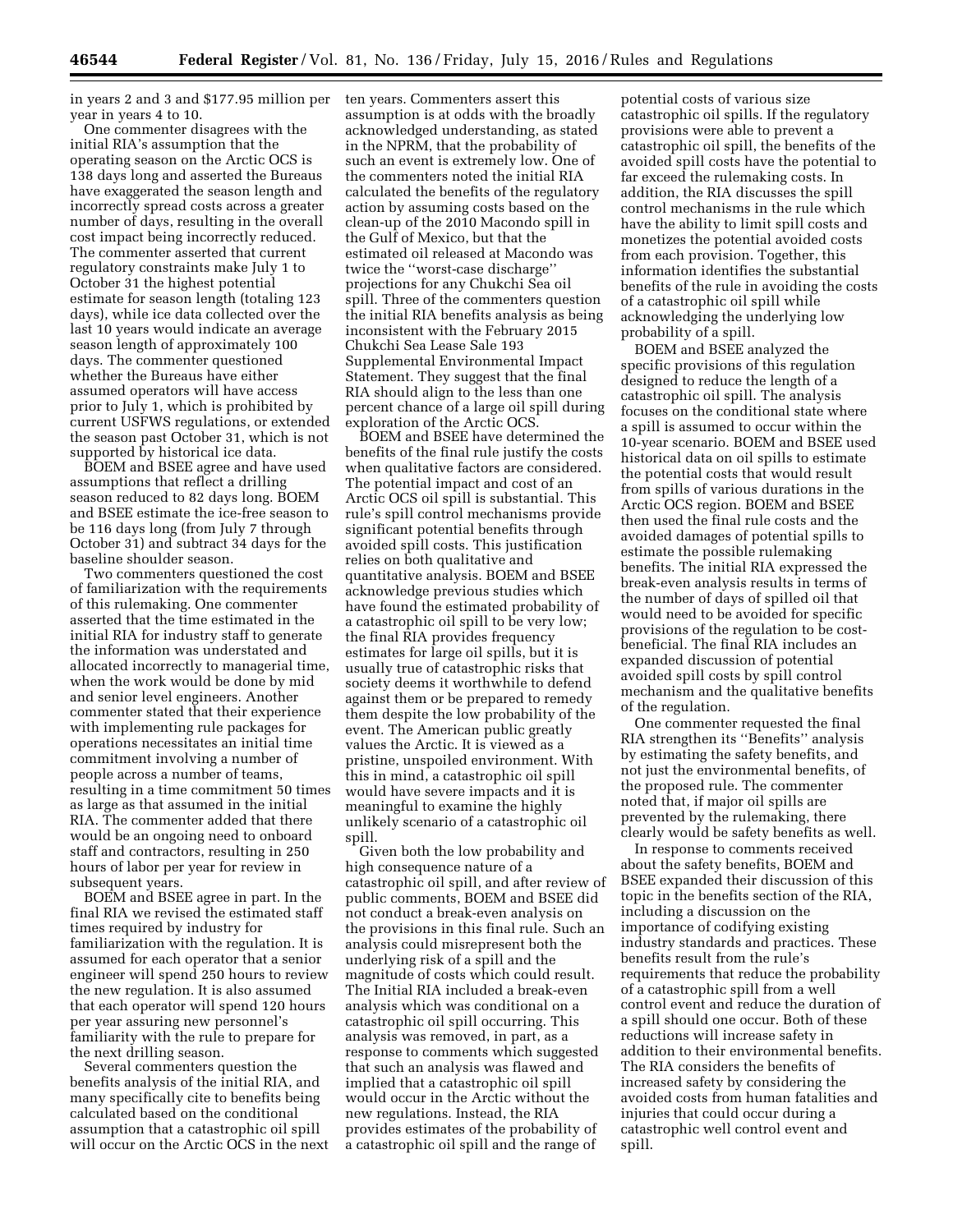in years 2 and 3 and \$177.95 million per year in years 4 to 10.

One commenter disagrees with the initial RIA's assumption that the operating season on the Arctic OCS is 138 days long and asserted the Bureaus have exaggerated the season length and incorrectly spread costs across a greater number of days, resulting in the overall cost impact being incorrectly reduced. The commenter asserted that current regulatory constraints make July 1 to October 31 the highest potential estimate for season length (totaling 123 days), while ice data collected over the last 10 years would indicate an average season length of approximately 100 days. The commenter questioned whether the Bureaus have either assumed operators will have access prior to July 1, which is prohibited by current USFWS regulations, or extended the season past October 31, which is not supported by historical ice data.

BOEM and BSEE agree and have used assumptions that reflect a drilling season reduced to 82 days long. BOEM and BSEE estimate the ice-free season to be 116 days long (from July 7 through October 31) and subtract 34 days for the baseline shoulder season.

Two commenters questioned the cost of familiarization with the requirements of this rulemaking. One commenter asserted that the time estimated in the initial RIA for industry staff to generate the information was understated and allocated incorrectly to managerial time, when the work would be done by mid and senior level engineers. Another commenter stated that their experience with implementing rule packages for operations necessitates an initial time commitment involving a number of people across a number of teams, resulting in a time commitment 50 times as large as that assumed in the initial RIA. The commenter added that there would be an ongoing need to onboard staff and contractors, resulting in 250 hours of labor per year for review in subsequent years.

BOEM and BSEE agree in part. In the final RIA we revised the estimated staff times required by industry for familiarization with the regulation. It is assumed for each operator that a senior engineer will spend 250 hours to review the new regulation. It is also assumed that each operator will spend 120 hours per year assuring new personnel's familiarity with the rule to prepare for the next drilling season.

Several commenters question the benefits analysis of the initial RIA, and many specifically cite to benefits being calculated based on the conditional assumption that a catastrophic oil spill will occur on the Arctic OCS in the next ten years. Commenters assert this assumption is at odds with the broadly acknowledged understanding, as stated in the NPRM, that the probability of such an event is extremely low. One of the commenters noted the initial RIA calculated the benefits of the regulatory action by assuming costs based on the clean-up of the 2010 Macondo spill in the Gulf of Mexico, but that the estimated oil released at Macondo was twice the ''worst-case discharge'' projections for any Chukchi Sea oil spill. Three of the commenters question the initial RIA benefits analysis as being inconsistent with the February 2015 Chukchi Sea Lease Sale 193 Supplemental Environmental Impact Statement. They suggest that the final RIA should align to the less than one percent chance of a large oil spill during exploration of the Arctic OCS.

BOEM and BSEE have determined the benefits of the final rule justify the costs when qualitative factors are considered. The potential impact and cost of an Arctic OCS oil spill is substantial. This rule's spill control mechanisms provide significant potential benefits through avoided spill costs. This justification relies on both qualitative and quantitative analysis. BOEM and BSEE acknowledge previous studies which have found the estimated probability of a catastrophic oil spill to be very low; the final RIA provides frequency estimates for large oil spills, but it is usually true of catastrophic risks that society deems it worthwhile to defend against them or be prepared to remedy them despite the low probability of the event. The American public greatly values the Arctic. It is viewed as a pristine, unspoiled environment. With this in mind, a catastrophic oil spill would have severe impacts and it is meaningful to examine the highly unlikely scenario of a catastrophic oil spill.

Given both the low probability and high consequence nature of a catastrophic oil spill, and after review of public comments, BOEM and BSEE did not conduct a break-even analysis on the provisions in this final rule. Such an analysis could misrepresent both the underlying risk of a spill and the magnitude of costs which could result. The Initial RIA included a break-even analysis which was conditional on a catastrophic oil spill occurring. This analysis was removed, in part, as a response to comments which suggested that such an analysis was flawed and implied that a catastrophic oil spill would occur in the Arctic without the new regulations. Instead, the RIA provides estimates of the probability of a catastrophic oil spill and the range of

potential costs of various size catastrophic oil spills. If the regulatory provisions were able to prevent a catastrophic oil spill, the benefits of the avoided spill costs have the potential to far exceed the rulemaking costs. In addition, the RIA discusses the spill control mechanisms in the rule which have the ability to limit spill costs and monetizes the potential avoided costs from each provision. Together, this information identifies the substantial benefits of the rule in avoiding the costs of a catastrophic oil spill while acknowledging the underlying low probability of a spill.

BOEM and BSEE analyzed the specific provisions of this regulation designed to reduce the length of a catastrophic oil spill. The analysis focuses on the conditional state where a spill is assumed to occur within the 10-year scenario. BOEM and BSEE used historical data on oil spills to estimate the potential costs that would result from spills of various durations in the Arctic OCS region. BOEM and BSEE then used the final rule costs and the avoided damages of potential spills to estimate the possible rulemaking benefits. The initial RIA expressed the break-even analysis results in terms of the number of days of spilled oil that would need to be avoided for specific provisions of the regulation to be costbeneficial. The final RIA includes an expanded discussion of potential avoided spill costs by spill control mechanism and the qualitative benefits of the regulation.

One commenter requested the final RIA strengthen its ''Benefits'' analysis by estimating the safety benefits, and not just the environmental benefits, of the proposed rule. The commenter noted that, if major oil spills are prevented by the rulemaking, there clearly would be safety benefits as well.

In response to comments received about the safety benefits, BOEM and BSEE expanded their discussion of this topic in the benefits section of the RIA, including a discussion on the importance of codifying existing industry standards and practices. These benefits result from the rule's requirements that reduce the probability of a catastrophic spill from a well control event and reduce the duration of a spill should one occur. Both of these reductions will increase safety in addition to their environmental benefits. The RIA considers the benefits of increased safety by considering the avoided costs from human fatalities and injuries that could occur during a catastrophic well control event and spill.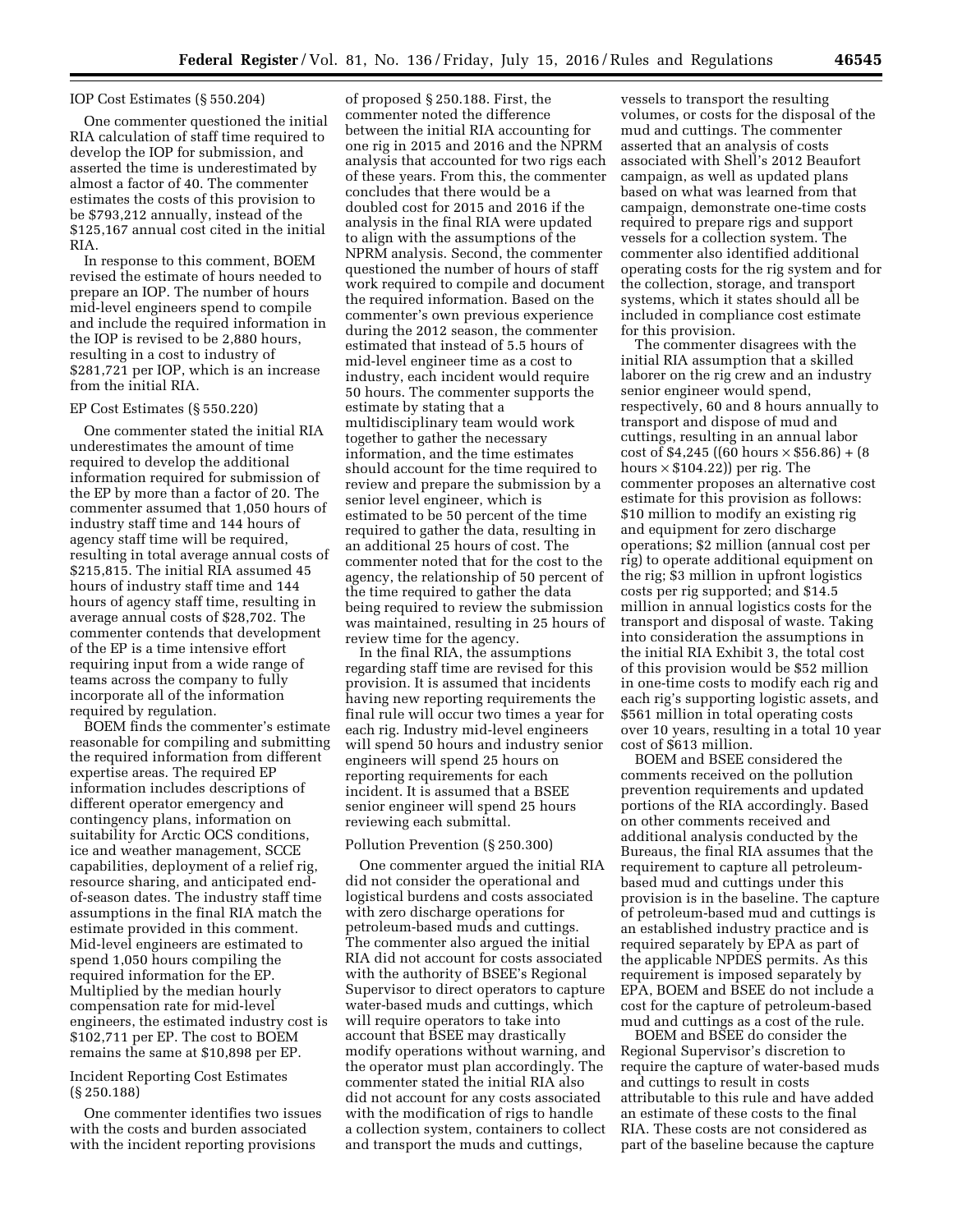#### IOP Cost Estimates (§ 550.204)

One commenter questioned the initial RIA calculation of staff time required to develop the IOP for submission, and asserted the time is underestimated by almost a factor of 40. The commenter estimates the costs of this provision to be \$793,212 annually, instead of the \$125,167 annual cost cited in the initial RIA.

In response to this comment, BOEM revised the estimate of hours needed to prepare an IOP. The number of hours mid-level engineers spend to compile and include the required information in the IOP is revised to be 2,880 hours, resulting in a cost to industry of \$281,721 per IOP, which is an increase from the initial RIA.

#### EP Cost Estimates (§ 550.220)

One commenter stated the initial RIA underestimates the amount of time required to develop the additional information required for submission of the EP by more than a factor of 20. The commenter assumed that 1,050 hours of industry staff time and 144 hours of agency staff time will be required, resulting in total average annual costs of \$215,815. The initial RIA assumed 45 hours of industry staff time and 144 hours of agency staff time, resulting in average annual costs of \$28,702. The commenter contends that development of the EP is a time intensive effort requiring input from a wide range of teams across the company to fully incorporate all of the information required by regulation.

BOEM finds the commenter's estimate reasonable for compiling and submitting the required information from different expertise areas. The required EP information includes descriptions of different operator emergency and contingency plans, information on suitability for Arctic OCS conditions, ice and weather management, SCCE capabilities, deployment of a relief rig, resource sharing, and anticipated endof-season dates. The industry staff time assumptions in the final RIA match the estimate provided in this comment. Mid-level engineers are estimated to spend 1,050 hours compiling the required information for the EP. Multiplied by the median hourly compensation rate for mid-level engineers, the estimated industry cost is \$102,711 per EP. The cost to BOEM remains the same at \$10,898 per EP.

### Incident Reporting Cost Estimates (§ 250.188)

One commenter identifies two issues with the costs and burden associated with the incident reporting provisions

of proposed § 250.188. First, the commenter noted the difference between the initial RIA accounting for one rig in 2015 and 2016 and the NPRM analysis that accounted for two rigs each of these years. From this, the commenter concludes that there would be a doubled cost for 2015 and 2016 if the analysis in the final RIA were updated to align with the assumptions of the NPRM analysis. Second, the commenter questioned the number of hours of staff work required to compile and document the required information. Based on the commenter's own previous experience during the 2012 season, the commenter estimated that instead of 5.5 hours of mid-level engineer time as a cost to industry, each incident would require 50 hours. The commenter supports the estimate by stating that a multidisciplinary team would work together to gather the necessary information, and the time estimates should account for the time required to review and prepare the submission by a senior level engineer, which is estimated to be 50 percent of the time required to gather the data, resulting in an additional 25 hours of cost. The commenter noted that for the cost to the agency, the relationship of 50 percent of the time required to gather the data being required to review the submission was maintained, resulting in 25 hours of review time for the agency.

In the final RIA, the assumptions regarding staff time are revised for this provision. It is assumed that incidents having new reporting requirements the final rule will occur two times a year for each rig. Industry mid-level engineers will spend 50 hours and industry senior engineers will spend 25 hours on reporting requirements for each incident. It is assumed that a BSEE senior engineer will spend 25 hours reviewing each submittal.

### Pollution Prevention (§ 250.300)

One commenter argued the initial RIA did not consider the operational and logistical burdens and costs associated with zero discharge operations for petroleum-based muds and cuttings. The commenter also argued the initial RIA did not account for costs associated with the authority of BSEE's Regional Supervisor to direct operators to capture water-based muds and cuttings, which will require operators to take into account that BSEE may drastically modify operations without warning, and the operator must plan accordingly. The commenter stated the initial RIA also did not account for any costs associated with the modification of rigs to handle a collection system, containers to collect and transport the muds and cuttings,

vessels to transport the resulting volumes, or costs for the disposal of the mud and cuttings. The commenter asserted that an analysis of costs associated with Shell's 2012 Beaufort campaign, as well as updated plans based on what was learned from that campaign, demonstrate one-time costs required to prepare rigs and support vessels for a collection system. The commenter also identified additional operating costs for the rig system and for the collection, storage, and transport systems, which it states should all be included in compliance cost estimate for this provision.

The commenter disagrees with the initial RIA assumption that a skilled laborer on the rig crew and an industry senior engineer would spend, respectively, 60 and 8 hours annually to transport and dispose of mud and cuttings, resulting in an annual labor cost of \$4,245 ((60 hours  $\times$  \$56.86) + (8) hours  $\times$  \$104.22)) per rig. The commenter proposes an alternative cost estimate for this provision as follows: \$10 million to modify an existing rig and equipment for zero discharge operations; \$2 million (annual cost per rig) to operate additional equipment on the rig; \$3 million in upfront logistics costs per rig supported; and \$14.5 million in annual logistics costs for the transport and disposal of waste. Taking into consideration the assumptions in the initial RIA Exhibit 3, the total cost of this provision would be \$52 million in one-time costs to modify each rig and each rig's supporting logistic assets, and \$561 million in total operating costs over 10 years, resulting in a total 10 year cost of \$613 million.

BOEM and BSEE considered the comments received on the pollution prevention requirements and updated portions of the RIA accordingly. Based on other comments received and additional analysis conducted by the Bureaus, the final RIA assumes that the requirement to capture all petroleumbased mud and cuttings under this provision is in the baseline. The capture of petroleum-based mud and cuttings is an established industry practice and is required separately by EPA as part of the applicable NPDES permits. As this requirement is imposed separately by EPA, BOEM and BSEE do not include a cost for the capture of petroleum-based mud and cuttings as a cost of the rule.

BOEM and BSEE do consider the Regional Supervisor's discretion to require the capture of water-based muds and cuttings to result in costs attributable to this rule and have added an estimate of these costs to the final RIA. These costs are not considered as part of the baseline because the capture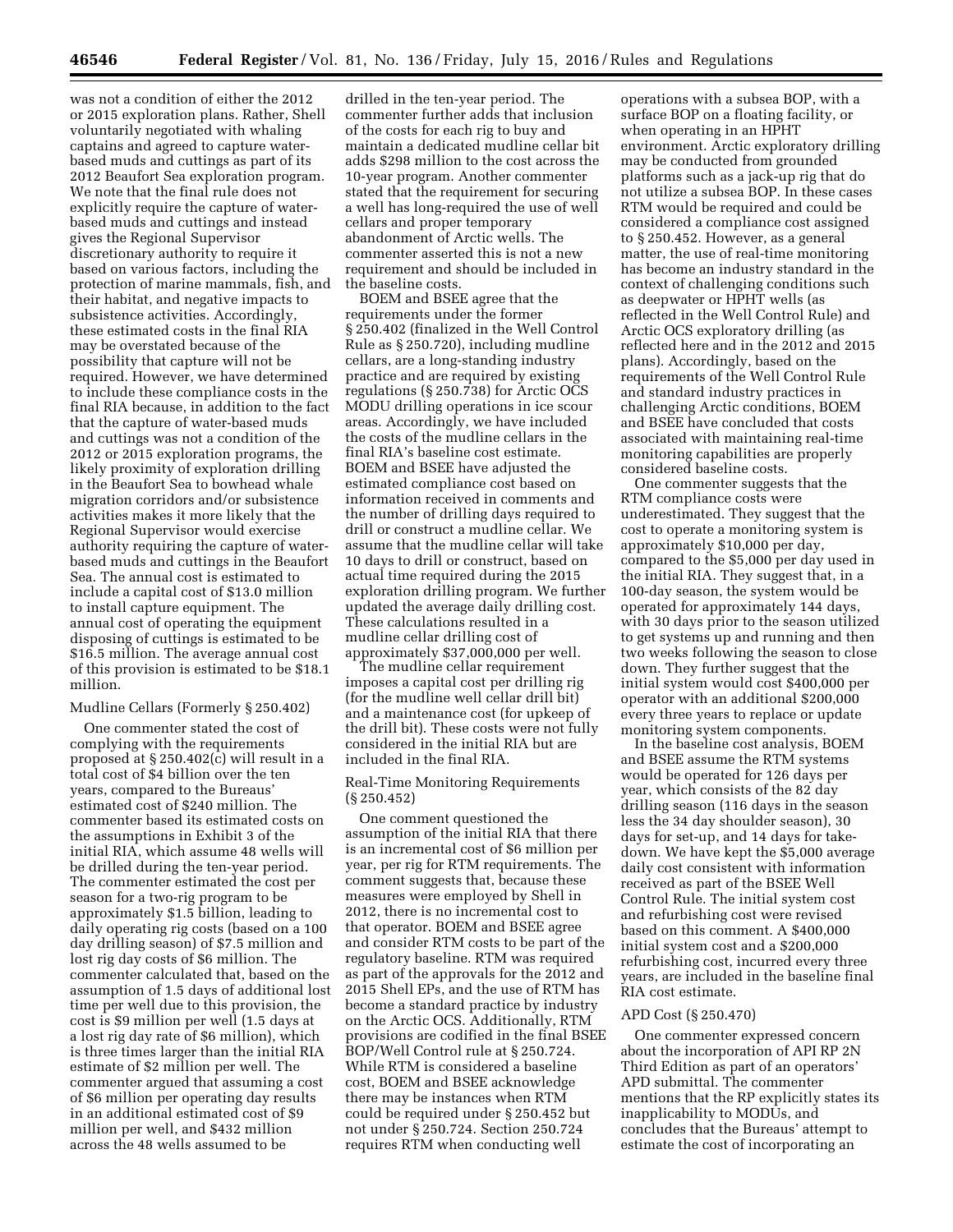was not a condition of either the 2012 or 2015 exploration plans. Rather, Shell voluntarily negotiated with whaling captains and agreed to capture waterbased muds and cuttings as part of its 2012 Beaufort Sea exploration program. We note that the final rule does not explicitly require the capture of waterbased muds and cuttings and instead gives the Regional Supervisor discretionary authority to require it based on various factors, including the protection of marine mammals, fish, and their habitat, and negative impacts to subsistence activities. Accordingly, these estimated costs in the final RIA may be overstated because of the possibility that capture will not be required. However, we have determined to include these compliance costs in the final RIA because, in addition to the fact that the capture of water-based muds and cuttings was not a condition of the 2012 or 2015 exploration programs, the likely proximity of exploration drilling in the Beaufort Sea to bowhead whale migration corridors and/or subsistence activities makes it more likely that the Regional Supervisor would exercise authority requiring the capture of waterbased muds and cuttings in the Beaufort Sea. The annual cost is estimated to include a capital cost of \$13.0 million to install capture equipment. The annual cost of operating the equipment disposing of cuttings is estimated to be \$16.5 million. The average annual cost of this provision is estimated to be \$18.1 million.

### Mudline Cellars (Formerly § 250.402)

One commenter stated the cost of complying with the requirements proposed at § 250.402(c) will result in a total cost of \$4 billion over the ten years, compared to the Bureaus' estimated cost of \$240 million. The commenter based its estimated costs on the assumptions in Exhibit 3 of the initial RIA, which assume 48 wells will be drilled during the ten-year period. The commenter estimated the cost per season for a two-rig program to be approximately \$1.5 billion, leading to daily operating rig costs (based on a 100 day drilling season) of \$7.5 million and lost rig day costs of \$6 million. The commenter calculated that, based on the assumption of 1.5 days of additional lost time per well due to this provision, the cost is \$9 million per well (1.5 days at a lost rig day rate of \$6 million), which is three times larger than the initial RIA estimate of \$2 million per well. The commenter argued that assuming a cost of \$6 million per operating day results in an additional estimated cost of \$9 million per well, and \$432 million across the 48 wells assumed to be

drilled in the ten-year period. The commenter further adds that inclusion of the costs for each rig to buy and maintain a dedicated mudline cellar bit adds \$298 million to the cost across the 10-year program. Another commenter stated that the requirement for securing a well has long-required the use of well cellars and proper temporary abandonment of Arctic wells. The commenter asserted this is not a new requirement and should be included in the baseline costs.

BOEM and BSEE agree that the requirements under the former § 250.402 (finalized in the Well Control Rule as § 250.720), including mudline cellars, are a long-standing industry practice and are required by existing regulations (§ 250.738) for Arctic OCS MODU drilling operations in ice scour areas. Accordingly, we have included the costs of the mudline cellars in the final RIA's baseline cost estimate. BOEM and BSEE have adjusted the estimated compliance cost based on information received in comments and the number of drilling days required to drill or construct a mudline cellar. We assume that the mudline cellar will take 10 days to drill or construct, based on actual time required during the 2015 exploration drilling program. We further updated the average daily drilling cost. These calculations resulted in a mudline cellar drilling cost of approximately \$37,000,000 per well.

The mudline cellar requirement imposes a capital cost per drilling rig (for the mudline well cellar drill bit) and a maintenance cost (for upkeep of the drill bit). These costs were not fully considered in the initial RIA but are included in the final RIA.

### Real-Time Monitoring Requirements (§ 250.452)

One comment questioned the assumption of the initial RIA that there is an incremental cost of \$6 million per year, per rig for RTM requirements. The comment suggests that, because these measures were employed by Shell in 2012, there is no incremental cost to that operator. BOEM and BSEE agree and consider RTM costs to be part of the regulatory baseline. RTM was required as part of the approvals for the 2012 and 2015 Shell EPs, and the use of RTM has become a standard practice by industry on the Arctic OCS. Additionally, RTM provisions are codified in the final BSEE BOP/Well Control rule at § 250.724. While RTM is considered a baseline cost, BOEM and BSEE acknowledge there may be instances when RTM could be required under § 250.452 but not under § 250.724. Section 250.724 requires RTM when conducting well

operations with a subsea BOP, with a surface BOP on a floating facility, or when operating in an HPHT environment. Arctic exploratory drilling may be conducted from grounded platforms such as a jack-up rig that do not utilize a subsea BOP. In these cases RTM would be required and could be considered a compliance cost assigned to § 250.452. However, as a general matter, the use of real-time monitoring has become an industry standard in the context of challenging conditions such as deepwater or HPHT wells (as reflected in the Well Control Rule) and Arctic OCS exploratory drilling (as reflected here and in the 2012 and 2015 plans). Accordingly, based on the requirements of the Well Control Rule and standard industry practices in challenging Arctic conditions, BOEM and BSEE have concluded that costs associated with maintaining real-time monitoring capabilities are properly considered baseline costs.

One commenter suggests that the RTM compliance costs were underestimated. They suggest that the cost to operate a monitoring system is approximately \$10,000 per day, compared to the \$5,000 per day used in the initial RIA. They suggest that, in a 100-day season, the system would be operated for approximately 144 days, with 30 days prior to the season utilized to get systems up and running and then two weeks following the season to close down. They further suggest that the initial system would cost \$400,000 per operator with an additional \$200,000 every three years to replace or update monitoring system components.

In the baseline cost analysis, BOEM and BSEE assume the RTM systems would be operated for 126 days per year, which consists of the 82 day drilling season (116 days in the season less the 34 day shoulder season), 30 days for set-up, and 14 days for takedown. We have kept the \$5,000 average daily cost consistent with information received as part of the BSEE Well Control Rule. The initial system cost and refurbishing cost were revised based on this comment. A \$400,000 initial system cost and a \$200,000 refurbishing cost, incurred every three years, are included in the baseline final RIA cost estimate.

### APD Cost (§ 250.470)

One commenter expressed concern about the incorporation of API RP 2N Third Edition as part of an operators' APD submittal. The commenter mentions that the RP explicitly states its inapplicability to MODUs, and concludes that the Bureaus' attempt to estimate the cost of incorporating an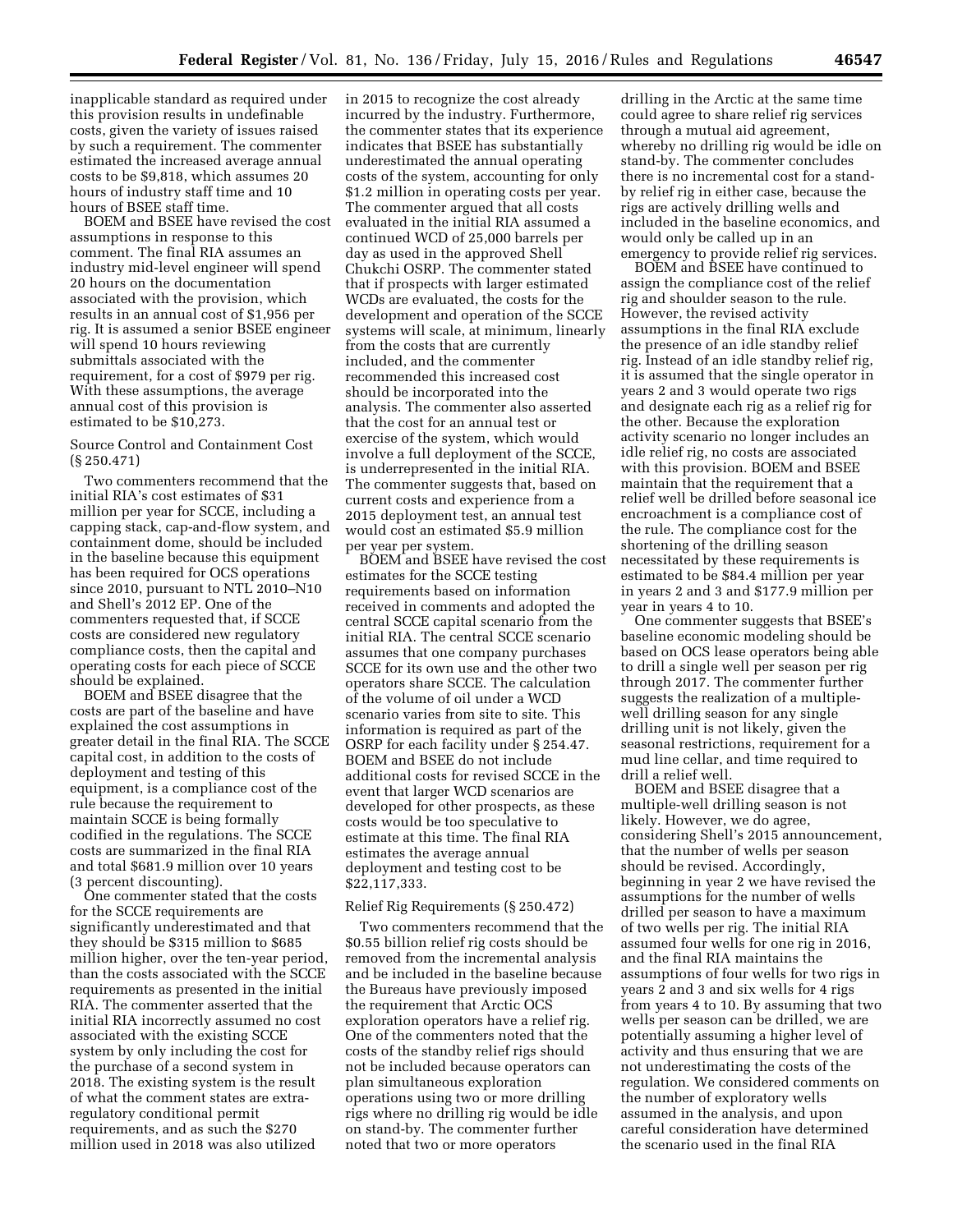inapplicable standard as required under this provision results in undefinable costs, given the variety of issues raised by such a requirement. The commenter estimated the increased average annual costs to be \$9,818, which assumes 20 hours of industry staff time and 10 hours of BSEE staff time.

BOEM and BSEE have revised the cost assumptions in response to this comment. The final RIA assumes an industry mid-level engineer will spend 20 hours on the documentation associated with the provision, which results in an annual cost of \$1,956 per rig. It is assumed a senior BSEE engineer will spend 10 hours reviewing submittals associated with the requirement, for a cost of \$979 per rig. With these assumptions, the average annual cost of this provision is estimated to be \$10,273.

Source Control and Containment Cost (§ 250.471)

Two commenters recommend that the initial RIA's cost estimates of \$31 million per year for SCCE, including a capping stack, cap-and-flow system, and containment dome, should be included in the baseline because this equipment has been required for OCS operations since 2010, pursuant to NTL 2010–N10 and Shell's 2012 EP. One of the commenters requested that, if SCCE costs are considered new regulatory compliance costs, then the capital and operating costs for each piece of SCCE should be explained.

BOEM and BSEE disagree that the costs are part of the baseline and have explained the cost assumptions in greater detail in the final RIA. The SCCE capital cost, in addition to the costs of deployment and testing of this equipment, is a compliance cost of the rule because the requirement to maintain SCCE is being formally codified in the regulations. The SCCE costs are summarized in the final RIA and total \$681.9 million over 10 years (3 percent discounting).

One commenter stated that the costs for the SCCE requirements are significantly underestimated and that they should be \$315 million to \$685 million higher, over the ten-year period, than the costs associated with the SCCE requirements as presented in the initial RIA. The commenter asserted that the initial RIA incorrectly assumed no cost associated with the existing SCCE system by only including the cost for the purchase of a second system in 2018. The existing system is the result of what the comment states are extraregulatory conditional permit requirements, and as such the \$270 million used in 2018 was also utilized

in 2015 to recognize the cost already incurred by the industry. Furthermore, the commenter states that its experience indicates that BSEE has substantially underestimated the annual operating costs of the system, accounting for only \$1.2 million in operating costs per year. The commenter argued that all costs evaluated in the initial RIA assumed a continued WCD of 25,000 barrels per day as used in the approved Shell Chukchi OSRP. The commenter stated that if prospects with larger estimated WCDs are evaluated, the costs for the development and operation of the SCCE systems will scale, at minimum, linearly from the costs that are currently included, and the commenter recommended this increased cost should be incorporated into the analysis. The commenter also asserted that the cost for an annual test or exercise of the system, which would involve a full deployment of the SCCE, is underrepresented in the initial RIA. The commenter suggests that, based on current costs and experience from a 2015 deployment test, an annual test would cost an estimated \$5.9 million per year per system.

BOEM and BSEE have revised the cost estimates for the SCCE testing requirements based on information received in comments and adopted the central SCCE capital scenario from the initial RIA. The central SCCE scenario assumes that one company purchases SCCE for its own use and the other two operators share SCCE. The calculation of the volume of oil under a WCD scenario varies from site to site. This information is required as part of the OSRP for each facility under § 254.47. BOEM and BSEE do not include additional costs for revised SCCE in the event that larger WCD scenarios are developed for other prospects, as these costs would be too speculative to estimate at this time. The final RIA estimates the average annual deployment and testing cost to be \$22,117,333.

### Relief Rig Requirements (§ 250.472)

Two commenters recommend that the \$0.55 billion relief rig costs should be removed from the incremental analysis and be included in the baseline because the Bureaus have previously imposed the requirement that Arctic OCS exploration operators have a relief rig. One of the commenters noted that the costs of the standby relief rigs should not be included because operators can plan simultaneous exploration operations using two or more drilling rigs where no drilling rig would be idle on stand-by. The commenter further noted that two or more operators

drilling in the Arctic at the same time could agree to share relief rig services through a mutual aid agreement, whereby no drilling rig would be idle on stand-by. The commenter concludes there is no incremental cost for a standby relief rig in either case, because the rigs are actively drilling wells and included in the baseline economics, and would only be called up in an emergency to provide relief rig services.

BOEM and BSEE have continued to assign the compliance cost of the relief rig and shoulder season to the rule. However, the revised activity assumptions in the final RIA exclude the presence of an idle standby relief rig. Instead of an idle standby relief rig, it is assumed that the single operator in years 2 and 3 would operate two rigs and designate each rig as a relief rig for the other. Because the exploration activity scenario no longer includes an idle relief rig, no costs are associated with this provision. BOEM and BSEE maintain that the requirement that a relief well be drilled before seasonal ice encroachment is a compliance cost of the rule. The compliance cost for the shortening of the drilling season necessitated by these requirements is estimated to be \$84.4 million per year in years 2 and 3 and \$177.9 million per year in years 4 to 10.

One commenter suggests that BSEE's baseline economic modeling should be based on OCS lease operators being able to drill a single well per season per rig through 2017. The commenter further suggests the realization of a multiplewell drilling season for any single drilling unit is not likely, given the seasonal restrictions, requirement for a mud line cellar, and time required to drill a relief well.

BOEM and BSEE disagree that a multiple-well drilling season is not likely. However, we do agree, considering Shell's 2015 announcement, that the number of wells per season should be revised. Accordingly, beginning in year 2 we have revised the assumptions for the number of wells drilled per season to have a maximum of two wells per rig. The initial RIA assumed four wells for one rig in 2016, and the final RIA maintains the assumptions of four wells for two rigs in years 2 and 3 and six wells for 4 rigs from years 4 to 10. By assuming that two wells per season can be drilled, we are potentially assuming a higher level of activity and thus ensuring that we are not underestimating the costs of the regulation. We considered comments on the number of exploratory wells assumed in the analysis, and upon careful consideration have determined the scenario used in the final RIA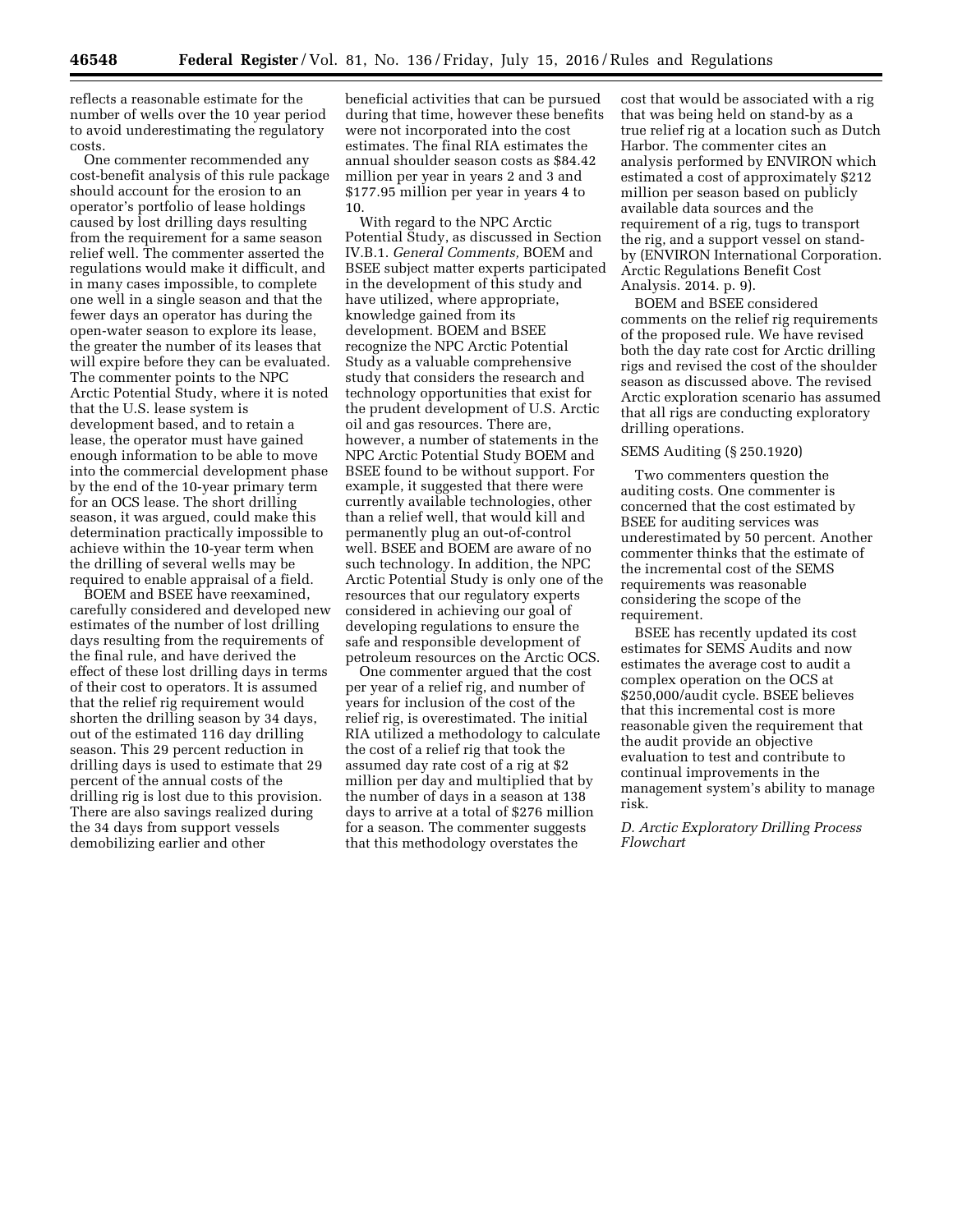reflects a reasonable estimate for the number of wells over the 10 year period to avoid underestimating the regulatory costs.

One commenter recommended any cost-benefit analysis of this rule package should account for the erosion to an operator's portfolio of lease holdings caused by lost drilling days resulting from the requirement for a same season relief well. The commenter asserted the regulations would make it difficult, and in many cases impossible, to complete one well in a single season and that the fewer days an operator has during the open-water season to explore its lease, the greater the number of its leases that will expire before they can be evaluated. The commenter points to the NPC Arctic Potential Study, where it is noted that the U.S. lease system is development based, and to retain a lease, the operator must have gained enough information to be able to move into the commercial development phase by the end of the 10-year primary term for an OCS lease. The short drilling season, it was argued, could make this determination practically impossible to achieve within the 10-year term when the drilling of several wells may be required to enable appraisal of a field.

BOEM and BSEE have reexamined, carefully considered and developed new estimates of the number of lost drilling days resulting from the requirements of the final rule, and have derived the effect of these lost drilling days in terms of their cost to operators. It is assumed that the relief rig requirement would shorten the drilling season by 34 days, out of the estimated 116 day drilling season. This 29 percent reduction in drilling days is used to estimate that 29 percent of the annual costs of the drilling rig is lost due to this provision. There are also savings realized during the 34 days from support vessels demobilizing earlier and other

beneficial activities that can be pursued during that time, however these benefits were not incorporated into the cost estimates. The final RIA estimates the annual shoulder season costs as \$84.42 million per year in years 2 and 3 and \$177.95 million per year in years 4 to 10.

With regard to the NPC Arctic Potential Study, as discussed in Section IV.B.1. *General Comments,* BOEM and BSEE subject matter experts participated in the development of this study and have utilized, where appropriate, knowledge gained from its development. BOEM and BSEE recognize the NPC Arctic Potential Study as a valuable comprehensive study that considers the research and technology opportunities that exist for the prudent development of U.S. Arctic oil and gas resources. There are, however, a number of statements in the NPC Arctic Potential Study BOEM and BSEE found to be without support. For example, it suggested that there were currently available technologies, other than a relief well, that would kill and permanently plug an out-of-control well. BSEE and BOEM are aware of no such technology. In addition, the NPC Arctic Potential Study is only one of the resources that our regulatory experts considered in achieving our goal of developing regulations to ensure the safe and responsible development of petroleum resources on the Arctic OCS.

One commenter argued that the cost per year of a relief rig, and number of years for inclusion of the cost of the relief rig, is overestimated. The initial RIA utilized a methodology to calculate the cost of a relief rig that took the assumed day rate cost of a rig at \$2 million per day and multiplied that by the number of days in a season at 138 days to arrive at a total of \$276 million for a season. The commenter suggests that this methodology overstates the

cost that would be associated with a rig that was being held on stand-by as a true relief rig at a location such as Dutch Harbor. The commenter cites an analysis performed by ENVIRON which estimated a cost of approximately \$212 million per season based on publicly available data sources and the requirement of a rig, tugs to transport the rig, and a support vessel on standby (ENVIRON International Corporation. Arctic Regulations Benefit Cost Analysis. 2014. p. 9).

BOEM and BSEE considered comments on the relief rig requirements of the proposed rule. We have revised both the day rate cost for Arctic drilling rigs and revised the cost of the shoulder season as discussed above. The revised Arctic exploration scenario has assumed that all rigs are conducting exploratory drilling operations.

# SEMS Auditing (§ 250.1920)

Two commenters question the auditing costs. One commenter is concerned that the cost estimated by BSEE for auditing services was underestimated by 50 percent. Another commenter thinks that the estimate of the incremental cost of the SEMS requirements was reasonable considering the scope of the requirement.

BSEE has recently updated its cost estimates for SEMS Audits and now estimates the average cost to audit a complex operation on the OCS at \$250,000/audit cycle. BSEE believes that this incremental cost is more reasonable given the requirement that the audit provide an objective evaluation to test and contribute to continual improvements in the management system's ability to manage risk.

*D. Arctic Exploratory Drilling Process Flowchart*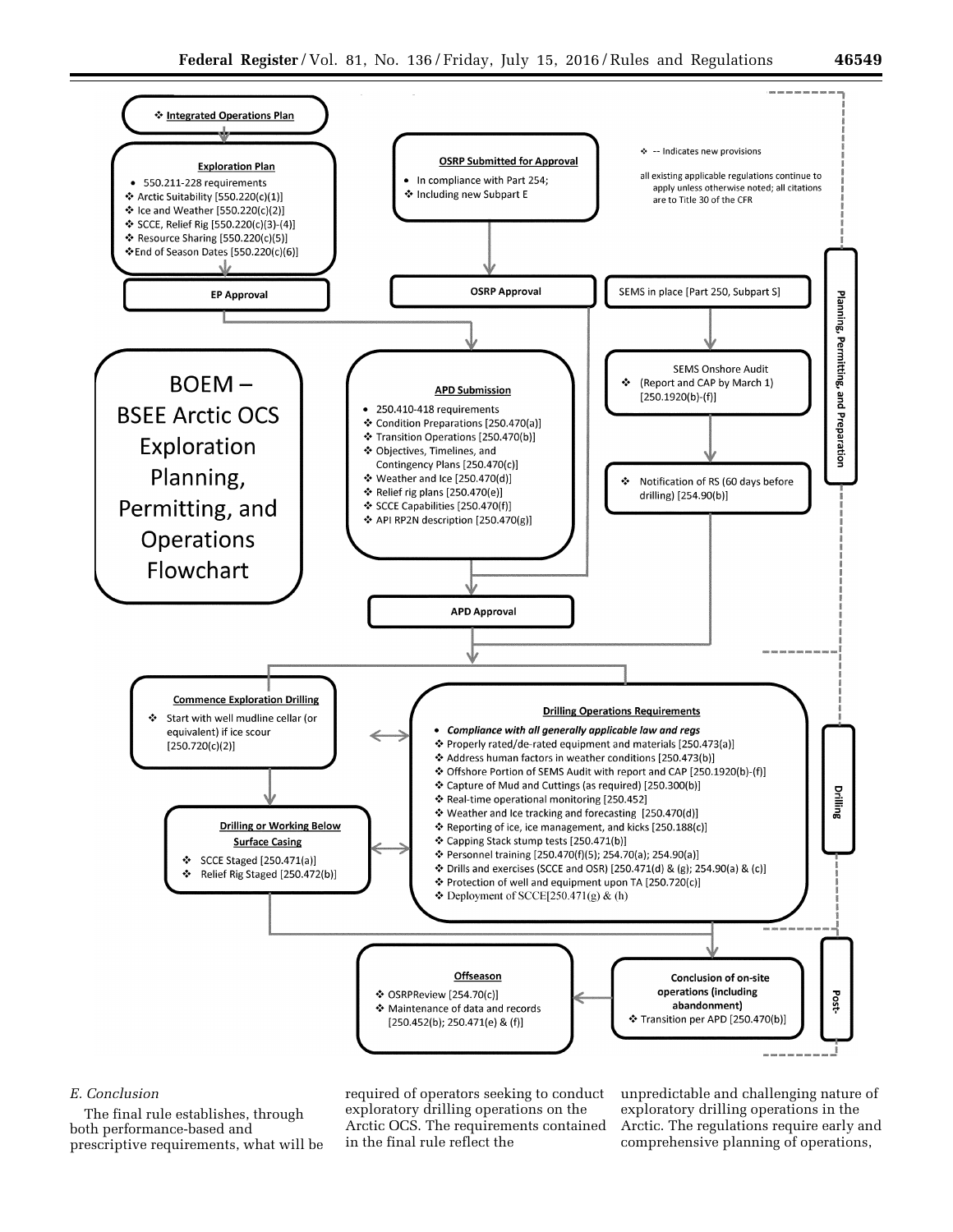

# *E. Conclusion*

The final rule establishes, through both performance-based and prescriptive requirements, what will be required of operators seeking to conduct exploratory drilling operations on the Arctic OCS. The requirements contained in the final rule reflect the

unpredictable and challenging nature of exploratory drilling operations in the Arctic. The regulations require early and comprehensive planning of operations,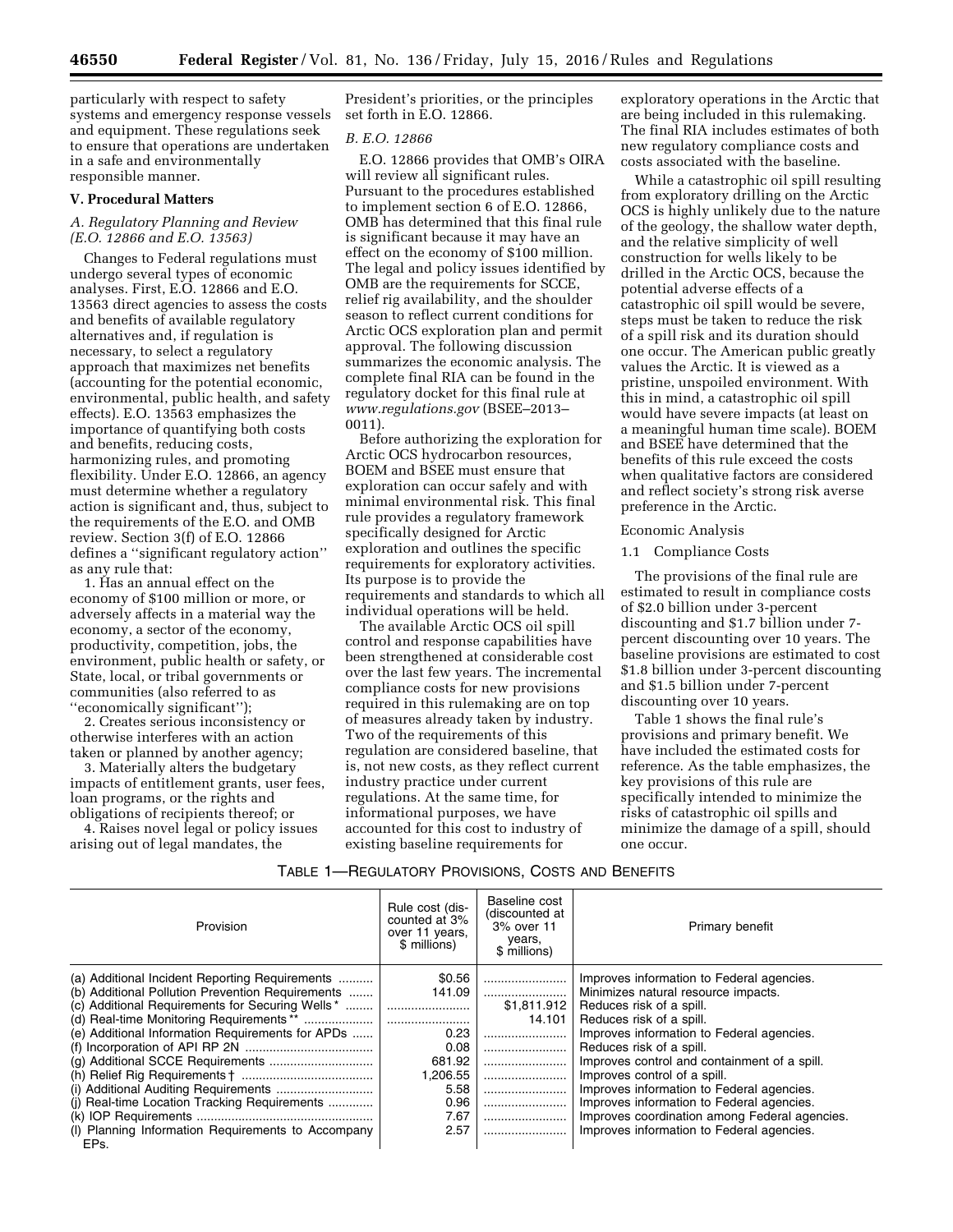particularly with respect to safety systems and emergency response vessels and equipment. These regulations seek to ensure that operations are undertaken in a safe and environmentally responsible manner.

#### **V. Procedural Matters**

# *A. Regulatory Planning and Review (E.O. 12866 and E.O. 13563)*

Changes to Federal regulations must undergo several types of economic analyses. First, E.O. 12866 and E.O. 13563 direct agencies to assess the costs and benefits of available regulatory alternatives and, if regulation is necessary, to select a regulatory approach that maximizes net benefits (accounting for the potential economic, environmental, public health, and safety effects). E.O. 13563 emphasizes the importance of quantifying both costs and benefits, reducing costs, harmonizing rules, and promoting flexibility. Under E.O. 12866, an agency must determine whether a regulatory action is significant and, thus, subject to the requirements of the E.O. and OMB review. Section 3(f) of E.O. 12866 defines a ''significant regulatory action'' as any rule that:

1. Has an annual effect on the economy of \$100 million or more, or adversely affects in a material way the economy, a sector of the economy, productivity, competition, jobs, the environment, public health or safety, or State, local, or tribal governments or communities (also referred to as ''economically significant'');

2. Creates serious inconsistency or otherwise interferes with an action taken or planned by another agency;

3. Materially alters the budgetary impacts of entitlement grants, user fees, loan programs, or the rights and obligations of recipients thereof; or

4. Raises novel legal or policy issues arising out of legal mandates, the

President's priorities, or the principles set forth in E.O. 12866.

# *B. E.O. 12866*

E.O. 12866 provides that OMB's OIRA will review all significant rules. Pursuant to the procedures established to implement section 6 of E.O. 12866, OMB has determined that this final rule is significant because it may have an effect on the economy of \$100 million. The legal and policy issues identified by OMB are the requirements for SCCE, relief rig availability, and the shoulder season to reflect current conditions for Arctic OCS exploration plan and permit approval. The following discussion summarizes the economic analysis. The complete final RIA can be found in the regulatory docket for this final rule at *[www.regulations.gov](http://www.regulations.gov)* (BSEE–2013– 0011).

Before authorizing the exploration for Arctic OCS hydrocarbon resources, BOEM and BSEE must ensure that exploration can occur safely and with minimal environmental risk. This final rule provides a regulatory framework specifically designed for Arctic exploration and outlines the specific requirements for exploratory activities. Its purpose is to provide the requirements and standards to which all individual operations will be held.

The available Arctic OCS oil spill control and response capabilities have been strengthened at considerable cost over the last few years. The incremental compliance costs for new provisions required in this rulemaking are on top of measures already taken by industry. Two of the requirements of this regulation are considered baseline, that is, not new costs, as they reflect current industry practice under current regulations. At the same time, for informational purposes, we have accounted for this cost to industry of existing baseline requirements for

exploratory operations in the Arctic that are being included in this rulemaking. The final RIA includes estimates of both new regulatory compliance costs and costs associated with the baseline.

While a catastrophic oil spill resulting from exploratory drilling on the Arctic OCS is highly unlikely due to the nature of the geology, the shallow water depth, and the relative simplicity of well construction for wells likely to be drilled in the Arctic OCS, because the potential adverse effects of a catastrophic oil spill would be severe, steps must be taken to reduce the risk of a spill risk and its duration should one occur. The American public greatly values the Arctic. It is viewed as a pristine, unspoiled environment. With this in mind, a catastrophic oil spill would have severe impacts (at least on a meaningful human time scale). BOEM and BSEE have determined that the benefits of this rule exceed the costs when qualitative factors are considered and reflect society's strong risk averse preference in the Arctic.

### Economic Analysis

#### 1.1 Compliance Costs

The provisions of the final rule are estimated to result in compliance costs of \$2.0 billion under 3-percent discounting and \$1.7 billion under 7 percent discounting over 10 years. The baseline provisions are estimated to cost \$1.8 billion under 3-percent discounting and \$1.5 billion under 7-percent discounting over 10 years.

Table 1 shows the final rule's provisions and primary benefit. We have included the estimated costs for reference. As the table emphasizes, the key provisions of this rule are specifically intended to minimize the risks of catastrophic oil spills and minimize the damage of a spill, should one occur.

| TABLE 1—REGULATORY PROVISIONS, COSTS AND BENEFITS |  |  |
|---------------------------------------------------|--|--|
|---------------------------------------------------|--|--|

| Provision                                                                                          | Rule cost (dis-<br>counted at 3%<br>over 11 years.<br>\$ millions) | Baseline cost<br>(discounted at<br>3% over 11<br>years,<br>\$ millions) | Primary benefit                                                                  |
|----------------------------------------------------------------------------------------------------|--------------------------------------------------------------------|-------------------------------------------------------------------------|----------------------------------------------------------------------------------|
| (a) Additional Incident Reporting Requirements<br>(b) Additional Pollution Prevention Requirements | \$0.56<br>141.09                                                   |                                                                         | Improves information to Federal agencies.<br>Minimizes natural resource impacts. |
| (c) Additional Requirements for Securing Wells *                                                   |                                                                    | <br>\$1,811.912                                                         | Reduces risk of a spill.                                                         |
|                                                                                                    |                                                                    | 14.101                                                                  | Reduces risk of a spill.                                                         |
| (e) Additional Information Requirements for APDs                                                   | 0.23                                                               |                                                                         | Improves information to Federal agencies.                                        |
|                                                                                                    | 0.08                                                               |                                                                         | Reduces risk of a spill.                                                         |
|                                                                                                    | 681.92                                                             |                                                                         | Improves control and containment of a spill.                                     |
|                                                                                                    | 1,206.55                                                           |                                                                         | Improves control of a spill.                                                     |
|                                                                                                    | 5.58                                                               |                                                                         | Improves information to Federal agencies.                                        |
| (i) Real-time Location Tracking Requirements                                                       | 0.96                                                               |                                                                         | Improves information to Federal agencies.                                        |
|                                                                                                    | 7.67                                                               |                                                                         | Improves coordination among Federal agencies.                                    |
| (I) Planning Information Requirements to Accompany<br>EPs.                                         | 2.57                                                               |                                                                         | Improves information to Federal agencies.                                        |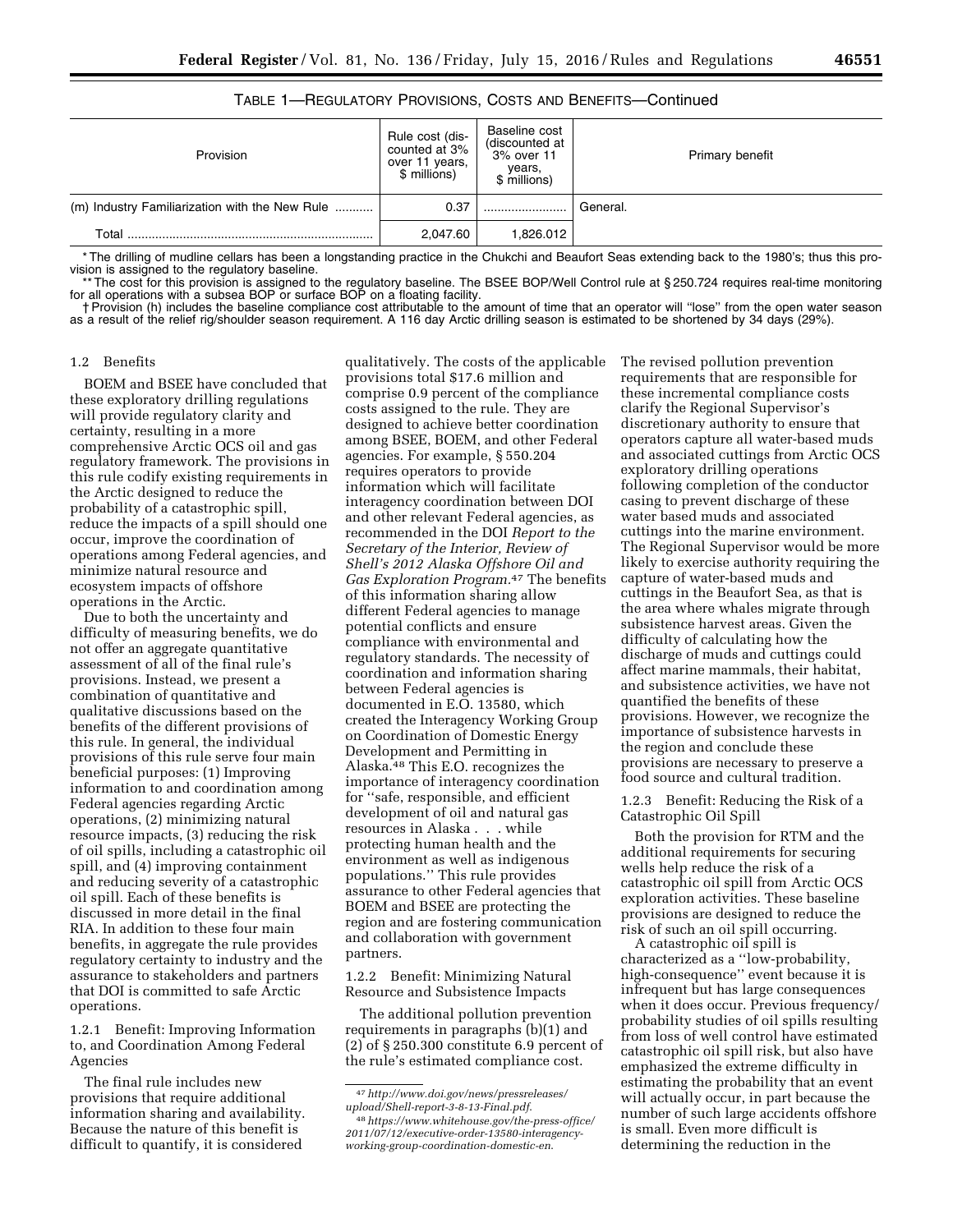| 465. |  |  |
|------|--|--|
|      |  |  |

# TABLE 1—REGULATORY PROVISIONS, COSTS AND BENEFITS—Continued

| Provision                                      | Rule cost (dis-<br>counted at 3%<br>over 11 years,<br>\$ millions) | Baseline cost<br>(discounted at<br>3% over 11<br>years,<br>\$ millions) | Primary benefit |
|------------------------------------------------|--------------------------------------------------------------------|-------------------------------------------------------------------------|-----------------|
| (m) Industry Familiarization with the New Rule | 0.37                                                               |                                                                         | General.        |
| Total                                          | 2.047.60                                                           | 1.826.012                                                               |                 |

\* The drilling of mudline cellars has been a longstanding practice in the Chukchi and Beaufort Seas extending back to the 1980's; thus this provision is assigned to the regulatory baseline.

\*\* The cost for this provision is assigned to the regulatory baseline. The BSEE BOP/Well Control rule at § 250.724 requires real-time monitoring for all operations with a subsea BOP or surface BOP on a floating facility.

† Provision (h) includes the baseline compliance cost attributable to the amount of time that an operator will ''lose'' from the open water season as a result of the relief rig/shoulder season requirement. A 116 day Arctic drilling season is estimated to be shortened by 34 days (29%).

### 1.2 Benefits

BOEM and BSEE have concluded that these exploratory drilling regulations will provide regulatory clarity and certainty, resulting in a more comprehensive Arctic OCS oil and gas regulatory framework. The provisions in this rule codify existing requirements in the Arctic designed to reduce the probability of a catastrophic spill, reduce the impacts of a spill should one occur, improve the coordination of operations among Federal agencies, and minimize natural resource and ecosystem impacts of offshore operations in the Arctic.

Due to both the uncertainty and difficulty of measuring benefits, we do not offer an aggregate quantitative assessment of all of the final rule's provisions. Instead, we present a combination of quantitative and qualitative discussions based on the benefits of the different provisions of this rule. In general, the individual provisions of this rule serve four main beneficial purposes: (1) Improving information to and coordination among Federal agencies regarding Arctic operations, (2) minimizing natural resource impacts, (3) reducing the risk of oil spills, including a catastrophic oil spill, and (4) improving containment and reducing severity of a catastrophic oil spill. Each of these benefits is discussed in more detail in the final RIA. In addition to these four main benefits, in aggregate the rule provides regulatory certainty to industry and the assurance to stakeholders and partners that DOI is committed to safe Arctic operations.

1.2.1 Benefit: Improving Information to, and Coordination Among Federal Agencies

The final rule includes new provisions that require additional information sharing and availability. Because the nature of this benefit is difficult to quantify, it is considered

qualitatively. The costs of the applicable provisions total \$17.6 million and comprise 0.9 percent of the compliance costs assigned to the rule. They are designed to achieve better coordination among BSEE, BOEM, and other Federal agencies. For example, § 550.204 requires operators to provide information which will facilitate interagency coordination between DOI and other relevant Federal agencies, as recommended in the DOI *Report to the Secretary of the Interior, Review of Shell's 2012 Alaska Offshore Oil and Gas Exploration Program.*47 The benefits of this information sharing allow different Federal agencies to manage potential conflicts and ensure compliance with environmental and regulatory standards. The necessity of coordination and information sharing between Federal agencies is documented in E.O. 13580, which created the Interagency Working Group on Coordination of Domestic Energy Development and Permitting in Alaska.48 This E.O. recognizes the importance of interagency coordination for ''safe, responsible, and efficient development of oil and natural gas resources in Alaska . . . while protecting human health and the environment as well as indigenous populations.'' This rule provides assurance to other Federal agencies that BOEM and BSEE are protecting the region and are fostering communication and collaboration with government partners.

1.2.2 Benefit: Minimizing Natural Resource and Subsistence Impacts

The additional pollution prevention requirements in paragraphs (b)(1) and (2) of § 250.300 constitute 6.9 percent of the rule's estimated compliance cost.

The revised pollution prevention requirements that are responsible for these incremental compliance costs clarify the Regional Supervisor's discretionary authority to ensure that operators capture all water-based muds and associated cuttings from Arctic OCS exploratory drilling operations following completion of the conductor casing to prevent discharge of these water based muds and associated cuttings into the marine environment. The Regional Supervisor would be more likely to exercise authority requiring the capture of water-based muds and cuttings in the Beaufort Sea, as that is the area where whales migrate through subsistence harvest areas. Given the difficulty of calculating how the discharge of muds and cuttings could affect marine mammals, their habitat, and subsistence activities, we have not quantified the benefits of these provisions. However, we recognize the importance of subsistence harvests in the region and conclude these provisions are necessary to preserve a food source and cultural tradition.

1.2.3 Benefit: Reducing the Risk of a Catastrophic Oil Spill

Both the provision for RTM and the additional requirements for securing wells help reduce the risk of a catastrophic oil spill from Arctic OCS exploration activities. These baseline provisions are designed to reduce the risk of such an oil spill occurring.

A catastrophic oil spill is characterized as a ''low-probability, high-consequence'' event because it is infrequent but has large consequences when it does occur. Previous frequency/ probability studies of oil spills resulting from loss of well control have estimated catastrophic oil spill risk, but also have emphasized the extreme difficulty in estimating the probability that an event will actually occur, in part because the number of such large accidents offshore is small. Even more difficult is determining the reduction in the

<sup>47</sup>*[http://www.doi.gov/news/pressreleases/](http://www.doi.gov/news/pressreleases/upload/Shell-report-3-8-13-Final.pdf) [upload/Shell-report-3-8-13-Final.pdf](http://www.doi.gov/news/pressreleases/upload/Shell-report-3-8-13-Final.pdf)*.

<sup>48</sup>*[https://www.whitehouse.gov/the-press-office/](https://www.whitehouse.gov/the-press-office/2011/07/12/executive-order-13580-interagency-working-group-coordination-domestic-en) [2011/07/12/executive-order-13580-interagency](https://www.whitehouse.gov/the-press-office/2011/07/12/executive-order-13580-interagency-working-group-coordination-domestic-en)[working-group-coordination-domestic-en](https://www.whitehouse.gov/the-press-office/2011/07/12/executive-order-13580-interagency-working-group-coordination-domestic-en)*.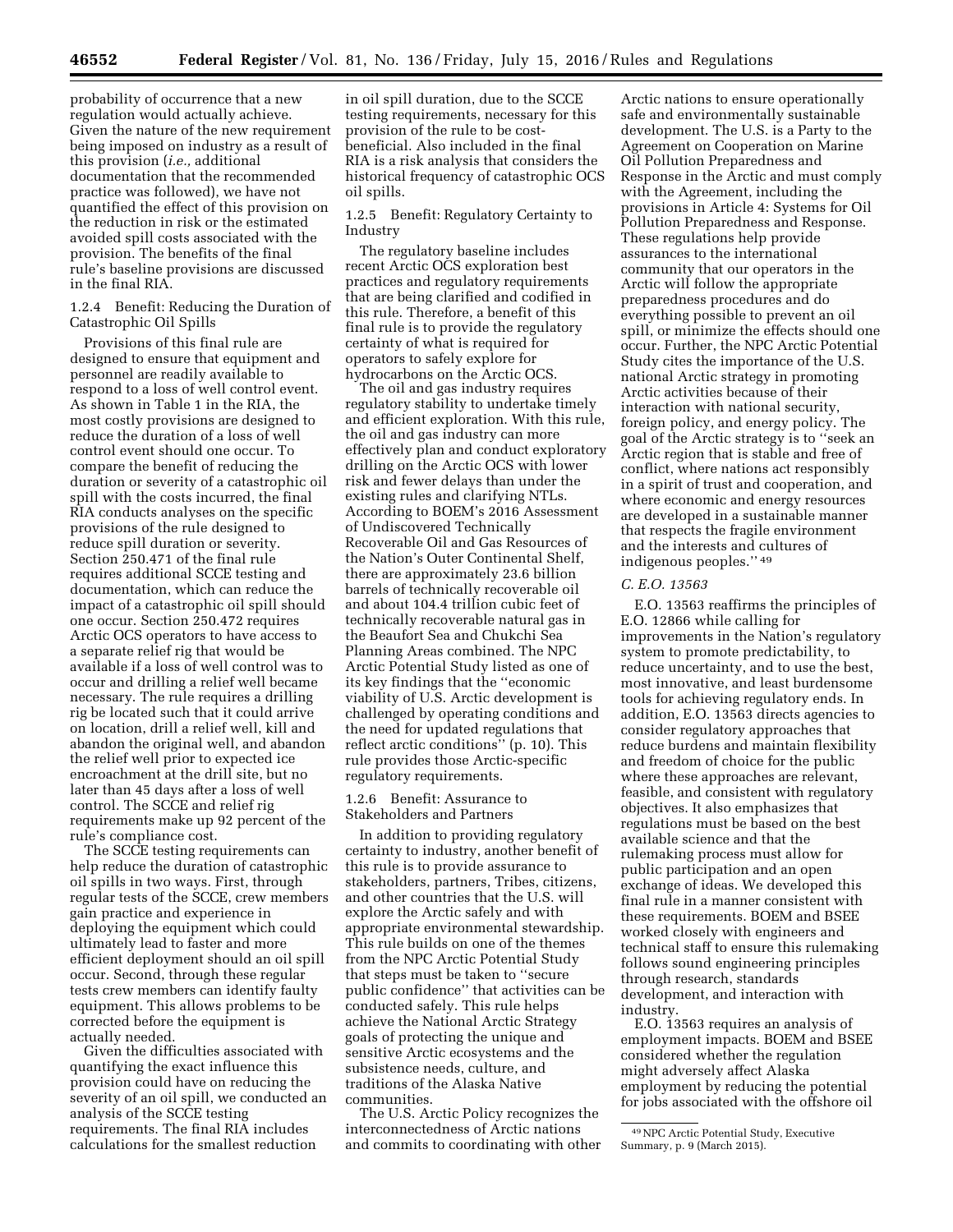probability of occurrence that a new regulation would actually achieve. Given the nature of the new requirement being imposed on industry as a result of this provision (*i.e.,* additional documentation that the recommended practice was followed), we have not quantified the effect of this provision on the reduction in risk or the estimated avoided spill costs associated with the provision. The benefits of the final rule's baseline provisions are discussed in the final RIA.

1.2.4 Benefit: Reducing the Duration of Catastrophic Oil Spills

Provisions of this final rule are designed to ensure that equipment and personnel are readily available to respond to a loss of well control event. As shown in Table 1 in the RIA, the most costly provisions are designed to reduce the duration of a loss of well control event should one occur. To compare the benefit of reducing the duration or severity of a catastrophic oil spill with the costs incurred, the final RIA conducts analyses on the specific provisions of the rule designed to reduce spill duration or severity. Section 250.471 of the final rule requires additional SCCE testing and documentation, which can reduce the impact of a catastrophic oil spill should one occur. Section 250.472 requires Arctic OCS operators to have access to a separate relief rig that would be available if a loss of well control was to occur and drilling a relief well became necessary. The rule requires a drilling rig be located such that it could arrive on location, drill a relief well, kill and abandon the original well, and abandon the relief well prior to expected ice encroachment at the drill site, but no later than 45 days after a loss of well control. The SCCE and relief rig requirements make up 92 percent of the rule's compliance cost.

The SCCE testing requirements can help reduce the duration of catastrophic oil spills in two ways. First, through regular tests of the SCCE, crew members gain practice and experience in deploying the equipment which could ultimately lead to faster and more efficient deployment should an oil spill occur. Second, through these regular tests crew members can identify faulty equipment. This allows problems to be corrected before the equipment is actually needed.

Given the difficulties associated with quantifying the exact influence this provision could have on reducing the severity of an oil spill, we conducted an analysis of the SCCE testing requirements. The final RIA includes calculations for the smallest reduction

in oil spill duration, due to the SCCE testing requirements, necessary for this provision of the rule to be costbeneficial. Also included in the final RIA is a risk analysis that considers the historical frequency of catastrophic OCS oil spills.

1.2.5 Benefit: Regulatory Certainty to Industry

The regulatory baseline includes recent Arctic OCS exploration best practices and regulatory requirements that are being clarified and codified in this rule. Therefore, a benefit of this final rule is to provide the regulatory certainty of what is required for operators to safely explore for hydrocarbons on the Arctic OCS.

The oil and gas industry requires regulatory stability to undertake timely and efficient exploration. With this rule, the oil and gas industry can more effectively plan and conduct exploratory drilling on the Arctic OCS with lower risk and fewer delays than under the existing rules and clarifying NTLs. According to BOEM's 2016 Assessment of Undiscovered Technically Recoverable Oil and Gas Resources of the Nation's Outer Continental Shelf, there are approximately 23.6 billion barrels of technically recoverable oil and about 104.4 trillion cubic feet of technically recoverable natural gas in the Beaufort Sea and Chukchi Sea Planning Areas combined. The NPC Arctic Potential Study listed as one of its key findings that the ''economic viability of U.S. Arctic development is challenged by operating conditions and the need for updated regulations that reflect arctic conditions'' (p. 10). This rule provides those Arctic-specific regulatory requirements.

1.2.6 Benefit: Assurance to Stakeholders and Partners

In addition to providing regulatory certainty to industry, another benefit of this rule is to provide assurance to stakeholders, partners, Tribes, citizens, and other countries that the U.S. will explore the Arctic safely and with appropriate environmental stewardship. This rule builds on one of the themes from the NPC Arctic Potential Study that steps must be taken to ''secure public confidence'' that activities can be conducted safely. This rule helps achieve the National Arctic Strategy goals of protecting the unique and sensitive Arctic ecosystems and the subsistence needs, culture, and traditions of the Alaska Native communities.

The U.S. Arctic Policy recognizes the interconnectedness of Arctic nations and commits to coordinating with other

Arctic nations to ensure operationally safe and environmentally sustainable development. The U.S. is a Party to the Agreement on Cooperation on Marine Oil Pollution Preparedness and Response in the Arctic and must comply with the Agreement, including the provisions in Article 4: Systems for Oil Pollution Preparedness and Response. These regulations help provide assurances to the international community that our operators in the Arctic will follow the appropriate preparedness procedures and do everything possible to prevent an oil spill, or minimize the effects should one occur. Further, the NPC Arctic Potential Study cites the importance of the U.S. national Arctic strategy in promoting Arctic activities because of their interaction with national security, foreign policy, and energy policy. The goal of the Arctic strategy is to ''seek an Arctic region that is stable and free of conflict, where nations act responsibly in a spirit of trust and cooperation, and where economic and energy resources are developed in a sustainable manner that respects the fragile environment and the interests and cultures of indigenous peoples.'' 49

#### *C. E.O. 13563*

E.O. 13563 reaffirms the principles of E.O. 12866 while calling for improvements in the Nation's regulatory system to promote predictability, to reduce uncertainty, and to use the best, most innovative, and least burdensome tools for achieving regulatory ends. In addition, E.O. 13563 directs agencies to consider regulatory approaches that reduce burdens and maintain flexibility and freedom of choice for the public where these approaches are relevant, feasible, and consistent with regulatory objectives. It also emphasizes that regulations must be based on the best available science and that the rulemaking process must allow for public participation and an open exchange of ideas. We developed this final rule in a manner consistent with these requirements. BOEM and BSEE worked closely with engineers and technical staff to ensure this rulemaking follows sound engineering principles through research, standards development, and interaction with industry.

E.O. 13563 requires an analysis of employment impacts. BOEM and BSEE considered whether the regulation might adversely affect Alaska employment by reducing the potential for jobs associated with the offshore oil

<sup>49</sup>NPC Arctic Potential Study, Executive Summary, p. 9 (March 2015).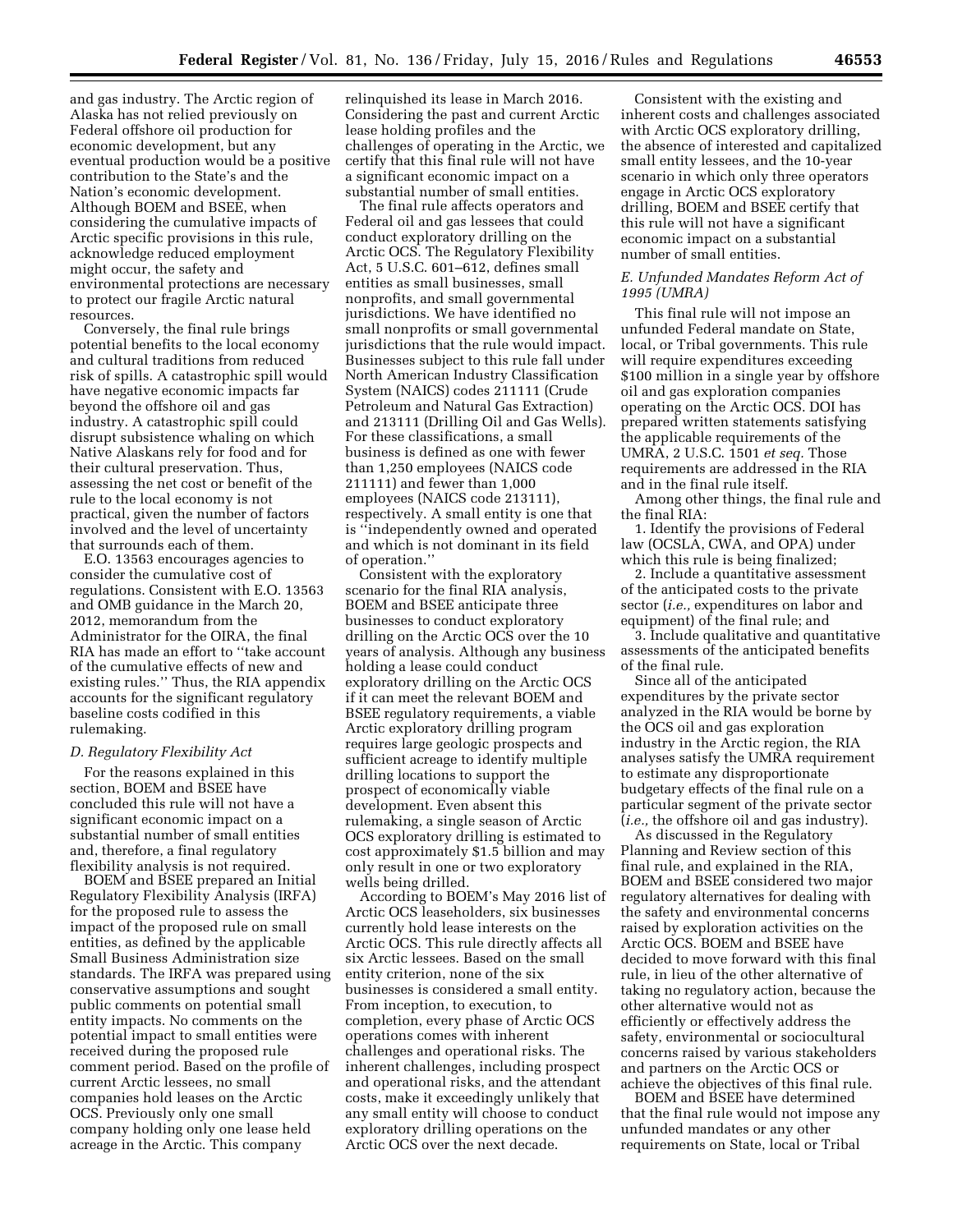and gas industry. The Arctic region of Alaska has not relied previously on Federal offshore oil production for economic development, but any eventual production would be a positive contribution to the State's and the Nation's economic development. Although BOEM and BSEE, when considering the cumulative impacts of Arctic specific provisions in this rule, acknowledge reduced employment might occur, the safety and environmental protections are necessary to protect our fragile Arctic natural resources.

Conversely, the final rule brings potential benefits to the local economy and cultural traditions from reduced risk of spills. A catastrophic spill would have negative economic impacts far beyond the offshore oil and gas industry. A catastrophic spill could disrupt subsistence whaling on which Native Alaskans rely for food and for their cultural preservation. Thus, assessing the net cost or benefit of the rule to the local economy is not practical, given the number of factors involved and the level of uncertainty that surrounds each of them.

E.O. 13563 encourages agencies to consider the cumulative cost of regulations. Consistent with E.O. 13563 and OMB guidance in the March 20, 2012, memorandum from the Administrator for the OIRA, the final RIA has made an effort to ''take account of the cumulative effects of new and existing rules.'' Thus, the RIA appendix accounts for the significant regulatory baseline costs codified in this rulemaking.

# *D. Regulatory Flexibility Act*

For the reasons explained in this section, BOEM and BSEE have concluded this rule will not have a significant economic impact on a substantial number of small entities and, therefore, a final regulatory flexibility analysis is not required.

BOEM and BSEE prepared an Initial Regulatory Flexibility Analysis (IRFA) for the proposed rule to assess the impact of the proposed rule on small entities, as defined by the applicable Small Business Administration size standards. The IRFA was prepared using conservative assumptions and sought public comments on potential small entity impacts. No comments on the potential impact to small entities were received during the proposed rule comment period. Based on the profile of current Arctic lessees, no small companies hold leases on the Arctic OCS. Previously only one small company holding only one lease held acreage in the Arctic. This company

relinquished its lease in March 2016. Considering the past and current Arctic lease holding profiles and the challenges of operating in the Arctic, we certify that this final rule will not have a significant economic impact on a substantial number of small entities.

The final rule affects operators and Federal oil and gas lessees that could conduct exploratory drilling on the Arctic OCS. The Regulatory Flexibility Act, 5 U.S.C. 601–612, defines small entities as small businesses, small nonprofits, and small governmental jurisdictions. We have identified no small nonprofits or small governmental jurisdictions that the rule would impact. Businesses subject to this rule fall under North American Industry Classification System (NAICS) codes 211111 (Crude Petroleum and Natural Gas Extraction) and 213111 (Drilling Oil and Gas Wells). For these classifications, a small business is defined as one with fewer than 1,250 employees (NAICS code 211111) and fewer than 1,000 employees (NAICS code 213111), respectively. A small entity is one that is ''independently owned and operated and which is not dominant in its field of operation.''

Consistent with the exploratory scenario for the final RIA analysis, BOEM and BSEE anticipate three businesses to conduct exploratory drilling on the Arctic OCS over the 10 years of analysis. Although any business holding a lease could conduct exploratory drilling on the Arctic OCS if it can meet the relevant BOEM and BSEE regulatory requirements, a viable Arctic exploratory drilling program requires large geologic prospects and sufficient acreage to identify multiple drilling locations to support the prospect of economically viable development. Even absent this rulemaking, a single season of Arctic OCS exploratory drilling is estimated to cost approximately \$1.5 billion and may only result in one or two exploratory wells being drilled.

According to BOEM's May 2016 list of Arctic OCS leaseholders, six businesses currently hold lease interests on the Arctic OCS. This rule directly affects all six Arctic lessees. Based on the small entity criterion, none of the six businesses is considered a small entity. From inception, to execution, to completion, every phase of Arctic OCS operations comes with inherent challenges and operational risks. The inherent challenges, including prospect and operational risks, and the attendant costs, make it exceedingly unlikely that any small entity will choose to conduct exploratory drilling operations on the Arctic OCS over the next decade.

Consistent with the existing and inherent costs and challenges associated with Arctic OCS exploratory drilling, the absence of interested and capitalized small entity lessees, and the 10-year scenario in which only three operators engage in Arctic OCS exploratory drilling, BOEM and BSEE certify that this rule will not have a significant economic impact on a substantial number of small entities.

# *E. Unfunded Mandates Reform Act of 1995 (UMRA)*

This final rule will not impose an unfunded Federal mandate on State, local, or Tribal governments. This rule will require expenditures exceeding \$100 million in a single year by offshore oil and gas exploration companies operating on the Arctic OCS. DOI has prepared written statements satisfying the applicable requirements of the UMRA, 2 U.S.C. 1501 *et seq.* Those requirements are addressed in the RIA and in the final rule itself.

Among other things, the final rule and the final RIA:

1. Identify the provisions of Federal law (OCSLA, CWA, and OPA) under which this rule is being finalized;

2. Include a quantitative assessment of the anticipated costs to the private sector (*i.e.,* expenditures on labor and equipment) of the final rule; and

3. Include qualitative and quantitative assessments of the anticipated benefits of the final rule.

Since all of the anticipated expenditures by the private sector analyzed in the RIA would be borne by the OCS oil and gas exploration industry in the Arctic region, the RIA analyses satisfy the UMRA requirement to estimate any disproportionate budgetary effects of the final rule on a particular segment of the private sector (*i.e.,* the offshore oil and gas industry).

As discussed in the Regulatory Planning and Review section of this final rule, and explained in the RIA, BOEM and BSEE considered two major regulatory alternatives for dealing with the safety and environmental concerns raised by exploration activities on the Arctic OCS. BOEM and BSEE have decided to move forward with this final rule, in lieu of the other alternative of taking no regulatory action, because the other alternative would not as efficiently or effectively address the safety, environmental or sociocultural concerns raised by various stakeholders and partners on the Arctic OCS or achieve the objectives of this final rule.

BOEM and BSEE have determined that the final rule would not impose any unfunded mandates or any other requirements on State, local or Tribal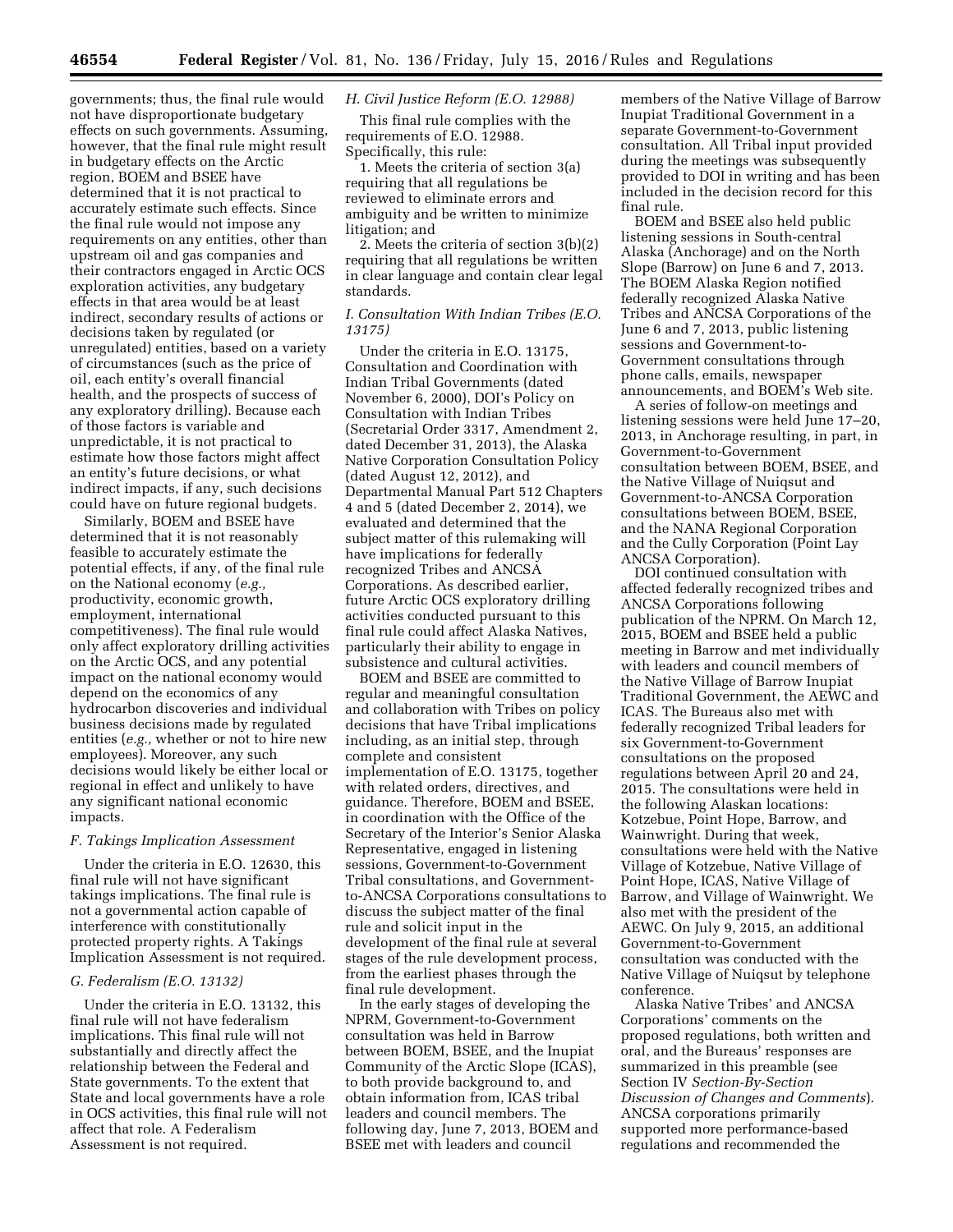governments; thus, the final rule would not have disproportionate budgetary effects on such governments. Assuming, however, that the final rule might result in budgetary effects on the Arctic region, BOEM and BSEE have determined that it is not practical to accurately estimate such effects. Since the final rule would not impose any requirements on any entities, other than upstream oil and gas companies and their contractors engaged in Arctic OCS exploration activities, any budgetary effects in that area would be at least indirect, secondary results of actions or decisions taken by regulated (or unregulated) entities, based on a variety of circumstances (such as the price of oil, each entity's overall financial health, and the prospects of success of any exploratory drilling). Because each of those factors is variable and unpredictable, it is not practical to estimate how those factors might affect an entity's future decisions, or what indirect impacts, if any, such decisions could have on future regional budgets.

Similarly, BOEM and BSEE have determined that it is not reasonably feasible to accurately estimate the potential effects, if any, of the final rule on the National economy (*e.g.,*  productivity, economic growth, employment, international competitiveness). The final rule would only affect exploratory drilling activities on the Arctic OCS, and any potential impact on the national economy would depend on the economics of any hydrocarbon discoveries and individual business decisions made by regulated entities (*e.g.,* whether or not to hire new employees). Moreover, any such decisions would likely be either local or regional in effect and unlikely to have any significant national economic impacts.

### *F. Takings Implication Assessment*

Under the criteria in E.O. 12630, this final rule will not have significant takings implications. The final rule is not a governmental action capable of interference with constitutionally protected property rights. A Takings Implication Assessment is not required.

### *G. Federalism (E.O. 13132)*

Under the criteria in E.O. 13132, this final rule will not have federalism implications. This final rule will not substantially and directly affect the relationship between the Federal and State governments. To the extent that State and local governments have a role in OCS activities, this final rule will not affect that role. A Federalism Assessment is not required.

# *H. Civil Justice Reform (E.O. 12988)*

This final rule complies with the requirements of E.O. 12988. Specifically, this rule:

1. Meets the criteria of section 3(a) requiring that all regulations be reviewed to eliminate errors and ambiguity and be written to minimize litigation; and

2. Meets the criteria of section 3(b)(2) requiring that all regulations be written in clear language and contain clear legal standards.

# *I. Consultation With Indian Tribes (E.O. 13175)*

Under the criteria in E.O. 13175, Consultation and Coordination with Indian Tribal Governments (dated November 6, 2000), DOI's Policy on Consultation with Indian Tribes (Secretarial Order 3317, Amendment 2, dated December 31, 2013), the Alaska Native Corporation Consultation Policy (dated August 12, 2012), and Departmental Manual Part 512 Chapters 4 and 5 (dated December 2, 2014), we evaluated and determined that the subject matter of this rulemaking will have implications for federally recognized Tribes and ANCSA Corporations. As described earlier, future Arctic OCS exploratory drilling activities conducted pursuant to this final rule could affect Alaska Natives, particularly their ability to engage in subsistence and cultural activities.

BOEM and BSEE are committed to regular and meaningful consultation and collaboration with Tribes on policy decisions that have Tribal implications including, as an initial step, through complete and consistent implementation of E.O. 13175, together with related orders, directives, and guidance. Therefore, BOEM and BSEE, in coordination with the Office of the Secretary of the Interior's Senior Alaska Representative, engaged in listening sessions, Government-to-Government Tribal consultations, and Governmentto-ANCSA Corporations consultations to discuss the subject matter of the final rule and solicit input in the development of the final rule at several stages of the rule development process, from the earliest phases through the final rule development.

In the early stages of developing the NPRM, Government-to-Government consultation was held in Barrow between BOEM, BSEE, and the Inupiat Community of the Arctic Slope (ICAS), to both provide background to, and obtain information from, ICAS tribal leaders and council members. The following day, June 7, 2013, BOEM and BSEE met with leaders and council

members of the Native Village of Barrow Inupiat Traditional Government in a separate Government-to-Government consultation. All Tribal input provided during the meetings was subsequently provided to DOI in writing and has been included in the decision record for this final rule.

BOEM and BSEE also held public listening sessions in South-central Alaska (Anchorage) and on the North Slope (Barrow) on June 6 and 7, 2013. The BOEM Alaska Region notified federally recognized Alaska Native Tribes and ANCSA Corporations of the June 6 and 7, 2013, public listening sessions and Government-to-Government consultations through phone calls, emails, newspaper announcements, and BOEM's Web site.

A series of follow-on meetings and listening sessions were held June 17–20, 2013, in Anchorage resulting, in part, in Government-to-Government consultation between BOEM, BSEE, and the Native Village of Nuiqsut and Government-to-ANCSA Corporation consultations between BOEM, BSEE, and the NANA Regional Corporation and the Cully Corporation (Point Lay ANCSA Corporation).

DOI continued consultation with affected federally recognized tribes and ANCSA Corporations following publication of the NPRM. On March 12, 2015, BOEM and BSEE held a public meeting in Barrow and met individually with leaders and council members of the Native Village of Barrow Inupiat Traditional Government, the AEWC and ICAS. The Bureaus also met with federally recognized Tribal leaders for six Government-to-Government consultations on the proposed regulations between April 20 and 24, 2015. The consultations were held in the following Alaskan locations: Kotzebue, Point Hope, Barrow, and Wainwright. During that week, consultations were held with the Native Village of Kotzebue, Native Village of Point Hope, ICAS, Native Village of Barrow, and Village of Wainwright. We also met with the president of the AEWC. On July 9, 2015, an additional Government-to-Government consultation was conducted with the Native Village of Nuiqsut by telephone conference.

Alaska Native Tribes' and ANCSA Corporations' comments on the proposed regulations, both written and oral, and the Bureaus' responses are summarized in this preamble (see Section IV *Section-By-Section Discussion of Changes and Comments*). ANCSA corporations primarily supported more performance-based regulations and recommended the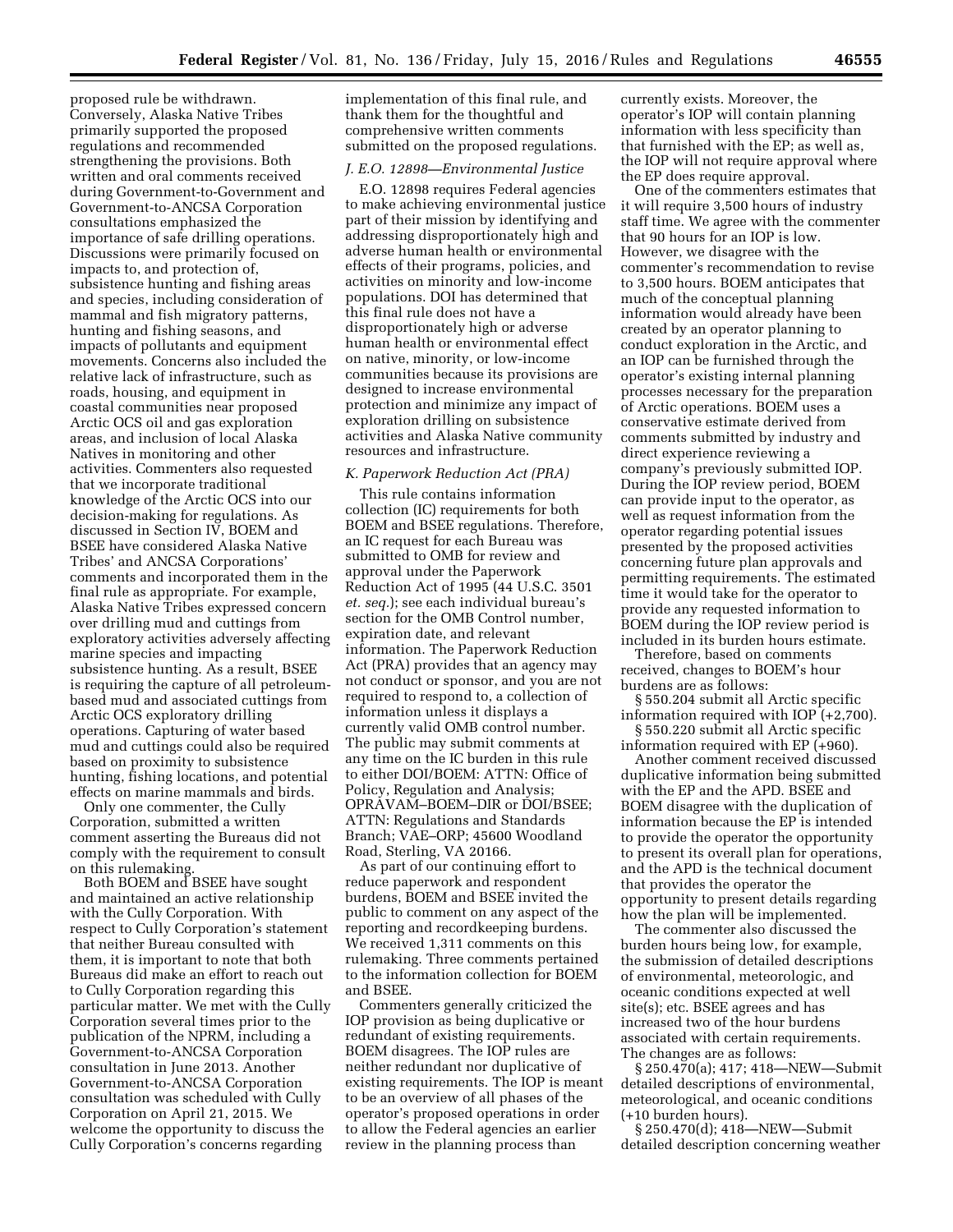proposed rule be withdrawn. Conversely, Alaska Native Tribes primarily supported the proposed regulations and recommended strengthening the provisions. Both written and oral comments received during Government-to-Government and Government-to-ANCSA Corporation consultations emphasized the importance of safe drilling operations. Discussions were primarily focused on impacts to, and protection of, subsistence hunting and fishing areas and species, including consideration of mammal and fish migratory patterns, hunting and fishing seasons, and impacts of pollutants and equipment movements. Concerns also included the relative lack of infrastructure, such as roads, housing, and equipment in coastal communities near proposed Arctic OCS oil and gas exploration areas, and inclusion of local Alaska Natives in monitoring and other activities. Commenters also requested that we incorporate traditional knowledge of the Arctic OCS into our decision-making for regulations. As discussed in Section IV, BOEM and BSEE have considered Alaska Native Tribes' and ANCSA Corporations' comments and incorporated them in the final rule as appropriate. For example, Alaska Native Tribes expressed concern over drilling mud and cuttings from exploratory activities adversely affecting marine species and impacting subsistence hunting. As a result, BSEE is requiring the capture of all petroleumbased mud and associated cuttings from Arctic OCS exploratory drilling operations. Capturing of water based mud and cuttings could also be required based on proximity to subsistence hunting, fishing locations, and potential effects on marine mammals and birds.

Only one commenter, the Cully Corporation, submitted a written comment asserting the Bureaus did not comply with the requirement to consult on this rulemaking.

Both BOEM and BSEE have sought and maintained an active relationship with the Cully Corporation. With respect to Cully Corporation's statement that neither Bureau consulted with them, it is important to note that both Bureaus did make an effort to reach out to Cully Corporation regarding this particular matter. We met with the Cully Corporation several times prior to the publication of the NPRM, including a Government-to-ANCSA Corporation consultation in June 2013. Another Government-to-ANCSA Corporation consultation was scheduled with Cully Corporation on April 21, 2015. We welcome the opportunity to discuss the Cully Corporation's concerns regarding

implementation of this final rule, and thank them for the thoughtful and comprehensive written comments submitted on the proposed regulations.

### *J. E.O. 12898—Environmental Justice*

E.O. 12898 requires Federal agencies to make achieving environmental justice part of their mission by identifying and addressing disproportionately high and adverse human health or environmental effects of their programs, policies, and activities on minority and low-income populations. DOI has determined that this final rule does not have a disproportionately high or adverse human health or environmental effect on native, minority, or low-income communities because its provisions are designed to increase environmental protection and minimize any impact of exploration drilling on subsistence activities and Alaska Native community resources and infrastructure.

#### *K. Paperwork Reduction Act (PRA)*

This rule contains information collection (IC) requirements for both BOEM and BSEE regulations. Therefore, an IC request for each Bureau was submitted to OMB for review and approval under the Paperwork Reduction Act of 1995 (44 U.S.C. 3501 *et. seq.*); see each individual bureau's section for the OMB Control number, expiration date, and relevant information. The Paperwork Reduction Act (PRA) provides that an agency may not conduct or sponsor, and you are not required to respond to, a collection of information unless it displays a currently valid OMB control number. The public may submit comments at any time on the IC burden in this rule to either DOI/BOEM: ATTN: Office of Policy, Regulation and Analysis; OPRAVAM–BOEM–DIR or DOI/BSEE; ATTN: Regulations and Standards Branch; VAE–ORP; 45600 Woodland Road, Sterling, VA 20166.

As part of our continuing effort to reduce paperwork and respondent burdens, BOEM and BSEE invited the public to comment on any aspect of the reporting and recordkeeping burdens. We received 1,311 comments on this rulemaking. Three comments pertained to the information collection for BOEM and BSEE.

Commenters generally criticized the IOP provision as being duplicative or redundant of existing requirements. BOEM disagrees. The IOP rules are neither redundant nor duplicative of existing requirements. The IOP is meant to be an overview of all phases of the operator's proposed operations in order to allow the Federal agencies an earlier review in the planning process than

currently exists. Moreover, the operator's IOP will contain planning information with less specificity than that furnished with the EP; as well as, the IOP will not require approval where the EP does require approval.

One of the commenters estimates that it will require 3,500 hours of industry staff time. We agree with the commenter that 90 hours for an IOP is low. However, we disagree with the commenter's recommendation to revise to 3,500 hours. BOEM anticipates that much of the conceptual planning information would already have been created by an operator planning to conduct exploration in the Arctic, and an IOP can be furnished through the operator's existing internal planning processes necessary for the preparation of Arctic operations. BOEM uses a conservative estimate derived from comments submitted by industry and direct experience reviewing a company's previously submitted IOP. During the IOP review period, BOEM can provide input to the operator, as well as request information from the operator regarding potential issues presented by the proposed activities concerning future plan approvals and permitting requirements. The estimated time it would take for the operator to provide any requested information to BOEM during the IOP review period is included in its burden hours estimate.

Therefore, based on comments received, changes to BOEM's hour burdens are as follows:

§ 550.204 submit all Arctic specific information required with IOP (+2,700).

§ 550.220 submit all Arctic specific information required with EP (+960).

Another comment received discussed duplicative information being submitted with the EP and the APD. BSEE and BOEM disagree with the duplication of information because the EP is intended to provide the operator the opportunity to present its overall plan for operations, and the APD is the technical document that provides the operator the opportunity to present details regarding how the plan will be implemented.

The commenter also discussed the burden hours being low, for example, the submission of detailed descriptions of environmental, meteorologic, and oceanic conditions expected at well site(s); etc. BSEE agrees and has increased two of the hour burdens associated with certain requirements. The changes are as follows:

§ 250.470(a); 417; 418—NEW—Submit detailed descriptions of environmental, meteorological, and oceanic conditions (+10 burden hours).

§ 250.470(d); 418—NEW—Submit detailed description concerning weather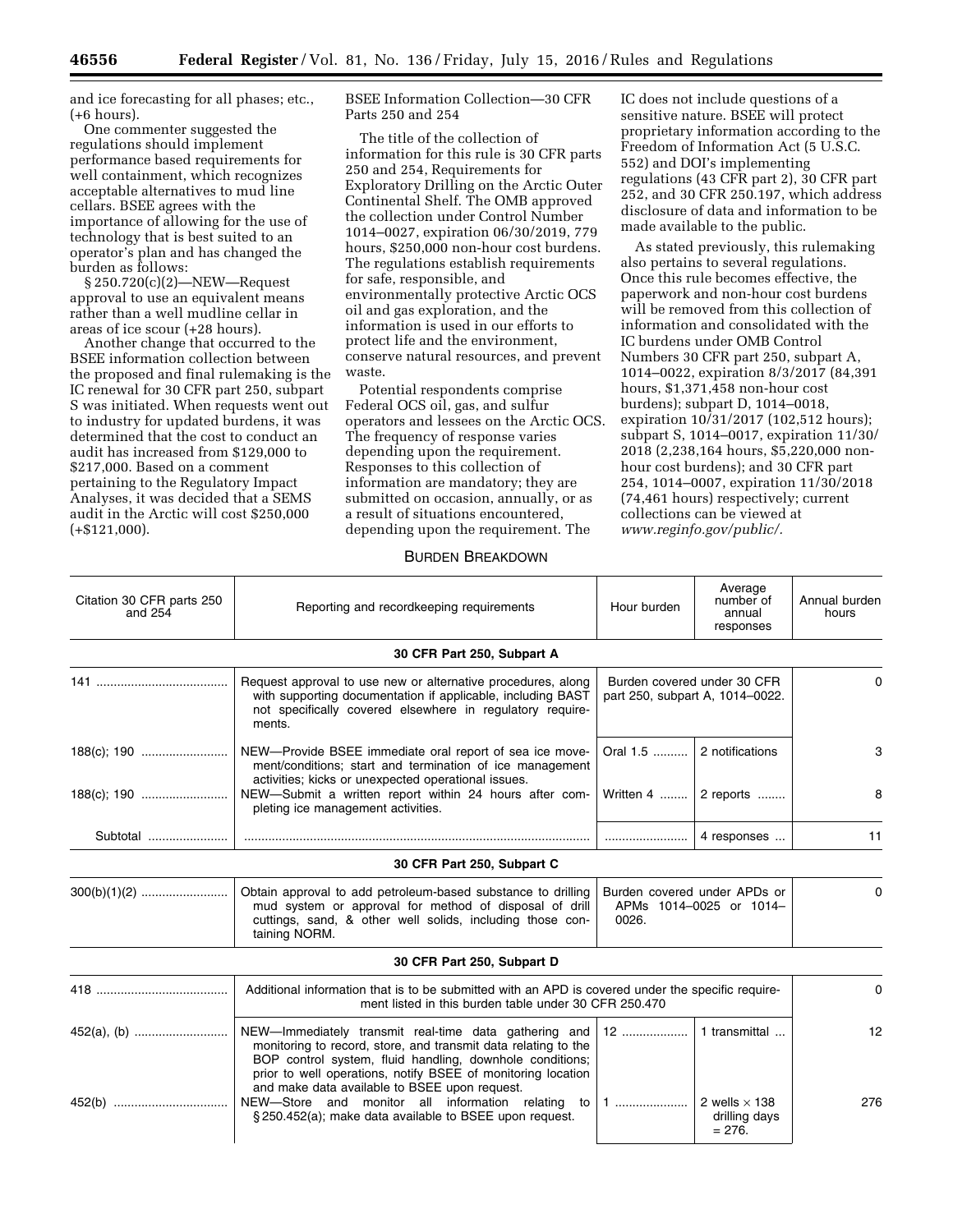and ice forecasting for all phases; etc., (+6 hours).

One commenter suggested the regulations should implement performance based requirements for well containment, which recognizes acceptable alternatives to mud line cellars. BSEE agrees with the importance of allowing for the use of technology that is best suited to an operator's plan and has changed the burden as follows:

§ 250.720(c)(2)—NEW—Request approval to use an equivalent means rather than a well mudline cellar in areas of ice scour (+28 hours).

Another change that occurred to the BSEE information collection between the proposed and final rulemaking is the IC renewal for 30 CFR part 250, subpart S was initiated. When requests went out to industry for updated burdens, it was determined that the cost to conduct an audit has increased from \$129,000 to \$217,000. Based on a comment pertaining to the Regulatory Impact Analyses, it was decided that a SEMS audit in the Arctic will cost \$250,000 (+\$121,000).

BSEE Information Collection—30 CFR Parts 250 and 254

The title of the collection of information for this rule is 30 CFR parts 250 and 254, Requirements for Exploratory Drilling on the Arctic Outer Continental Shelf. The OMB approved the collection under Control Number 1014–0027, expiration 06/30/2019, 779 hours, \$250,000 non-hour cost burdens. The regulations establish requirements for safe, responsible, and environmentally protective Arctic OCS oil and gas exploration, and the information is used in our efforts to protect life and the environment, conserve natural resources, and prevent waste.

Potential respondents comprise Federal OCS oil, gas, and sulfur operators and lessees on the Arctic OCS. The frequency of response varies depending upon the requirement. Responses to this collection of information are mandatory; they are submitted on occasion, annually, or as a result of situations encountered, depending upon the requirement. The

IC does not include questions of a sensitive nature. BSEE will protect proprietary information according to the Freedom of Information Act (5 U.S.C. 552) and DOI's implementing regulations (43 CFR part 2), 30 CFR part 252, and 30 CFR 250.197, which address disclosure of data and information to be made available to the public.

As stated previously, this rulemaking also pertains to several regulations. Once this rule becomes effective, the paperwork and non-hour cost burdens will be removed from this collection of information and consolidated with the IC burdens under OMB Control Numbers 30 CFR part 250, subpart A, 1014–0022, expiration 8/3/2017 (84,391 hours, \$1,371,458 non-hour cost burdens); subpart D, 1014–0018, expiration 10/31/2017 (102,512 hours); subpart S, 1014–0017, expiration 11/30/ 2018 (2,238,164 hours, \$5,220,000 nonhour cost burdens); and 30 CFR part 254, 1014–0007, expiration 11/30/2018 (74,461 hours) respectively; current collections can be viewed at *[www.reginfo.gov/public/.](http://www.reginfo.gov/public/)* 

# BURDEN BREAKDOWN

| Citation 30 CFR parts 250<br>and $254$ | Reporting and recordkeeping requirements                                                                                                                                                                                                                                                             | Average<br>number of<br>Hour burden<br>annual<br>responses       |                                                                | Annual burden<br>hours |
|----------------------------------------|------------------------------------------------------------------------------------------------------------------------------------------------------------------------------------------------------------------------------------------------------------------------------------------------------|------------------------------------------------------------------|----------------------------------------------------------------|------------------------|
|                                        | 30 CFR Part 250, Subpart A                                                                                                                                                                                                                                                                           |                                                                  |                                                                |                        |
|                                        | Request approval to use new or alternative procedures, along<br>with supporting documentation if applicable, including BAST<br>not specifically covered elsewhere in regulatory require-<br>ments.                                                                                                   |                                                                  | Burden covered under 30 CFR<br>part 250, subpart A, 1014-0022. |                        |
|                                        | NEW-Provide BSEE immediate oral report of sea ice move-<br>ment/conditions; start and termination of ice management<br>activities; kicks or unexpected operational issues.<br>NEW-Submit a written report within 24 hours after com-                                                                 | Oral 1.5                                                         | 2 notifications                                                | 3                      |
|                                        | pleting ice management activities.                                                                                                                                                                                                                                                                   |                                                                  | Written 4    2 reports                                         | 8                      |
| Subtotal                               |                                                                                                                                                                                                                                                                                                      |                                                                  | 4 responses                                                    | 11                     |
|                                        | 30 CFR Part 250, Subpart C                                                                                                                                                                                                                                                                           |                                                                  |                                                                |                        |
|                                        | Obtain approval to add petroleum-based substance to drilling<br>mud system or approval for method of disposal of drill<br>cuttings, sand, & other well solids, including those con-<br>taining NORM.                                                                                                 | Burden covered under APDs or<br>APMs 1014-0025 or 1014-<br>0026. |                                                                | $\Omega$               |
|                                        | 30 CFR Part 250, Subpart D                                                                                                                                                                                                                                                                           |                                                                  |                                                                |                        |
|                                        | Additional information that is to be submitted with an APD is covered under the specific require-<br>ment listed in this burden table under 30 CFR 250.470                                                                                                                                           |                                                                  |                                                                | 0                      |
|                                        | NEW-Immediately transmit real-time data gathering and<br>monitoring to record, store, and transmit data relating to the<br>BOP control system, fluid handling, downhole conditions;<br>prior to well operations, notify BSEE of monitoring location<br>and make data available to BSEE upon request. | $12$                                                             | 1 transmittal                                                  | 12                     |
| 452(b)                                 | NEW-Store and monitor all information relating to<br>§ 250.452(a); make data available to BSEE upon request.                                                                                                                                                                                         | $1$                                                              | 2 wells $\times$ 138<br>drilling days<br>$= 276.$              | 276                    |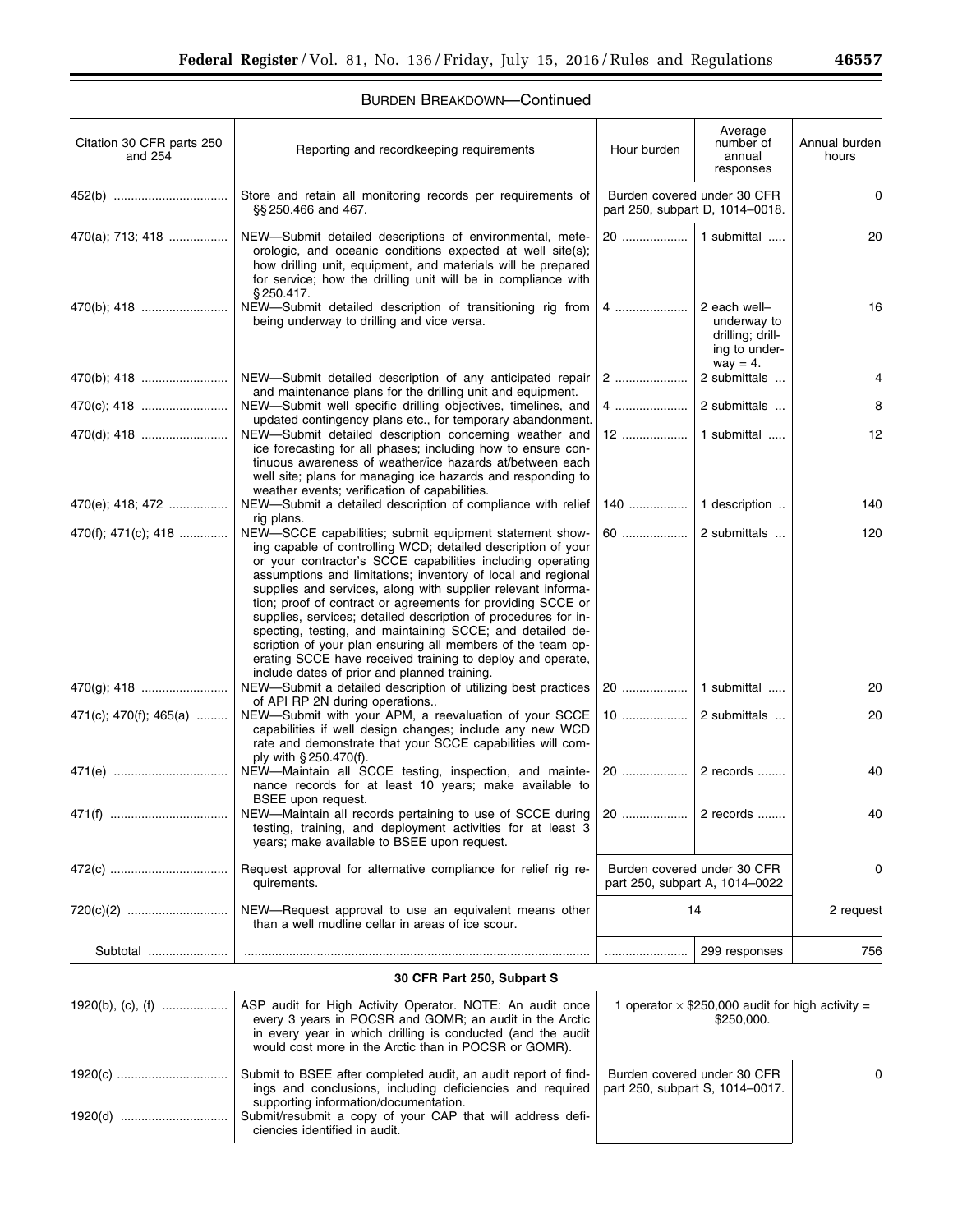# BURDEN BREAKDOWN—Continued

| Citation 30 CFR parts 250<br>and 254 | Reporting and recordkeeping requirements                                                                                                                                                                                                                                                                                                                                                                                                                                                                                                                                                                                                                       | Hour burden                                                           | Average<br>number of<br>annual<br>responses                                     | Annual burden<br>hours |
|--------------------------------------|----------------------------------------------------------------------------------------------------------------------------------------------------------------------------------------------------------------------------------------------------------------------------------------------------------------------------------------------------------------------------------------------------------------------------------------------------------------------------------------------------------------------------------------------------------------------------------------------------------------------------------------------------------------|-----------------------------------------------------------------------|---------------------------------------------------------------------------------|------------------------|
|                                      | Store and retain all monitoring records per requirements of<br>§§ 250.466 and 467.                                                                                                                                                                                                                                                                                                                                                                                                                                                                                                                                                                             | Burden covered under 30 CFR<br>part 250, subpart D, 1014-0018.        |                                                                                 | 0                      |
| 470(a); 713; 418                     | NEW-Submit detailed descriptions of environmental, mete-<br>orologic, and oceanic conditions expected at well site(s);<br>how drilling unit, equipment, and materials will be prepared<br>for service; how the drilling unit will be in compliance with<br>\$250.417.                                                                                                                                                                                                                                                                                                                                                                                          | 20                                                                    | 1 submittal                                                                     | 20                     |
| 470(b); 418                          | NEW-Submit detailed description of transitioning rig from<br>being underway to drilling and vice versa.                                                                                                                                                                                                                                                                                                                                                                                                                                                                                                                                                        |                                                                       | 2 each well-<br>underway to<br>drilling; drill-<br>ing to under-<br>$way = 4$ . | 16                     |
| 470(b); 418                          | NEW-Submit detailed description of any anticipated repair                                                                                                                                                                                                                                                                                                                                                                                                                                                                                                                                                                                                      | 2                                                                     | 2 submittals                                                                    | 4                      |
| 470(c); 418                          | and maintenance plans for the drilling unit and equipment.<br>NEW-Submit well specific drilling objectives, timelines, and                                                                                                                                                                                                                                                                                                                                                                                                                                                                                                                                     |                                                                       | 2 submittals                                                                    | 8                      |
| 470(d); 418                          | updated contingency plans etc., for temporary abandonment.<br>NEW—Submit detailed description concerning weather and<br>ice forecasting for all phases; including how to ensure con-<br>tinuous awareness of weather/ice hazards at/between each<br>well site; plans for managing ice hazards and responding to<br>weather events; verification of capabilities.                                                                                                                                                                                                                                                                                               |                                                                       | 1 submittal                                                                     | 12                     |
| 470(e); 418; 472                     | NEW-Submit a detailed description of compliance with relief                                                                                                                                                                                                                                                                                                                                                                                                                                                                                                                                                                                                    | 140                                                                   | 1 description                                                                   | 140                    |
| 470(f); 471(c); 418                  | rig plans.<br>NEW-SCCE capabilities; submit equipment statement show-<br>ing capable of controlling WCD; detailed description of your<br>or your contractor's SCCE capabilities including operating<br>assumptions and limitations; inventory of local and regional<br>supplies and services, along with supplier relevant informa-<br>tion; proof of contract or agreements for providing SCCE or<br>supplies, services; detailed description of procedures for in-<br>specting, testing, and maintaining SCCE; and detailed de-<br>scription of your plan ensuring all members of the team op-<br>erating SCCE have received training to deploy and operate, | 60                                                                    | 2 submittals                                                                    | 120                    |
| 470(g); 418                          | include dates of prior and planned training.<br>NEW-Submit a detailed description of utilizing best practices                                                                                                                                                                                                                                                                                                                                                                                                                                                                                                                                                  | 20                                                                    | 1 submittal                                                                     | 20                     |
| 471(c); 470(f); 465(a)               | of API RP 2N during operations<br>NEW-Submit with your APM, a reevaluation of your SCCE<br>capabilities if well design changes; include any new WCD<br>rate and demonstrate that your SCCE capabilities will com-                                                                                                                                                                                                                                                                                                                                                                                                                                              | 10                                                                    | 2 submittals                                                                    | 20                     |
|                                      | ply with § 250.470(f).<br>NEW-Maintain all SCCE testing, inspection, and mainte-<br>nance records for at least 10 years; make available to                                                                                                                                                                                                                                                                                                                                                                                                                                                                                                                     |                                                                       | 2 records                                                                       | 40                     |
|                                      | BSEE upon request.<br>NEW-Maintain all records pertaining to use of SCCE during<br>testing, training, and deployment activities for at least 3<br>years; make available to BSEE upon request.                                                                                                                                                                                                                                                                                                                                                                                                                                                                  |                                                                       |                                                                                 | 40                     |
|                                      | Request approval for alternative compliance for relief rig re-<br>quirements.                                                                                                                                                                                                                                                                                                                                                                                                                                                                                                                                                                                  |                                                                       | Burden covered under 30 CFR<br>part 250, subpart A, 1014-0022                   | 0                      |
|                                      | NEW-Request approval to use an equivalent means other<br>than a well mudline cellar in areas of ice scour.                                                                                                                                                                                                                                                                                                                                                                                                                                                                                                                                                     | 14                                                                    |                                                                                 | 2 request              |
| Subtotal                             |                                                                                                                                                                                                                                                                                                                                                                                                                                                                                                                                                                                                                                                                |                                                                       | 299 responses                                                                   | 756                    |
|                                      | 30 CFR Part 250, Subpart S                                                                                                                                                                                                                                                                                                                                                                                                                                                                                                                                                                                                                                     |                                                                       |                                                                                 |                        |
| 1920(b), (c), (f)                    | ASP audit for High Activity Operator. NOTE: An audit once<br>every 3 years in POCSR and GOMR; an audit in the Arctic<br>in every year in which drilling is conducted (and the audit<br>would cost more in the Arctic than in POCSR or GOMR).                                                                                                                                                                                                                                                                                                                                                                                                                   | 1 operator $\times$ \$250,000 audit for high activity =<br>\$250,000. |                                                                                 |                        |
| 1920(c)                              | Submit to BSEE after completed audit, an audit report of find-<br>ings and conclusions, including deficiencies and required<br>supporting information/documentation.                                                                                                                                                                                                                                                                                                                                                                                                                                                                                           |                                                                       | Burden covered under 30 CFR<br>part 250, subpart S, 1014-0017.                  | 0                      |
|                                      | Submit/resubmit a copy of your CAP that will address defi-<br>ciencies identified in audit.                                                                                                                                                                                                                                                                                                                                                                                                                                                                                                                                                                    |                                                                       |                                                                                 |                        |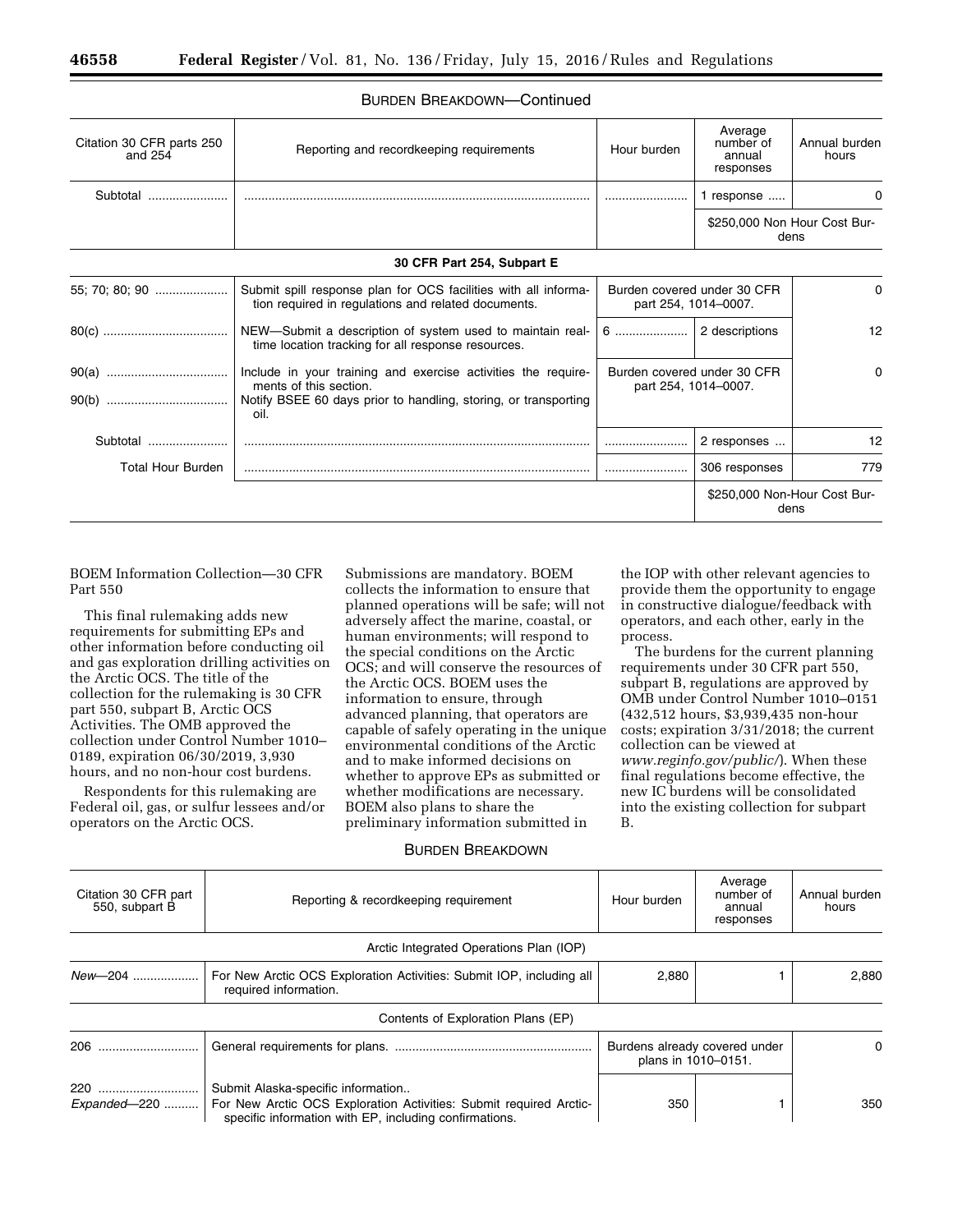| Citation 30 CFR parts 250<br>and $254$ | Reporting and recordkeeping requirements                                                                                                                           | Hour burden                                         | Average<br>number of<br>annual<br>responses | Annual burden<br>hours       |
|----------------------------------------|--------------------------------------------------------------------------------------------------------------------------------------------------------------------|-----------------------------------------------------|---------------------------------------------|------------------------------|
| Subtotal                               |                                                                                                                                                                    |                                                     | 1 response                                  | 0                            |
|                                        |                                                                                                                                                                    |                                                     | dens                                        | \$250,000 Non Hour Cost Bur- |
|                                        | 30 CFR Part 254, Subpart E                                                                                                                                         |                                                     |                                             |                              |
| 55; 70; 80; 90                         | Submit spill response plan for OCS facilities with all informa-<br>tion required in regulations and related documents.                                             | Burden covered under 30 CFR<br>part 254, 1014-0007. |                                             | 0                            |
|                                        | NEW-Submit a description of system used to maintain real-<br>time location tracking for all response resources.                                                    |                                                     | 2 descriptions                              | 12                           |
|                                        | Include in your training and exercise activities the require-<br>ments of this section.<br>Notify BSEE 60 days prior to handling, storing, or transporting<br>oil. | Burden covered under 30 CFR<br>part 254, 1014-0007. |                                             | 0                            |
| Subtotal                               |                                                                                                                                                                    |                                                     | 2 responses                                 | 12                           |
| <b>Total Hour Burden</b>               |                                                                                                                                                                    |                                                     | 306 responses                               | 779                          |
|                                        |                                                                                                                                                                    |                                                     | dens                                        | \$250,000 Non-Hour Cost Bur- |

# BURDEN BREAKDOWN—Continued

BOEM Information Collection—30 CFR Part 550

This final rulemaking adds new requirements for submitting EPs and other information before conducting oil and gas exploration drilling activities on the Arctic OCS. The title of the collection for the rulemaking is 30 CFR part 550, subpart B, Arctic OCS Activities. The OMB approved the collection under Control Number 1010– 0189, expiration 06/30/2019, 3,930 hours, and no non-hour cost burdens.

Respondents for this rulemaking are Federal oil, gas, or sulfur lessees and/or operators on the Arctic OCS.

Submissions are mandatory. BOEM collects the information to ensure that planned operations will be safe; will not adversely affect the marine, coastal, or human environments; will respond to the special conditions on the Arctic OCS; and will conserve the resources of the Arctic OCS. BOEM uses the information to ensure, through advanced planning, that operators are capable of safely operating in the unique environmental conditions of the Arctic and to make informed decisions on whether to approve EPs as submitted or whether modifications are necessary. BOEM also plans to share the preliminary information submitted in

# BURDEN BREAKDOWN

the IOP with other relevant agencies to provide them the opportunity to engage in constructive dialogue/feedback with operators, and each other, early in the process.

The burdens for the current planning requirements under 30 CFR part 550, subpart B, regulations are approved by OMB under Control Number 1010–0151 (432,512 hours, \$3,939,435 non-hour costs; expiration 3/31/2018; the current collection can be viewed at *[www.reginfo.gov/public/](http://www.reginfo.gov/public/)*). When these final regulations become effective, the new IC burdens will be consolidated into the existing collection for subpart B.

| Citation 30 CFR part<br>550, subpart B | Reporting & recordkeeping requirement                                                                                                                                              | Hour burden                                          | Average<br>number of<br>annual<br>responses | Annual burden<br>hours |
|----------------------------------------|------------------------------------------------------------------------------------------------------------------------------------------------------------------------------------|------------------------------------------------------|---------------------------------------------|------------------------|
|                                        | Arctic Integrated Operations Plan (IOP)                                                                                                                                            |                                                      |                                             |                        |
| New-204                                | For New Arctic OCS Exploration Activities: Submit IOP, including all<br>required information.                                                                                      | 2,880                                                |                                             | 2,880                  |
|                                        | Contents of Exploration Plans (EP)                                                                                                                                                 |                                                      |                                             |                        |
| 206                                    |                                                                                                                                                                                    | Burdens already covered under<br>plans in 1010-0151. |                                             | 0                      |
| 220                                    | Submit Alaska-specific information<br>Expanded-220    For New Arctic OCS Exploration Activities: Submit required Arctic-<br>specific information with EP, including confirmations. | 350                                                  |                                             | 350                    |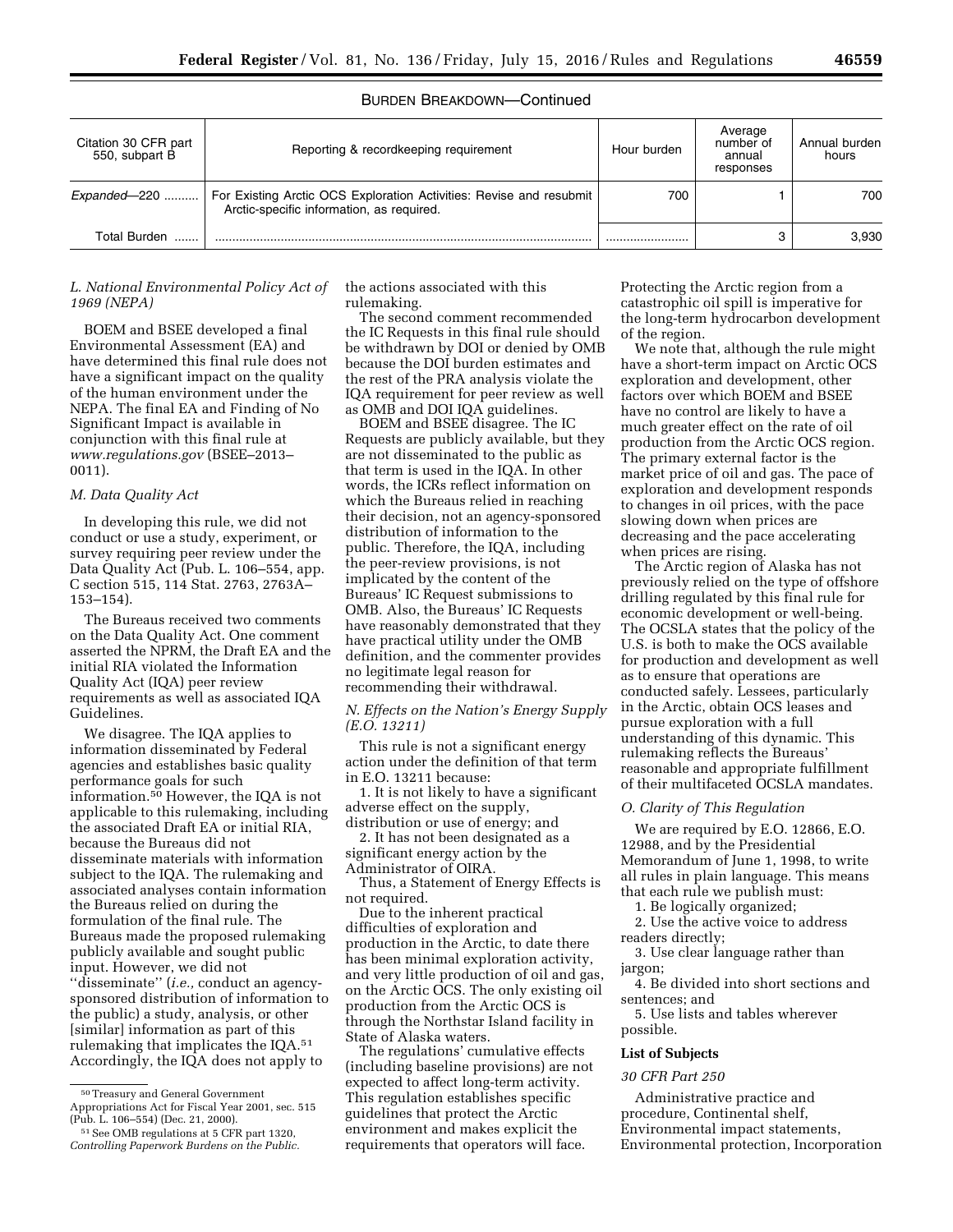# BURDEN BREAKDOWN—Continued

| Citation 30 CFR part<br>550, subpart B | Reporting & recordkeeping requirement                                                                            | Hour burden | Average<br>number of<br>annual<br>responses | Annual burden<br>hours |
|----------------------------------------|------------------------------------------------------------------------------------------------------------------|-------------|---------------------------------------------|------------------------|
| Expanded-220                           | For Existing Arctic OCS Exploration Activities: Revise and resubmit<br>Arctic-specific information, as required. | 700         |                                             | 700                    |
| Total Burden                           |                                                                                                                  |             |                                             | 3.930                  |

# *L. National Environmental Policy Act of 1969 (NEPA)*

BOEM and BSEE developed a final Environmental Assessment (EA) and have determined this final rule does not have a significant impact on the quality of the human environment under the NEPA. The final EA and Finding of No Significant Impact is available in conjunction with this final rule at *[www.regulations.gov](http://www.regulations.gov)* (BSEE–2013– 0011).

# *M. Data Quality Act*

In developing this rule, we did not conduct or use a study, experiment, or survey requiring peer review under the Data Quality Act (Pub. L. 106–554, app. C section 515, 114 Stat. 2763, 2763A– 153–154).

The Bureaus received two comments on the Data Quality Act. One comment asserted the NPRM, the Draft EA and the initial RIA violated the Information Quality Act (IQA) peer review requirements as well as associated IQA Guidelines.

We disagree. The IQA applies to information disseminated by Federal agencies and establishes basic quality performance goals for such information.50 However, the IQA is not applicable to this rulemaking, including the associated Draft EA or initial RIA, because the Bureaus did not disseminate materials with information subject to the IQA. The rulemaking and associated analyses contain information the Bureaus relied on during the formulation of the final rule. The Bureaus made the proposed rulemaking publicly available and sought public input. However, we did not ''disseminate'' (*i.e.,* conduct an agencysponsored distribution of information to the public) a study, analysis, or other [similar] information as part of this rulemaking that implicates the IQA.51 Accordingly, the IQA does not apply to

the actions associated with this rulemaking.

The second comment recommended the IC Requests in this final rule should be withdrawn by DOI or denied by OMB because the DOI burden estimates and the rest of the PRA analysis violate the IQA requirement for peer review as well as OMB and DOI IQA guidelines.

BOEM and BSEE disagree. The IC Requests are publicly available, but they are not disseminated to the public as that term is used in the IQA. In other words, the ICRs reflect information on which the Bureaus relied in reaching their decision, not an agency-sponsored distribution of information to the public. Therefore, the IQA, including the peer-review provisions, is not implicated by the content of the Bureaus' IC Request submissions to OMB. Also, the Bureaus' IC Requests have reasonably demonstrated that they have practical utility under the OMB definition, and the commenter provides no legitimate legal reason for recommending their withdrawal.

# *N. Effects on the Nation's Energy Supply (E.O. 13211)*

This rule is not a significant energy action under the definition of that term in E.O. 13211 because:

1. It is not likely to have a significant adverse effect on the supply, distribution or use of energy; and

2. It has not been designated as a significant energy action by the Administrator of OIRA.

Thus, a Statement of Energy Effects is not required.

Due to the inherent practical difficulties of exploration and production in the Arctic, to date there has been minimal exploration activity, and very little production of oil and gas, on the Arctic OCS. The only existing oil production from the Arctic OCS is through the Northstar Island facility in State of Alaska waters.

The regulations' cumulative effects (including baseline provisions) are not expected to affect long-term activity. This regulation establishes specific guidelines that protect the Arctic environment and makes explicit the requirements that operators will face.

Protecting the Arctic region from a catastrophic oil spill is imperative for the long-term hydrocarbon development of the region.

We note that, although the rule might have a short-term impact on Arctic OCS exploration and development, other factors over which BOEM and BSEE have no control are likely to have a much greater effect on the rate of oil production from the Arctic OCS region. The primary external factor is the market price of oil and gas. The pace of exploration and development responds to changes in oil prices, with the pace slowing down when prices are decreasing and the pace accelerating when prices are rising.

The Arctic region of Alaska has not previously relied on the type of offshore drilling regulated by this final rule for economic development or well-being. The OCSLA states that the policy of the U.S. is both to make the OCS available for production and development as well as to ensure that operations are conducted safely. Lessees, particularly in the Arctic, obtain OCS leases and pursue exploration with a full understanding of this dynamic. This rulemaking reflects the Bureaus' reasonable and appropriate fulfillment of their multifaceted OCSLA mandates.

#### *O. Clarity of This Regulation*

We are required by E.O. 12866, E.O. 12988, and by the Presidential Memorandum of June 1, 1998, to write all rules in plain language. This means that each rule we publish must:

1. Be logically organized;

2. Use the active voice to address

readers directly;

3. Use clear language rather than jargon;

4. Be divided into short sections and sentences; and

5. Use lists and tables wherever possible.

### **List of Subjects**

# *30 CFR Part 250*

Administrative practice and procedure, Continental shelf, Environmental impact statements, Environmental protection, Incorporation

<sup>50</sup>Treasury and General Government Appropriations Act for Fiscal Year 2001, sec. 515 (Pub. L. 106–554) (Dec. 21, 2000).

<sup>51</sup>See OMB regulations at 5 CFR part 1320, *Controlling Paperwork Burdens on the Public.*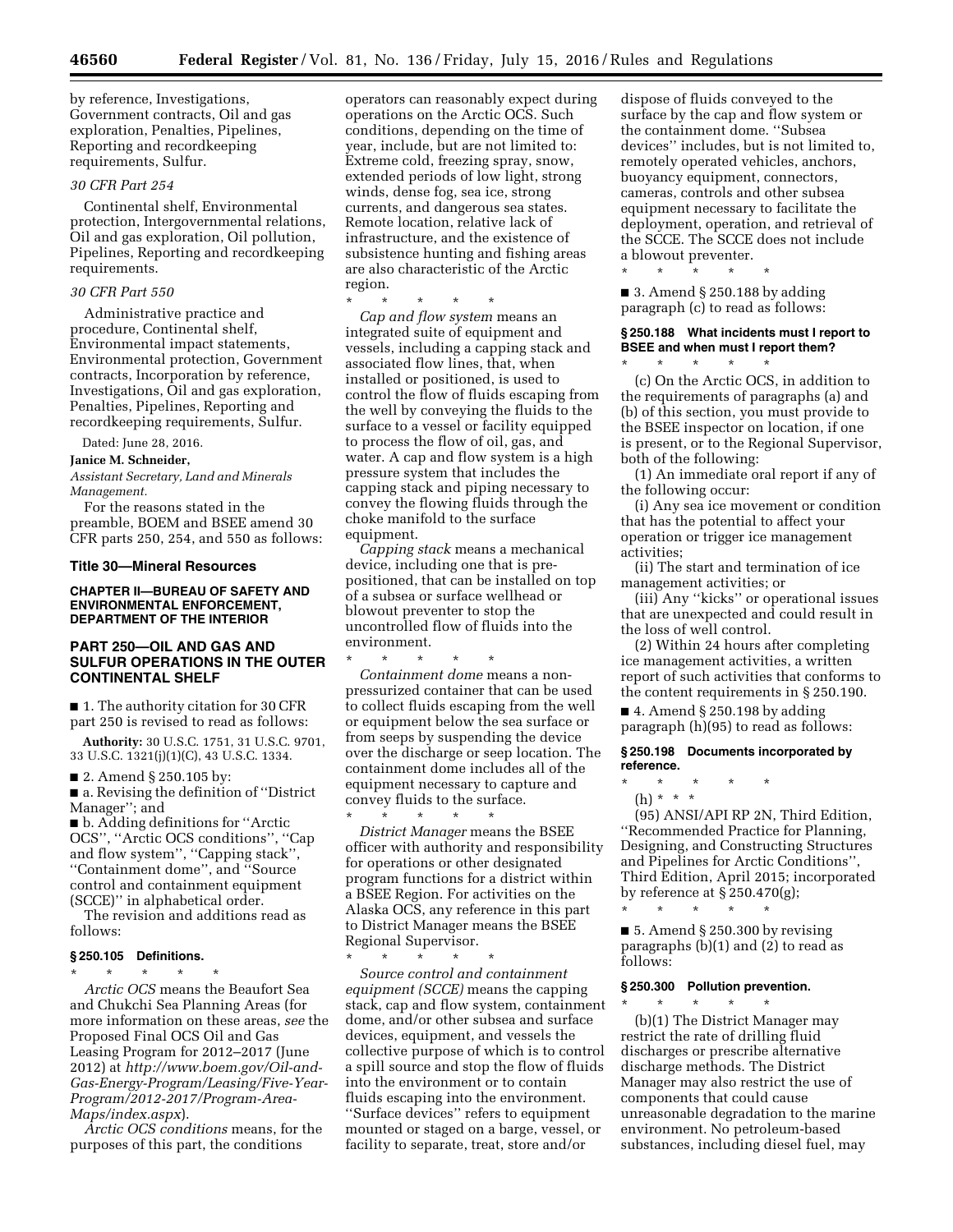by reference, Investigations, Government contracts, Oil and gas exploration, Penalties, Pipelines, Reporting and recordkeeping requirements, Sulfur.

# *30 CFR Part 254*

Continental shelf, Environmental protection, Intergovernmental relations, Oil and gas exploration, Oil pollution, Pipelines, Reporting and recordkeeping requirements.

# *30 CFR Part 550*

Administrative practice and procedure, Continental shelf, Environmental impact statements, Environmental protection, Government contracts, Incorporation by reference, Investigations, Oil and gas exploration, Penalties, Pipelines, Reporting and recordkeeping requirements, Sulfur.

Dated: June 28, 2016.

# **Janice M. Schneider,**

*Assistant Secretary, Land and Minerals Management.* 

For the reasons stated in the preamble, BOEM and BSEE amend 30 CFR parts 250, 254, and 550 as follows:

#### **Title 30—Mineral Resources**

#### **CHAPTER II—BUREAU OF SAFETY AND ENVIRONMENTAL ENFORCEMENT, DEPARTMENT OF THE INTERIOR**

# **PART 250—OIL AND GAS AND SULFUR OPERATIONS IN THE OUTER CONTINENTAL SHELF**

■ 1. The authority citation for 30 CFR part 250 is revised to read as follows:

**Authority:** 30 U.S.C. 1751, 31 U.S.C. 9701, 33 U.S.C. 1321(j)(1)(C), 43 U.S.C. 1334.

■ 2. Amend § 250.105 by:

■ a. Revising the definition of "District" Manager''; and

■ b. Adding definitions for "Arctic OCS'', ''Arctic OCS conditions'', ''Cap and flow system'', ''Capping stack'', ''Containment dome'', and ''Source control and containment equipment (SCCE)'' in alphabetical order.

The revision and additions read as follows:

### **§ 250.105 Definitions.**

\* \* \* \* \*

*Arctic OCS* means the Beaufort Sea and Chukchi Sea Planning Areas (for more information on these areas, *see* the Proposed Final OCS Oil and Gas Leasing Program for 2012–2017 (June 2012) at *[http://www.boem.gov/Oil-and-](http://www.boem.gov/Oil-and-Gas-Energy-Program/Leasing/Five-Year-Program/2012-2017/Program-Area-Maps/index.aspx)[Gas-Energy-Program/Leasing/Five-Year-](http://www.boem.gov/Oil-and-Gas-Energy-Program/Leasing/Five-Year-Program/2012-2017/Program-Area-Maps/index.aspx)[Program/2012-2017/Program-Area-](http://www.boem.gov/Oil-and-Gas-Energy-Program/Leasing/Five-Year-Program/2012-2017/Program-Area-Maps/index.aspx)[Maps/index.aspx](http://www.boem.gov/Oil-and-Gas-Energy-Program/Leasing/Five-Year-Program/2012-2017/Program-Area-Maps/index.aspx)*).

*Arctic OCS conditions* means, for the purposes of this part, the conditions

operators can reasonably expect during operations on the Arctic OCS. Such conditions, depending on the time of year, include, but are not limited to: Extreme cold, freezing spray, snow, extended periods of low light, strong winds, dense fog, sea ice, strong currents, and dangerous sea states. Remote location, relative lack of infrastructure, and the existence of subsistence hunting and fishing areas are also characteristic of the Arctic region.

\* \* \* \* \*

*Cap and flow system* means an integrated suite of equipment and vessels, including a capping stack and associated flow lines, that, when installed or positioned, is used to control the flow of fluids escaping from the well by conveying the fluids to the surface to a vessel or facility equipped to process the flow of oil, gas, and water. A cap and flow system is a high pressure system that includes the capping stack and piping necessary to convey the flowing fluids through the choke manifold to the surface equipment.

*Capping stack* means a mechanical device, including one that is prepositioned, that can be installed on top of a subsea or surface wellhead or blowout preventer to stop the uncontrolled flow of fluids into the environment.

\* \* \* \* \* *Containment dome* means a nonpressurized container that can be used to collect fluids escaping from the well or equipment below the sea surface or from seeps by suspending the device over the discharge or seep location. The containment dome includes all of the equipment necessary to capture and convey fluids to the surface.

\* \* \* \* \* *District Manager* means the BSEE officer with authority and responsibility for operations or other designated program functions for a district within a BSEE Region. For activities on the Alaska OCS, any reference in this part to District Manager means the BSEE Regional Supervisor.

\* \* \* \* \* *Source control and containment equipment (SCCE)* means the capping stack, cap and flow system, containment dome, and/or other subsea and surface devices, equipment, and vessels the collective purpose of which is to control a spill source and stop the flow of fluids into the environment or to contain fluids escaping into the environment. ''Surface devices'' refers to equipment mounted or staged on a barge, vessel, or facility to separate, treat, store and/or

dispose of fluids conveyed to the surface by the cap and flow system or the containment dome. ''Subsea devices'' includes, but is not limited to, remotely operated vehicles, anchors, buoyancy equipment, connectors, cameras, controls and other subsea equipment necessary to facilitate the deployment, operation, and retrieval of the SCCE. The SCCE does not include a blowout preventer.

\* \* \* \* \*

■ 3. Amend § 250.188 by adding paragraph (c) to read as follows:

# **§ 250.188 What incidents must I report to BSEE and when must I report them?**

\* \* \* \* \* (c) On the Arctic OCS, in addition to the requirements of paragraphs (a) and (b) of this section, you must provide to the BSEE inspector on location, if one is present, or to the Regional Supervisor, both of the following:

(1) An immediate oral report if any of the following occur:

(i) Any sea ice movement or condition that has the potential to affect your operation or trigger ice management activities;

(ii) The start and termination of ice management activities; or

(iii) Any ''kicks'' or operational issues that are unexpected and could result in the loss of well control.

(2) Within 24 hours after completing ice management activities, a written report of such activities that conforms to the content requirements in § 250.190.

 $\blacksquare$  4. Amend § 250.198 by adding paragraph (h)(95) to read as follows:

**§ 250.198 Documents incorporated by reference.** 

\* \* \* \* \*

(h) \* \* \*

(95) ANSI/API RP 2N, Third Edition, ''Recommended Practice for Planning, Designing, and Constructing Structures and Pipelines for Arctic Conditions'', Third Edition, April 2015; incorporated by reference at § 250.470(g);

 $\blacksquare$  5. Amend § 250.300 by revising paragraphs (b)(1) and (2) to read as follows:

### **§ 250.300 Pollution prevention.**

\* \* \* \* \*

\* \* \* \* \* (b)(1) The District Manager may restrict the rate of drilling fluid discharges or prescribe alternative discharge methods. The District Manager may also restrict the use of components that could cause unreasonable degradation to the marine environment. No petroleum-based substances, including diesel fuel, may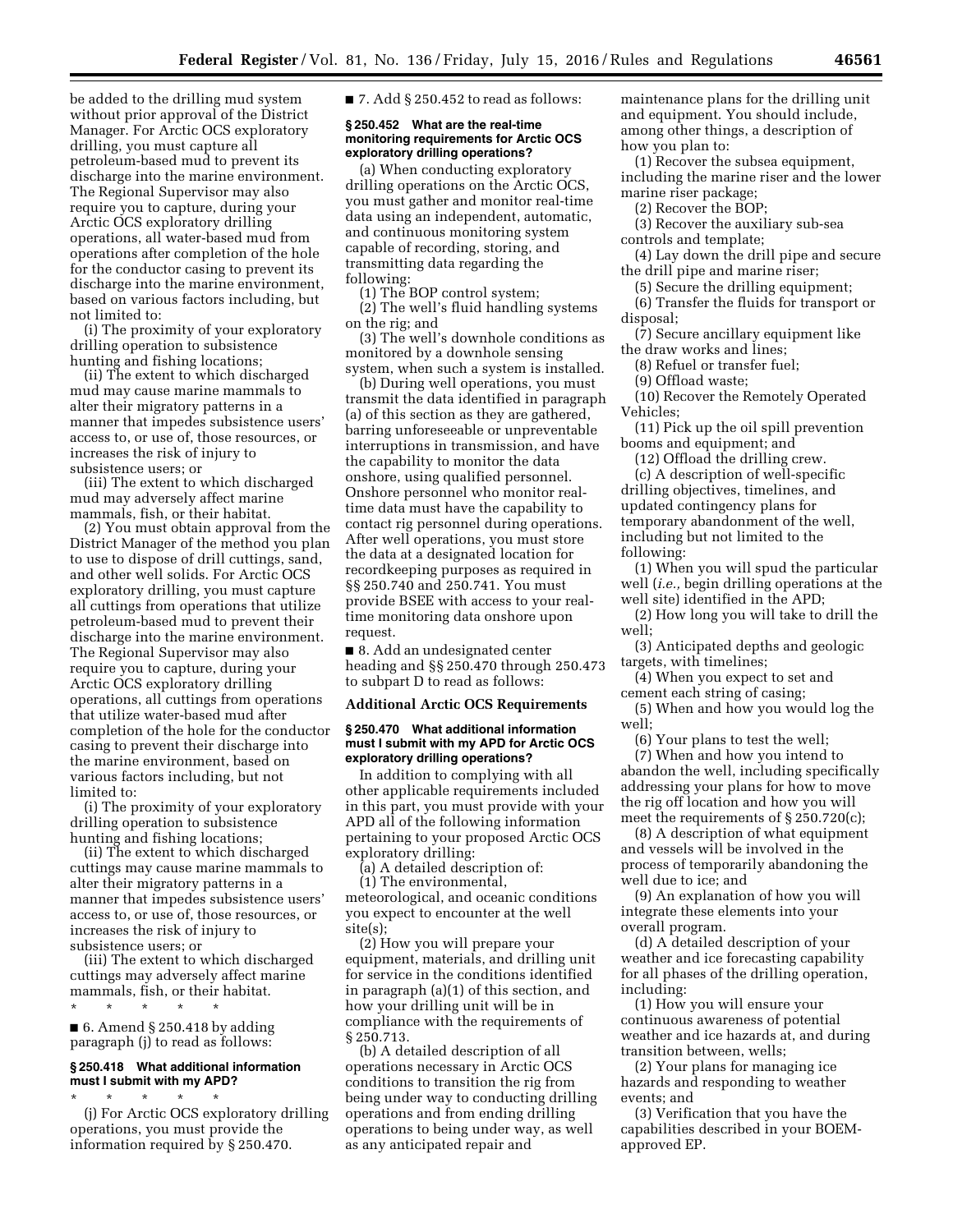be added to the drilling mud system without prior approval of the District Manager. For Arctic OCS exploratory drilling, you must capture all petroleum-based mud to prevent its discharge into the marine environment. The Regional Supervisor may also require you to capture, during your Arctic OCS exploratory drilling operations, all water-based mud from operations after completion of the hole for the conductor casing to prevent its discharge into the marine environment, based on various factors including, but not limited to:

(i) The proximity of your exploratory drilling operation to subsistence hunting and fishing locations;

(ii) The extent to which discharged mud may cause marine mammals to alter their migratory patterns in a manner that impedes subsistence users' access to, or use of, those resources, or increases the risk of injury to subsistence users; or

(iii) The extent to which discharged mud may adversely affect marine mammals, fish, or their habitat.

(2) You must obtain approval from the District Manager of the method you plan to use to dispose of drill cuttings, sand, and other well solids. For Arctic OCS exploratory drilling, you must capture all cuttings from operations that utilize petroleum-based mud to prevent their discharge into the marine environment. The Regional Supervisor may also require you to capture, during your Arctic OCS exploratory drilling operations, all cuttings from operations that utilize water-based mud after completion of the hole for the conductor casing to prevent their discharge into the marine environment, based on various factors including, but not limited to:

(i) The proximity of your exploratory drilling operation to subsistence hunting and fishing locations;

(ii) The extent to which discharged cuttings may cause marine mammals to alter their migratory patterns in a manner that impedes subsistence users' access to, or use of, those resources, or increases the risk of injury to subsistence users; or

(iii) The extent to which discharged cuttings may adversely affect marine mammals, fish, or their habitat.

 $\blacksquare$  6. Amend § 250.418 by adding paragraph (j) to read as follows:

\* \* \* \* \*

# **§ 250.418 What additional information must I submit with my APD?**

\* \* \* \* \*

(j) For Arctic OCS exploratory drilling operations, you must provide the information required by § 250.470.

 $\blacksquare$  7. Add § 250.452 to read as follows:

### **§ 250.452 What are the real-time monitoring requirements for Arctic OCS exploratory drilling operations?**

(a) When conducting exploratory drilling operations on the Arctic OCS, you must gather and monitor real-time data using an independent, automatic, and continuous monitoring system capable of recording, storing, and transmitting data regarding the following:

(1) The BOP control system;

(2) The well's fluid handling systems on the rig; and

(3) The well's downhole conditions as monitored by a downhole sensing system, when such a system is installed.

(b) During well operations, you must transmit the data identified in paragraph (a) of this section as they are gathered, barring unforeseeable or unpreventable interruptions in transmission, and have the capability to monitor the data onshore, using qualified personnel. Onshore personnel who monitor realtime data must have the capability to contact rig personnel during operations. After well operations, you must store the data at a designated location for recordkeeping purposes as required in §§ 250.740 and 250.741. You must provide BSEE with access to your realtime monitoring data onshore upon request.

■ 8. Add an undesignated center heading and §§ 250.470 through 250.473 to subpart D to read as follows:

### **Additional Arctic OCS Requirements**

### **§ 250.470 What additional information must I submit with my APD for Arctic OCS exploratory drilling operations?**

In addition to complying with all other applicable requirements included in this part, you must provide with your APD all of the following information pertaining to your proposed Arctic OCS exploratory drilling:

(a) A detailed description of:

(1) The environmental, meteorological, and oceanic conditions you expect to encounter at the well site(s);

(2) How you will prepare your equipment, materials, and drilling unit for service in the conditions identified in paragraph (a)(1) of this section, and how your drilling unit will be in compliance with the requirements of § 250.713.

(b) A detailed description of all operations necessary in Arctic OCS conditions to transition the rig from being under way to conducting drilling operations and from ending drilling operations to being under way, as well as any anticipated repair and

maintenance plans for the drilling unit and equipment. You should include, among other things, a description of how you plan to:

(1) Recover the subsea equipment, including the marine riser and the lower marine riser package;

(2) Recover the BOP;

(3) Recover the auxiliary sub-sea controls and template;

(4) Lay down the drill pipe and secure the drill pipe and marine riser;

(5) Secure the drilling equipment;

(6) Transfer the fluids for transport or

disposal; (7) Secure ancillary equipment like

the draw works and lines;

(8) Refuel or transfer fuel;

(9) Offload waste;

(10) Recover the Remotely Operated Vehicles;

(11) Pick up the oil spill prevention booms and equipment; and

(12) Offload the drilling crew.

(c) A description of well-specific drilling objectives, timelines, and updated contingency plans for temporary abandonment of the well, including but not limited to the following:

(1) When you will spud the particular well (*i.e.,* begin drilling operations at the well site) identified in the APD;

(2) How long you will take to drill the well;

(3) Anticipated depths and geologic targets, with timelines;

(4) When you expect to set and cement each string of casing;

(5) When and how you would log the well;

(6) Your plans to test the well;

(7) When and how you intend to abandon the well, including specifically addressing your plans for how to move the rig off location and how you will meet the requirements of § 250.720(c);

(8) A description of what equipment and vessels will be involved in the process of temporarily abandoning the well due to ice; and

(9) An explanation of how you will integrate these elements into your overall program.

(d) A detailed description of your weather and ice forecasting capability for all phases of the drilling operation, including:

(1) How you will ensure your continuous awareness of potential weather and ice hazards at, and during transition between, wells;

(2) Your plans for managing ice hazards and responding to weather events; and

(3) Verification that you have the capabilities described in your BOEMapproved EP.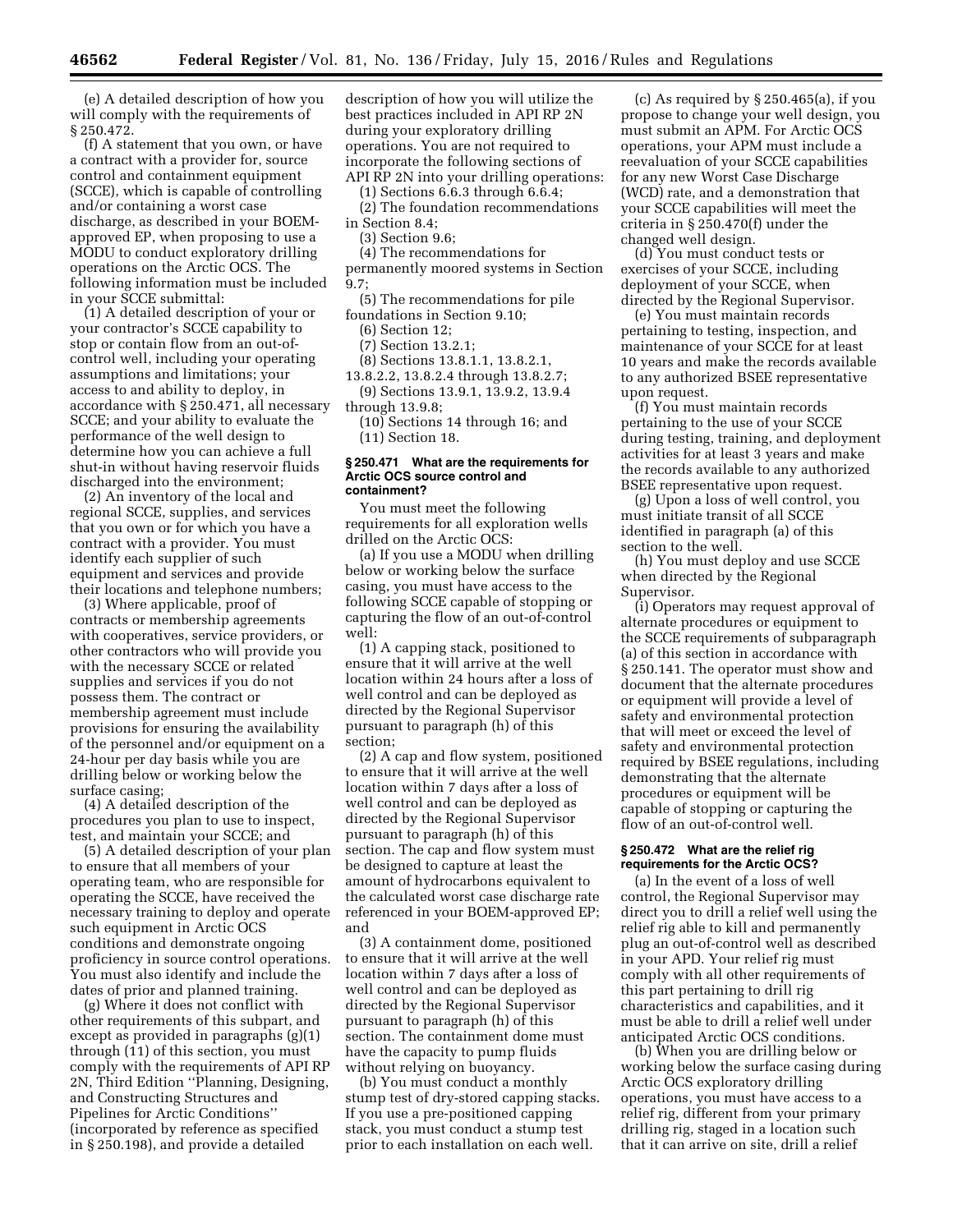(e) A detailed description of how you will comply with the requirements of § 250.472.

(f) A statement that you own, or have a contract with a provider for, source control and containment equipment (SCCE), which is capable of controlling and/or containing a worst case discharge, as described in your BOEMapproved EP, when proposing to use a MODU to conduct exploratory drilling operations on the Arctic OCS. The following information must be included in your SCCE submittal:

(1) A detailed description of your or your contractor's SCCE capability to stop or contain flow from an out-ofcontrol well, including your operating assumptions and limitations; your access to and ability to deploy, in accordance with § 250.471, all necessary SCCE; and your ability to evaluate the performance of the well design to determine how you can achieve a full shut-in without having reservoir fluids discharged into the environment;

(2) An inventory of the local and regional SCCE, supplies, and services that you own or for which you have a contract with a provider. You must identify each supplier of such equipment and services and provide their locations and telephone numbers;

(3) Where applicable, proof of contracts or membership agreements with cooperatives, service providers, or other contractors who will provide you with the necessary SCCE or related supplies and services if you do not possess them. The contract or membership agreement must include provisions for ensuring the availability of the personnel and/or equipment on a 24-hour per day basis while you are drilling below or working below the surface casing;

(4) A detailed description of the procedures you plan to use to inspect, test, and maintain your SCCE; and

(5) A detailed description of your plan to ensure that all members of your operating team, who are responsible for operating the SCCE, have received the necessary training to deploy and operate such equipment in Arctic OCS conditions and demonstrate ongoing proficiency in source control operations. You must also identify and include the dates of prior and planned training.

(g) Where it does not conflict with other requirements of this subpart, and except as provided in paragraphs (g)(1) through (11) of this section, you must comply with the requirements of API RP 2N, Third Edition ''Planning, Designing, and Constructing Structures and Pipelines for Arctic Conditions'' (incorporated by reference as specified in § 250.198), and provide a detailed

description of how you will utilize the best practices included in API RP 2N during your exploratory drilling operations. You are not required to incorporate the following sections of API RP 2N into your drilling operations:

(1) Sections 6.6.3 through 6.6.4;

(2) The foundation recommendations in Section 8.4;

(3) Section 9.6;

(4) The recommendations for

permanently moored systems in Section 9.7;

(5) The recommendations for pile foundations in Section 9.10;

(6) Section 12;

(7) Section 13.2.1;

(8) Sections 13.8.1.1, 13.8.2.1,

13.8.2.2, 13.8.2.4 through 13.8.2.7; (9) Sections 13.9.1, 13.9.2, 13.9.4

through 13.9.8;

(10) Sections 14 through 16; and (11) Section 18.

#### **§ 250.471 What are the requirements for Arctic OCS source control and containment?**

You must meet the following requirements for all exploration wells drilled on the Arctic OCS:

(a) If you use a MODU when drilling below or working below the surface casing, you must have access to the following SCCE capable of stopping or capturing the flow of an out-of-control well:

(1) A capping stack, positioned to ensure that it will arrive at the well location within 24 hours after a loss of well control and can be deployed as directed by the Regional Supervisor pursuant to paragraph (h) of this section;

(2) A cap and flow system, positioned to ensure that it will arrive at the well location within 7 days after a loss of well control and can be deployed as directed by the Regional Supervisor pursuant to paragraph (h) of this section. The cap and flow system must be designed to capture at least the amount of hydrocarbons equivalent to the calculated worst case discharge rate referenced in your BOEM-approved EP; and

(3) A containment dome, positioned to ensure that it will arrive at the well location within 7 days after a loss of well control and can be deployed as directed by the Regional Supervisor pursuant to paragraph (h) of this section. The containment dome must have the capacity to pump fluids without relying on buoyancy.

(b) You must conduct a monthly stump test of dry-stored capping stacks. If you use a pre-positioned capping stack, you must conduct a stump test prior to each installation on each well.

(c) As required by § 250.465(a), if you propose to change your well design, you must submit an APM. For Arctic OCS operations, your APM must include a reevaluation of your SCCE capabilities for any new Worst Case Discharge (WCD) rate, and a demonstration that your SCCE capabilities will meet the criteria in § 250.470(f) under the changed well design.

(d) You must conduct tests or exercises of your SCCE, including deployment of your SCCE, when directed by the Regional Supervisor.

(e) You must maintain records pertaining to testing, inspection, and maintenance of your SCCE for at least 10 years and make the records available to any authorized BSEE representative upon request.

(f) You must maintain records pertaining to the use of your SCCE during testing, training, and deployment activities for at least 3 years and make the records available to any authorized BSEE representative upon request.

(g) Upon a loss of well control, you must initiate transit of all SCCE identified in paragraph (a) of this section to the well.

(h) You must deploy and use SCCE when directed by the Regional Supervisor.

(i) Operators may request approval of alternate procedures or equipment to the SCCE requirements of subparagraph (a) of this section in accordance with § 250.141. The operator must show and document that the alternate procedures or equipment will provide a level of safety and environmental protection that will meet or exceed the level of safety and environmental protection required by BSEE regulations, including demonstrating that the alternate procedures or equipment will be capable of stopping or capturing the flow of an out-of-control well.

### **§ 250.472 What are the relief rig requirements for the Arctic OCS?**

(a) In the event of a loss of well control, the Regional Supervisor may direct you to drill a relief well using the relief rig able to kill and permanently plug an out-of-control well as described in your APD. Your relief rig must comply with all other requirements of this part pertaining to drill rig characteristics and capabilities, and it must be able to drill a relief well under anticipated Arctic OCS conditions.

(b) When you are drilling below or working below the surface casing during Arctic OCS exploratory drilling operations, you must have access to a relief rig, different from your primary drilling rig, staged in a location such that it can arrive on site, drill a relief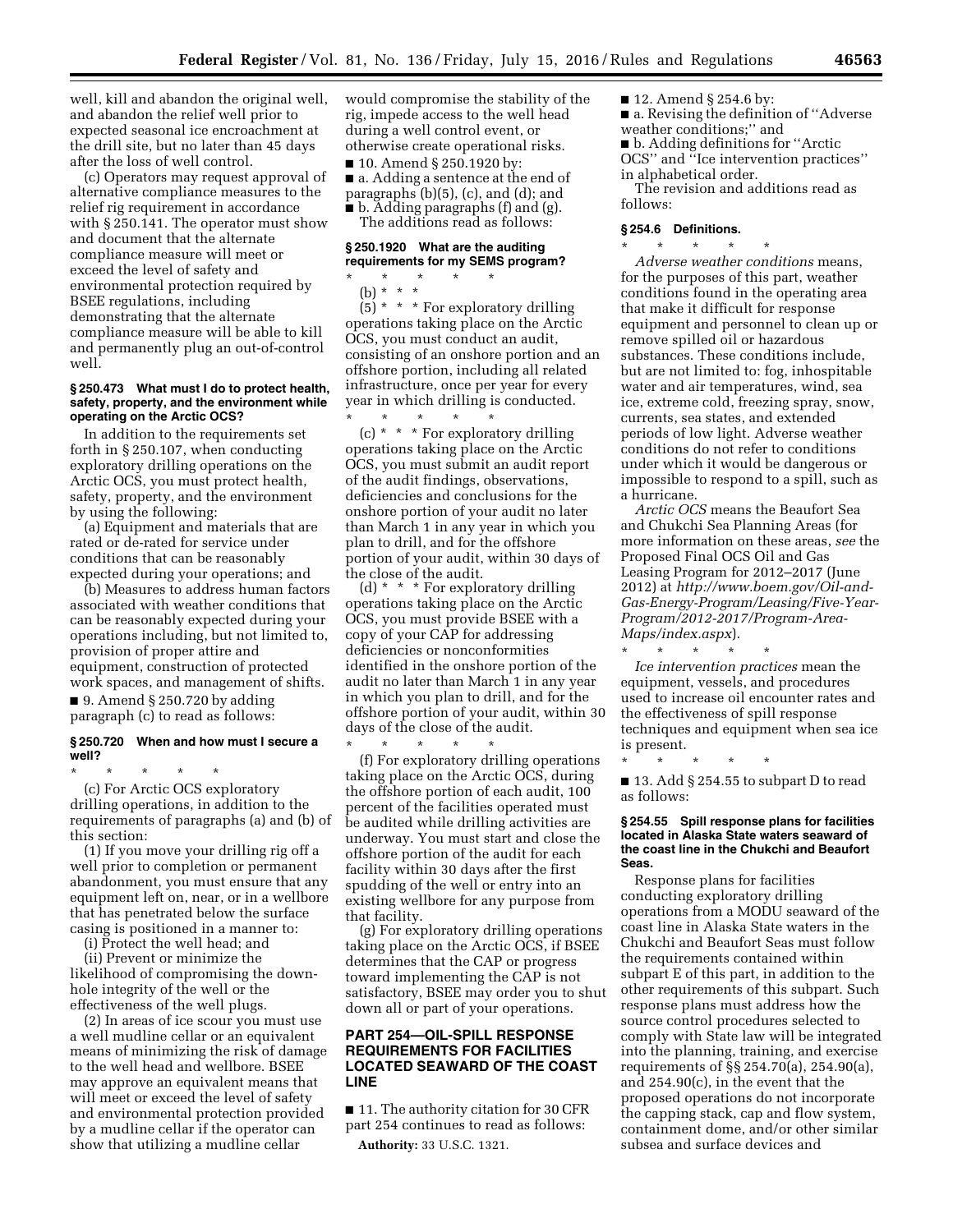well, kill and abandon the original well, and abandon the relief well prior to expected seasonal ice encroachment at the drill site, but no later than 45 days after the loss of well control.

(c) Operators may request approval of alternative compliance measures to the relief rig requirement in accordance with § 250.141. The operator must show and document that the alternate compliance measure will meet or exceed the level of safety and environmental protection required by BSEE regulations, including demonstrating that the alternate compliance measure will be able to kill and permanently plug an out-of-control well.

#### **§ 250.473 What must I do to protect health, safety, property, and the environment while operating on the Arctic OCS?**

In addition to the requirements set forth in § 250.107, when conducting exploratory drilling operations on the Arctic OCS, you must protect health, safety, property, and the environment by using the following:

(a) Equipment and materials that are rated or de-rated for service under conditions that can be reasonably expected during your operations; and

(b) Measures to address human factors associated with weather conditions that can be reasonably expected during your operations including, but not limited to, provision of proper attire and equipment, construction of protected work spaces, and management of shifts.

■ 9. Amend § 250.720 by adding paragraph (c) to read as follows:

# **§ 250.720 When and how must I secure a well?**

\* \* \* \* \* (c) For Arctic OCS exploratory drilling operations, in addition to the requirements of paragraphs (a) and (b) of this section:

(1) If you move your drilling rig off a well prior to completion or permanent abandonment, you must ensure that any equipment left on, near, or in a wellbore that has penetrated below the surface casing is positioned in a manner to:

(i) Protect the well head; and

(ii) Prevent or minimize the likelihood of compromising the downhole integrity of the well or the effectiveness of the well plugs.

(2) In areas of ice scour you must use a well mudline cellar or an equivalent means of minimizing the risk of damage to the well head and wellbore. BSEE may approve an equivalent means that will meet or exceed the level of safety and environmental protection provided by a mudline cellar if the operator can show that utilizing a mudline cellar

would compromise the stability of the rig, impede access to the well head during a well control event, or otherwise create operational risks.

■ 10. Amend § 250.1920 by: ■ a. Adding a sentence at the end of paragraphs (b)(5), (c), and (d); and ■ b. Adding paragraphs (f) and (g).

The additions read as follows:

### **§ 250.1920 What are the auditing requirements for my SEMS program?**

\* \* \* \* \*

(b) \* \* \*  $(5)$  \* \* \* For exploratory drilling operations taking place on the Arctic OCS, you must conduct an audit, consisting of an onshore portion and an offshore portion, including all related infrastructure, once per year for every year in which drilling is conducted. \* \* \* \* \*

(c) \* \* \* For exploratory drilling operations taking place on the Arctic OCS, you must submit an audit report of the audit findings, observations, deficiencies and conclusions for the onshore portion of your audit no later than March 1 in any year in which you plan to drill, and for the offshore portion of your audit, within 30 days of the close of the audit.

(d) \* \* \* For exploratory drilling operations taking place on the Arctic OCS, you must provide BSEE with a copy of your CAP for addressing deficiencies or nonconformities identified in the onshore portion of the audit no later than March 1 in any year in which you plan to drill, and for the offshore portion of your audit, within 30 days of the close of the audit.

\* \* \* \* \* (f) For exploratory drilling operations taking place on the Arctic OCS, during the offshore portion of each audit, 100 percent of the facilities operated must be audited while drilling activities are underway. You must start and close the offshore portion of the audit for each facility within 30 days after the first spudding of the well or entry into an existing wellbore for any purpose from that facility.

(g) For exploratory drilling operations taking place on the Arctic OCS, if BSEE determines that the CAP or progress toward implementing the CAP is not satisfactory, BSEE may order you to shut down all or part of your operations.

# **PART 254—OIL-SPILL RESPONSE REQUIREMENTS FOR FACILITIES LOCATED SEAWARD OF THE COAST LINE**

■ 11. The authority citation for 30 CFR part 254 continues to read as follows:

**Authority:** 33 U.S.C. 1321.

- 12. Amend § 254.6 by:
- a. Revising the definition of "Adverse" weather conditions;'' and ■ b. Adding definitions for "Arctic
- OCS'' and ''Ice intervention practices''

in alphabetical order. The revision and additions read as follows:

#### **§ 254.6 Definitions.**

\* \* \* \* \* *Adverse weather conditions* means, for the purposes of this part, weather conditions found in the operating area that make it difficult for response equipment and personnel to clean up or remove spilled oil or hazardous substances. These conditions include, but are not limited to: fog, inhospitable water and air temperatures, wind, sea ice, extreme cold, freezing spray, snow, currents, sea states, and extended periods of low light. Adverse weather conditions do not refer to conditions under which it would be dangerous or impossible to respond to a spill, such as a hurricane.

*Arctic OCS* means the Beaufort Sea and Chukchi Sea Planning Areas (for more information on these areas, *see* the Proposed Final OCS Oil and Gas Leasing Program for 2012–2017 (June 2012) at *[http://www.boem.gov/Oil-and-](http://www.boem.gov/Oil-and-Gas-Energy-Program/Leasing/Five-Year-Program/2012-2017/Program-Area-Maps/index.aspx)[Gas-Energy-Program/Leasing/Five-Year-](http://www.boem.gov/Oil-and-Gas-Energy-Program/Leasing/Five-Year-Program/2012-2017/Program-Area-Maps/index.aspx)[Program/2012-2017/Program-Area-](http://www.boem.gov/Oil-and-Gas-Energy-Program/Leasing/Five-Year-Program/2012-2017/Program-Area-Maps/index.aspx)[Maps/index.aspx](http://www.boem.gov/Oil-and-Gas-Energy-Program/Leasing/Five-Year-Program/2012-2017/Program-Area-Maps/index.aspx)*).

\* \* \* \* \* *Ice intervention practices* mean the equipment, vessels, and procedures used to increase oil encounter rates and the effectiveness of spill response techniques and equipment when sea ice is present.

\* \* \* \* \* ■ 13. Add § 254.55 to subpart D to read as follows:

#### **§ 254.55 Spill response plans for facilities located in Alaska State waters seaward of the coast line in the Chukchi and Beaufort Seas.**

Response plans for facilities conducting exploratory drilling operations from a MODU seaward of the coast line in Alaska State waters in the Chukchi and Beaufort Seas must follow the requirements contained within subpart E of this part, in addition to the other requirements of this subpart. Such response plans must address how the source control procedures selected to comply with State law will be integrated into the planning, training, and exercise requirements of §§ 254.70(a), 254.90(a), and 254.90(c), in the event that the proposed operations do not incorporate the capping stack, cap and flow system, containment dome, and/or other similar subsea and surface devices and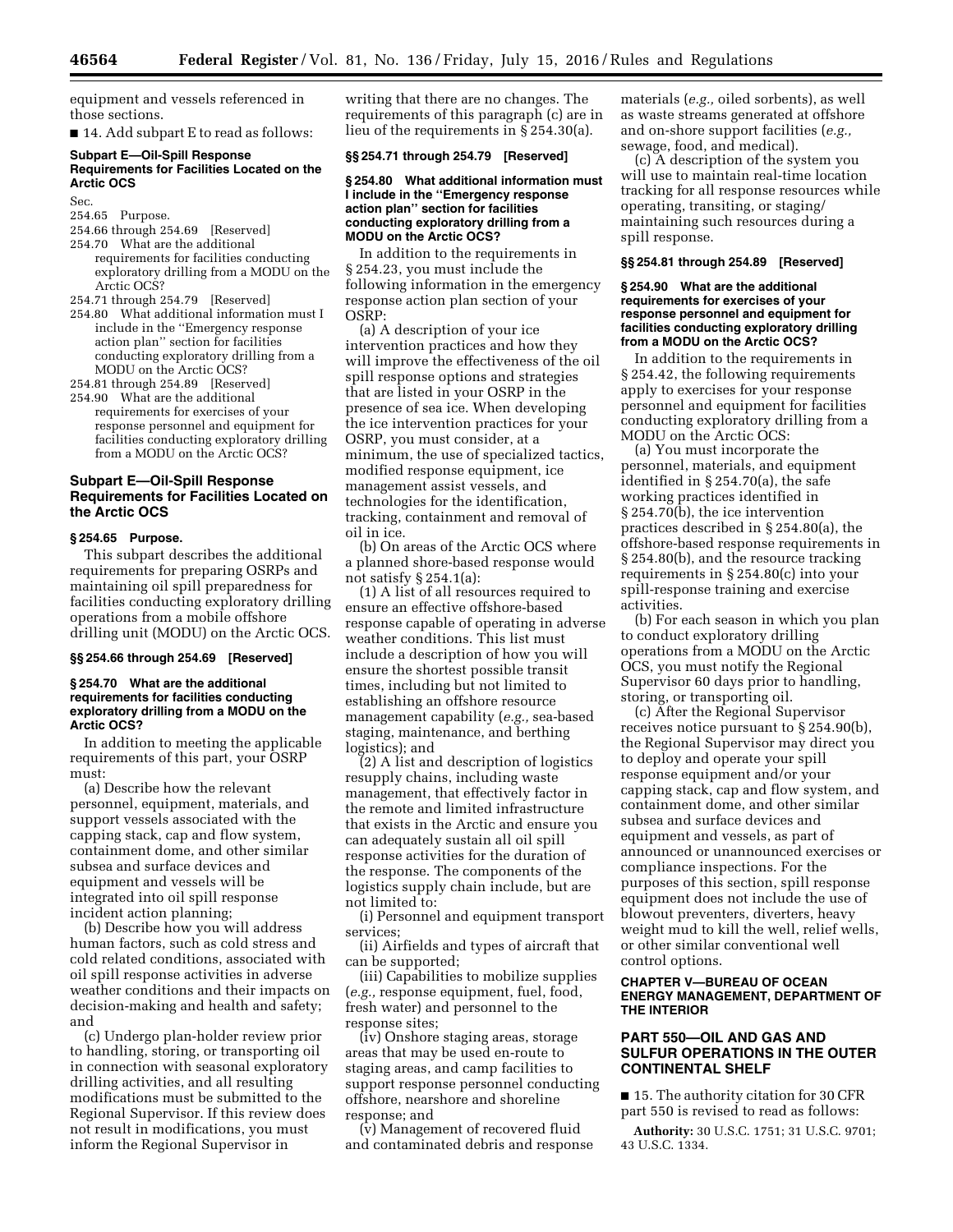equipment and vessels referenced in those sections.

■ 14. Add subpart E to read as follows:

### **Subpart E—Oil-Spill Response Requirements for Facilities Located on the Arctic OCS**

Sec.

# 254.65 Purpose.

- 254.66 through 254.69 [Reserved] 254.70 What are the additional
- requirements for facilities conducting exploratory drilling from a MODU on the Arctic OCS?
- 254.71 through 254.79 [Reserved]
- 254.80 What additional information must I include in the ''Emergency response action plan'' section for facilities conducting exploratory drilling from a MODU on the Arctic OCS?
- 254.81 through 254.89 [Reserved]
- 254.90 What are the additional requirements for exercises of your response personnel and equipment for facilities conducting exploratory drilling from a MODU on the Arctic OCS?

# **Subpart E—Oil-Spill Response Requirements for Facilities Located on the Arctic OCS**

# **§ 254.65 Purpose.**

This subpart describes the additional requirements for preparing OSRPs and maintaining oil spill preparedness for facilities conducting exploratory drilling operations from a mobile offshore drilling unit (MODU) on the Arctic OCS.

# **§§ 254.66 through 254.69 [Reserved]**

### **§ 254.70 What are the additional requirements for facilities conducting exploratory drilling from a MODU on the Arctic OCS?**

In addition to meeting the applicable requirements of this part, your OSRP must:

(a) Describe how the relevant personnel, equipment, materials, and support vessels associated with the capping stack, cap and flow system, containment dome, and other similar subsea and surface devices and equipment and vessels will be integrated into oil spill response incident action planning;

(b) Describe how you will address human factors, such as cold stress and cold related conditions, associated with oil spill response activities in adverse weather conditions and their impacts on decision-making and health and safety; and

(c) Undergo plan-holder review prior to handling, storing, or transporting oil in connection with seasonal exploratory drilling activities, and all resulting modifications must be submitted to the Regional Supervisor. If this review does not result in modifications, you must inform the Regional Supervisor in

writing that there are no changes. The requirements of this paragraph (c) are in lieu of the requirements in § 254.30(a).

# **§§ 254.71 through 254.79 [Reserved]**

### **§ 254.80 What additional information must I include in the ''Emergency response action plan'' section for facilities conducting exploratory drilling from a MODU on the Arctic OCS?**

In addition to the requirements in § 254.23, you must include the following information in the emergency response action plan section of your OSRP:

(a) A description of your ice intervention practices and how they will improve the effectiveness of the oil spill response options and strategies that are listed in your OSRP in the presence of sea ice. When developing the ice intervention practices for your OSRP, you must consider, at a minimum, the use of specialized tactics, modified response equipment, ice management assist vessels, and technologies for the identification, tracking, containment and removal of oil in ice.

(b) On areas of the Arctic OCS where a planned shore-based response would not satisfy § 254.1(a):

(1) A list of all resources required to ensure an effective offshore-based response capable of operating in adverse weather conditions. This list must include a description of how you will ensure the shortest possible transit times, including but not limited to establishing an offshore resource management capability (*e.g.,* sea-based staging, maintenance, and berthing logistics); and

(2) A list and description of logistics resupply chains, including waste management, that effectively factor in the remote and limited infrastructure that exists in the Arctic and ensure you can adequately sustain all oil spill response activities for the duration of the response. The components of the logistics supply chain include, but are not limited to:

(i) Personnel and equipment transport services;

(ii) Airfields and types of aircraft that can be supported;

(iii) Capabilities to mobilize supplies (*e.g.,* response equipment, fuel, food, fresh water) and personnel to the response sites;

(iv) Onshore staging areas, storage areas that may be used en-route to staging areas, and camp facilities to support response personnel conducting offshore, nearshore and shoreline response; and

(v) Management of recovered fluid and contaminated debris and response

materials (*e.g.,* oiled sorbents), as well as waste streams generated at offshore and on-shore support facilities (*e.g.,*  sewage, food, and medical).

(c) A description of the system you will use to maintain real-time location tracking for all response resources while operating, transiting, or staging/ maintaining such resources during a spill response.

#### **§§ 254.81 through 254.89 [Reserved]**

#### **§ 254.90 What are the additional requirements for exercises of your response personnel and equipment for facilities conducting exploratory drilling from a MODU on the Arctic OCS?**

In addition to the requirements in § 254.42, the following requirements apply to exercises for your response personnel and equipment for facilities conducting exploratory drilling from a MODU on the Arctic OCS:

(a) You must incorporate the personnel, materials, and equipment identified in § 254.70(a), the safe working practices identified in § 254.70(b), the ice intervention practices described in § 254.80(a), the offshore-based response requirements in § 254.80(b), and the resource tracking requirements in § 254.80(c) into your spill-response training and exercise activities.

(b) For each season in which you plan to conduct exploratory drilling operations from a MODU on the Arctic OCS, you must notify the Regional Supervisor 60 days prior to handling, storing, or transporting oil.

(c) After the Regional Supervisor receives notice pursuant to § 254.90(b), the Regional Supervisor may direct you to deploy and operate your spill response equipment and/or your capping stack, cap and flow system, and containment dome, and other similar subsea and surface devices and equipment and vessels, as part of announced or unannounced exercises or compliance inspections. For the purposes of this section, spill response equipment does not include the use of blowout preventers, diverters, heavy weight mud to kill the well, relief wells, or other similar conventional well control options.

# **CHAPTER V—BUREAU OF OCEAN ENERGY MANAGEMENT, DEPARTMENT OF THE INTERIOR**

# **PART 550—OIL AND GAS AND SULFUR OPERATIONS IN THE OUTER CONTINENTAL SHELF**

■ 15. The authority citation for 30 CFR part 550 is revised to read as follows:

**Authority:** 30 U.S.C. 1751; 31 U.S.C. 9701; 43 U.S.C. 1334.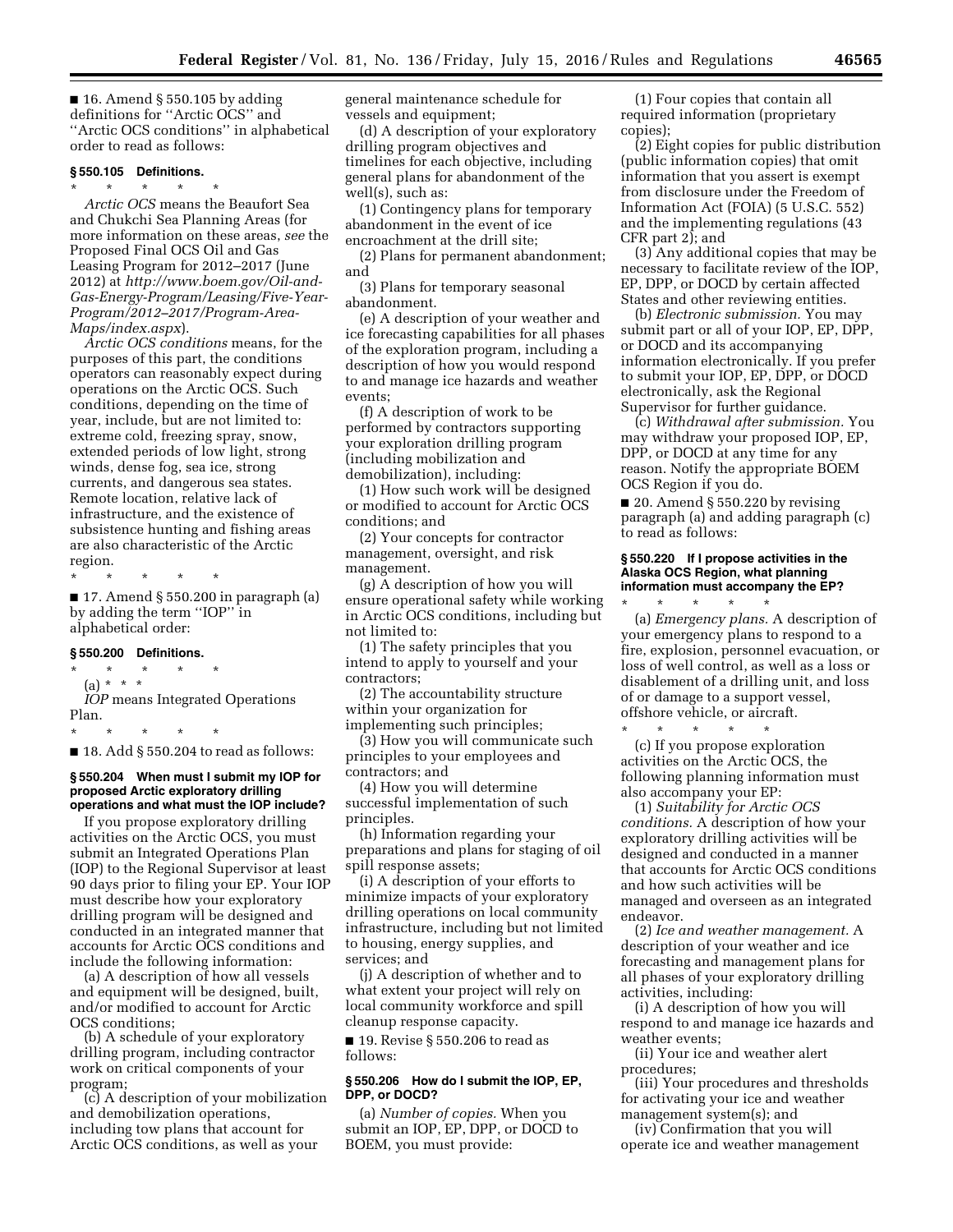$\blacksquare$  16. Amend § 550.105 by adding definitions for ''Arctic OCS'' and ''Arctic OCS conditions'' in alphabetical order to read as follows:

### **§ 550.105 Definitions.**

\* \* \* \* \*

*Arctic OCS* means the Beaufort Sea and Chukchi Sea Planning Areas (for more information on these areas, *see* the Proposed Final OCS Oil and Gas Leasing Program for 2012–2017 (June 2012) at *[http://www.boem.gov/Oil-and-](http://www.boem.gov/Oil-and-Gas-Energy-Program/Leasing/Five-Year-Program/2012-2017/Program-Area-Maps/index.aspx)[Gas-Energy-Program/Leasing/Five-Year-](http://www.boem.gov/Oil-and-Gas-Energy-Program/Leasing/Five-Year-Program/2012-2017/Program-Area-Maps/index.aspx)[Program/2012–2017/Program-Area-](http://www.boem.gov/Oil-and-Gas-Energy-Program/Leasing/Five-Year-Program/2012-2017/Program-Area-Maps/index.aspx)[Maps/index.aspx](http://www.boem.gov/Oil-and-Gas-Energy-Program/Leasing/Five-Year-Program/2012-2017/Program-Area-Maps/index.aspx)*).

*Arctic OCS conditions* means, for the purposes of this part, the conditions operators can reasonably expect during operations on the Arctic OCS. Such conditions, depending on the time of year, include, but are not limited to: extreme cold, freezing spray, snow, extended periods of low light, strong winds, dense fog, sea ice, strong currents, and dangerous sea states. Remote location, relative lack of infrastructure, and the existence of subsistence hunting and fishing areas are also characteristic of the Arctic region.

\* \* \* \* \*

 $\blacksquare$  17. Amend § 550.200 in paragraph (a) by adding the term ''IOP'' in alphabetical order:

### **§ 550.200 Definitions.**

- \* \* \* \* \*
	- (a) \* \* \*

*IOP* means Integrated Operations Plan.

\* \* \* \* \*

 $\blacksquare$  18. Add § 550.204 to read as follows:

### **§ 550.204 When must I submit my IOP for proposed Arctic exploratory drilling operations and what must the IOP include?**

If you propose exploratory drilling activities on the Arctic OCS, you must submit an Integrated Operations Plan (IOP) to the Regional Supervisor at least 90 days prior to filing your EP. Your IOP must describe how your exploratory drilling program will be designed and conducted in an integrated manner that accounts for Arctic OCS conditions and include the following information:

(a) A description of how all vessels and equipment will be designed, built, and/or modified to account for Arctic OCS conditions;

(b) A schedule of your exploratory drilling program, including contractor work on critical components of your program;

(c) A description of your mobilization and demobilization operations, including tow plans that account for Arctic OCS conditions, as well as your

general maintenance schedule for vessels and equipment;

(d) A description of your exploratory drilling program objectives and timelines for each objective, including general plans for abandonment of the well(s), such as:

(1) Contingency plans for temporary abandonment in the event of ice encroachment at the drill site;

(2) Plans for permanent abandonment; and

(3) Plans for temporary seasonal abandonment.

(e) A description of your weather and ice forecasting capabilities for all phases of the exploration program, including a description of how you would respond to and manage ice hazards and weather events;

(f) A description of work to be performed by contractors supporting your exploration drilling program (including mobilization and demobilization), including:

(1) How such work will be designed or modified to account for Arctic OCS conditions; and

(2) Your concepts for contractor management, oversight, and risk management.

(g) A description of how you will ensure operational safety while working in Arctic OCS conditions, including but not limited to:

(1) The safety principles that you intend to apply to yourself and your contractors;

(2) The accountability structure within your organization for implementing such principles;

(3) How you will communicate such principles to your employees and contractors; and

(4) How you will determine successful implementation of such principles.

(h) Information regarding your preparations and plans for staging of oil spill response assets;

(i) A description of your efforts to minimize impacts of your exploratory drilling operations on local community infrastructure, including but not limited to housing, energy supplies, and services; and

(j) A description of whether and to what extent your project will rely on local community workforce and spill cleanup response capacity.

■ 19. Revise § 550.206 to read as follows:

# **§ 550.206 How do I submit the IOP, EP, DPP, or DOCD?**

(a) *Number of copies.* When you submit an IOP, EP, DPP, or DOCD to BOEM, you must provide:

(1) Four copies that contain all required information (proprietary copies);

(2) Eight copies for public distribution (public information copies) that omit information that you assert is exempt from disclosure under the Freedom of Information Act (FOIA) (5 U.S.C. 552) and the implementing regulations (43 CFR part 2); and

(3) Any additional copies that may be necessary to facilitate review of the IOP, EP, DPP, or DOCD by certain affected States and other reviewing entities.

(b) *Electronic submission.* You may submit part or all of your IOP, EP, DPP, or DOCD and its accompanying information electronically. If you prefer to submit your IOP, EP, DPP, or DOCD electronically, ask the Regional Supervisor for further guidance.

(c) *Withdrawal after submission.* You may withdraw your proposed IOP, EP, DPP, or DOCD at any time for any reason. Notify the appropriate BOEM OCS Region if you do.

 $\blacksquare$  20. Amend § 550.220 by revising paragraph (a) and adding paragraph (c) to read as follows:

### **§ 550.220 If I propose activities in the Alaska OCS Region, what planning information must accompany the EP?**

\* \* \* \* \*

(a) *Emergency plans.* A description of your emergency plans to respond to a fire, explosion, personnel evacuation, or loss of well control, as well as a loss or disablement of a drilling unit, and loss of or damage to a support vessel, offshore vehicle, or aircraft.

 $\star$   $\qquad$   $\star$   $\qquad$   $\star$   $\qquad$   $\star$ (c) If you propose exploration activities on the Arctic OCS, the following planning information must also accompany your EP:

(1) *Suitability for Arctic OCS conditions.* A description of how your exploratory drilling activities will be designed and conducted in a manner that accounts for Arctic OCS conditions and how such activities will be managed and overseen as an integrated endeavor.

(2) *Ice and weather management.* A description of your weather and ice forecasting and management plans for all phases of your exploratory drilling activities, including:

(i) A description of how you will respond to and manage ice hazards and weather events;

(ii) Your ice and weather alert procedures;

(iii) Your procedures and thresholds for activating your ice and weather management system(s); and

(iv) Confirmation that you will operate ice and weather management